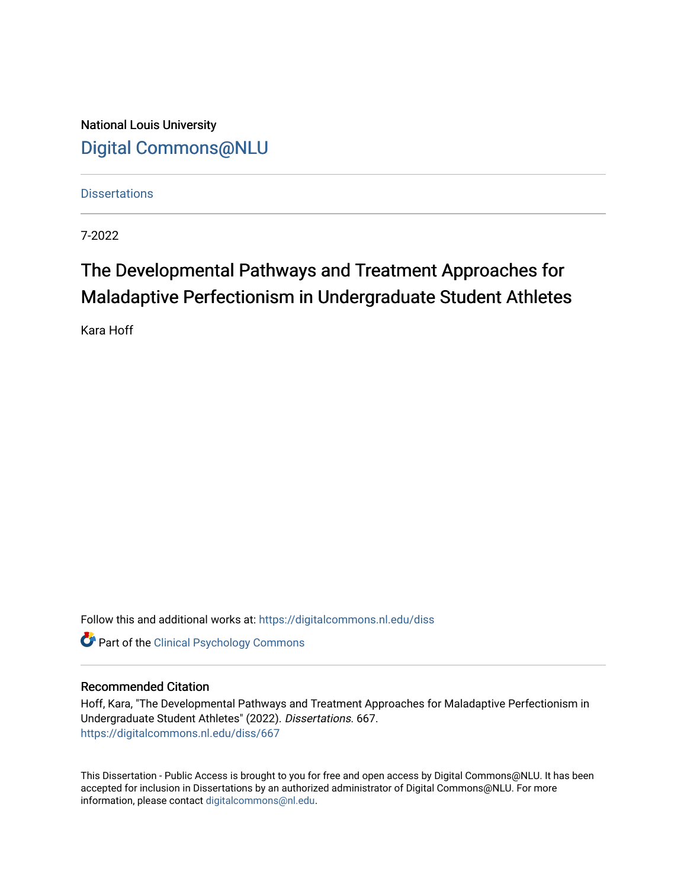National Louis University [Digital Commons@NLU](https://digitalcommons.nl.edu/)

**Dissertations** 

7-2022

# The Developmental Pathways and Treatment Approaches for Maladaptive Perfectionism in Undergraduate Student Athletes

Kara Hoff

Follow this and additional works at: [https://digitalcommons.nl.edu/diss](https://digitalcommons.nl.edu/diss?utm_source=digitalcommons.nl.edu%2Fdiss%2F667&utm_medium=PDF&utm_campaign=PDFCoverPages) 

**Part of the Clinical Psychology Commons** 

#### Recommended Citation

Hoff, Kara, "The Developmental Pathways and Treatment Approaches for Maladaptive Perfectionism in Undergraduate Student Athletes" (2022). Dissertations. 667. [https://digitalcommons.nl.edu/diss/667](https://digitalcommons.nl.edu/diss/667?utm_source=digitalcommons.nl.edu%2Fdiss%2F667&utm_medium=PDF&utm_campaign=PDFCoverPages) 

This Dissertation - Public Access is brought to you for free and open access by Digital Commons@NLU. It has been accepted for inclusion in Dissertations by an authorized administrator of Digital Commons@NLU. For more information, please contact [digitalcommons@nl.edu.](mailto:digitalcommons@nl.edu)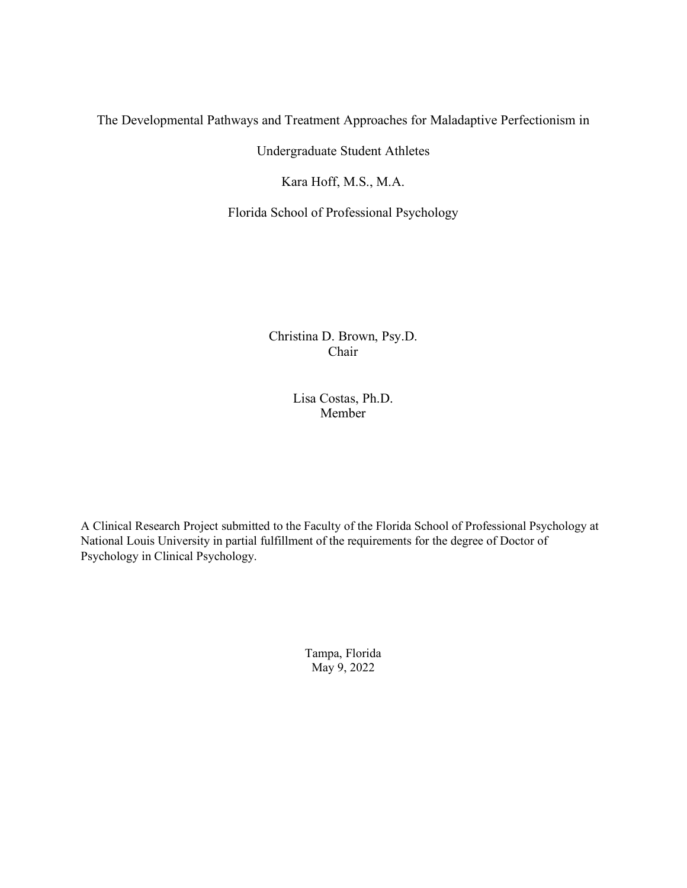### The Developmental Pathways and Treatment Approaches for Maladaptive Perfectionism in

Undergraduate Student Athletes

Kara Hoff, M.S., M.A.

Florida School of Professional Psychology

Christina D. Brown, Psy.D. Chair

> Lisa Costas, Ph.D. Member

A Clinical Research Project submitted to the Faculty of the Florida School of Professional Psychology at National Louis University in partial fulfillment of the requirements for the degree of Doctor of Psychology in Clinical Psychology.

> Tampa, Florida May 9, 2022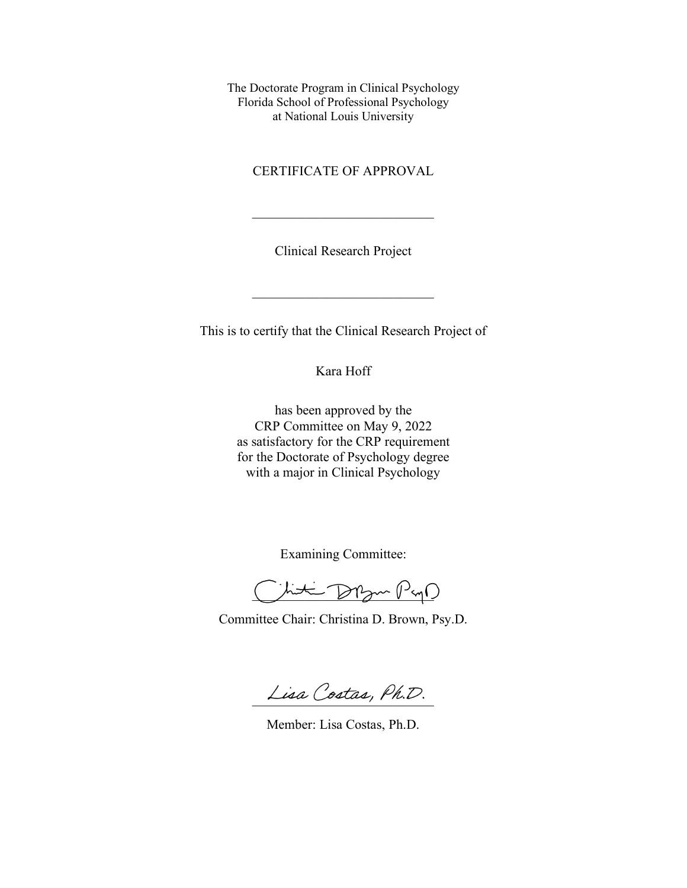The Doctorate Program in Clinical Psychology Florida School of Professional Psychology at National Louis University

CERTIFICATE OF APPROVAL

Clinical Research Project

This is to certify that the Clinical Research Project of

 $\overline{\phantom{a}}$  , which is a set of the set of the set of the set of the set of the set of the set of the set of the set of the set of the set of the set of the set of the set of the set of the set of the set of the set of th

Kara Hoff

has been approved by the CRP Committee on May 9, 2022 as satisfactory for the CRP requirement for the Doctorate of Psychology degree with a major in Clinical Psychology

Examining Committee:

Juti Drzm Pago

Committee Chair: Christina D. Brown, Psy.D.

Lisa Costas, Ph.D.

Member: Lisa Costas, Ph.D.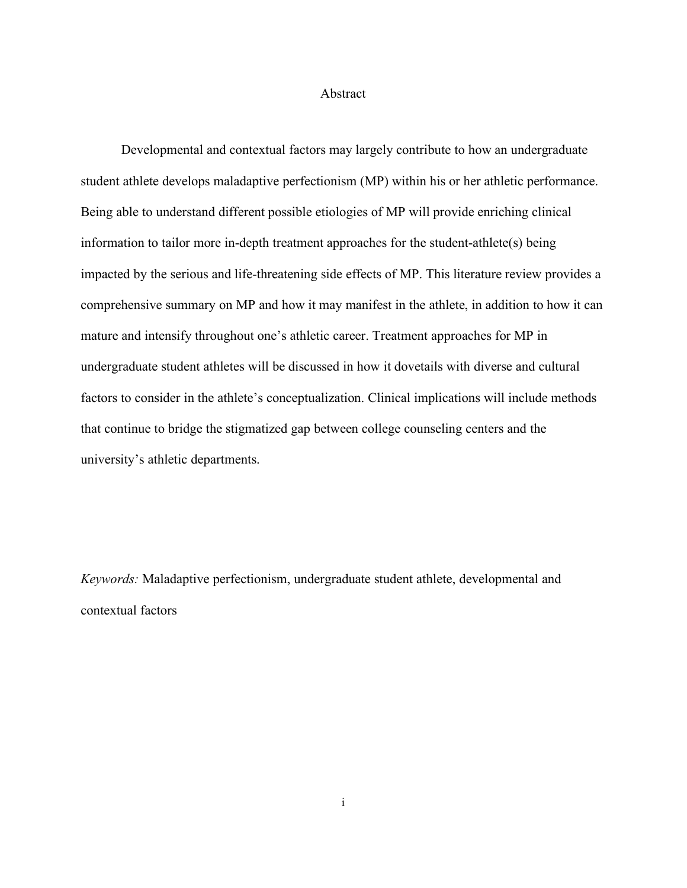#### Abstract

<span id="page-3-0"></span>Developmental and contextual factors may largely contribute to how an undergraduate student athlete develops maladaptive perfectionism (MP) within his or her athletic performance. Being able to understand different possible etiologies of MP will provide enriching clinical information to tailor more in-depth treatment approaches for the student-athlete(s) being impacted by the serious and life-threatening side effects of MP. This literature review provides a comprehensive summary on MP and how it may manifest in the athlete, in addition to how it can mature and intensify throughout one's athletic career. Treatment approaches for MP in undergraduate student athletes will be discussed in how it dovetails with diverse and cultural factors to consider in the athlete's conceptualization. Clinical implications will include methods that continue to bridge the stigmatized gap between college counseling centers and the university's athletic departments.

*Keywords:* Maladaptive perfectionism, undergraduate student athlete, developmental and contextual factors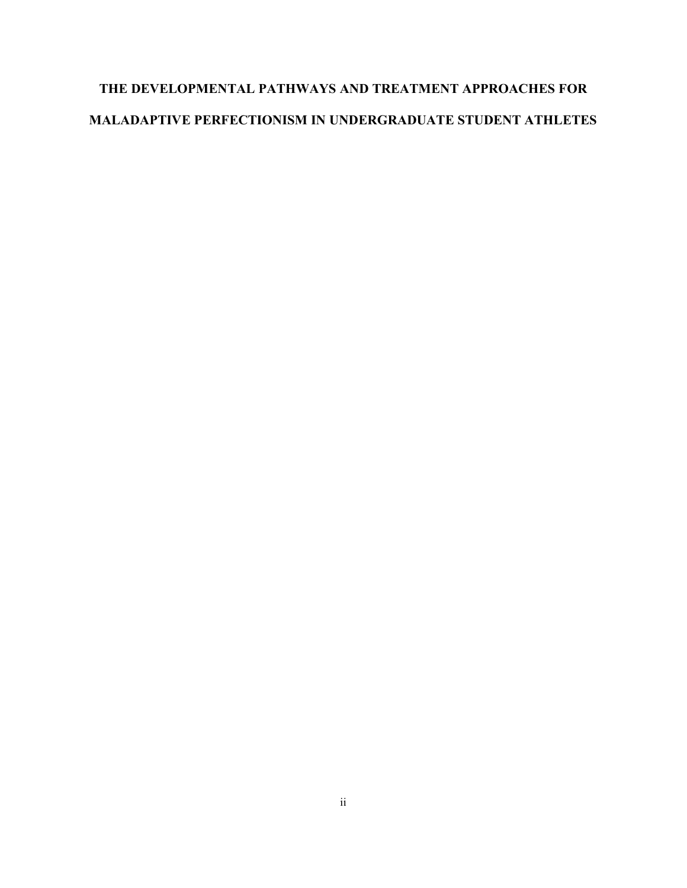# **THE DEVELOPMENTAL PATHWAYS AND TREATMENT APPROACHES FOR MALADAPTIVE PERFECTIONISM IN UNDERGRADUATE STUDENT ATHLETES**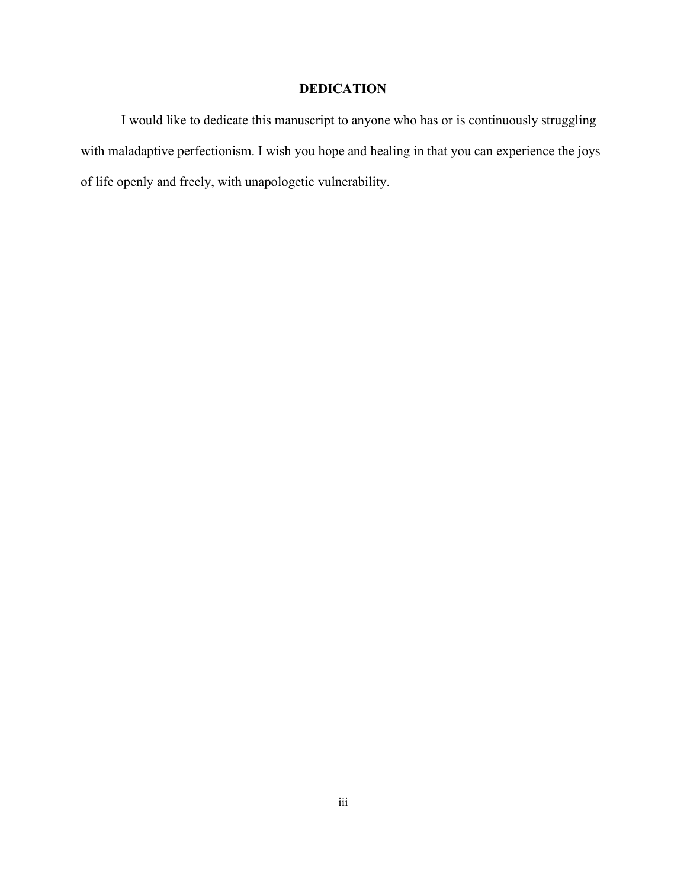### **DEDICATION**

<span id="page-5-0"></span>I would like to dedicate this manuscript to anyone who has or is continuously struggling with maladaptive perfectionism. I wish you hope and healing in that you can experience the joys of life openly and freely, with unapologetic vulnerability.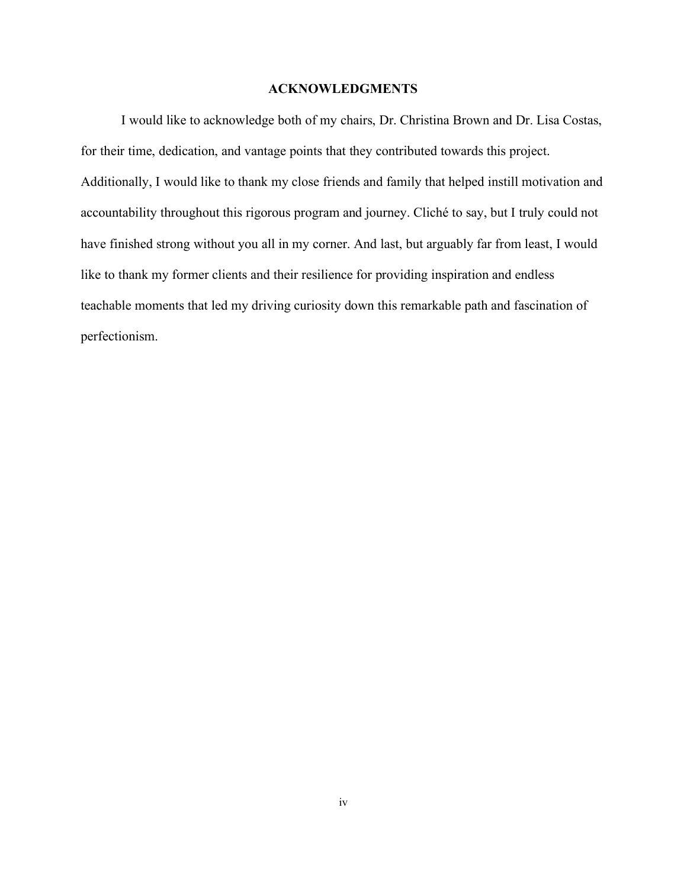#### **ACKNOWLEDGMENTS**

<span id="page-6-0"></span>I would like to acknowledge both of my chairs, Dr. Christina Brown and Dr. Lisa Costas, for their time, dedication, and vantage points that they contributed towards this project. Additionally, I would like to thank my close friends and family that helped instill motivation and accountability throughout this rigorous program and journey. Cliché to say, but I truly could not have finished strong without you all in my corner. And last, but arguably far from least, I would like to thank my former clients and their resilience for providing inspiration and endless teachable moments that led my driving curiosity down this remarkable path and fascination of perfectionism.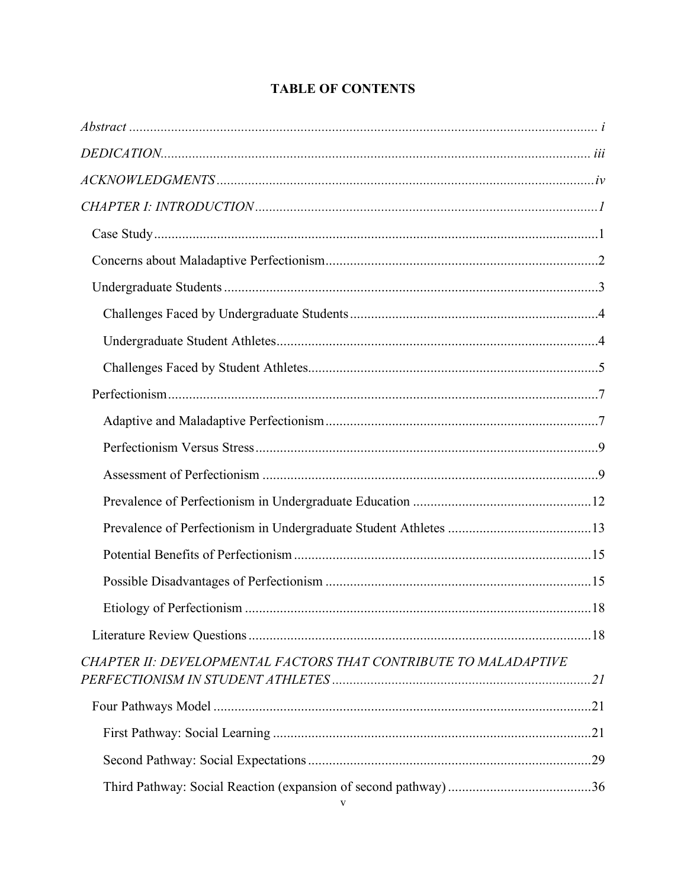| CHAPTER II: DEVELOPMENTAL FACTORS THAT CONTRIBUTE TO MALADAPTIVE |  |
|------------------------------------------------------------------|--|
|                                                                  |  |
|                                                                  |  |
|                                                                  |  |
|                                                                  |  |

## **TABLE OF CONTENTS**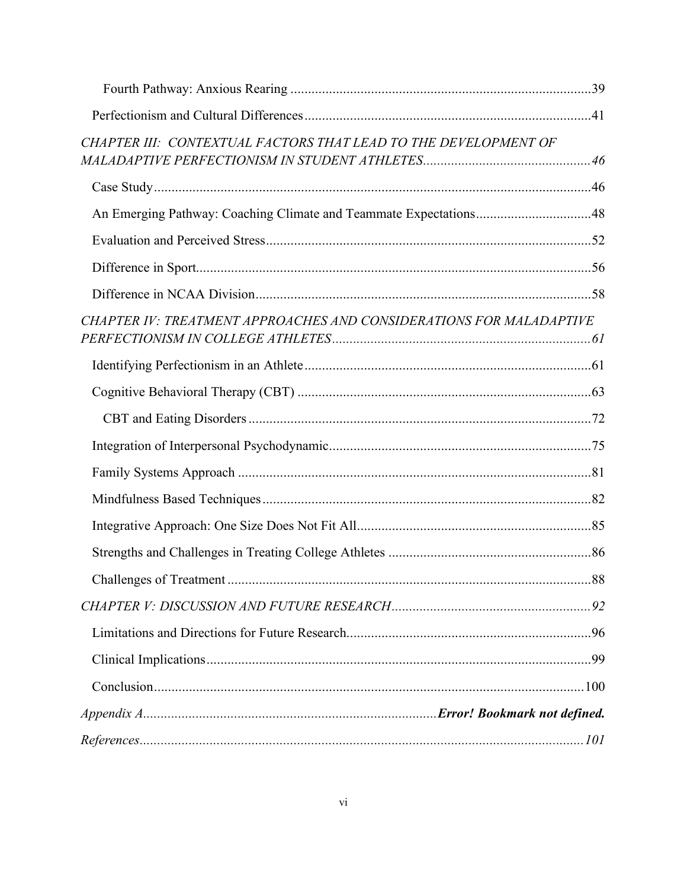| CHAPTER III: CONTEXTUAL FACTORS THAT LEAD TO THE DEVELOPMENT OF     |  |
|---------------------------------------------------------------------|--|
|                                                                     |  |
| An Emerging Pathway: Coaching Climate and Teammate Expectations48   |  |
|                                                                     |  |
|                                                                     |  |
|                                                                     |  |
| CHAPTER IV: TREATMENT APPROACHES AND CONSIDERATIONS FOR MALADAPTIVE |  |
|                                                                     |  |
|                                                                     |  |
|                                                                     |  |
|                                                                     |  |
|                                                                     |  |
|                                                                     |  |
|                                                                     |  |
|                                                                     |  |
|                                                                     |  |
|                                                                     |  |
|                                                                     |  |
|                                                                     |  |
|                                                                     |  |
|                                                                     |  |
| $References \dots 101$                                              |  |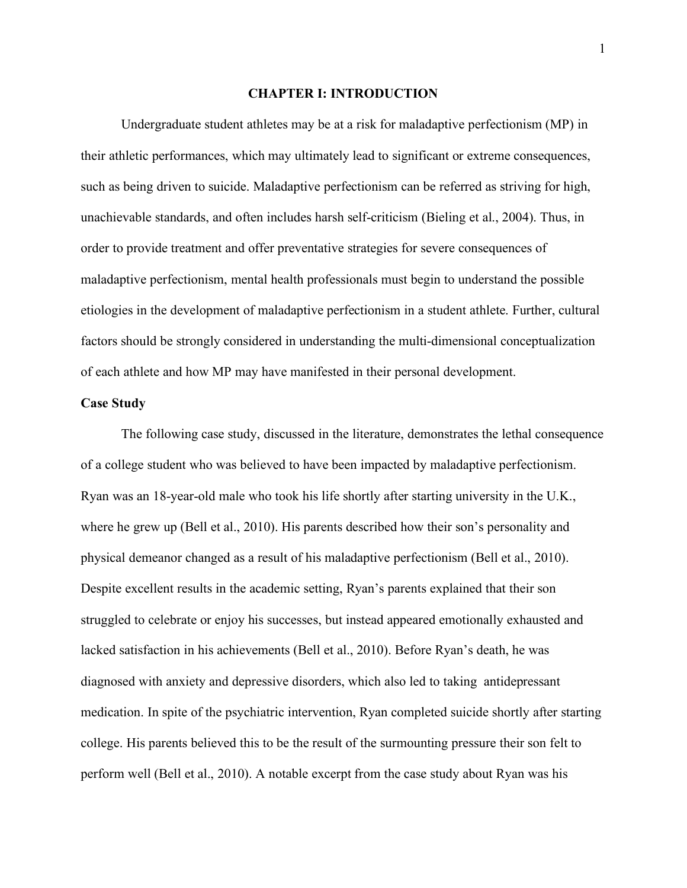#### **CHAPTER I: INTRODUCTION**

<span id="page-9-0"></span>Undergraduate student athletes may be at a risk for maladaptive perfectionism (MP) in their athletic performances, which may ultimately lead to significant or extreme consequences, such as being driven to suicide. Maladaptive perfectionism can be referred as striving for high, unachievable standards, and often includes harsh self-criticism (Bieling et al., 2004). Thus, in order to provide treatment and offer preventative strategies for severe consequences of maladaptive perfectionism, mental health professionals must begin to understand the possible etiologies in the development of maladaptive perfectionism in a student athlete. Further, cultural factors should be strongly considered in understanding the multi-dimensional conceptualization of each athlete and how MP may have manifested in their personal development.

#### <span id="page-9-1"></span>**Case Study**

The following case study, discussed in the literature, demonstrates the lethal consequence of a college student who was believed to have been impacted by maladaptive perfectionism. Ryan was an 18-year-old male who took his life shortly after starting university in the U.K., where he grew up (Bell et al., 2010). His parents described how their son's personality and physical demeanor changed as a result of his maladaptive perfectionism (Bell et al., 2010). Despite excellent results in the academic setting, Ryan's parents explained that their son struggled to celebrate or enjoy his successes, but instead appeared emotionally exhausted and lacked satisfaction in his achievements (Bell et al., 2010). Before Ryan's death, he was diagnosed with anxiety and depressive disorders, which also led to taking antidepressant medication. In spite of the psychiatric intervention, Ryan completed suicide shortly after starting college. His parents believed this to be the result of the surmounting pressure their son felt to perform well (Bell et al., 2010). A notable excerpt from the case study about Ryan was his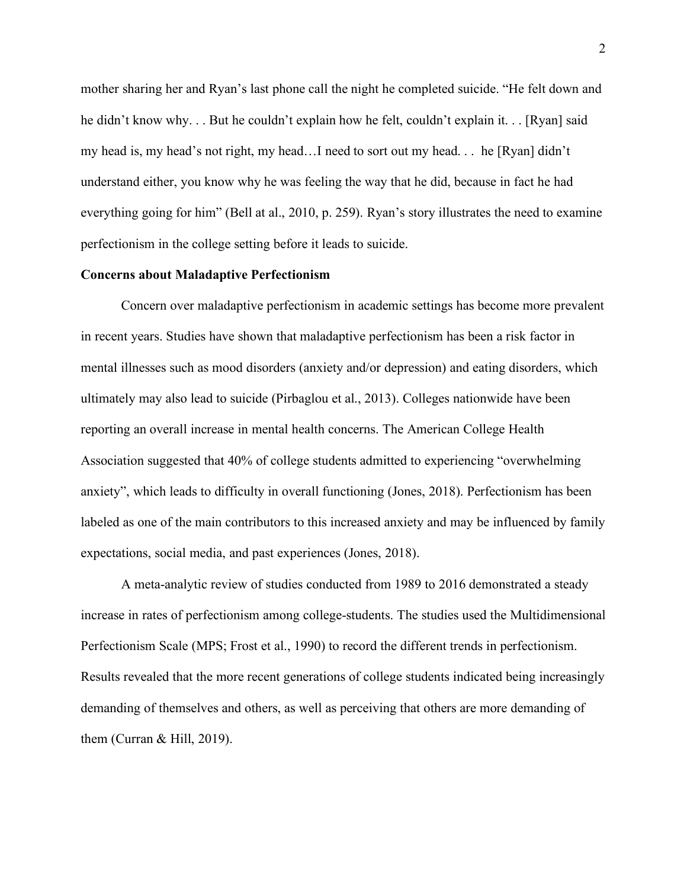mother sharing her and Ryan's last phone call the night he completed suicide. "He felt down and he didn't know why. . . But he couldn't explain how he felt, couldn't explain it. . . [Ryan] said my head is, my head's not right, my head…I need to sort out my head. . . he [Ryan] didn't understand either, you know why he was feeling the way that he did, because in fact he had everything going for him" (Bell at al., 2010, p. 259). Ryan's story illustrates the need to examine perfectionism in the college setting before it leads to suicide.

#### <span id="page-10-0"></span>**Concerns about Maladaptive Perfectionism**

Concern over maladaptive perfectionism in academic settings has become more prevalent in recent years. Studies have shown that maladaptive perfectionism has been a risk factor in mental illnesses such as mood disorders (anxiety and/or depression) and eating disorders, which ultimately may also lead to suicide (Pirbaglou et al., 2013). Colleges nationwide have been reporting an overall increase in mental health concerns. The American College Health Association suggested that 40% of college students admitted to experiencing "overwhelming anxiety", which leads to difficulty in overall functioning (Jones, 2018). Perfectionism has been labeled as one of the main contributors to this increased anxiety and may be influenced by family expectations, social media, and past experiences (Jones, 2018).

A meta-analytic review of studies conducted from 1989 to 2016 demonstrated a steady increase in rates of perfectionism among college-students. The studies used the Multidimensional Perfectionism Scale (MPS; Frost et al., 1990) to record the different trends in perfectionism. Results revealed that the more recent generations of college students indicated being increasingly demanding of themselves and others, as well as perceiving that others are more demanding of them (Curran & Hill, 2019).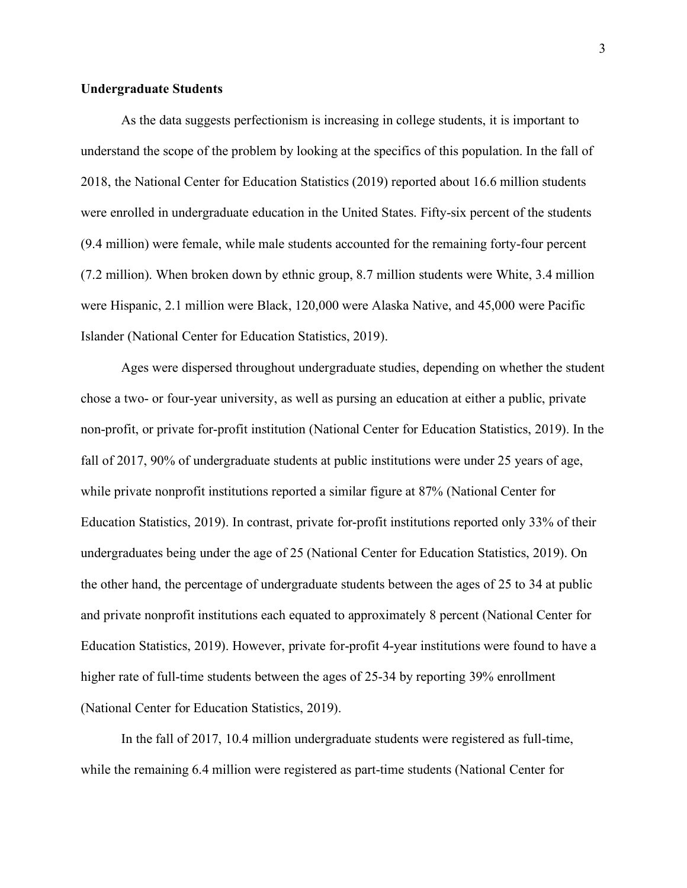#### <span id="page-11-0"></span>**Undergraduate Students**

As the data suggests perfectionism is increasing in college students, it is important to understand the scope of the problem by looking at the specifics of this population. In the fall of 2018, the National Center for Education Statistics (2019) reported about 16.6 million students were enrolled in undergraduate education in the United States. Fifty-six percent of the students (9.4 million) were female, while male students accounted for the remaining forty-four percent (7.2 million). When broken down by ethnic group, 8.7 million students were White, 3.4 million were Hispanic, 2.1 million were Black, 120,000 were Alaska Native, and 45,000 were Pacific Islander (National Center for Education Statistics, 2019).

Ages were dispersed throughout undergraduate studies, depending on whether the student chose a two- or four-year university, as well as pursing an education at either a public, private non-profit, or private for-profit institution (National Center for Education Statistics, 2019). In the fall of 2017, 90% of undergraduate students at public institutions were under 25 years of age, while private nonprofit institutions reported a similar figure at 87% (National Center for Education Statistics, 2019). In contrast, private for-profit institutions reported only 33% of their undergraduates being under the age of 25 (National Center for Education Statistics, 2019). On the other hand, the percentage of undergraduate students between the ages of 25 to 34 at public and private nonprofit institutions each equated to approximately 8 percent (National Center for Education Statistics, 2019). However, private for-profit 4-year institutions were found to have a higher rate of full-time students between the ages of 25-34 by reporting 39% enrollment (National Center for Education Statistics, 2019).

In the fall of 2017, 10.4 million undergraduate students were registered as full-time, while the remaining 6.4 million were registered as part-time students (National Center for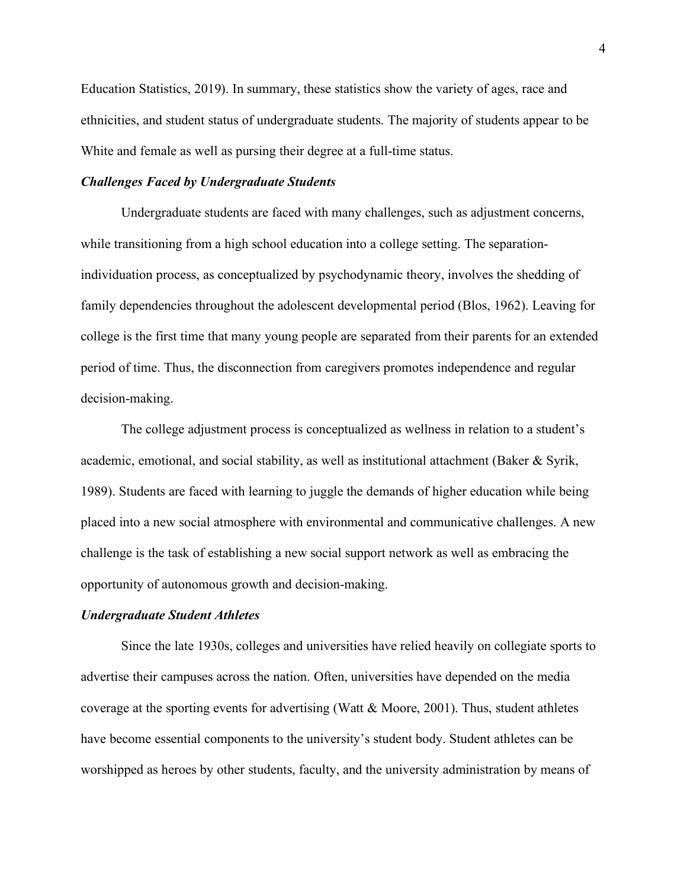Education Statistics, 2019). In summary, these statistics show the variety of ages, race and ethnicities, and student status of undergraduate students. The majority of students appear to be White and female as well as pursing their degree at a full-time status.

#### <span id="page-12-0"></span>*Challenges Faced by Undergraduate Students*

Undergraduate students are faced with many challenges, such as adjustment concerns, while transitioning from a high school education into a college setting. The separationindividuation process, as conceptualized by psychodynamic theory, involves the shedding of family dependencies throughout the adolescent developmental period (Blos, 1962). Leaving for college is the first time that many young people are separated from their parents for an extended period of time. Thus, the disconnection from caregivers promotes independence and regular decision-making.

The college adjustment process is conceptualized as wellness in relation to a student's academic, emotional, and social stability, as well as institutional attachment (Baker & Syrik, 1989). Students are faced with learning to juggle the demands of higher education while being placed into a new social atmosphere with environmental and communicative challenges. A new challenge is the task of establishing a new social support network as well as embracing the opportunity of autonomous growth and decision-making.

#### <span id="page-12-1"></span>*Undergraduate Student Athletes*

Since the late 1930s, colleges and universities have relied heavily on collegiate sports to advertise their campuses across the nation. Often, universities have depended on the media coverage at the sporting events for advertising (Watt & Moore, 2001). Thus, student athletes have become essential components to the university's student body. Student athletes can be worshipped as heroes by other students, faculty, and the university administration by means of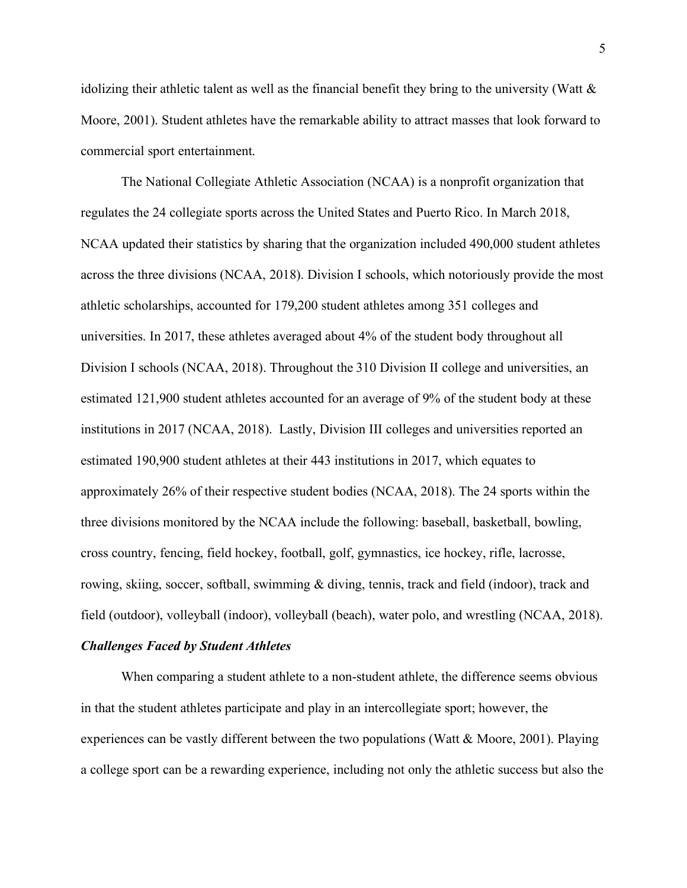idolizing their athletic talent as well as the financial benefit they bring to the university (Watt & Moore, 2001). Student athletes have the remarkable ability to attract masses that look forward to commercial sport entertainment.

The National Collegiate Athletic Association (NCAA) is a nonprofit organization that regulates the 24 collegiate sports across the United States and Puerto Rico. In March 2018, NCAA updated their statistics by sharing that the organization included 490,000 student athletes across the three divisions (NCAA, 2018). Division I schools, which notoriously provide the most athletic scholarships, accounted for 179,200 student athletes among 351 colleges and universities. In 2017, these athletes averaged about 4% of the student body throughout all Division I schools (NCAA, 2018). Throughout the 310 Division II college and universities, an estimated 121,900 student athletes accounted for an average of 9% of the student body at these institutions in 2017 (NCAA, 2018). Lastly, Division III colleges and universities reported an estimated 190,900 student athletes at their 443 institutions in 2017, which equates to approximately 26% of their respective student bodies (NCAA, 2018). The 24 sports within the three divisions monitored by the NCAA include the following: baseball, basketball, bowling, cross country, fencing, field hockey, football, golf, gymnastics, ice hockey, rifle, lacrosse, rowing, skiing, soccer, softball, swimming & diving, tennis, track and field (indoor), track and field (outdoor), volleyball (indoor), volleyball (beach), water polo, and wrestling (NCAA, 2018).

#### <span id="page-13-0"></span>*Challenges Faced by Student Athletes*

When comparing a student athlete to a non-student athlete, the difference seems obvious in that the student athletes participate and play in an intercollegiate sport; however, the experiences can be vastly different between the two populations (Watt & Moore, 2001). Playing a college sport can be a rewarding experience, including not only the athletic success but also the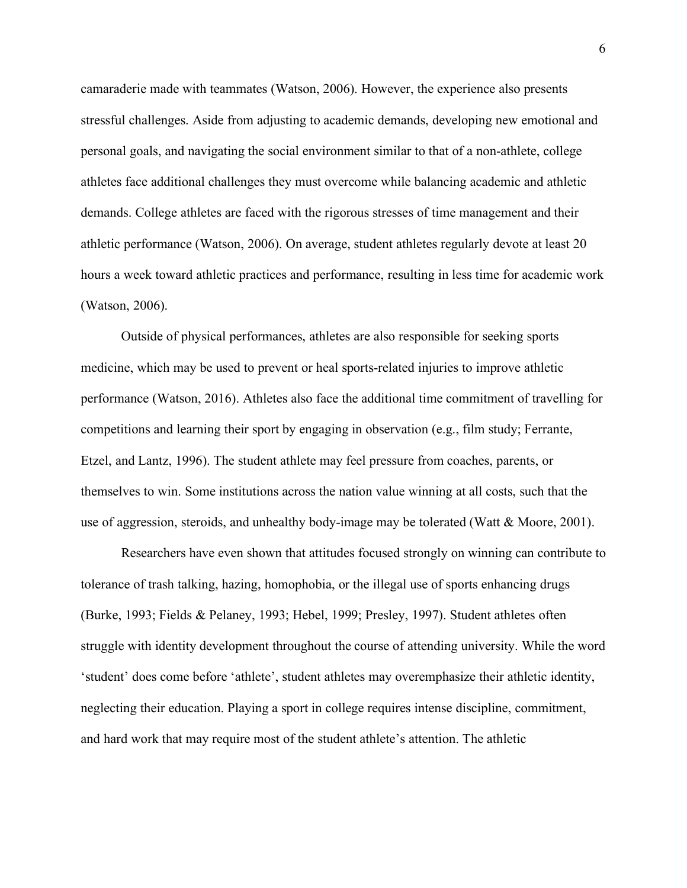camaraderie made with teammates (Watson, 2006). However, the experience also presents stressful challenges. Aside from adjusting to academic demands, developing new emotional and personal goals, and navigating the social environment similar to that of a non-athlete, college athletes face additional challenges they must overcome while balancing academic and athletic demands. College athletes are faced with the rigorous stresses of time management and their athletic performance (Watson, 2006). On average, student athletes regularly devote at least 20 hours a week toward athletic practices and performance, resulting in less time for academic work (Watson, 2006).

Outside of physical performances, athletes are also responsible for seeking sports medicine, which may be used to prevent or heal sports-related injuries to improve athletic performance (Watson, 2016). Athletes also face the additional time commitment of travelling for competitions and learning their sport by engaging in observation (e.g., film study; Ferrante, Etzel, and Lantz, 1996). The student athlete may feel pressure from coaches, parents, or themselves to win. Some institutions across the nation value winning at all costs, such that the use of aggression, steroids, and unhealthy body-image may be tolerated (Watt & Moore, 2001).

Researchers have even shown that attitudes focused strongly on winning can contribute to tolerance of trash talking, hazing, homophobia, or the illegal use of sports enhancing drugs (Burke, 1993; Fields & Pelaney, 1993; Hebel, 1999; Presley, 1997). Student athletes often struggle with identity development throughout the course of attending university. While the word 'student' does come before 'athlete', student athletes may overemphasize their athletic identity, neglecting their education. Playing a sport in college requires intense discipline, commitment, and hard work that may require most of the student athlete's attention. The athletic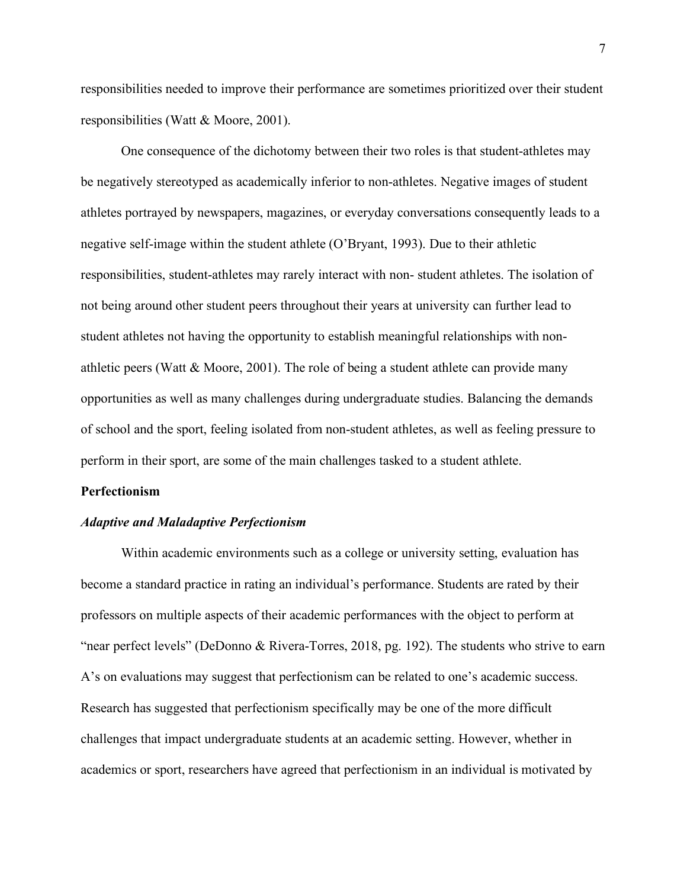responsibilities needed to improve their performance are sometimes prioritized over their student responsibilities (Watt & Moore, 2001).

One consequence of the dichotomy between their two roles is that student-athletes may be negatively stereotyped as academically inferior to non-athletes. Negative images of student athletes portrayed by newspapers, magazines, or everyday conversations consequently leads to a negative self-image within the student athlete (O'Bryant, 1993). Due to their athletic responsibilities, student-athletes may rarely interact with non- student athletes. The isolation of not being around other student peers throughout their years at university can further lead to student athletes not having the opportunity to establish meaningful relationships with nonathletic peers (Watt & Moore, 2001). The role of being a student athlete can provide many opportunities as well as many challenges during undergraduate studies. Balancing the demands of school and the sport, feeling isolated from non-student athletes, as well as feeling pressure to perform in their sport, are some of the main challenges tasked to a student athlete.

#### <span id="page-15-0"></span>**Perfectionism**

#### <span id="page-15-1"></span>*Adaptive and Maladaptive Perfectionism*

Within academic environments such as a college or university setting, evaluation has become a standard practice in rating an individual's performance. Students are rated by their professors on multiple aspects of their academic performances with the object to perform at "near perfect levels" (DeDonno & Rivera-Torres, 2018, pg. 192). The students who strive to earn A's on evaluations may suggest that perfectionism can be related to one's academic success. Research has suggested that perfectionism specifically may be one of the more difficult challenges that impact undergraduate students at an academic setting. However, whether in academics or sport, researchers have agreed that perfectionism in an individual is motivated by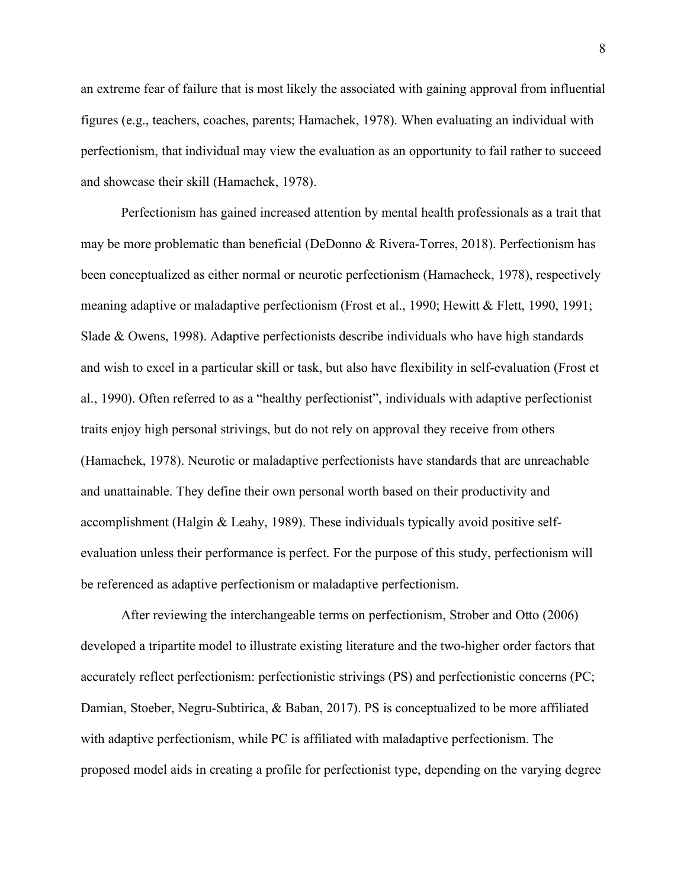an extreme fear of failure that is most likely the associated with gaining approval from influential figures (e.g., teachers, coaches, parents; Hamachek, 1978). When evaluating an individual with perfectionism, that individual may view the evaluation as an opportunity to fail rather to succeed and showcase their skill (Hamachek, 1978).

Perfectionism has gained increased attention by mental health professionals as a trait that may be more problematic than beneficial (DeDonno & Rivera-Torres, 2018). Perfectionism has been conceptualized as either normal or neurotic perfectionism (Hamacheck, 1978), respectively meaning adaptive or maladaptive perfectionism (Frost et al., 1990; Hewitt & Flett, 1990, 1991; Slade & Owens, 1998). Adaptive perfectionists describe individuals who have high standards and wish to excel in a particular skill or task, but also have flexibility in self-evaluation (Frost et al., 1990). Often referred to as a "healthy perfectionist", individuals with adaptive perfectionist traits enjoy high personal strivings, but do not rely on approval they receive from others (Hamachek, 1978). Neurotic or maladaptive perfectionists have standards that are unreachable and unattainable. They define their own personal worth based on their productivity and accomplishment (Halgin & Leahy, 1989). These individuals typically avoid positive selfevaluation unless their performance is perfect. For the purpose of this study, perfectionism will be referenced as adaptive perfectionism or maladaptive perfectionism.

After reviewing the interchangeable terms on perfectionism, Strober and Otto (2006) developed a tripartite model to illustrate existing literature and the two-higher order factors that accurately reflect perfectionism: perfectionistic strivings (PS) and perfectionistic concerns (PC; Damian, Stoeber, Negru-Subtirica, & Baban, 2017). PS is conceptualized to be more affiliated with adaptive perfectionism, while PC is affiliated with maladaptive perfectionism. The proposed model aids in creating a profile for perfectionist type, depending on the varying degree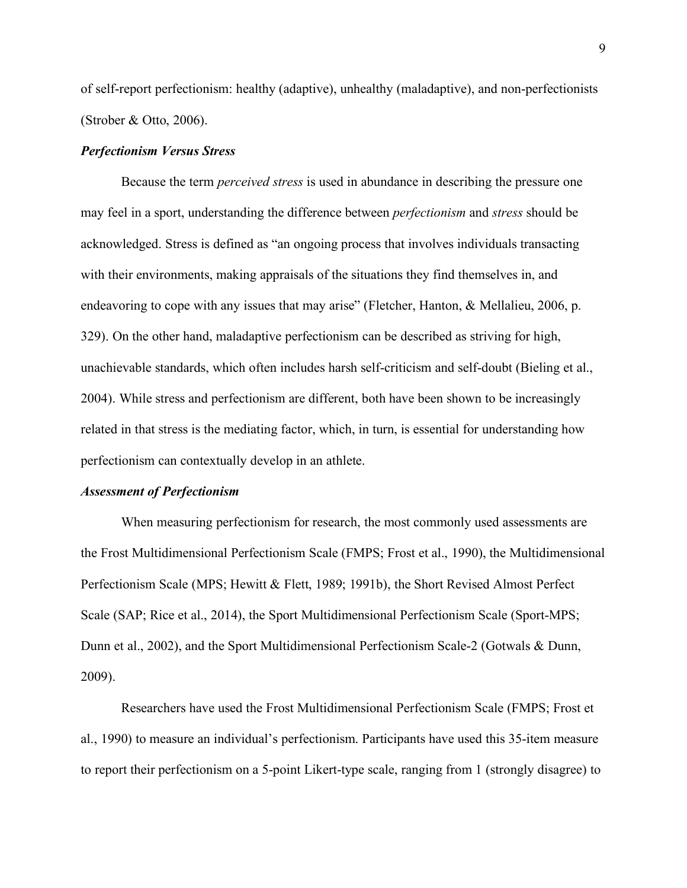of self-report perfectionism: healthy (adaptive), unhealthy (maladaptive), and non-perfectionists (Strober & Otto, 2006).

#### <span id="page-17-0"></span>*Perfectionism Versus Stress*

Because the term *perceived stress* is used in abundance in describing the pressure one may feel in a sport, understanding the difference between *perfectionism* and *stress* should be acknowledged. Stress is defined as "an ongoing process that involves individuals transacting with their environments, making appraisals of the situations they find themselves in, and endeavoring to cope with any issues that may arise" (Fletcher, Hanton, & Mellalieu, 2006, p. 329). On the other hand, maladaptive perfectionism can be described as striving for high, unachievable standards, which often includes harsh self-criticism and self-doubt (Bieling et al., 2004). While stress and perfectionism are different, both have been shown to be increasingly related in that stress is the mediating factor, which, in turn, is essential for understanding how perfectionism can contextually develop in an athlete.

#### <span id="page-17-1"></span>*Assessment of Perfectionism*

When measuring perfectionism for research, the most commonly used assessments are the Frost Multidimensional Perfectionism Scale (FMPS; Frost et al., 1990), the Multidimensional Perfectionism Scale (MPS; Hewitt & Flett, 1989; 1991b), the Short Revised Almost Perfect Scale (SAP; Rice et al., 2014), the Sport Multidimensional Perfectionism Scale (Sport-MPS; Dunn et al., 2002), and the Sport Multidimensional Perfectionism Scale-2 (Gotwals & Dunn, 2009).

Researchers have used the Frost Multidimensional Perfectionism Scale (FMPS; Frost et al., 1990) to measure an individual's perfectionism. Participants have used this 35-item measure to report their perfectionism on a 5-point Likert-type scale, ranging from 1 (strongly disagree) to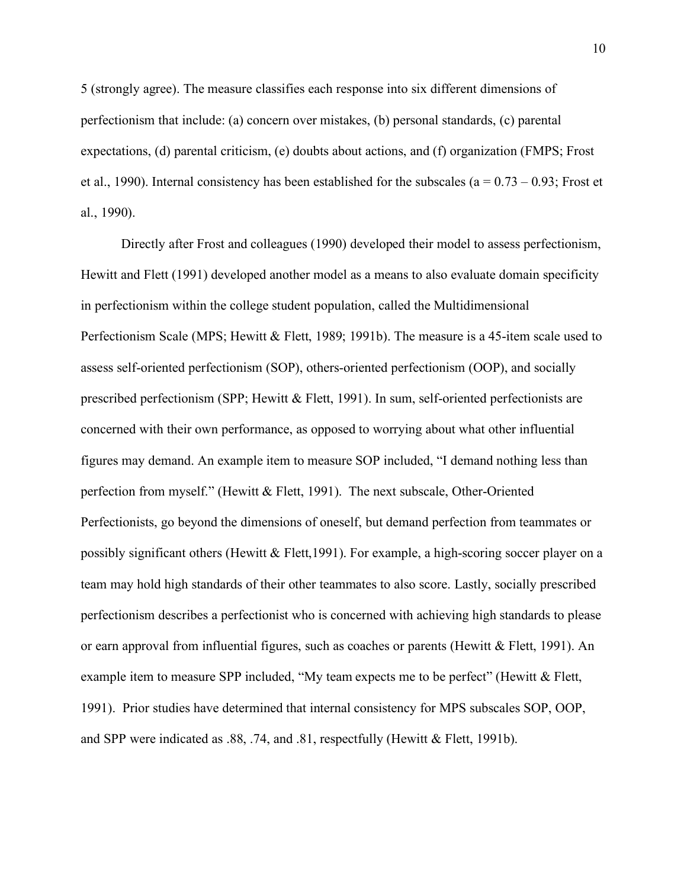5 (strongly agree). The measure classifies each response into six different dimensions of perfectionism that include: (a) concern over mistakes, (b) personal standards, (c) parental expectations, (d) parental criticism, (e) doubts about actions, and (f) organization (FMPS; Frost et al., 1990). Internal consistency has been established for the subscales ( $a = 0.73 - 0.93$ ; Frost et al., 1990).

Directly after Frost and colleagues (1990) developed their model to assess perfectionism, Hewitt and Flett (1991) developed another model as a means to also evaluate domain specificity in perfectionism within the college student population, called the Multidimensional Perfectionism Scale (MPS; Hewitt & Flett, 1989; 1991b). The measure is a 45-item scale used to assess self-oriented perfectionism (SOP), others-oriented perfectionism (OOP), and socially prescribed perfectionism (SPP; Hewitt & Flett, 1991). In sum, self-oriented perfectionists are concerned with their own performance, as opposed to worrying about what other influential figures may demand. An example item to measure SOP included, "I demand nothing less than perfection from myself." (Hewitt & Flett, 1991). The next subscale, Other-Oriented Perfectionists, go beyond the dimensions of oneself, but demand perfection from teammates or possibly significant others (Hewitt  $\&$  Flett, 1991). For example, a high-scoring soccer player on a team may hold high standards of their other teammates to also score. Lastly, socially prescribed perfectionism describes a perfectionist who is concerned with achieving high standards to please or earn approval from influential figures, such as coaches or parents (Hewitt  $\&$  Flett, 1991). An example item to measure SPP included, "My team expects me to be perfect" (Hewitt & Flett, 1991). Prior studies have determined that internal consistency for MPS subscales SOP, OOP, and SPP were indicated as .88, .74, and .81, respectfully (Hewitt & Flett, 1991b).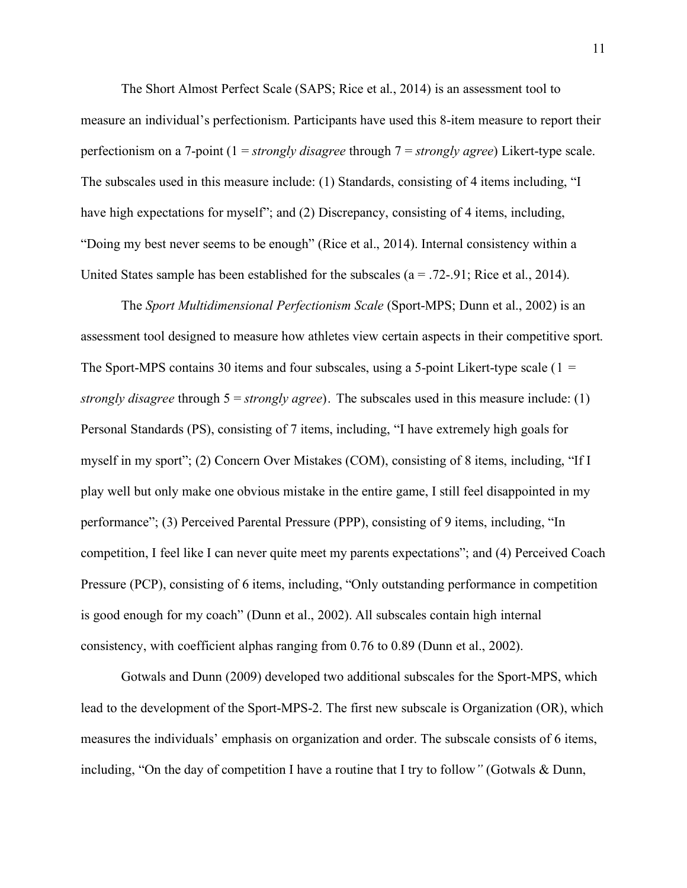The Short Almost Perfect Scale (SAPS; Rice et al., 2014) is an assessment tool to measure an individual's perfectionism. Participants have used this 8-item measure to report their perfectionism on a 7-point (1 = *strongly disagree* through 7 = *strongly agree*) Likert-type scale. The subscales used in this measure include: (1) Standards, consisting of 4 items including, "I have high expectations for myself"; and (2) Discrepancy, consisting of 4 items, including, "Doing my best never seems to be enough" (Rice et al., 2014). Internal consistency within a United States sample has been established for the subscales  $(a = .72-.91;$  Rice et al., 2014).

The *Sport Multidimensional Perfectionism Scale* (Sport-MPS; Dunn et al., 2002) is an assessment tool designed to measure how athletes view certain aspects in their competitive sport. The Sport-MPS contains 30 items and four subscales, using a 5-point Likert-type scale ( $1 =$ *strongly disagree* through 5 = *strongly agree*). The subscales used in this measure include: (1) Personal Standards (PS), consisting of 7 items, including, "I have extremely high goals for myself in my sport"; (2) Concern Over Mistakes (COM), consisting of 8 items, including, "If I play well but only make one obvious mistake in the entire game, I still feel disappointed in my performance"; (3) Perceived Parental Pressure (PPP), consisting of 9 items, including, "In competition, I feel like I can never quite meet my parents expectations"; and (4) Perceived Coach Pressure (PCP), consisting of 6 items, including, "Only outstanding performance in competition is good enough for my coach" (Dunn et al., 2002). All subscales contain high internal consistency, with coefficient alphas ranging from 0.76 to 0.89 (Dunn et al., 2002).

Gotwals and Dunn (2009) developed two additional subscales for the Sport-MPS, which lead to the development of the Sport-MPS-2. The first new subscale is Organization (OR), which measures the individuals' emphasis on organization and order. The subscale consists of 6 items, including, "On the day of competition I have a routine that I try to follow*"* (Gotwals & Dunn,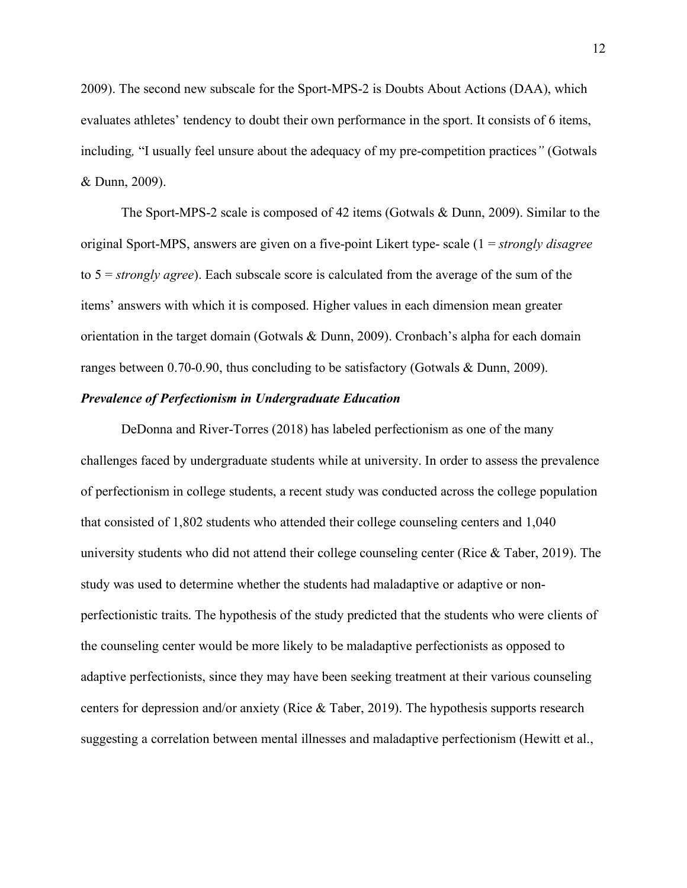2009). The second new subscale for the Sport-MPS-2 is Doubts About Actions (DAA), which evaluates athletes' tendency to doubt their own performance in the sport. It consists of 6 items, including*,* "I usually feel unsure about the adequacy of my pre-competition practices*"* (Gotwals & Dunn, 2009).

The Sport-MPS-2 scale is composed of 42 items (Gotwals & Dunn, 2009). Similar to the original Sport-MPS, answers are given on a five-point Likert type- scale (1 = *strongly disagree* to 5 = *strongly agree*). Each subscale score is calculated from the average of the sum of the items' answers with which it is composed. Higher values in each dimension mean greater orientation in the target domain (Gotwals & Dunn, 2009). Cronbach's alpha for each domain ranges between 0.70-0.90, thus concluding to be satisfactory (Gotwals & Dunn, 2009).

#### <span id="page-20-0"></span>*Prevalence of Perfectionism in Undergraduate Education*

DeDonna and River-Torres (2018) has labeled perfectionism as one of the many challenges faced by undergraduate students while at university. In order to assess the prevalence of perfectionism in college students, a recent study was conducted across the college population that consisted of 1,802 students who attended their college counseling centers and 1,040 university students who did not attend their college counseling center (Rice  $\&$  Taber, 2019). The study was used to determine whether the students had maladaptive or adaptive or nonperfectionistic traits. The hypothesis of the study predicted that the students who were clients of the counseling center would be more likely to be maladaptive perfectionists as opposed to adaptive perfectionists, since they may have been seeking treatment at their various counseling centers for depression and/or anxiety (Rice & Taber, 2019). The hypothesis supports research suggesting a correlation between mental illnesses and maladaptive perfectionism (Hewitt et al.,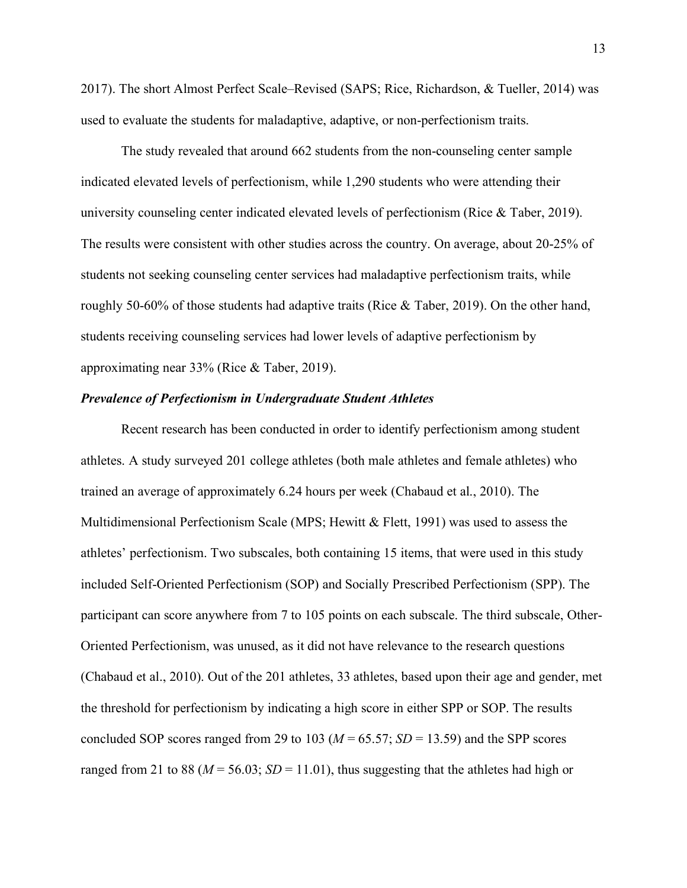2017). The short Almost Perfect Scale–Revised (SAPS; Rice, Richardson, & Tueller, 2014) was used to evaluate the students for maladaptive, adaptive, or non-perfectionism traits.

The study revealed that around 662 students from the non-counseling center sample indicated elevated levels of perfectionism, while 1,290 students who were attending their university counseling center indicated elevated levels of perfectionism (Rice & Taber, 2019). The results were consistent with other studies across the country. On average, about 20-25% of students not seeking counseling center services had maladaptive perfectionism traits, while roughly 50-60% of those students had adaptive traits (Rice & Taber, 2019). On the other hand, students receiving counseling services had lower levels of adaptive perfectionism by approximating near 33% (Rice & Taber, 2019).

#### <span id="page-21-0"></span>*Prevalence of Perfectionism in Undergraduate Student Athletes*

Recent research has been conducted in order to identify perfectionism among student athletes. A study surveyed 201 college athletes (both male athletes and female athletes) who trained an average of approximately 6.24 hours per week (Chabaud et al., 2010). The Multidimensional Perfectionism Scale (MPS; Hewitt & Flett, 1991) was used to assess the athletes' perfectionism. Two subscales, both containing 15 items, that were used in this study included Self-Oriented Perfectionism (SOP) and Socially Prescribed Perfectionism (SPP). The participant can score anywhere from 7 to 105 points on each subscale. The third subscale, Other-Oriented Perfectionism, was unused, as it did not have relevance to the research questions (Chabaud et al., 2010). Out of the 201 athletes, 33 athletes, based upon their age and gender, met the threshold for perfectionism by indicating a high score in either SPP or SOP. The results concluded SOP scores ranged from 29 to 103 ( $M = 65.57$ ;  $SD = 13.59$ ) and the SPP scores ranged from 21 to 88 ( $M = 56.03$ ;  $SD = 11.01$ ), thus suggesting that the athletes had high or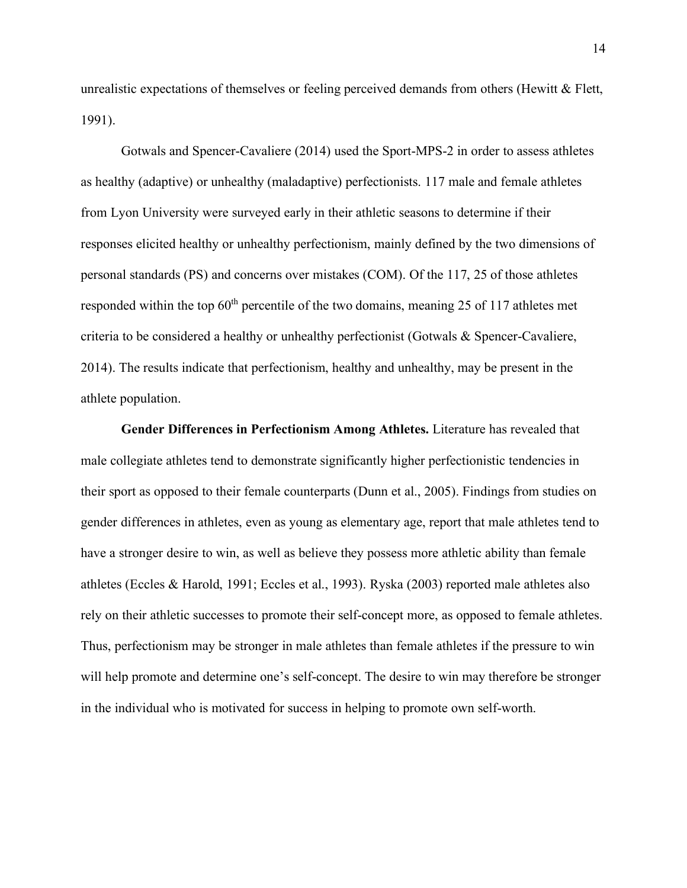unrealistic expectations of themselves or feeling perceived demands from others (Hewitt & Flett, 1991).

Gotwals and Spencer-Cavaliere (2014) used the Sport-MPS-2 in order to assess athletes as healthy (adaptive) or unhealthy (maladaptive) perfectionists. 117 male and female athletes from Lyon University were surveyed early in their athletic seasons to determine if their responses elicited healthy or unhealthy perfectionism, mainly defined by the two dimensions of personal standards (PS) and concerns over mistakes (COM). Of the 117, 25 of those athletes responded within the top  $60<sup>th</sup>$  percentile of the two domains, meaning 25 of 117 athletes met criteria to be considered a healthy or unhealthy perfectionist (Gotwals & Spencer-Cavaliere, 2014). The results indicate that perfectionism, healthy and unhealthy, may be present in the athlete population.

**Gender Differences in Perfectionism Among Athletes.** Literature has revealed that male collegiate athletes tend to demonstrate significantly higher perfectionistic tendencies in their sport as opposed to their female counterparts (Dunn et al., 2005). Findings from studies on gender differences in athletes, even as young as elementary age, report that male athletes tend to have a stronger desire to win, as well as believe they possess more athletic ability than female athletes (Eccles & Harold, 1991; Eccles et al., 1993). Ryska (2003) reported male athletes also rely on their athletic successes to promote their self-concept more, as opposed to female athletes. Thus, perfectionism may be stronger in male athletes than female athletes if the pressure to win will help promote and determine one's self-concept. The desire to win may therefore be stronger in the individual who is motivated for success in helping to promote own self-worth.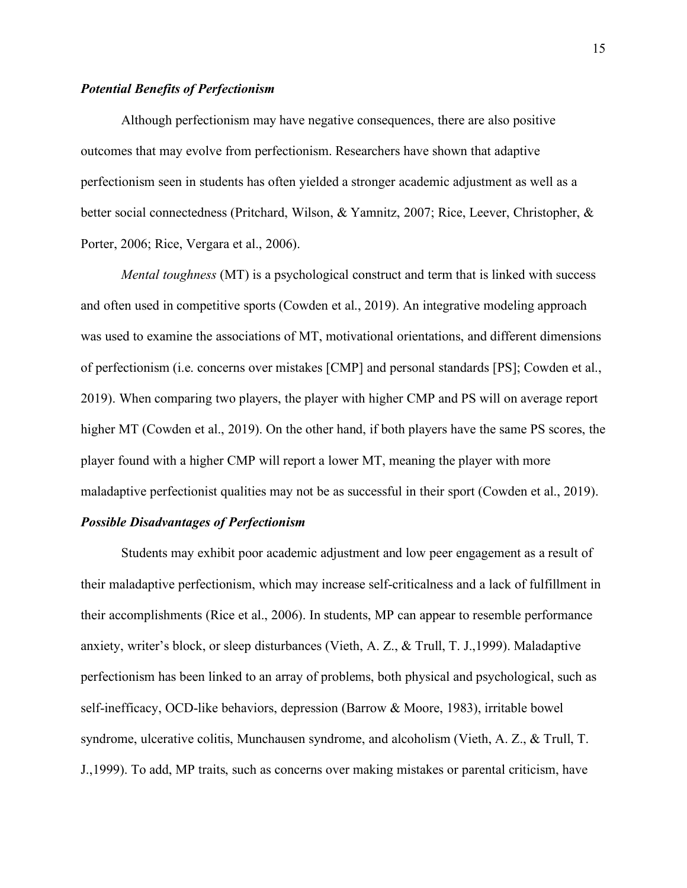#### <span id="page-23-0"></span>*Potential Benefits of Perfectionism*

Although perfectionism may have negative consequences, there are also positive outcomes that may evolve from perfectionism. Researchers have shown that adaptive perfectionism seen in students has often yielded a stronger academic adjustment as well as a better social connectedness (Pritchard, Wilson, & Yamnitz, 2007; Rice, Leever, Christopher, & Porter, 2006; Rice, Vergara et al., 2006).

*Mental toughness* (MT) is a psychological construct and term that is linked with success and often used in competitive sports (Cowden et al., 2019). An integrative modeling approach was used to examine the associations of MT, motivational orientations, and different dimensions of perfectionism (i.e. concerns over mistakes [CMP] and personal standards [PS]; Cowden et al., 2019). When comparing two players, the player with higher CMP and PS will on average report higher MT (Cowden et al., 2019). On the other hand, if both players have the same PS scores, the player found with a higher CMP will report a lower MT, meaning the player with more maladaptive perfectionist qualities may not be as successful in their sport (Cowden et al., 2019).

#### <span id="page-23-1"></span>*Possible Disadvantages of Perfectionism*

Students may exhibit poor academic adjustment and low peer engagement as a result of their maladaptive perfectionism, which may increase self-criticalness and a lack of fulfillment in their accomplishments (Rice et al., 2006). In students, MP can appear to resemble performance anxiety, writer's block, or sleep disturbances (Vieth, A. Z., & Trull, T. J.,1999). Maladaptive perfectionism has been linked to an array of problems, both physical and psychological, such as self-inefficacy, OCD-like behaviors, depression (Barrow & Moore, 1983), irritable bowel syndrome, ulcerative colitis, Munchausen syndrome, and alcoholism (Vieth, A. Z., & Trull, T. J.,1999). To add, MP traits, such as concerns over making mistakes or parental criticism, have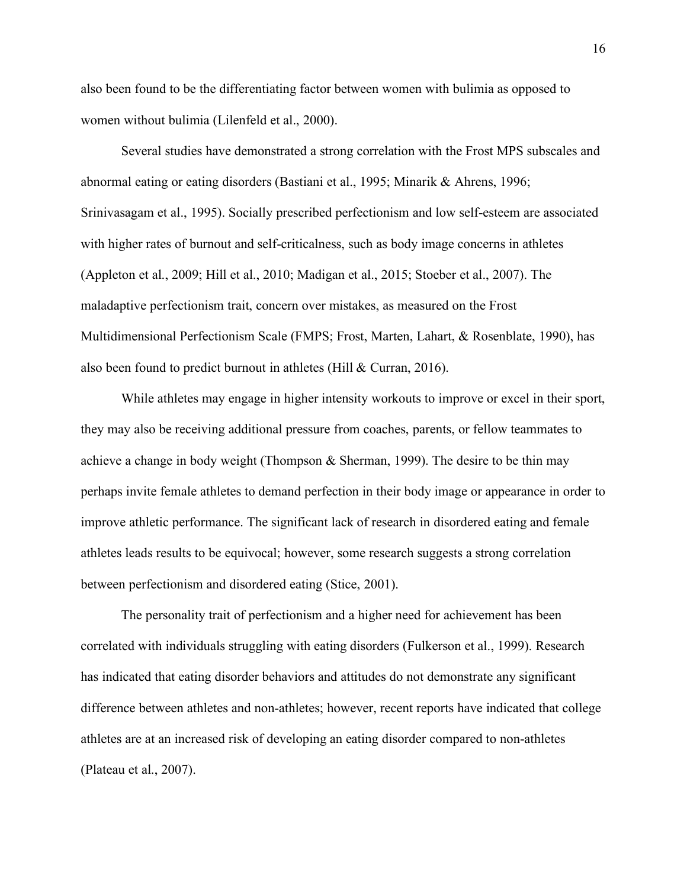also been found to be the differentiating factor between women with bulimia as opposed to women without bulimia (Lilenfeld et al., 2000).

Several studies have demonstrated a strong correlation with the Frost MPS subscales and abnormal eating or eating disorders (Bastiani et al., 1995; Minarik & Ahrens, 1996; Srinivasagam et al., 1995). Socially prescribed perfectionism and low self-esteem are associated with higher rates of burnout and self-criticalness, such as body image concerns in athletes (Appleton et al., 2009; Hill et al., 2010; Madigan et al., 2015; Stoeber et al., 2007). The maladaptive perfectionism trait, concern over mistakes, as measured on the Frost Multidimensional Perfectionism Scale (FMPS; Frost, Marten, Lahart, & Rosenblate, 1990), has also been found to predict burnout in athletes (Hill & Curran, 2016).

While athletes may engage in higher intensity workouts to improve or excel in their sport, they may also be receiving additional pressure from coaches, parents, or fellow teammates to achieve a change in body weight (Thompson & Sherman, 1999). The desire to be thin may perhaps invite female athletes to demand perfection in their body image or appearance in order to improve athletic performance. The significant lack of research in disordered eating and female athletes leads results to be equivocal; however, some research suggests a strong correlation between perfectionism and disordered eating (Stice, 2001).

The personality trait of perfectionism and a higher need for achievement has been correlated with individuals struggling with eating disorders (Fulkerson et al., 1999). Research has indicated that eating disorder behaviors and attitudes do not demonstrate any significant difference between athletes and non-athletes; however, recent reports have indicated that college athletes are at an increased risk of developing an eating disorder compared to non-athletes (Plateau et al., 2007).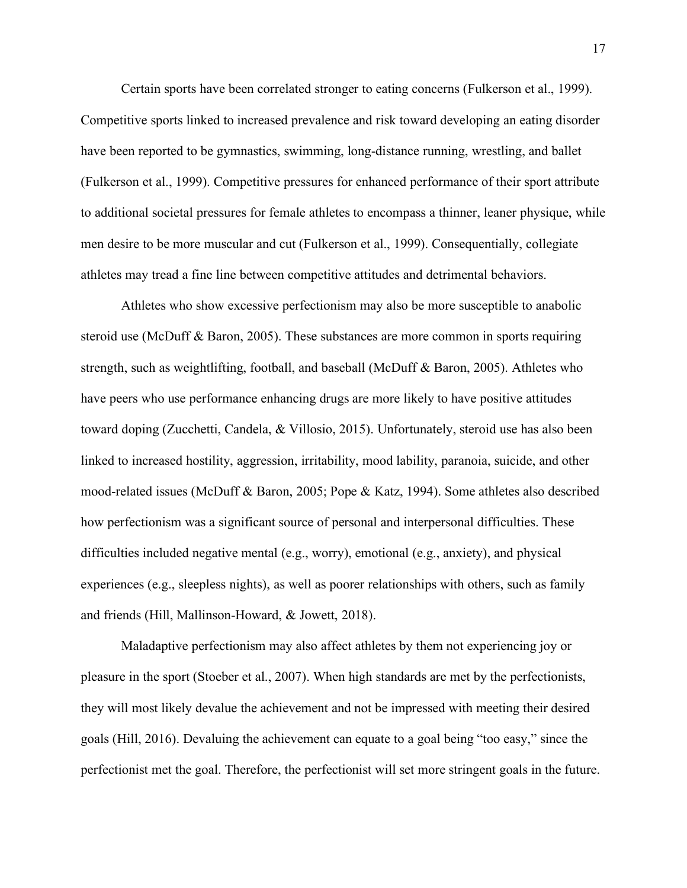Certain sports have been correlated stronger to eating concerns (Fulkerson et al., 1999). Competitive sports linked to increased prevalence and risk toward developing an eating disorder have been reported to be gymnastics, swimming, long-distance running, wrestling, and ballet (Fulkerson et al., 1999). Competitive pressures for enhanced performance of their sport attribute to additional societal pressures for female athletes to encompass a thinner, leaner physique, while men desire to be more muscular and cut (Fulkerson et al., 1999). Consequentially, collegiate athletes may tread a fine line between competitive attitudes and detrimental behaviors.

Athletes who show excessive perfectionism may also be more susceptible to anabolic steroid use (McDuff & Baron, 2005). These substances are more common in sports requiring strength, such as weightlifting, football, and baseball (McDuff & Baron, 2005). Athletes who have peers who use performance enhancing drugs are more likely to have positive attitudes toward doping (Zucchetti, Candela, & Villosio, 2015). Unfortunately, steroid use has also been linked to increased hostility, aggression, irritability, mood lability, paranoia, suicide, and other mood-related issues (McDuff & Baron, 2005; Pope & Katz, 1994). Some athletes also described how perfectionism was a significant source of personal and interpersonal difficulties. These difficulties included negative mental (e.g., worry), emotional (e.g., anxiety), and physical experiences (e.g., sleepless nights), as well as poorer relationships with others, such as family and friends (Hill, Mallinson-Howard, & Jowett, 2018).

Maladaptive perfectionism may also affect athletes by them not experiencing joy or pleasure in the sport (Stoeber et al., 2007). When high standards are met by the perfectionists, they will most likely devalue the achievement and not be impressed with meeting their desired goals (Hill, 2016). Devaluing the achievement can equate to a goal being "too easy," since the perfectionist met the goal. Therefore, the perfectionist will set more stringent goals in the future.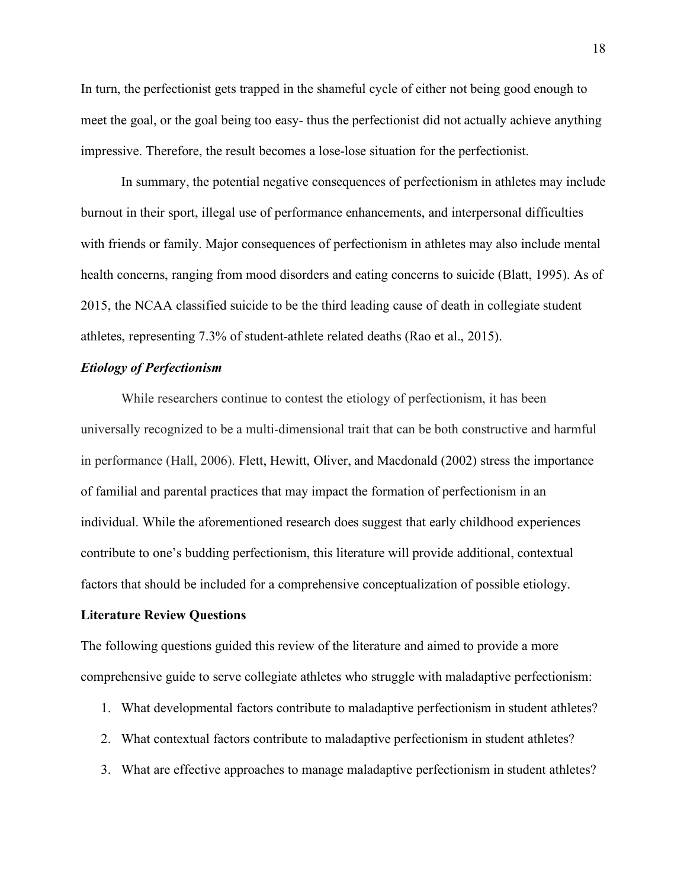In turn, the perfectionist gets trapped in the shameful cycle of either not being good enough to meet the goal, or the goal being too easy- thus the perfectionist did not actually achieve anything impressive. Therefore, the result becomes a lose-lose situation for the perfectionist.

In summary, the potential negative consequences of perfectionism in athletes may include burnout in their sport, illegal use of performance enhancements, and interpersonal difficulties with friends or family. Major consequences of perfectionism in athletes may also include mental health concerns, ranging from mood disorders and eating concerns to suicide (Blatt, 1995). As of 2015, the NCAA classified suicide to be the third leading cause of death in collegiate student athletes, representing 7.3% of student-athlete related deaths (Rao et al., 2015).

#### <span id="page-26-0"></span>*Etiology of Perfectionism*

While researchers continue to contest the etiology of perfectionism, it has been universally recognized to be a multi-dimensional trait that can be both constructive and harmful in performance (Hall, 2006). Flett, Hewitt, Oliver, and Macdonald (2002) stress the importance of familial and parental practices that may impact the formation of perfectionism in an individual. While the aforementioned research does suggest that early childhood experiences contribute to one's budding perfectionism, this literature will provide additional, contextual factors that should be included for a comprehensive conceptualization of possible etiology.

#### <span id="page-26-1"></span>**Literature Review Questions**

The following questions guided this review of the literature and aimed to provide a more comprehensive guide to serve collegiate athletes who struggle with maladaptive perfectionism:

- 1. What developmental factors contribute to maladaptive perfectionism in student athletes?
- 2. What contextual factors contribute to maladaptive perfectionism in student athletes?
- 3. What are effective approaches to manage maladaptive perfectionism in student athletes?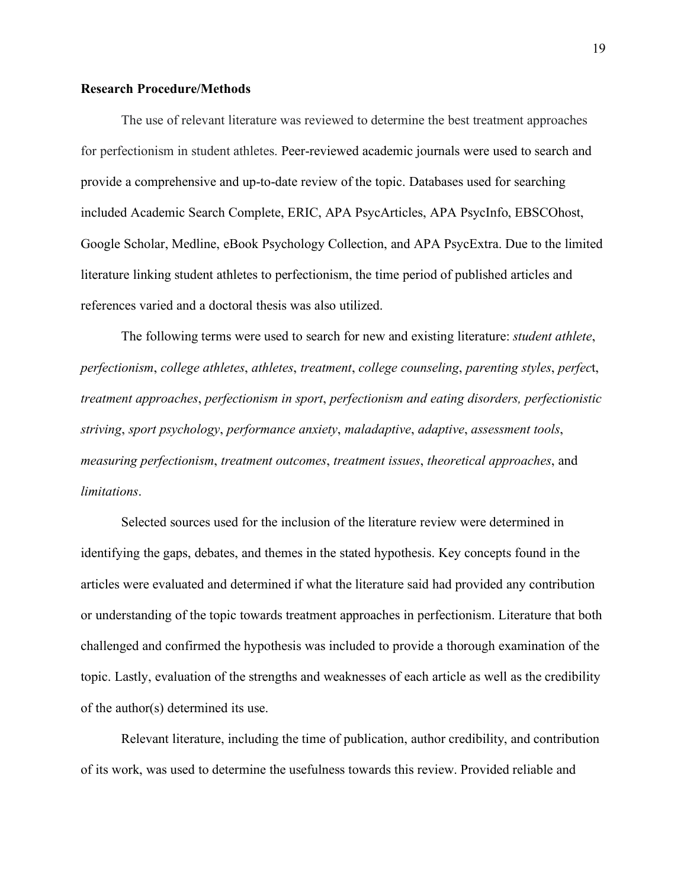#### **Research Procedure/Methods**

The use of relevant literature was reviewed to determine the best treatment approaches for perfectionism in student athletes. Peer-reviewed academic journals were used to search and provide a comprehensive and up-to-date review of the topic. Databases used for searching included Academic Search Complete, ERIC, APA PsycArticles, APA PsycInfo, EBSCOhost, Google Scholar, Medline, eBook Psychology Collection, and APA PsycExtra. Due to the limited literature linking student athletes to perfectionism, the time period of published articles and references varied and a doctoral thesis was also utilized.

The following terms were used to search for new and existing literature: *student athlete*, *perfectionism*, *college athletes*, *athletes*, *treatment*, *college counseling*, *parenting styles*, *perfec*t, *treatment approaches*, *perfectionism in sport*, *perfectionism and eating disorders, perfectionistic striving*, *sport psychology*, *performance anxiety*, *maladaptive*, *adaptive*, *assessment tools*, *measuring perfectionism*, *treatment outcomes*, *treatment issues*, *theoretical approaches*, and *limitations*.

Selected sources used for the inclusion of the literature review were determined in identifying the gaps, debates, and themes in the stated hypothesis. Key concepts found in the articles were evaluated and determined if what the literature said had provided any contribution or understanding of the topic towards treatment approaches in perfectionism. Literature that both challenged and confirmed the hypothesis was included to provide a thorough examination of the topic. Lastly, evaluation of the strengths and weaknesses of each article as well as the credibility of the author(s) determined its use.

Relevant literature, including the time of publication, author credibility, and contribution of its work, was used to determine the usefulness towards this review. Provided reliable and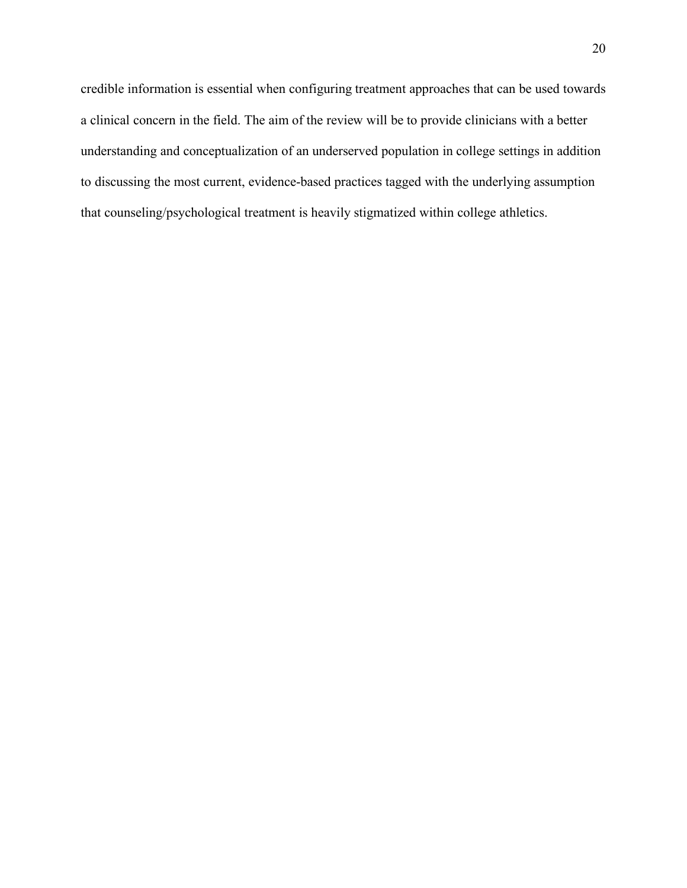credible information is essential when configuring treatment approaches that can be used towards a clinical concern in the field. The aim of the review will be to provide clinicians with a better understanding and conceptualization of an underserved population in college settings in addition to discussing the most current, evidence-based practices tagged with the underlying assumption that counseling/psychological treatment is heavily stigmatized within college athletics.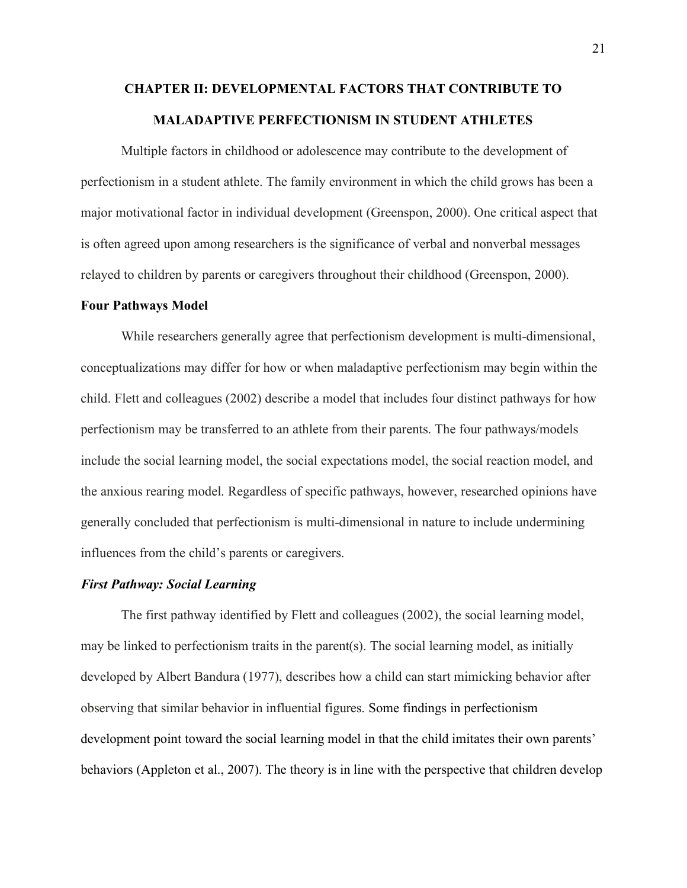## <span id="page-29-0"></span>**CHAPTER II: DEVELOPMENTAL FACTORS THAT CONTRIBUTE TO MALADAPTIVE PERFECTIONISM IN STUDENT ATHLETES**

Multiple factors in childhood or adolescence may contribute to the development of perfectionism in a student athlete. The family environment in which the child grows has been a major motivational factor in individual development (Greenspon, 2000). One critical aspect that is often agreed upon among researchers is the significance of verbal and nonverbal messages relayed to children by parents or caregivers throughout their childhood (Greenspon, 2000).

#### <span id="page-29-1"></span>**Four Pathways Model**

While researchers generally agree that perfectionism development is multi-dimensional, conceptualizations may differ for how or when maladaptive perfectionism may begin within the child. Flett and colleagues (2002) describe a model that includes four distinct pathways for how perfectionism may be transferred to an athlete from their parents. The four pathways/models include the social learning model, the social expectations model, the social reaction model, and the anxious rearing model. Regardless of specific pathways, however, researched opinions have generally concluded that perfectionism is multi-dimensional in nature to include undermining influences from the child's parents or caregivers.

#### <span id="page-29-2"></span>*First Pathway: Social Learning*

The first pathway identified by Flett and colleagues (2002), the social learning model, may be linked to perfectionism traits in the parent(s). The social learning model, as initially developed by Albert Bandura (1977), describes how a child can start mimicking behavior after observing that similar behavior in influential figures. Some findings in perfectionism development point toward the social learning model in that the child imitates their own parents' behaviors (Appleton et al., 2007). The theory is in line with the perspective that children develop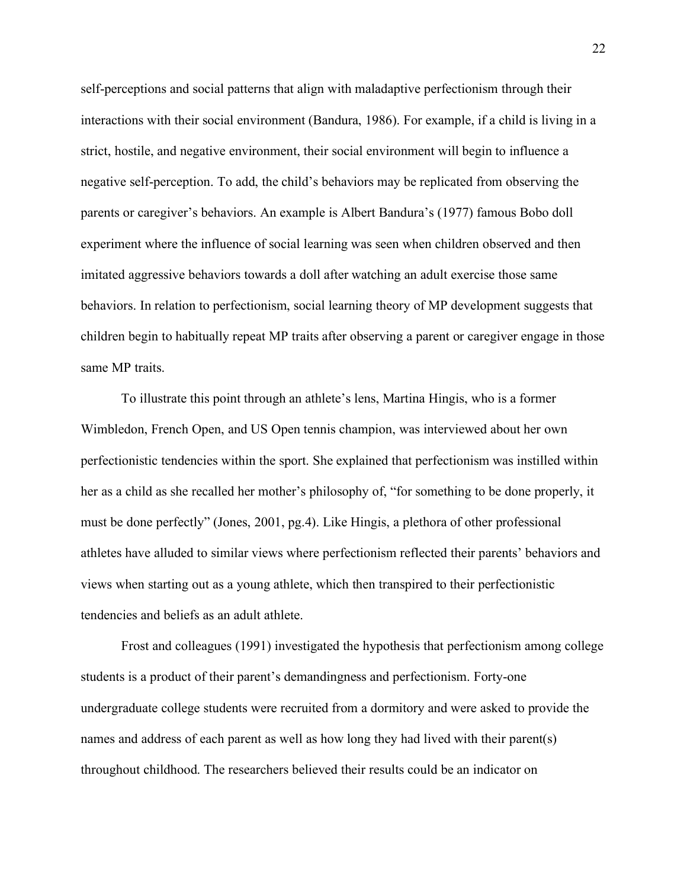self-perceptions and social patterns that align with maladaptive perfectionism through their interactions with their social environment (Bandura, 1986). For example, if a child is living in a strict, hostile, and negative environment, their social environment will begin to influence a negative self-perception. To add, the child's behaviors may be replicated from observing the parents or caregiver's behaviors. An example is Albert Bandura's (1977) famous Bobo doll experiment where the influence of social learning was seen when children observed and then imitated aggressive behaviors towards a doll after watching an adult exercise those same behaviors. In relation to perfectionism, social learning theory of MP development suggests that children begin to habitually repeat MP traits after observing a parent or caregiver engage in those same MP traits.

To illustrate this point through an athlete's lens, Martina Hingis, who is a former Wimbledon, French Open, and US Open tennis champion, was interviewed about her own perfectionistic tendencies within the sport. She explained that perfectionism was instilled within her as a child as she recalled her mother's philosophy of, "for something to be done properly, it must be done perfectly" (Jones, 2001, pg.4). Like Hingis, a plethora of other professional athletes have alluded to similar views where perfectionism reflected their parents' behaviors and views when starting out as a young athlete, which then transpired to their perfectionistic tendencies and beliefs as an adult athlete.

Frost and colleagues (1991) investigated the hypothesis that perfectionism among college students is a product of their parent's demandingness and perfectionism. Forty-one undergraduate college students were recruited from a dormitory and were asked to provide the names and address of each parent as well as how long they had lived with their parent(s) throughout childhood. The researchers believed their results could be an indicator on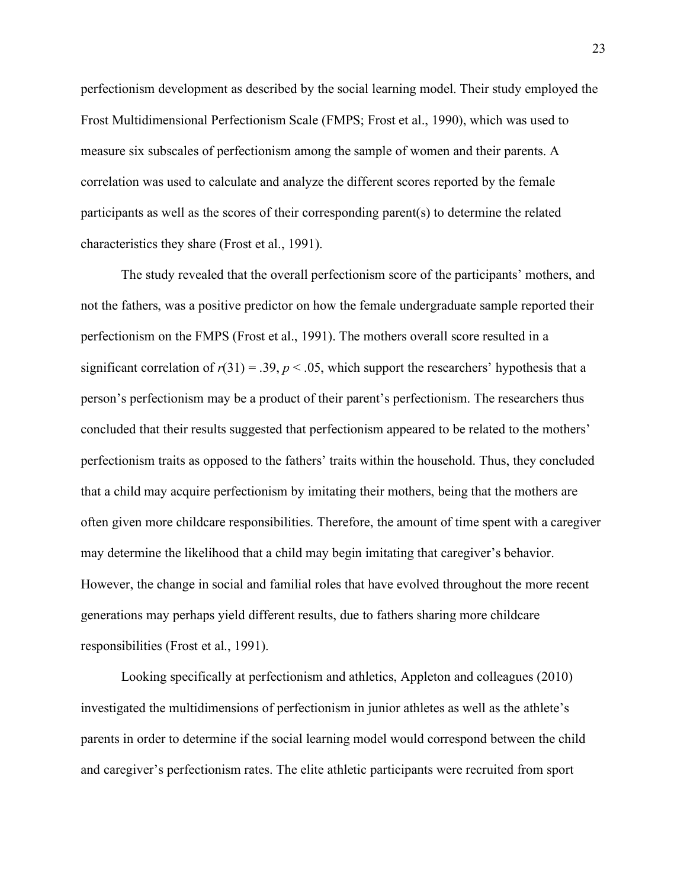perfectionism development as described by the social learning model. Their study employed the Frost Multidimensional Perfectionism Scale (FMPS; Frost et al., 1990), which was used to measure six subscales of perfectionism among the sample of women and their parents. A correlation was used to calculate and analyze the different scores reported by the female participants as well as the scores of their corresponding parent(s) to determine the related characteristics they share (Frost et al., 1991).

The study revealed that the overall perfectionism score of the participants' mothers, and not the fathers, was a positive predictor on how the female undergraduate sample reported their perfectionism on the FMPS (Frost et al., 1991). The mothers overall score resulted in a significant correlation of  $r(31) = .39$ ,  $p < .05$ , which support the researchers' hypothesis that a person's perfectionism may be a product of their parent's perfectionism. The researchers thus concluded that their results suggested that perfectionism appeared to be related to the mothers' perfectionism traits as opposed to the fathers' traits within the household. Thus, they concluded that a child may acquire perfectionism by imitating their mothers, being that the mothers are often given more childcare responsibilities. Therefore, the amount of time spent with a caregiver may determine the likelihood that a child may begin imitating that caregiver's behavior. However, the change in social and familial roles that have evolved throughout the more recent generations may perhaps yield different results, due to fathers sharing more childcare responsibilities (Frost et al., 1991).

Looking specifically at perfectionism and athletics, Appleton and colleagues (2010) investigated the multidimensions of perfectionism in junior athletes as well as the athlete's parents in order to determine if the social learning model would correspond between the child and caregiver's perfectionism rates. The elite athletic participants were recruited from sport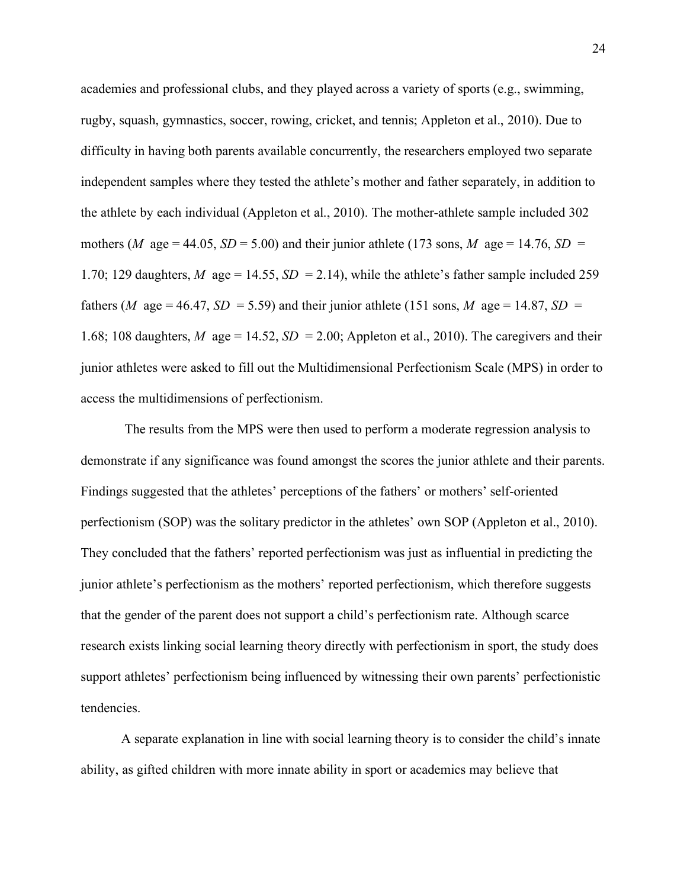academies and professional clubs, and they played across a variety of sports (e.g., swimming, rugby, squash, gymnastics, soccer, rowing, cricket, and tennis; Appleton et al., 2010). Due to difficulty in having both parents available concurrently, the researchers employed two separate independent samples where they tested the athlete's mother and father separately, in addition to the athlete by each individual (Appleton et al., 2010). The mother-athlete sample included 302 mothers (*M* age = 44.05, *SD* = 5.00) and their junior athlete (173 sons, *M* age = 14.76, *SD* = 1.70; 129 daughters, *M* age = 14.55, *SD* = 2.14), while the athlete's father sample included 259 fathers (*M* age = 46.47, *SD* = 5.59) and their junior athlete (151 sons, *M* age = 14.87, *SD* = 1.68; 108 daughters, *M* age = 14.52, *SD* = 2.00; Appleton et al., 2010). The caregivers and their junior athletes were asked to fill out the Multidimensional Perfectionism Scale (MPS) in order to access the multidimensions of perfectionism.

The results from the MPS were then used to perform a moderate regression analysis to demonstrate if any significance was found amongst the scores the junior athlete and their parents. Findings suggested that the athletes' perceptions of the fathers' or mothers' self-oriented perfectionism (SOP) was the solitary predictor in the athletes' own SOP (Appleton et al., 2010). They concluded that the fathers' reported perfectionism was just as influential in predicting the junior athlete's perfectionism as the mothers' reported perfectionism, which therefore suggests that the gender of the parent does not support a child's perfectionism rate. Although scarce research exists linking social learning theory directly with perfectionism in sport, the study does support athletes' perfectionism being influenced by witnessing their own parents' perfectionistic tendencies.

A separate explanation in line with social learning theory is to consider the child's innate ability, as gifted children with more innate ability in sport or academics may believe that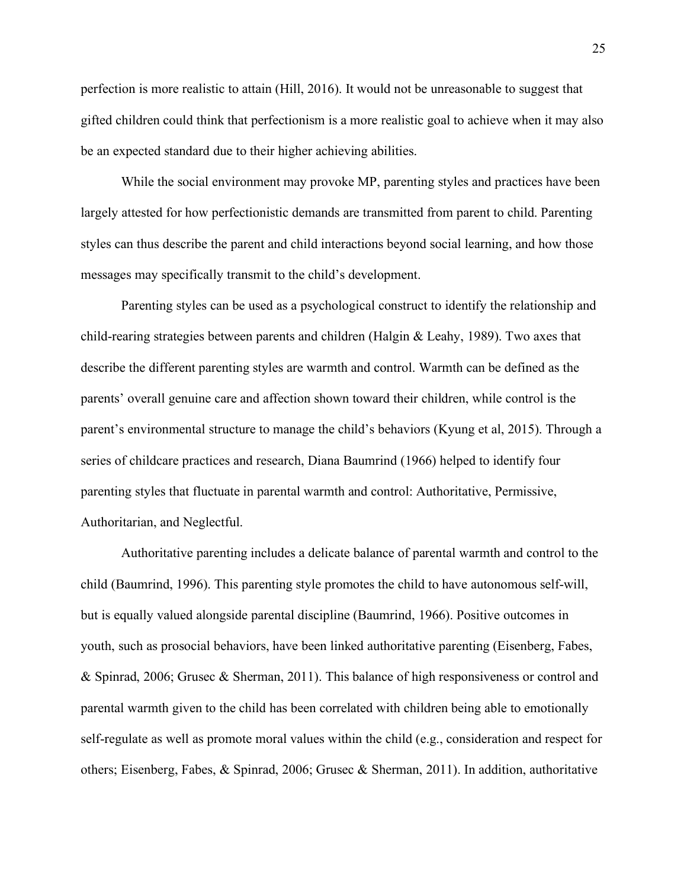perfection is more realistic to attain (Hill, 2016). It would not be unreasonable to suggest that gifted children could think that perfectionism is a more realistic goal to achieve when it may also be an expected standard due to their higher achieving abilities.

While the social environment may provoke MP, parenting styles and practices have been largely attested for how perfectionistic demands are transmitted from parent to child. Parenting styles can thus describe the parent and child interactions beyond social learning, and how those messages may specifically transmit to the child's development.

Parenting styles can be used as a psychological construct to identify the relationship and child-rearing strategies between parents and children (Halgin & Leahy, 1989). Two axes that describe the different parenting styles are warmth and control. Warmth can be defined as the parents' overall genuine care and affection shown toward their children, while control is the parent's environmental structure to manage the child's behaviors (Kyung et al, 2015). Through a series of childcare practices and research, Diana Baumrind (1966) helped to identify four parenting styles that fluctuate in parental warmth and control: Authoritative, Permissive, Authoritarian, and Neglectful.

Authoritative parenting includes a delicate balance of parental warmth and control to the child (Baumrind, 1996). This parenting style promotes the child to have autonomous self-will, but is equally valued alongside parental discipline (Baumrind, 1966). Positive outcomes in youth, such as prosocial behaviors, have been linked authoritative parenting (Eisenberg, Fabes, & Spinrad, 2006; Grusec & Sherman, 2011). This balance of high responsiveness or control and parental warmth given to the child has been correlated with children being able to emotionally self-regulate as well as promote moral values within the child (e.g., consideration and respect for others; Eisenberg, Fabes, & Spinrad, 2006; Grusec & Sherman, 2011). In addition, authoritative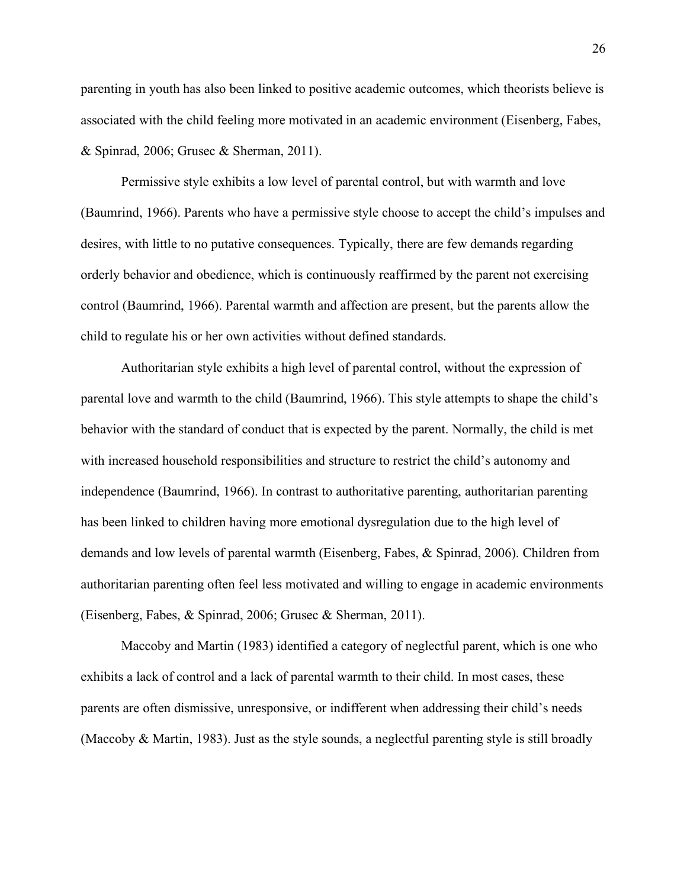parenting in youth has also been linked to positive academic outcomes, which theorists believe is associated with the child feeling more motivated in an academic environment (Eisenberg, Fabes, & Spinrad, 2006; Grusec & Sherman, 2011).

Permissive style exhibits a low level of parental control, but with warmth and love (Baumrind, 1966). Parents who have a permissive style choose to accept the child's impulses and desires, with little to no putative consequences. Typically, there are few demands regarding orderly behavior and obedience, which is continuously reaffirmed by the parent not exercising control (Baumrind, 1966). Parental warmth and affection are present, but the parents allow the child to regulate his or her own activities without defined standards.

Authoritarian style exhibits a high level of parental control, without the expression of parental love and warmth to the child (Baumrind, 1966). This style attempts to shape the child's behavior with the standard of conduct that is expected by the parent. Normally, the child is met with increased household responsibilities and structure to restrict the child's autonomy and independence (Baumrind, 1966). In contrast to authoritative parenting, authoritarian parenting has been linked to children having more emotional dysregulation due to the high level of demands and low levels of parental warmth (Eisenberg, Fabes, & Spinrad, 2006). Children from authoritarian parenting often feel less motivated and willing to engage in academic environments (Eisenberg, Fabes, & Spinrad, 2006; Grusec & Sherman, 2011).

Maccoby and Martin (1983) identified a category of neglectful parent, which is one who exhibits a lack of control and a lack of parental warmth to their child. In most cases, these parents are often dismissive, unresponsive, or indifferent when addressing their child's needs (Maccoby & Martin, 1983). Just as the style sounds, a neglectful parenting style is still broadly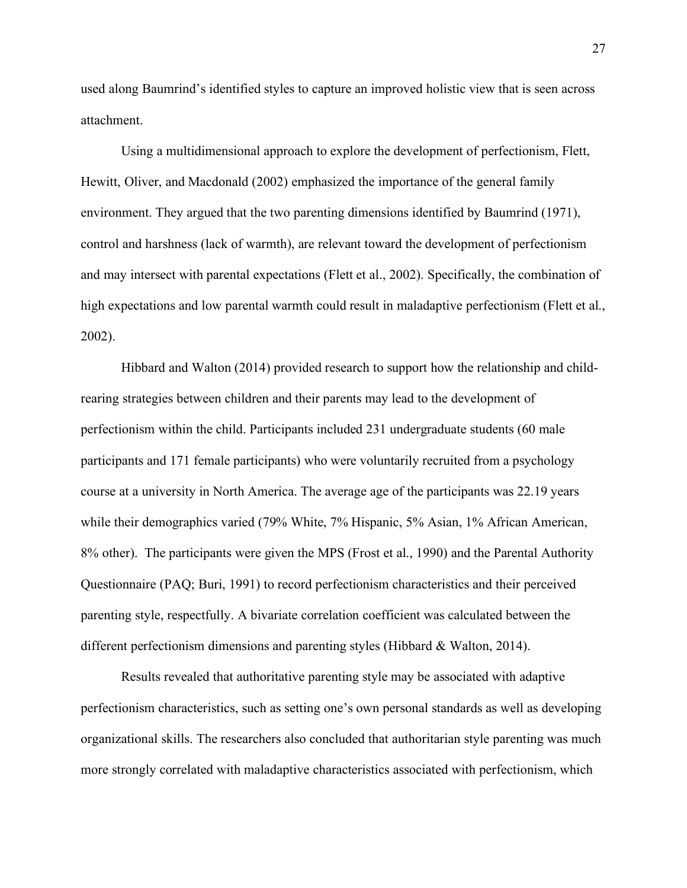used along Baumrind's identified styles to capture an improved holistic view that is seen across attachment.

Using a multidimensional approach to explore the development of perfectionism, Flett, Hewitt, Oliver, and Macdonald (2002) emphasized the importance of the general family environment. They argued that the two parenting dimensions identified by Baumrind (1971), control and harshness (lack of warmth), are relevant toward the development of perfectionism and may intersect with parental expectations (Flett et al., 2002). Specifically, the combination of high expectations and low parental warmth could result in maladaptive perfectionism (Flett et al., 2002).

Hibbard and Walton (2014) provided research to support how the relationship and childrearing strategies between children and their parents may lead to the development of perfectionism within the child. Participants included 231 undergraduate students (60 male participants and 171 female participants) who were voluntarily recruited from a psychology course at a university in North America. The average age of the participants was 22.19 years while their demographics varied (79% White, 7% Hispanic, 5% Asian, 1% African American, 8% other). The participants were given the MPS (Frost et al., 1990) and the Parental Authority Questionnaire (PAQ; Buri, 1991) to record perfectionism characteristics and their perceived parenting style, respectfully. A bivariate correlation coefficient was calculated between the different perfectionism dimensions and parenting styles (Hibbard & Walton, 2014).

Results revealed that authoritative parenting style may be associated with adaptive perfectionism characteristics, such as setting one's own personal standards as well as developing organizational skills. The researchers also concluded that authoritarian style parenting was much more strongly correlated with maladaptive characteristics associated with perfectionism, which

27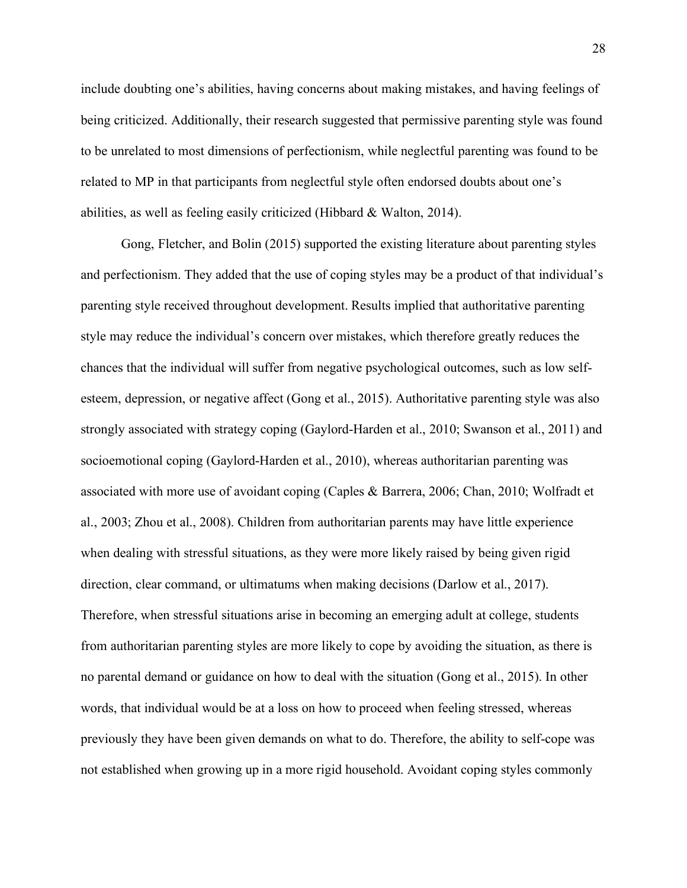include doubting one's abilities, having concerns about making mistakes, and having feelings of being criticized. Additionally, their research suggested that permissive parenting style was found to be unrelated to most dimensions of perfectionism, while neglectful parenting was found to be related to MP in that participants from neglectful style often endorsed doubts about one's abilities, as well as feeling easily criticized (Hibbard & Walton, 2014).

Gong, Fletcher, and Bolin (2015) supported the existing literature about parenting styles and perfectionism. They added that the use of coping styles may be a product of that individual's parenting style received throughout development. Results implied that authoritative parenting style may reduce the individual's concern over mistakes, which therefore greatly reduces the chances that the individual will suffer from negative psychological outcomes, such as low selfesteem, depression, or negative affect (Gong et al., 2015). Authoritative parenting style was also strongly associated with strategy coping (Gaylord-Harden et al., 2010; Swanson et al., 2011) and socioemotional coping (Gaylord-Harden et al., 2010), whereas authoritarian parenting was associated with more use of avoidant coping (Caples & Barrera, 2006; Chan, 2010; Wolfradt et al., 2003; Zhou et al., 2008). Children from authoritarian parents may have little experience when dealing with stressful situations, as they were more likely raised by being given rigid direction, clear command, or ultimatums when making decisions (Darlow et al., 2017). Therefore, when stressful situations arise in becoming an emerging adult at college, students from authoritarian parenting styles are more likely to cope by avoiding the situation, as there is no parental demand or guidance on how to deal with the situation (Gong et al., 2015). In other words, that individual would be at a loss on how to proceed when feeling stressed, whereas previously they have been given demands on what to do. Therefore, the ability to self-cope was not established when growing up in a more rigid household. Avoidant coping styles commonly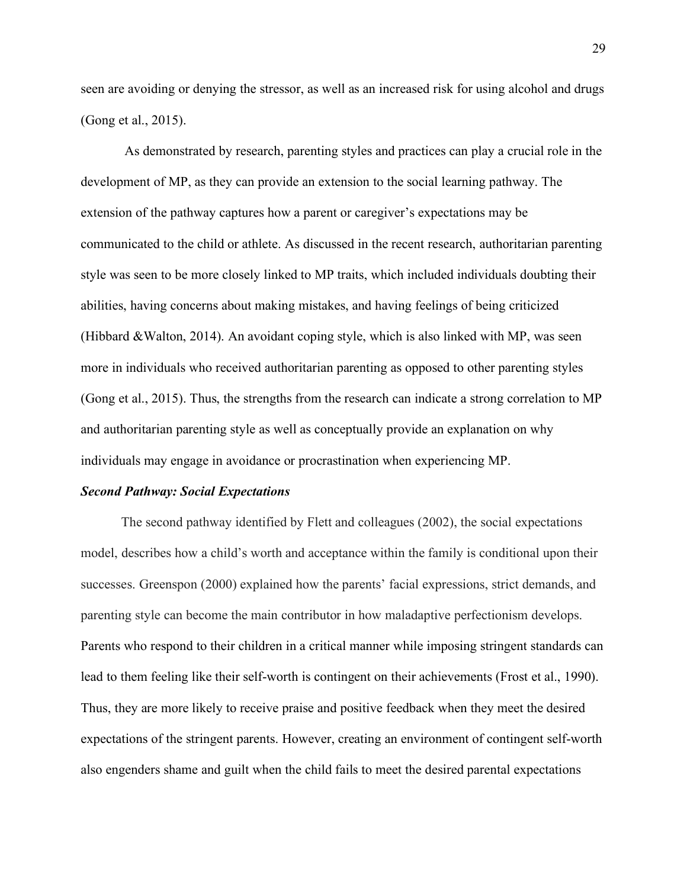seen are avoiding or denying the stressor, as well as an increased risk for using alcohol and drugs (Gong et al., 2015).

As demonstrated by research, parenting styles and practices can play a crucial role in the development of MP, as they can provide an extension to the social learning pathway. The extension of the pathway captures how a parent or caregiver's expectations may be communicated to the child or athlete. As discussed in the recent research, authoritarian parenting style was seen to be more closely linked to MP traits, which included individuals doubting their abilities, having concerns about making mistakes, and having feelings of being criticized (Hibbard &Walton, 2014). An avoidant coping style, which is also linked with MP, was seen more in individuals who received authoritarian parenting as opposed to other parenting styles (Gong et al., 2015). Thus, the strengths from the research can indicate a strong correlation to MP and authoritarian parenting style as well as conceptually provide an explanation on why individuals may engage in avoidance or procrastination when experiencing MP.

#### *Second Pathway: Social Expectations*

The second pathway identified by Flett and colleagues (2002), the social expectations model, describes how a child's worth and acceptance within the family is conditional upon their successes. Greenspon (2000) explained how the parents' facial expressions, strict demands, and parenting style can become the main contributor in how maladaptive perfectionism develops. Parents who respond to their children in a critical manner while imposing stringent standards can lead to them feeling like their self-worth is contingent on their achievements (Frost et al., 1990). Thus, they are more likely to receive praise and positive feedback when they meet the desired expectations of the stringent parents. However, creating an environment of contingent self-worth also engenders shame and guilt when the child fails to meet the desired parental expectations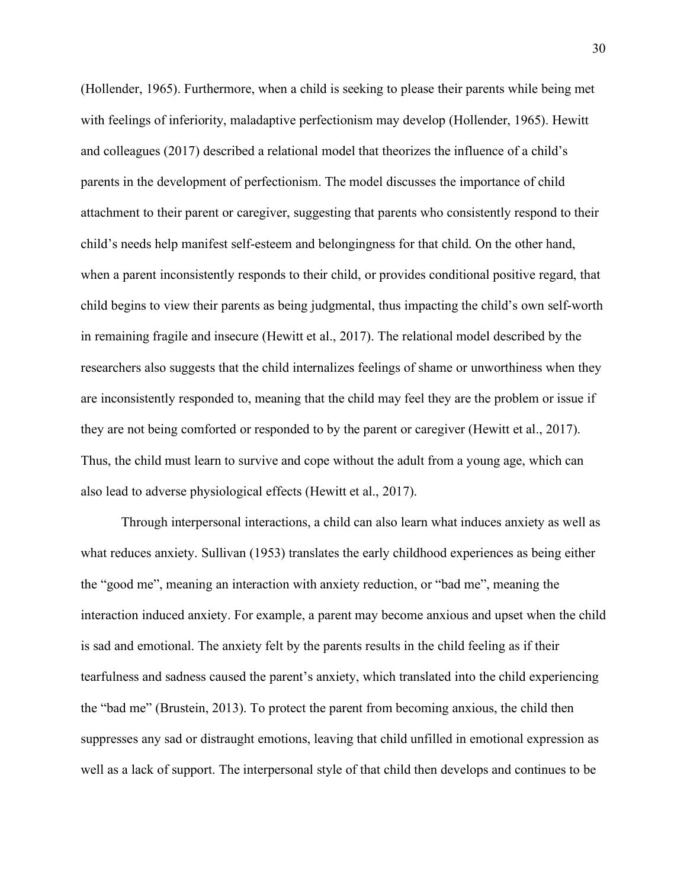(Hollender, 1965). Furthermore, when a child is seeking to please their parents while being met with feelings of inferiority, maladaptive perfectionism may develop (Hollender, 1965). Hewitt and colleagues (2017) described a relational model that theorizes the influence of a child's parents in the development of perfectionism. The model discusses the importance of child attachment to their parent or caregiver, suggesting that parents who consistently respond to their child's needs help manifest self-esteem and belongingness for that child. On the other hand, when a parent inconsistently responds to their child, or provides conditional positive regard, that child begins to view their parents as being judgmental, thus impacting the child's own self-worth in remaining fragile and insecure (Hewitt et al., 2017). The relational model described by the researchers also suggests that the child internalizes feelings of shame or unworthiness when they are inconsistently responded to, meaning that the child may feel they are the problem or issue if they are not being comforted or responded to by the parent or caregiver (Hewitt et al., 2017). Thus, the child must learn to survive and cope without the adult from a young age, which can also lead to adverse physiological effects (Hewitt et al., 2017).

Through interpersonal interactions, a child can also learn what induces anxiety as well as what reduces anxiety. Sullivan (1953) translates the early childhood experiences as being either the "good me", meaning an interaction with anxiety reduction, or "bad me", meaning the interaction induced anxiety. For example, a parent may become anxious and upset when the child is sad and emotional. The anxiety felt by the parents results in the child feeling as if their tearfulness and sadness caused the parent's anxiety, which translated into the child experiencing the "bad me" (Brustein, 2013). To protect the parent from becoming anxious, the child then suppresses any sad or distraught emotions, leaving that child unfilled in emotional expression as well as a lack of support. The interpersonal style of that child then develops and continues to be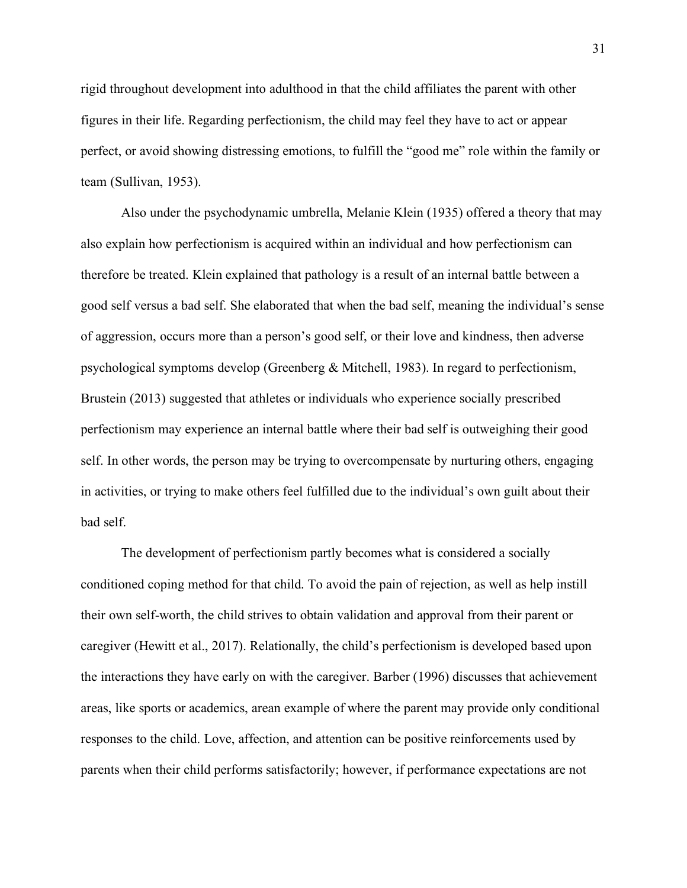rigid throughout development into adulthood in that the child affiliates the parent with other figures in their life. Regarding perfectionism, the child may feel they have to act or appear perfect, or avoid showing distressing emotions, to fulfill the "good me" role within the family or team (Sullivan, 1953).

Also under the psychodynamic umbrella, Melanie Klein (1935) offered a theory that may also explain how perfectionism is acquired within an individual and how perfectionism can therefore be treated. Klein explained that pathology is a result of an internal battle between a good self versus a bad self. She elaborated that when the bad self, meaning the individual's sense of aggression, occurs more than a person's good self, or their love and kindness, then adverse psychological symptoms develop (Greenberg & Mitchell, 1983). In regard to perfectionism, Brustein (2013) suggested that athletes or individuals who experience socially prescribed perfectionism may experience an internal battle where their bad self is outweighing their good self. In other words, the person may be trying to overcompensate by nurturing others, engaging in activities, or trying to make others feel fulfilled due to the individual's own guilt about their bad self.

The development of perfectionism partly becomes what is considered a socially conditioned coping method for that child. To avoid the pain of rejection, as well as help instill their own self-worth, the child strives to obtain validation and approval from their parent or caregiver (Hewitt et al., 2017). Relationally, the child's perfectionism is developed based upon the interactions they have early on with the caregiver. Barber (1996) discusses that achievement areas, like sports or academics, arean example of where the parent may provide only conditional responses to the child. Love, affection, and attention can be positive reinforcements used by parents when their child performs satisfactorily; however, if performance expectations are not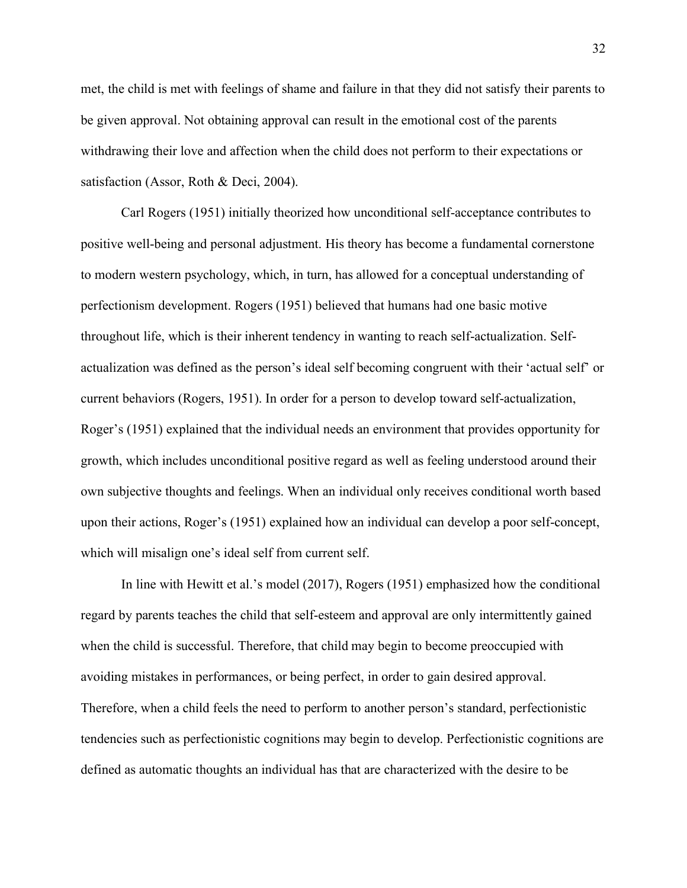met, the child is met with feelings of shame and failure in that they did not satisfy their parents to be given approval. Not obtaining approval can result in the emotional cost of the parents withdrawing their love and affection when the child does not perform to their expectations or satisfaction (Assor, Roth & Deci, 2004).

Carl Rogers (1951) initially theorized how unconditional self-acceptance contributes to positive well-being and personal adjustment. His theory has become a fundamental cornerstone to modern western psychology, which, in turn, has allowed for a conceptual understanding of perfectionism development. Rogers (1951) believed that humans had one basic motive throughout life, which is their inherent tendency in wanting to reach self-actualization. Selfactualization was defined as the person's ideal self becoming congruent with their 'actual self' or current behaviors (Rogers, 1951). In order for a person to develop toward self-actualization, Roger's (1951) explained that the individual needs an environment that provides opportunity for growth, which includes unconditional positive regard as well as feeling understood around their own subjective thoughts and feelings. When an individual only receives conditional worth based upon their actions, Roger's (1951) explained how an individual can develop a poor self-concept, which will misalign one's ideal self from current self.

In line with Hewitt et al.'s model (2017), Rogers (1951) emphasized how the conditional regard by parents teaches the child that self-esteem and approval are only intermittently gained when the child is successful. Therefore, that child may begin to become preoccupied with avoiding mistakes in performances, or being perfect, in order to gain desired approval. Therefore, when a child feels the need to perform to another person's standard, perfectionistic tendencies such as perfectionistic cognitions may begin to develop. Perfectionistic cognitions are defined as automatic thoughts an individual has that are characterized with the desire to be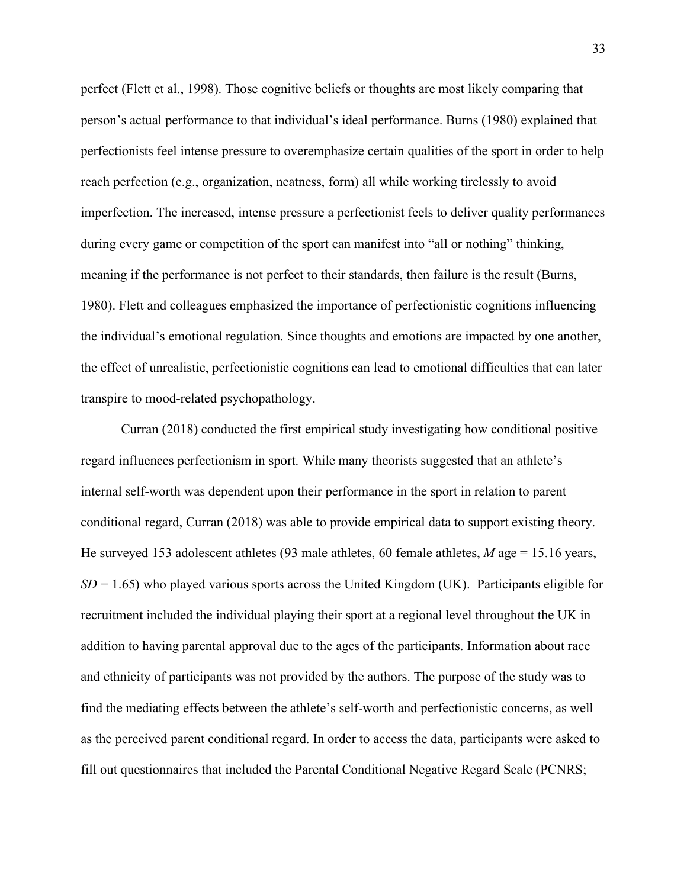perfect (Flett et al., 1998). Those cognitive beliefs or thoughts are most likely comparing that person's actual performance to that individual's ideal performance. Burns (1980) explained that perfectionists feel intense pressure to overemphasize certain qualities of the sport in order to help reach perfection (e.g., organization, neatness, form) all while working tirelessly to avoid imperfection. The increased, intense pressure a perfectionist feels to deliver quality performances during every game or competition of the sport can manifest into "all or nothing" thinking, meaning if the performance is not perfect to their standards, then failure is the result (Burns, 1980). Flett and colleagues emphasized the importance of perfectionistic cognitions influencing the individual's emotional regulation. Since thoughts and emotions are impacted by one another, the effect of unrealistic, perfectionistic cognitions can lead to emotional difficulties that can later transpire to mood-related psychopathology.

Curran (2018) conducted the first empirical study investigating how conditional positive regard influences perfectionism in sport. While many theorists suggested that an athlete's internal self-worth was dependent upon their performance in the sport in relation to parent conditional regard, Curran (2018) was able to provide empirical data to support existing theory. He surveyed 153 adolescent athletes (93 male athletes, 60 female athletes, *M* age = 15.16 years,  $SD = 1.65$ ) who played various sports across the United Kingdom (UK). Participants eligible for recruitment included the individual playing their sport at a regional level throughout the UK in addition to having parental approval due to the ages of the participants. Information about race and ethnicity of participants was not provided by the authors. The purpose of the study was to find the mediating effects between the athlete's self-worth and perfectionistic concerns, as well as the perceived parent conditional regard. In order to access the data, participants were asked to fill out questionnaires that included the Parental Conditional Negative Regard Scale (PCNRS;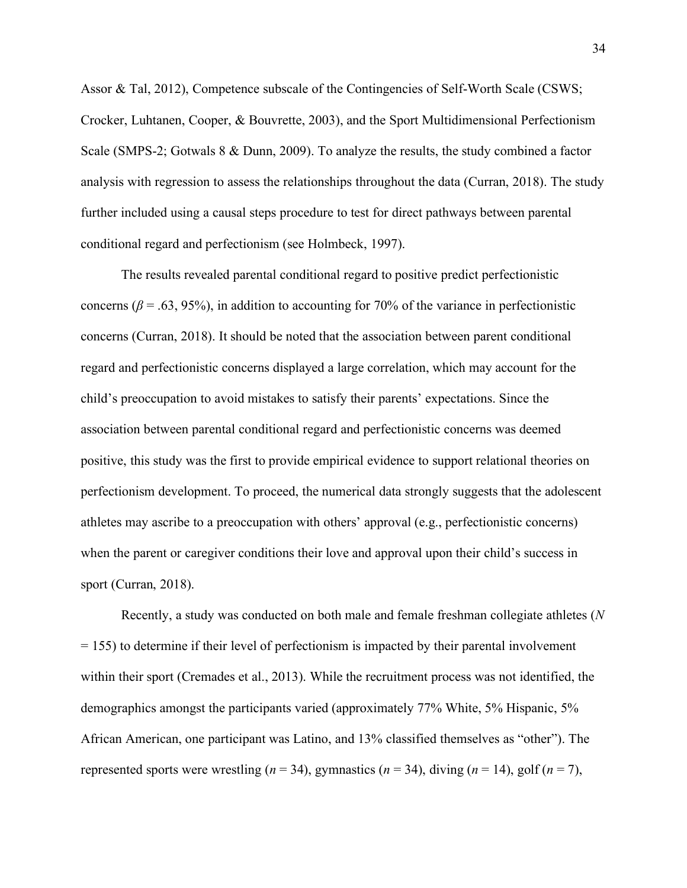Assor & Tal, 2012), Competence subscale of the Contingencies of Self-Worth Scale (CSWS; Crocker, Luhtanen, Cooper, & Bouvrette, 2003), and the Sport Multidimensional Perfectionism Scale (SMPS-2; Gotwals 8 & Dunn, 2009). To analyze the results, the study combined a factor analysis with regression to assess the relationships throughout the data (Curran, 2018). The study further included using a causal steps procedure to test for direct pathways between parental conditional regard and perfectionism (see Holmbeck, 1997).

The results revealed parental conditional regard to positive predict perfectionistic concerns ( $\beta$  = .63, 95%), in addition to accounting for 70% of the variance in perfectionistic concerns (Curran, 2018). It should be noted that the association between parent conditional regard and perfectionistic concerns displayed a large correlation, which may account for the child's preoccupation to avoid mistakes to satisfy their parents' expectations. Since the association between parental conditional regard and perfectionistic concerns was deemed positive, this study was the first to provide empirical evidence to support relational theories on perfectionism development. To proceed, the numerical data strongly suggests that the adolescent athletes may ascribe to a preoccupation with others' approval (e.g., perfectionistic concerns) when the parent or caregiver conditions their love and approval upon their child's success in sport (Curran, 2018).

Recently, a study was conducted on both male and female freshman collegiate athletes (*N*  $= 155$ ) to determine if their level of perfectionism is impacted by their parental involvement within their sport (Cremades et al., 2013). While the recruitment process was not identified, the demographics amongst the participants varied (approximately 77% White, 5% Hispanic, 5% African American, one participant was Latino, and 13% classified themselves as "other"). The represented sports were wrestling ( $n = 34$ ), [gymnastics](https://www.sciencedirect.com/topics/social-sciences/gymnastics) ( $n = 34$ ), diving ( $n = 14$ ), golf ( $n = 7$ ),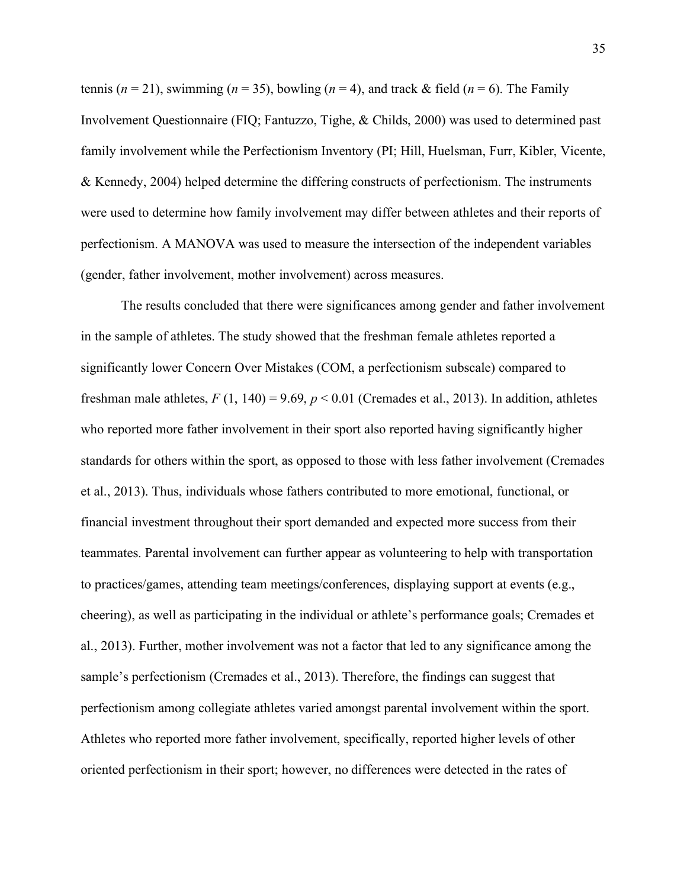tennis ( $n = 21$ ), swimming ( $n = 35$ ), bowling ( $n = 4$ ), and track & field ( $n = 6$ ). The Family Involvement Questionnaire (FIQ; Fantuzzo, Tighe, & Childs, 2000) was used to determined past family involvement while the Perfectionism Inventory (PI; Hill, Huelsman, Furr, Kibler, Vicente, & Kennedy, 2004) helped determine the differing constructs of perfectionism. The instruments were used to determine how family involvement may differ between athletes and their reports of perfectionism. A MANOVA was used to measure the intersection of the independent variables (gender, father involvement, mother involvement) across measures.

The results concluded that there were significances among gender and father involvement in the sample of athletes. The study showed that the freshman female athletes reported a significantly lower Concern Over Mistakes (COM, a perfectionism subscale) compared to freshman male athletes,  $F(1, 140) = 9.69$ ,  $p < 0.01$  (Cremades et al., 2013). In addition, athletes who reported more father involvement in their sport also reported having significantly higher standards for others within the sport, as opposed to those with less father involvement (Cremades et al., 2013). Thus, individuals whose fathers contributed to more emotional, functional, or financial investment throughout their sport demanded and expected more success from their teammates. Parental involvement can further appear as volunteering to help with transportation to practices/games, attending team meetings/conferences, displaying support at events (e.g., cheering), as well as participating in the individual or athlete's performance goals; Cremades et al., 2013). Further, mother involvement was not a factor that led to any significance among the sample's perfectionism (Cremades et al., 2013). Therefore, the findings can suggest that perfectionism among collegiate athletes varied amongst parental involvement within the sport. Athletes who reported more father involvement, specifically, reported higher levels of other oriented perfectionism in their sport; however, no differences were detected in the rates of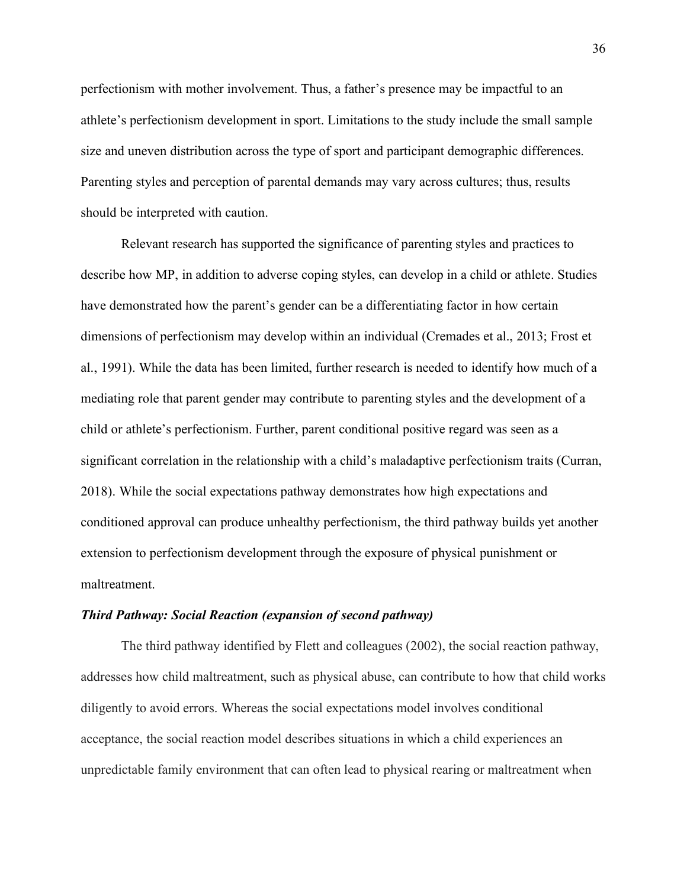perfectionism with mother involvement. Thus, a father's presence may be impactful to an athlete's perfectionism development in sport. Limitations to the study include the small sample size and uneven distribution across the type of sport and participant demographic differences. Parenting styles and perception of parental demands may vary across cultures; thus, results should be interpreted with caution.

Relevant research has supported the significance of parenting styles and practices to describe how MP, in addition to adverse coping styles, can develop in a child or athlete. Studies have demonstrated how the parent's gender can be a differentiating factor in how certain dimensions of perfectionism may develop within an individual (Cremades et al., 2013; Frost et al., 1991). While the data has been limited, further research is needed to identify how much of a mediating role that parent gender may contribute to parenting styles and the development of a child or athlete's perfectionism. Further, parent conditional positive regard was seen as a significant correlation in the relationship with a child's maladaptive perfectionism traits (Curran, 2018). While the social expectations pathway demonstrates how high expectations and conditioned approval can produce unhealthy perfectionism, the third pathway builds yet another extension to perfectionism development through the exposure of physical punishment or maltreatment.

## *Third Pathway: Social Reaction (expansion of second pathway)*

The third pathway identified by Flett and colleagues (2002), the social reaction pathway, addresses how child maltreatment, such as physical abuse, can contribute to how that child works diligently to avoid errors. Whereas the social expectations model involves conditional acceptance, the social reaction model describes situations in which a child experiences an unpredictable family environment that can often lead to physical rearing or maltreatment when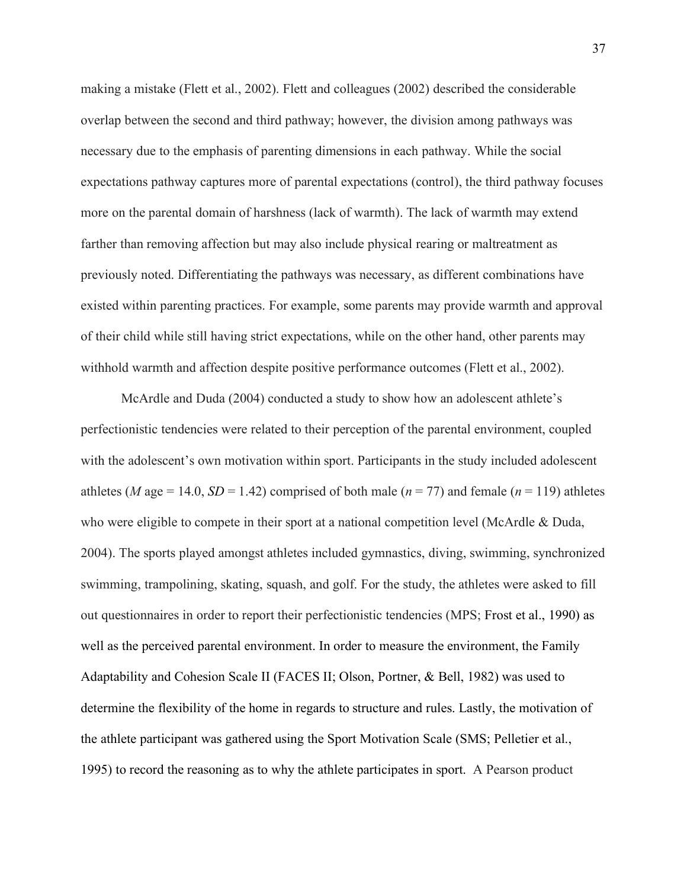making a mistake (Flett et al., 2002). Flett and colleagues (2002) described the considerable overlap between the second and third pathway; however, the division among pathways was necessary due to the emphasis of parenting dimensions in each pathway. While the social expectations pathway captures more of parental expectations (control), the third pathway focuses more on the parental domain of harshness (lack of warmth). The lack of warmth may extend farther than removing affection but may also include physical rearing or maltreatment as previously noted. Differentiating the pathways was necessary, as different combinations have existed within parenting practices. For example, some parents may provide warmth and approval of their child while still having strict expectations, while on the other hand, other parents may withhold warmth and affection despite positive performance outcomes (Flett et al., 2002).

McArdle and Duda (2004) conducted a study to show how an adolescent athlete's perfectionistic tendencies were related to their perception of the parental environment, coupled with the adolescent's own motivation within sport. Participants in the study included adolescent athletes (*M* age = 14.0, *SD* = 1.42) comprised of both male ( $n = 77$ ) and female ( $n = 119$ ) athletes who were eligible to compete in their sport at a national competition level (McArdle & Duda, 2004). The sports played amongst athletes included gymnastics, diving, swimming, synchronized swimming, trampolining, skating, squash, and golf. For the study, the athletes were asked to fill out questionnaires in order to report their perfectionistic tendencies (MPS; Frost et al., 1990) as well as the perceived parental environment. In order to measure the environment, the Family Adaptability and Cohesion Scale II (FACES II; Olson, Portner, & Bell, 1982) was used to determine the flexibility of the home in regards to structure and rules. Lastly, the motivation of the athlete participant was gathered using the Sport Motivation Scale (SMS; Pelletier et al., 1995) to record the reasoning as to why the athlete participates in sport. A Pearson product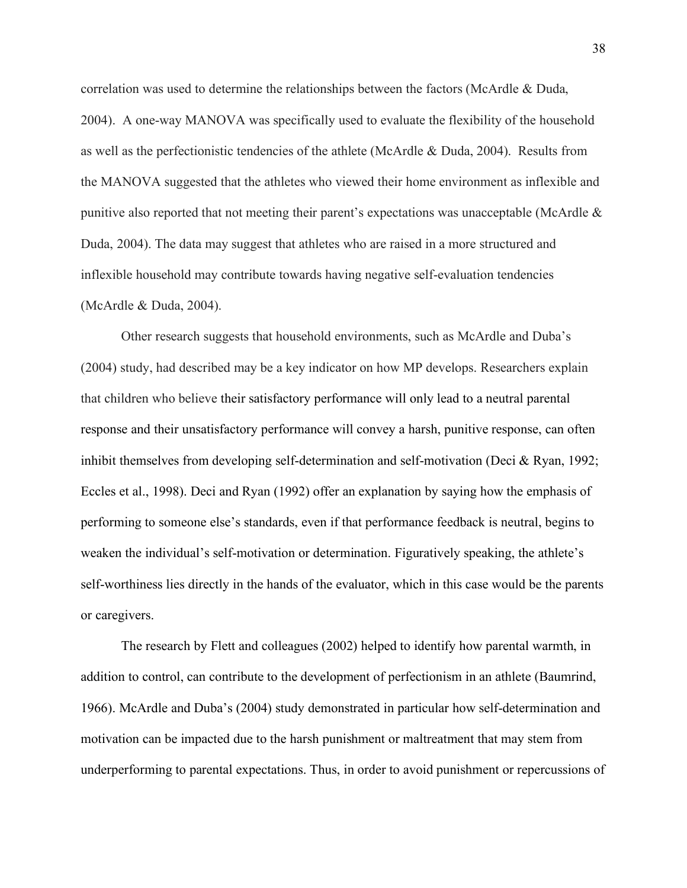correlation was used to determine the relationships between the factors (McArdle & Duda, 2004). A one-way MANOVA was specifically used to evaluate the flexibility of the household as well as the perfectionistic tendencies of the athlete (McArdle & Duda, 2004). Results from the MANOVA suggested that the athletes who viewed their home environment as inflexible and punitive also reported that not meeting their parent's expectations was unacceptable (McArdle & Duda, 2004). The data may suggest that athletes who are raised in a more structured and inflexible household may contribute towards having negative self-evaluation tendencies (McArdle & Duda, 2004).

Other research suggests that household environments, such as McArdle and Duba's (2004) study, had described may be a key indicator on how MP develops. Researchers explain that children who believe their satisfactory performance will only lead to a neutral parental response and their unsatisfactory performance will convey a harsh, punitive response, can often inhibit themselves from developing self-determination and self-motivation (Deci & Ryan, 1992; Eccles et al., 1998). Deci and Ryan (1992) offer an explanation by saying how the emphasis of performing to someone else's standards, even if that performance feedback is neutral, begins to weaken the individual's self-motivation or determination. Figuratively speaking, the athlete's self-worthiness lies directly in the hands of the evaluator, which in this case would be the parents or caregivers.

The research by Flett and colleagues (2002) helped to identify how parental warmth, in addition to control, can contribute to the development of perfectionism in an athlete (Baumrind, 1966). McArdle and Duba's (2004) study demonstrated in particular how self-determination and motivation can be impacted due to the harsh punishment or maltreatment that may stem from underperforming to parental expectations. Thus, in order to avoid punishment or repercussions of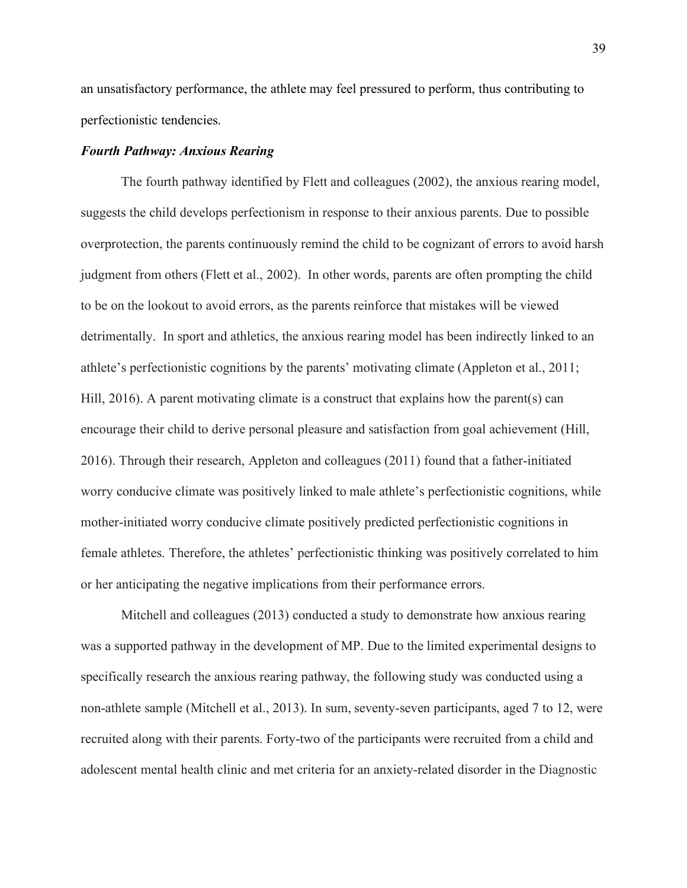an unsatisfactory performance, the athlete may feel pressured to perform, thus contributing to perfectionistic tendencies.

## *Fourth Pathway: Anxious Rearing*

The fourth pathway identified by Flett and colleagues (2002), the anxious rearing model, suggests the child develops perfectionism in response to their anxious parents. Due to possible overprotection, the parents continuously remind the child to be cognizant of errors to avoid harsh judgment from others (Flett et al., 2002). In other words, parents are often prompting the child to be on the lookout to avoid errors, as the parents reinforce that mistakes will be viewed detrimentally. In sport and athletics, the anxious rearing model has been indirectly linked to an athlete's perfectionistic cognitions by the parents' motivating climate (Appleton et al., 2011; Hill, 2016). A parent motivating climate is a construct that explains how the parent(s) can encourage their child to derive personal pleasure and satisfaction from goal achievement (Hill, 2016). Through their research, Appleton and colleagues (2011) found that a father-initiated worry conducive climate was positively linked to male athlete's perfectionistic cognitions, while mother-initiated worry conducive climate positively predicted perfectionistic cognitions in female athletes. Therefore, the athletes' perfectionistic thinking was positively correlated to him or her anticipating the negative implications from their performance errors.

Mitchell and colleagues (2013) conducted a study to demonstrate how anxious rearing was a supported pathway in the development of MP. Due to the limited experimental designs to specifically research the anxious rearing pathway, the following study was conducted using a non-athlete sample (Mitchell et al., 2013). In sum, seventy-seven participants, aged 7 to 12, were recruited along with their parents. Forty-two of the participants were recruited from a child and adolescent mental health clinic and met criteria for an anxiety-related disorder in the Diagnostic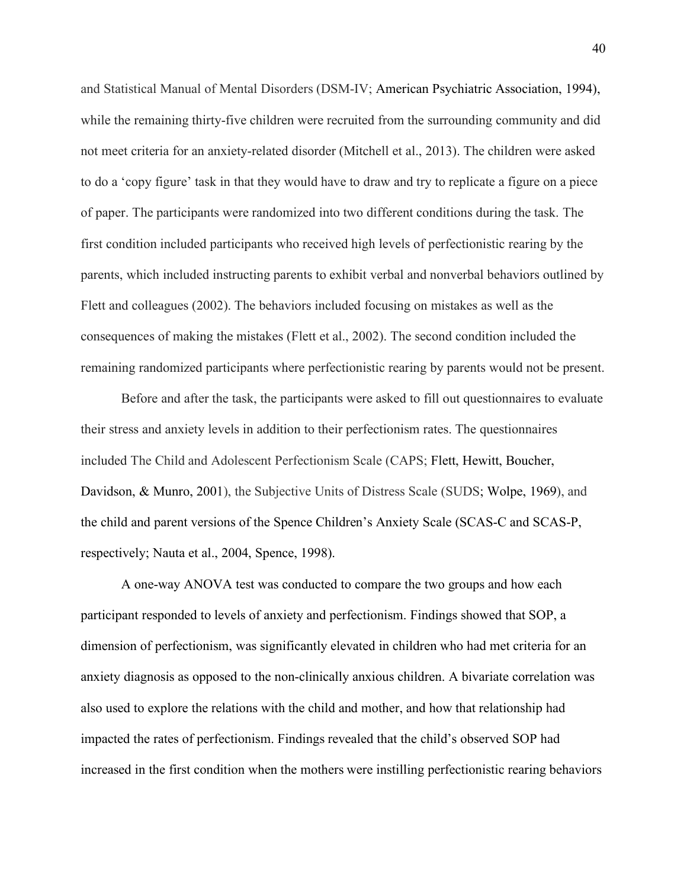and Statistical Manual of Mental Disorders (DSM-IV; [American Psychiatric Association, 1994\)](https://www.sciencedirect.com/science/article/pii/S0022096512002470#b0010), while the remaining thirty-five children were recruited from the surrounding community and did not meet criteria for an anxiety-related disorder (Mitchell et al., 2013). The children were asked to do a 'copy figure' task in that they would have to draw and try to replicate a figure on a piece of paper. The participants were randomized into two different conditions during the task. The first condition included participants who received high levels of perfectionistic rearing by the parents, which included instructing parents to exhibit verbal and nonverbal behaviors outlined by Flett and colleagues (2002). The behaviors included focusing on mistakes as well as the consequences of making the mistakes (Flett et al., 2002). The second condition included the remaining randomized participants where perfectionistic rearing by parents would not be present.

Before and after the task, the participants were asked to fill out questionnaires to evaluate their stress and anxiety levels in addition to their perfectionism rates. The questionnaires included The Child and Adolescent [Perfectionism](https://www.sciencedirect.com/topics/psychology/perfectionism) Scale (CAPS; [Flett, Hewitt, Boucher,](https://www.sciencedirect.com/science/article/pii/S0022096512002470#b0090)  [Davidson, & Munro, 2001\)](https://www.sciencedirect.com/science/article/pii/S0022096512002470#b0090), the Subjective Units of Distress Scale (SUDS; [Wolpe, 1969\)](https://www.sciencedirect.com/science/article/pii/S0022096512002470#b0335), and the child and parent versions of the Spence Children's Anxiety Scale (SCAS-C and SCAS-P, respectively; [Nauta et al., 2004,](https://www.sciencedirect.com/science/article/pii/S0022096512002470#b0235) [Spence, 1998\)](https://www.sciencedirect.com/science/article/pii/S0022096512002470#b0300).

A one-way ANOVA test was conducted to compare the two groups and how each participant responded to levels of anxiety and perfectionism. Findings showed that SOP, a dimension of perfectionism, was significantly elevated in children who had met criteria for an anxiety diagnosis as opposed to the non-clinically anxious children. A bivariate correlation was also used to explore the relations with the child and mother, and how that relationship had impacted the rates of perfectionism. Findings revealed that the child's observed SOP had increased in the first condition when the mothers were instilling perfectionistic rearing behaviors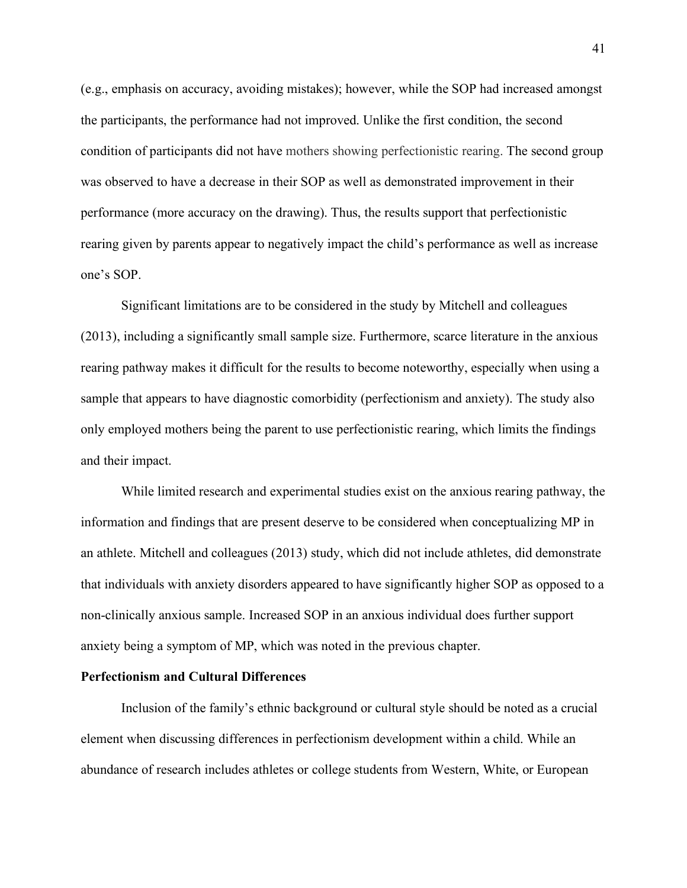(e.g., emphasis on accuracy, avoiding mistakes); however, while the SOP had increased amongst the participants, the performance had not improved. Unlike the first condition, the second condition of participants did not have mothers showing perfectionistic rearing. The second group was observed to have a decrease in their SOP as well as demonstrated improvement in their performance (more accuracy on the drawing). Thus, the results support that perfectionistic rearing given by parents appear to negatively impact the child's performance as well as increase one's SOP.

Significant limitations are to be considered in the study by Mitchell and colleagues (2013), including a significantly small sample size. Furthermore, scarce literature in the anxious rearing pathway makes it difficult for the results to become noteworthy, especially when using a sample that appears to have diagnostic comorbidity (perfectionism and anxiety). The study also only employed mothers being the parent to use perfectionistic rearing, which limits the findings and their impact.

While limited research and experimental studies exist on the anxious rearing pathway, the information and findings that are present deserve to be considered when conceptualizing MP in an athlete. Mitchell and colleagues (2013) study, which did not include athletes, did demonstrate that individuals with anxiety disorders appeared to have significantly higher SOP as opposed to a non-clinically anxious sample. Increased SOP in an anxious individual does further support anxiety being a symptom of MP, which was noted in the previous chapter.

# **Perfectionism and Cultural Differences**

Inclusion of the family's ethnic background or cultural style should be noted as a crucial element when discussing differences in perfectionism development within a child. While an abundance of research includes athletes or college students from Western, White, or European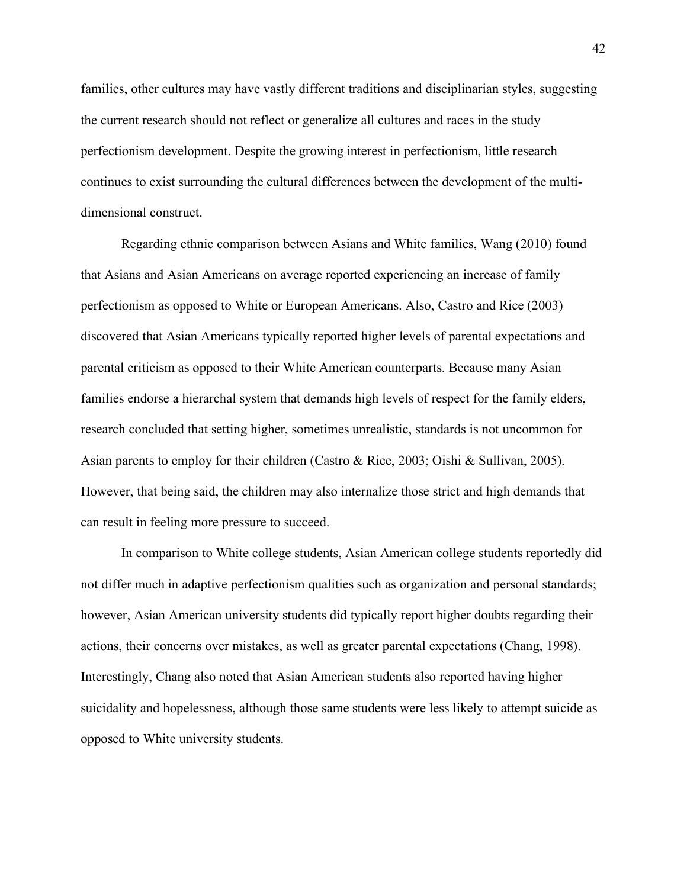families, other cultures may have vastly different traditions and disciplinarian styles, suggesting the current research should not reflect or generalize all cultures and races in the study perfectionism development. Despite the growing interest in perfectionism, little research continues to exist surrounding the cultural differences between the development of the multidimensional construct.

Regarding ethnic comparison between Asians and White families, Wang (2010) found that Asians and Asian Americans on average reported experiencing an increase of family perfectionism as opposed to White or European Americans. Also, Castro and Rice (2003) discovered that Asian Americans typically reported higher levels of parental expectations and parental criticism as opposed to their White American counterparts. Because many Asian families endorse a hierarchal system that demands high levels of respect for the family elders, research concluded that setting higher, sometimes unrealistic, standards is not uncommon for Asian parents to employ for their children (Castro & Rice, 2003; Oishi & Sullivan, 2005). However, that being said, the children may also internalize those strict and high demands that can result in feeling more pressure to succeed.

In comparison to White college students, Asian American college students reportedly did not differ much in adaptive perfectionism qualities such as organization and personal standards; however, Asian American university students did typically report higher doubts regarding their actions, their concerns over mistakes, as well as greater parental expectations (Chang, 1998). Interestingly, Chang also noted that Asian American students also reported having higher suicidality and hopelessness, although those same students were less likely to attempt suicide as opposed to White university students.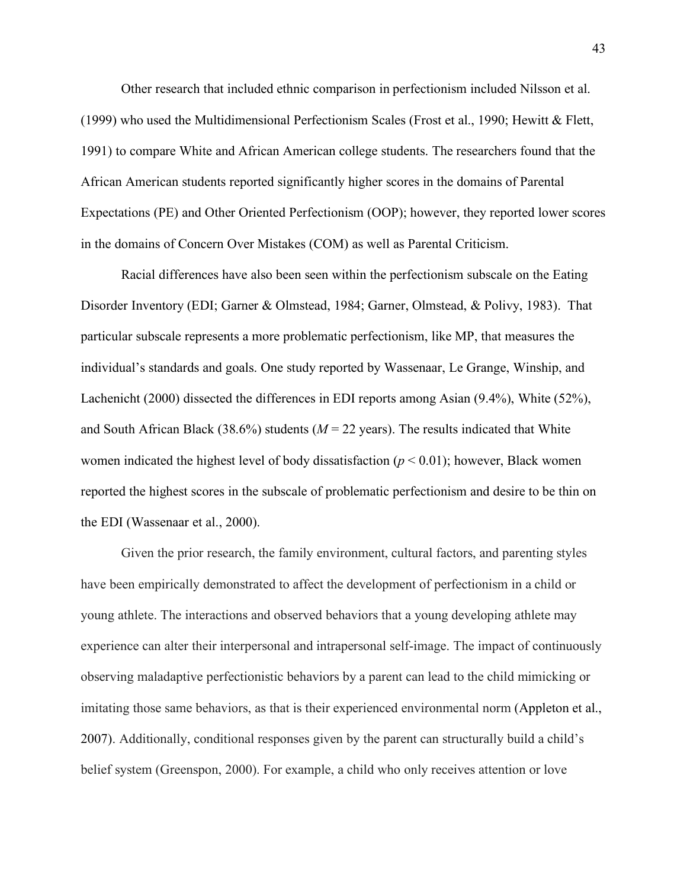Other research that included ethnic comparison in perfectionism included Nilsson et al. (1999) who used the Multidimensional Perfectionism Scales (Frost et al., 1990; Hewitt & Flett, 1991) to compare White and African American college students. The researchers found that the African American students reported significantly higher scores in the domains of Parental Expectations (PE) and Other Oriented Perfectionism (OOP); however, they reported lower scores in the domains of Concern Over Mistakes (COM) as well as Parental Criticism.

Racial differences have also been seen within the perfectionism subscale on the Eating Disorder Inventory (EDI; Garner & Olmstead, 1984; Garner, Olmstead, & Polivy, 1983). That particular subscale represents a more problematic perfectionism, like MP, that measures the individual's standards and goals. One study reported by Wassenaar, Le Grange, Winship, and Lachenicht (2000) dissected the differences in EDI reports among Asian (9.4%), White (52%), and South African Black (38.6%) students  $(M = 22 \text{ years})$ . The results indicated that White women indicated the highest level of body dissatisfaction  $(p < 0.01)$ ; however, Black women reported the highest scores in the subscale of problematic perfectionism and desire to be thin on the EDI (Wassenaar et al., 2000).

Given the prior research, the family environment, cultural factors, and parenting styles have been empirically demonstrated to affect the development of perfectionism in a child or young athlete. The interactions and observed behaviors that a young developing athlete may experience can alter their interpersonal and intrapersonal self-image. The impact of continuously observing maladaptive perfectionistic behaviors by a parent can lead to the child mimicking or imitating those same behaviors, as that is their experienced environmental norm (Appleton et al., 2007). Additionally, conditional responses given by the parent can structurally build a child's belief system (Greenspon, 2000). For example, a child who only receives attention or love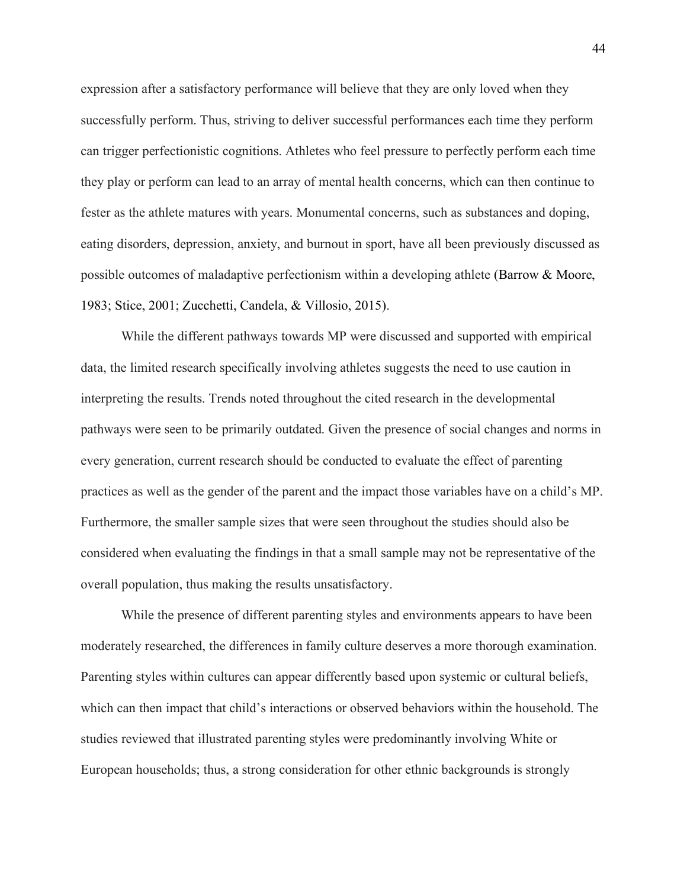expression after a satisfactory performance will believe that they are only loved when they successfully perform. Thus, striving to deliver successful performances each time they perform can trigger perfectionistic cognitions. Athletes who feel pressure to perfectly perform each time they play or perform can lead to an array of mental health concerns, which can then continue to fester as the athlete matures with years. Monumental concerns, such as substances and doping, eating disorders, depression, anxiety, and burnout in sport, have all been previously discussed as possible outcomes of maladaptive perfectionism within a developing athlete (Barrow & Moore, 1983; Stice, 2001; Zucchetti, Candela, & Villosio, 2015).

While the different pathways towards MP were discussed and supported with empirical data, the limited research specifically involving athletes suggests the need to use caution in interpreting the results. Trends noted throughout the cited research in the developmental pathways were seen to be primarily outdated. Given the presence of social changes and norms in every generation, current research should be conducted to evaluate the effect of parenting practices as well as the gender of the parent and the impact those variables have on a child's MP. Furthermore, the smaller sample sizes that were seen throughout the studies should also be considered when evaluating the findings in that a small sample may not be representative of the overall population, thus making the results unsatisfactory.

While the presence of different parenting styles and environments appears to have been moderately researched, the differences in family culture deserves a more thorough examination. Parenting styles within cultures can appear differently based upon systemic or cultural beliefs, which can then impact that child's interactions or observed behaviors within the household. The studies reviewed that illustrated parenting styles were predominantly involving White or European households; thus, a strong consideration for other ethnic backgrounds is strongly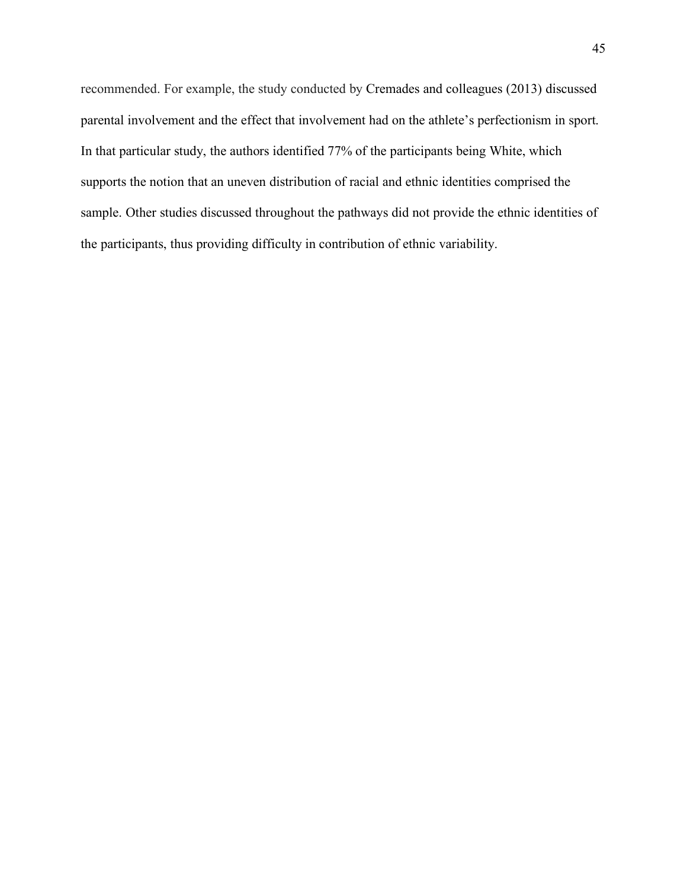recommended. For example, the study conducted by Cremades and colleagues (2013) discussed parental involvement and the effect that involvement had on the athlete's perfectionism in sport. In that particular study, the authors identified 77% of the participants being White, which supports the notion that an uneven distribution of racial and ethnic identities comprised the sample. Other studies discussed throughout the pathways did not provide the ethnic identities of the participants, thus providing difficulty in contribution of ethnic variability.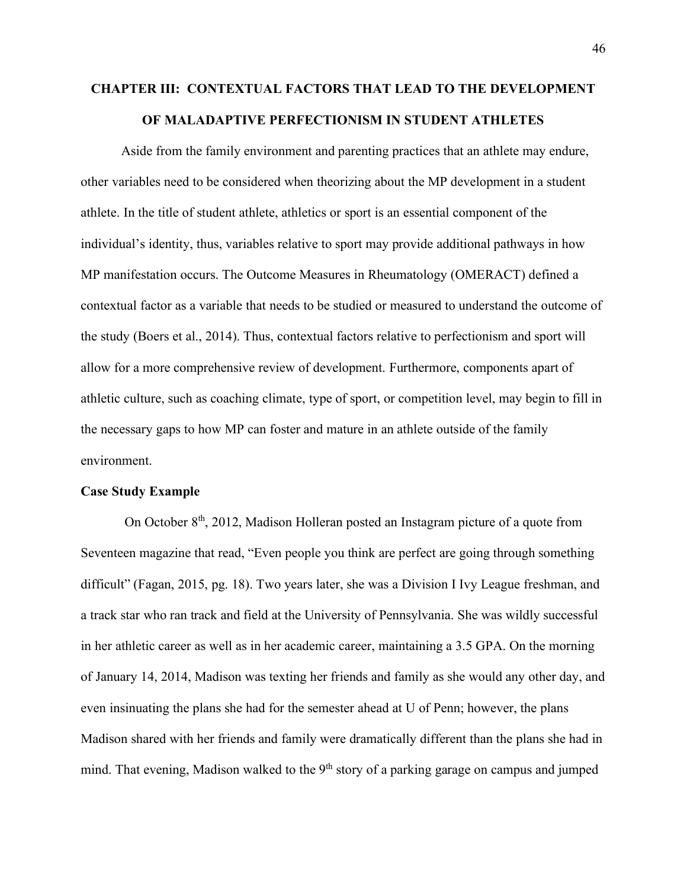# **CHAPTER III: CONTEXTUAL FACTORS THAT LEAD TO THE DEVELOPMENT OF MALADAPTIVE PERFECTIONISM IN STUDENT ATHLETES**

Aside from the family environment and parenting practices that an athlete may endure, other variables need to be considered when theorizing about the MP development in a student athlete. In the title of student athlete, athletics or sport is an essential component of the individual's identity, thus, variables relative to sport may provide additional pathways in how MP manifestation occurs. The Outcome Measures in Rheumatology (OMERACT) defined a contextual factor as a variable that needs to be studied or measured to understand the outcome of the study (Boers et al., 2014). Thus, contextual factors relative to perfectionism and sport will allow for a more comprehensive review of development. Furthermore, components apart of athletic culture, such as coaching climate, type of sport, or competition level, may begin to fill in the necessary gaps to how MP can foster and mature in an athlete outside of the family environment.

#### **Case Study Example**

On October 8th, 2012, Madison Holleran posted an Instagram picture of a quote from Seventeen magazine that read, "Even people you think are perfect are going through something difficult" (Fagan, 2015, pg. 18). Two years later, she was a Division I Ivy League freshman, and a track star who ran track and field at the University of Pennsylvania. She was wildly successful in her athletic career as well as in her academic career, maintaining a 3.5 GPA. On the morning of January 14, 2014, Madison was texting her friends and family as she would any other day, and even insinuating the plans she had for the semester ahead at U of Penn; however, the plans Madison shared with her friends and family were dramatically different than the plans she had in mind. That evening, Madison walked to the 9<sup>th</sup> story of a parking garage on campus and jumped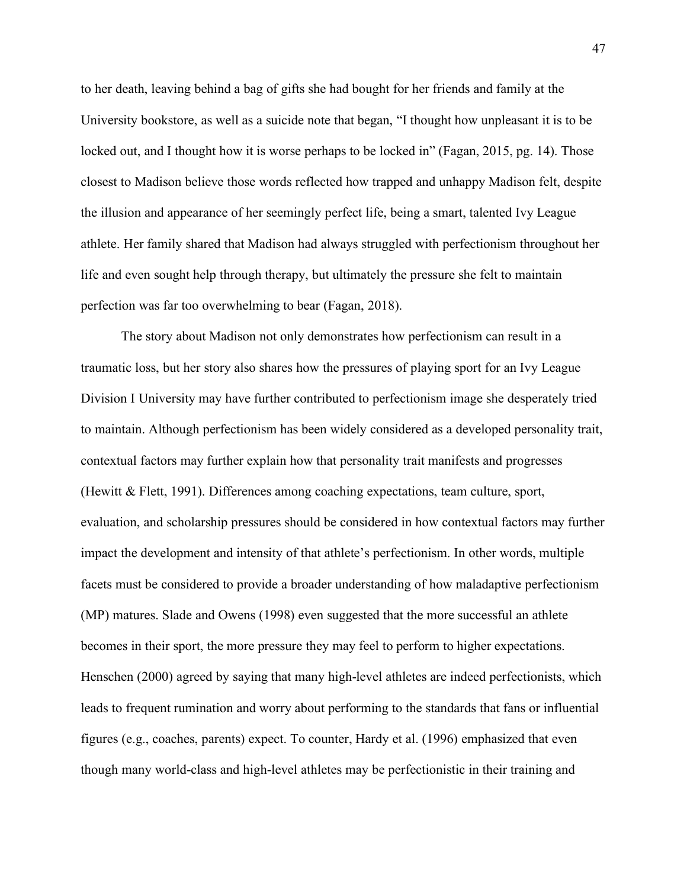to her death, leaving behind a bag of gifts she had bought for her friends and family at the University bookstore, as well as a suicide note that began, "I thought how unpleasant it is to be locked out, and I thought how it is worse perhaps to be locked in" (Fagan, 2015, pg. 14). Those closest to Madison believe those words reflected how trapped and unhappy Madison felt, despite the illusion and appearance of her seemingly perfect life, being a smart, talented Ivy League athlete. Her family shared that Madison had always struggled with perfectionism throughout her life and even sought help through therapy, but ultimately the pressure she felt to maintain perfection was far too overwhelming to bear (Fagan, 2018).

The story about Madison not only demonstrates how perfectionism can result in a traumatic loss, but her story also shares how the pressures of playing sport for an Ivy League Division I University may have further contributed to perfectionism image she desperately tried to maintain. Although perfectionism has been widely considered as a developed personality trait, contextual factors may further explain how that personality trait manifests and progresses (Hewitt & Flett, 1991). Differences among coaching expectations, team culture, sport, evaluation, and scholarship pressures should be considered in how contextual factors may further impact the development and intensity of that athlete's perfectionism. In other words, multiple facets must be considered to provide a broader understanding of how maladaptive perfectionism (MP) matures. Slade and Owens (1998) even suggested that the more successful an athlete becomes in their sport, the more pressure they may feel to perform to higher expectations. Henschen (2000) agreed by saying that many high-level athletes are indeed perfectionists, which leads to frequent rumination and worry about performing to the standards that fans or influential figures (e.g., coaches, parents) expect. To counter, Hardy et al. (1996) emphasized that even though many world-class and high-level athletes may be perfectionistic in their training and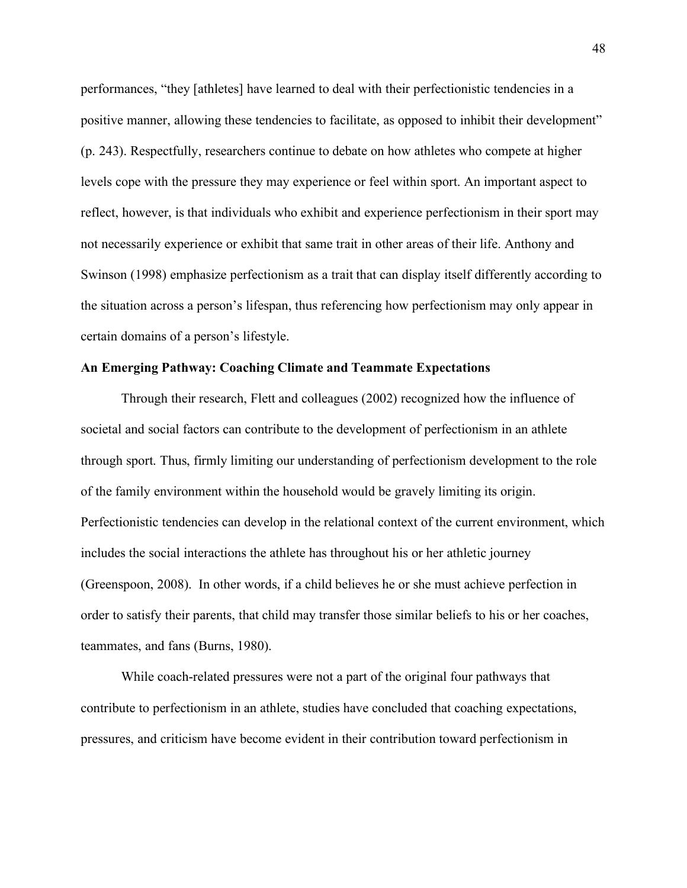performances, "they [athletes] have learned to deal with their perfectionistic tendencies in a positive manner, allowing these tendencies to facilitate, as opposed to inhibit their development" (p. 243). Respectfully, researchers continue to debate on how athletes who compete at higher levels cope with the pressure they may experience or feel within sport. An important aspect to reflect, however, is that individuals who exhibit and experience perfectionism in their sport may not necessarily experience or exhibit that same trait in other areas of their life. Anthony and Swinson (1998) emphasize perfectionism as a trait that can display itself differently according to the situation across a person's lifespan, thus referencing how perfectionism may only appear in certain domains of a person's lifestyle.

### **An Emerging Pathway: Coaching Climate and Teammate Expectations**

Through their research, Flett and colleagues (2002) recognized how the influence of societal and social factors can contribute to the development of perfectionism in an athlete through sport. Thus, firmly limiting our understanding of perfectionism development to the role of the family environment within the household would be gravely limiting its origin. Perfectionistic tendencies can develop in the relational context of the current environment, which includes the social interactions the athlete has throughout his or her athletic journey (Greenspoon, 2008). In other words, if a child believes he or she must achieve perfection in order to satisfy their parents, that child may transfer those similar beliefs to his or her coaches, teammates, and fans (Burns, 1980).

While coach-related pressures were not a part of the original four pathways that contribute to perfectionism in an athlete, studies have concluded that coaching expectations, pressures, and criticism have become evident in their contribution toward perfectionism in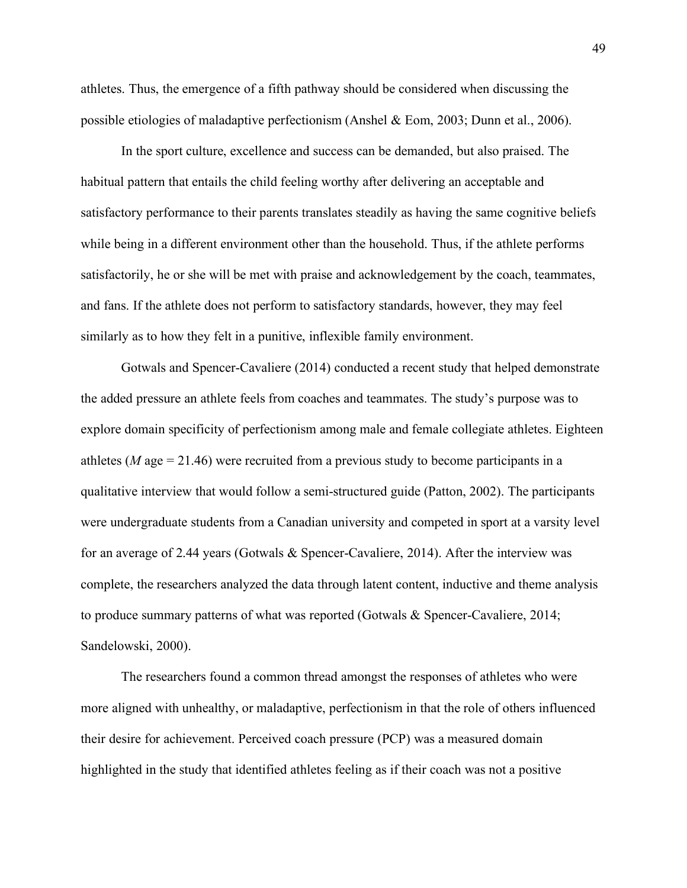athletes. Thus, the emergence of a fifth pathway should be considered when discussing the possible etiologies of maladaptive perfectionism (Anshel & Eom, 2003; Dunn et al., 2006).

In the sport culture, excellence and success can be demanded, but also praised. The habitual pattern that entails the child feeling worthy after delivering an acceptable and satisfactory performance to their parents translates steadily as having the same cognitive beliefs while being in a different environment other than the household. Thus, if the athlete performs satisfactorily, he or she will be met with praise and acknowledgement by the coach, teammates, and fans. If the athlete does not perform to satisfactory standards, however, they may feel similarly as to how they felt in a punitive, inflexible family environment.

Gotwals and Spencer-Cavaliere (2014) conducted a recent study that helped demonstrate the added pressure an athlete feels from coaches and teammates. The study's purpose was to explore domain specificity of perfectionism among male and female collegiate athletes. Eighteen athletes ( $M$  age  $= 21.46$ ) were recruited from a previous study to become participants in a qualitative interview that would follow a semi-structured guide (Patton, 2002). The participants were undergraduate students from a Canadian university and competed in sport at a varsity level for an average of 2.44 years (Gotwals & Spencer-Cavaliere, 2014). After the interview was complete, the researchers analyzed the data through latent content, inductive and theme analysis to produce summary patterns of what was reported (Gotwals & Spencer-Cavaliere, 2014; Sandelowski, 2000).

The researchers found a common thread amongst the responses of athletes who were more aligned with unhealthy, or maladaptive, perfectionism in that the role of others influenced their desire for achievement. Perceived coach pressure (PCP) was a measured domain highlighted in the study that identified athletes feeling as if their coach was not a positive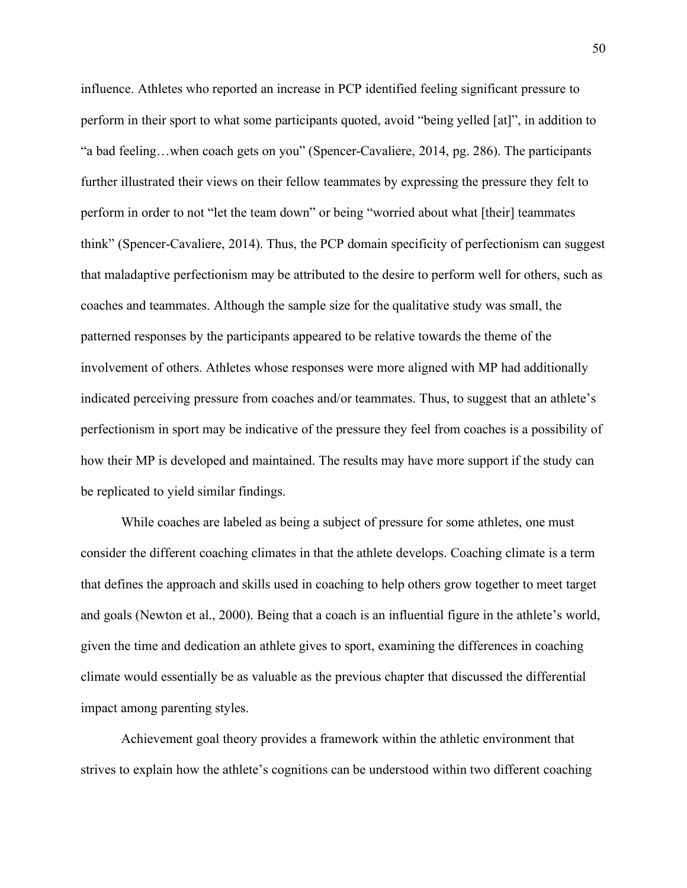influence. Athletes who reported an increase in PCP identified feeling significant pressure to perform in their sport to what some participants quoted, avoid "being yelled [at]", in addition to "a bad feeling…when coach gets on you" (Spencer-Cavaliere, 2014, pg. 286). The participants further illustrated their views on their fellow teammates by expressing the pressure they felt to perform in order to not "let the team down" or being "worried about what [their] teammates think" (Spencer-Cavaliere, 2014). Thus, the PCP domain specificity of perfectionism can suggest that maladaptive perfectionism may be attributed to the desire to perform well for others, such as coaches and teammates. Although the sample size for the qualitative study was small, the patterned responses by the participants appeared to be relative towards the theme of the involvement of others. Athletes whose responses were more aligned with MP had additionally indicated perceiving pressure from coaches and/or teammates. Thus, to suggest that an athlete's perfectionism in sport may be indicative of the pressure they feel from coaches is a possibility of how their MP is developed and maintained. The results may have more support if the study can be replicated to yield similar findings.

While coaches are labeled as being a subject of pressure for some athletes, one must consider the different coaching climates in that the athlete develops. Coaching climate is a term that defines the approach and skills used in coaching to help others grow together to meet target and goals (Newton et al., 2000). Being that a coach is an influential figure in the athlete's world, given the time and dedication an athlete gives to sport, examining the differences in coaching climate would essentially be as valuable as the previous chapter that discussed the differential impact among parenting styles.

Achievement goal theory provides a framework within the athletic environment that strives to explain how the athlete's cognitions can be understood within two different coaching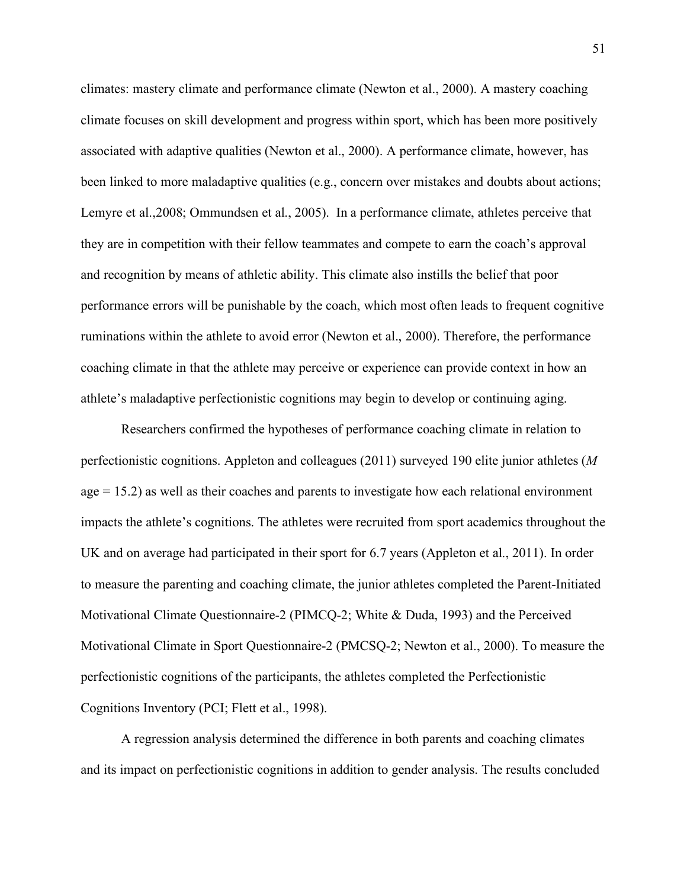climates: mastery climate and performance climate (Newton et al., 2000). A mastery coaching climate focuses on skill development and progress within sport, which has been more positively associated with adaptive qualities (Newton et al., 2000). A performance climate, however, has been linked to more maladaptive qualities (e.g., concern over mistakes and doubts about actions; Lemyre et al.,2008; Ommundsen et al., 2005). In a performance climate, athletes perceive that they are in competition with their fellow teammates and compete to earn the coach's approval and recognition by means of athletic ability. This climate also instills the belief that poor performance errors will be punishable by the coach, which most often leads to frequent cognitive ruminations within the athlete to avoid error (Newton et al., 2000). Therefore, the performance coaching climate in that the athlete may perceive or experience can provide context in how an athlete's maladaptive perfectionistic cognitions may begin to develop or continuing aging.

Researchers confirmed the hypotheses of performance coaching climate in relation to perfectionistic cognitions. Appleton and colleagues (2011) surveyed 190 elite junior athletes (*M*  $age = 15.2$ ) as well as their coaches and parents to investigate how each relational environment impacts the athlete's cognitions. The athletes were recruited from sport academics throughout the UK and on average had participated in their sport for 6.7 years (Appleton et al., 2011). In order to measure the parenting and coaching climate, the junior athletes completed the Parent-Initiated Motivational Climate Questionnaire-2 (PIMCQ-2; White & Duda, 1993) and the Perceived Motivational Climate in Sport Questionnaire-2 (PMCSQ-2; Newton et al., 2000). To measure the perfectionistic cognitions of the participants, the athletes completed the Perfectionistic Cognitions Inventory (PCI; Flett et al., 1998).

A regression analysis determined the difference in both parents and coaching climates and its impact on perfectionistic cognitions in addition to gender analysis. The results concluded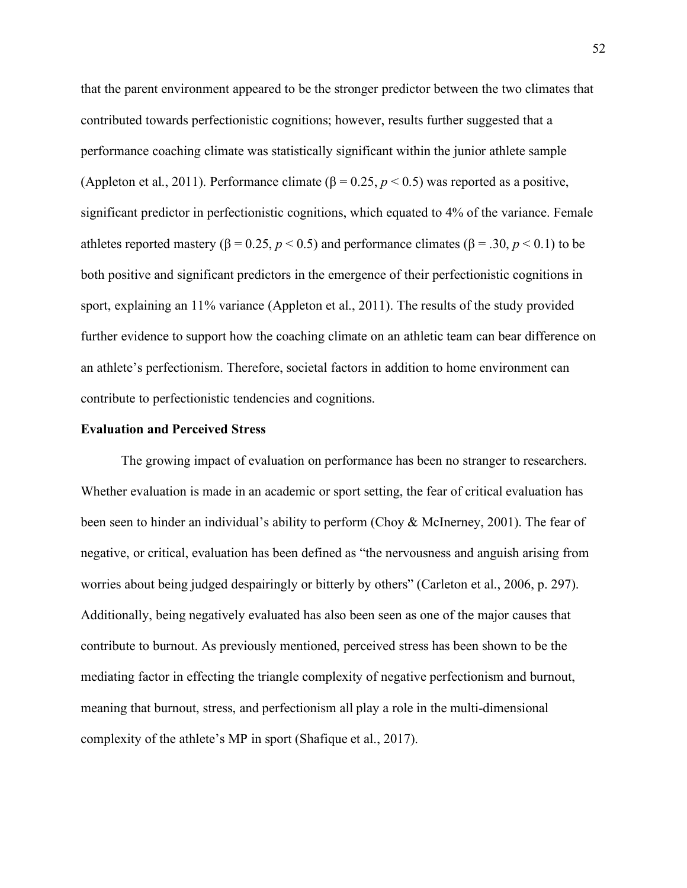that the parent environment appeared to be the stronger predictor between the two climates that contributed towards perfectionistic cognitions; however, results further suggested that a performance coaching climate was statistically significant within the junior athlete sample (Appleton et al., 2011). Performance climate ( $\beta$  = 0.25, *p* < 0.5) was reported as a positive, significant predictor in perfectionistic cognitions, which equated to 4% of the variance. Female athletes reported mastery (β = 0.25,  $p$  < 0.5) and performance climates (β = .30,  $p$  < 0.1) to be both positive and significant predictors in the emergence of their perfectionistic cognitions in sport, explaining an 11% variance (Appleton et al., 2011). The results of the study provided further evidence to support how the coaching climate on an athletic team can bear difference on an athlete's perfectionism. Therefore, societal factors in addition to home environment can contribute to perfectionistic tendencies and cognitions.

## **Evaluation and Perceived Stress**

The growing impact of evaluation on performance has been no stranger to researchers. Whether evaluation is made in an academic or sport setting, the fear of critical evaluation has been seen to hinder an individual's ability to perform (Choy & McInerney, 2001). The fear of negative, or critical, evaluation has been defined as "the nervousness and anguish arising from worries about being judged despairingly or bitterly by others" (Carleton et al., 2006, p. 297). Additionally, being negatively evaluated has also been seen as one of the major causes that contribute to burnout. As previously mentioned, perceived stress has been shown to be the mediating factor in effecting the triangle complexity of negative perfectionism and burnout, meaning that burnout, stress, and perfectionism all play a role in the multi-dimensional complexity of the athlete's MP in sport (Shafique et al., 2017).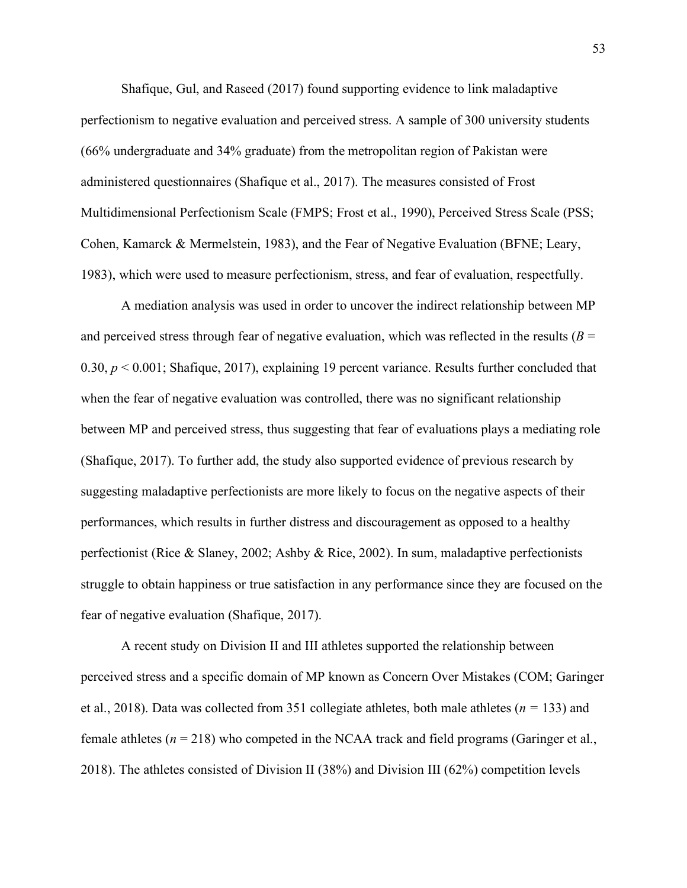Shafique, Gul, and Raseed (2017) found supporting evidence to link maladaptive perfectionism to negative evaluation and perceived stress. A sample of 300 university students (66% undergraduate and 34% graduate) from the metropolitan region of Pakistan were administered questionnaires (Shafique et al., 2017). The measures consisted of Frost Multidimensional Perfectionism Scale (FMPS; Frost et al., 1990), Perceived Stress Scale (PSS; Cohen, Kamarck & Mermelstein, 1983), and the Fear of Negative Evaluation (BFNE; Leary, 1983), which were used to measure perfectionism, stress, and fear of evaluation, respectfully.

A mediation analysis was used in order to uncover the indirect relationship between MP and perceived stress through fear of negative evaluation, which was reflected in the results  $(B =$ 0.30, *p* < 0.001; Shafique, 2017), explaining 19 percent variance. Results further concluded that when the fear of negative evaluation was controlled, there was no significant relationship between MP and perceived stress, thus suggesting that fear of evaluations plays a mediating role (Shafique, 2017). To further add, the study also supported evidence of previous research by suggesting maladaptive perfectionists are more likely to focus on the negative aspects of their performances, which results in further distress and discouragement as opposed to a healthy perfectionist (Rice & Slaney, 2002; Ashby & Rice, 2002). In sum, maladaptive perfectionists struggle to obtain happiness or true satisfaction in any performance since they are focused on the fear of negative evaluation (Shafique, 2017).

A recent study on Division II and III athletes supported the relationship between perceived stress and a specific domain of MP known as Concern Over Mistakes (COM; Garinger et al., 2018). Data was collected from 351 collegiate athletes, both male athletes (*n =* 133) and female athletes (*n* = 218) who competed in the NCAA track and field programs (Garinger et al., 2018). The athletes consisted of Division II (38%) and Division III (62%) competition levels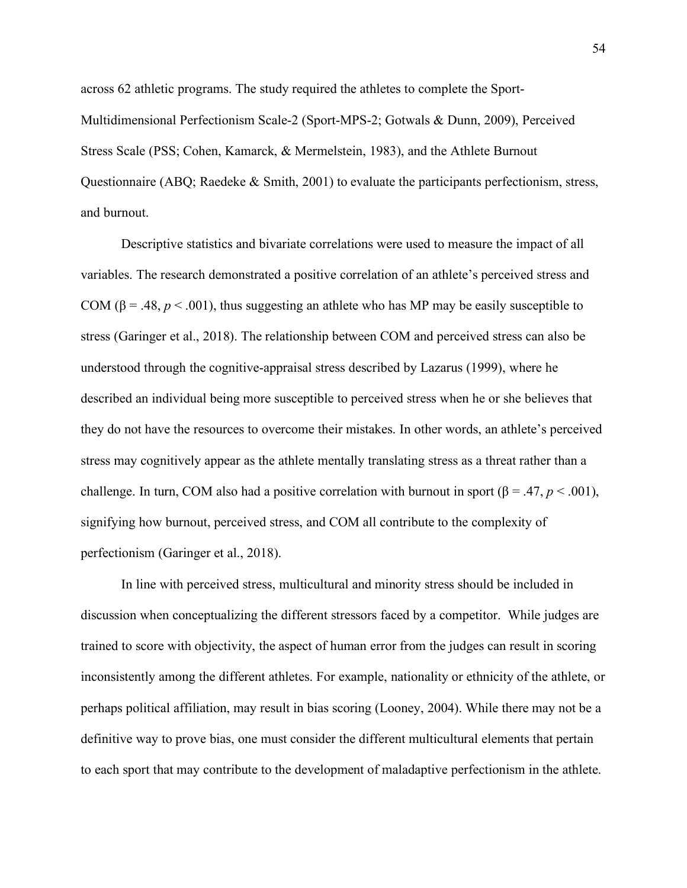across 62 athletic programs. The study required the athletes to complete the Sport-Multidimensional Perfectionism Scale-2 (Sport-MPS-2; Gotwals & Dunn, 2009), Perceived Stress Scale (PSS; Cohen, Kamarck, & Mermelstein, 1983), and the Athlete Burnout Questionnaire (ABQ; Raedeke & Smith, 2001) to evaluate the participants perfectionism, stress, and burnout.

Descriptive statistics and bivariate correlations were used to measure the impact of all variables. The research demonstrated a positive correlation of an athlete's perceived stress and COM ( $\beta$  = .48, *p* < .001), thus suggesting an athlete who has MP may be easily susceptible to stress (Garinger et al., 2018). The relationship between COM and perceived stress can also be understood through the cognitive-appraisal stress described by Lazarus (1999), where he described an individual being more susceptible to perceived stress when he or she believes that they do not have the resources to overcome their mistakes. In other words, an athlete's perceived stress may cognitively appear as the athlete mentally translating stress as a threat rather than a challenge. In turn, COM also had a positive correlation with burnout in sport ( $\beta = .47$ ,  $p < .001$ ), signifying how burnout, perceived stress, and COM all contribute to the complexity of perfectionism (Garinger et al., 2018).

In line with perceived stress, multicultural and minority stress should be included in discussion when conceptualizing the different stressors faced by a competitor. While judges are trained to score with objectivity, the aspect of human error from the judges can result in scoring inconsistently among the different athletes. For example, nationality or ethnicity of the athlete, or perhaps political affiliation, may result in bias scoring (Looney, 2004). While there may not be a definitive way to prove bias, one must consider the different multicultural elements that pertain to each sport that may contribute to the development of maladaptive perfectionism in the athlete.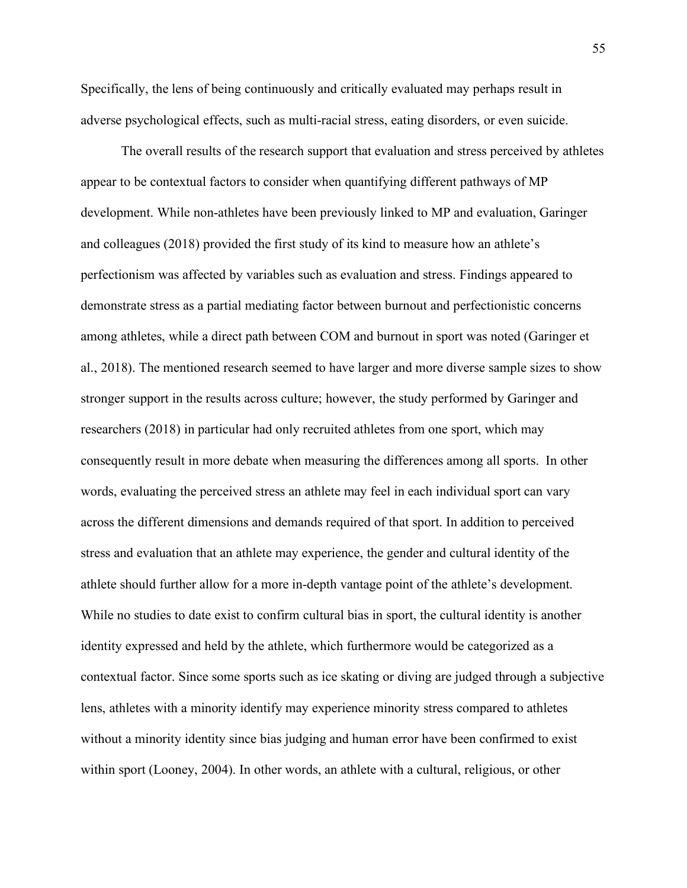Specifically, the lens of being continuously and critically evaluated may perhaps result in adverse psychological effects, such as multi-racial stress, eating disorders, or even suicide.

The overall results of the research support that evaluation and stress perceived by athletes appear to be contextual factors to consider when quantifying different pathways of MP development. While non-athletes have been previously linked to MP and evaluation, Garinger and colleagues (2018) provided the first study of its kind to measure how an athlete's perfectionism was affected by variables such as evaluation and stress. Findings appeared to demonstrate stress as a partial mediating factor between burnout and perfectionistic concerns among athletes, while a direct path between COM and burnout in sport was noted (Garinger et al., 2018). The mentioned research seemed to have larger and more diverse sample sizes to show stronger support in the results across culture; however, the study performed by Garinger and researchers (2018) in particular had only recruited athletes from one sport, which may consequently result in more debate when measuring the differences among all sports. In other words, evaluating the perceived stress an athlete may feel in each individual sport can vary across the different dimensions and demands required of that sport. In addition to perceived stress and evaluation that an athlete may experience, the gender and cultural identity of the athlete should further allow for a more in-depth vantage point of the athlete's development. While no studies to date exist to confirm cultural bias in sport, the cultural identity is another identity expressed and held by the athlete, which furthermore would be categorized as a contextual factor. Since some sports such as ice skating or diving are judged through a subjective lens, athletes with a minority identify may experience minority stress compared to athletes without a minority identity since bias judging and human error have been confirmed to exist within sport (Looney, 2004). In other words, an athlete with a cultural, religious, or other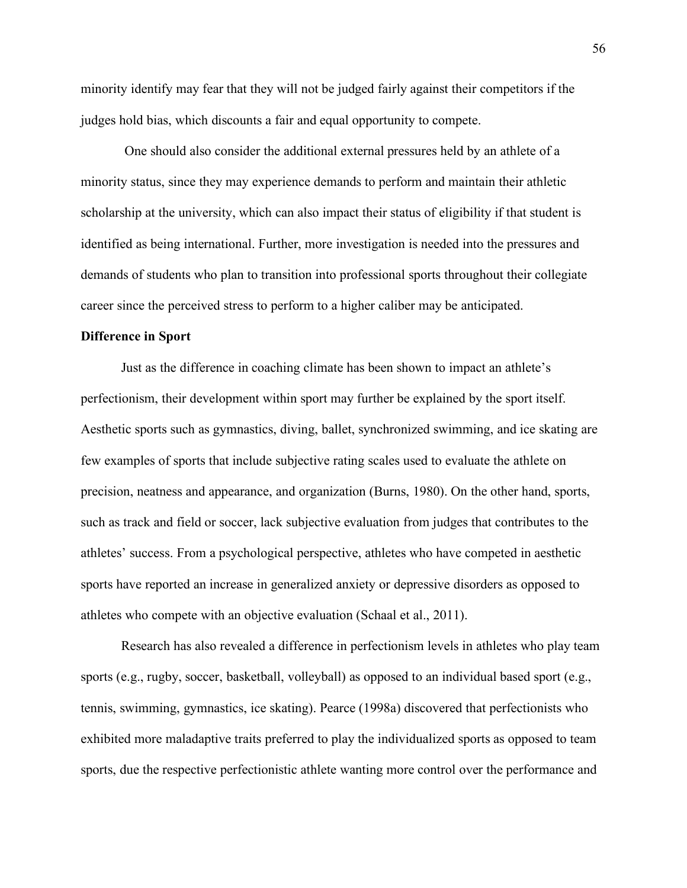minority identify may fear that they will not be judged fairly against their competitors if the judges hold bias, which discounts a fair and equal opportunity to compete.

One should also consider the additional external pressures held by an athlete of a minority status, since they may experience demands to perform and maintain their athletic scholarship at the university, which can also impact their status of eligibility if that student is identified as being international. Further, more investigation is needed into the pressures and demands of students who plan to transition into professional sports throughout their collegiate career since the perceived stress to perform to a higher caliber may be anticipated.

#### **Difference in Sport**

Just as the difference in coaching climate has been shown to impact an athlete's perfectionism, their development within sport may further be explained by the sport itself. Aesthetic sports such as gymnastics, diving, ballet, synchronized swimming, and ice skating are few examples of sports that include subjective rating scales used to evaluate the athlete on precision, neatness and appearance, and organization (Burns, 1980). On the other hand, sports, such as track and field or soccer, lack subjective evaluation from judges that contributes to the athletes' success. From a psychological perspective, athletes who have competed in aesthetic sports have reported an increase in generalized anxiety or depressive disorders as opposed to athletes who compete with an objective evaluation (Schaal et al., 2011).

Research has also revealed a difference in perfectionism levels in athletes who play team sports (e.g., rugby, soccer, basketball, volleyball) as opposed to an individual based sport (e.g., tennis, swimming, gymnastics, ice skating). Pearce (1998a) discovered that perfectionists who exhibited more maladaptive traits preferred to play the individualized sports as opposed to team sports, due the respective perfectionistic athlete wanting more control over the performance and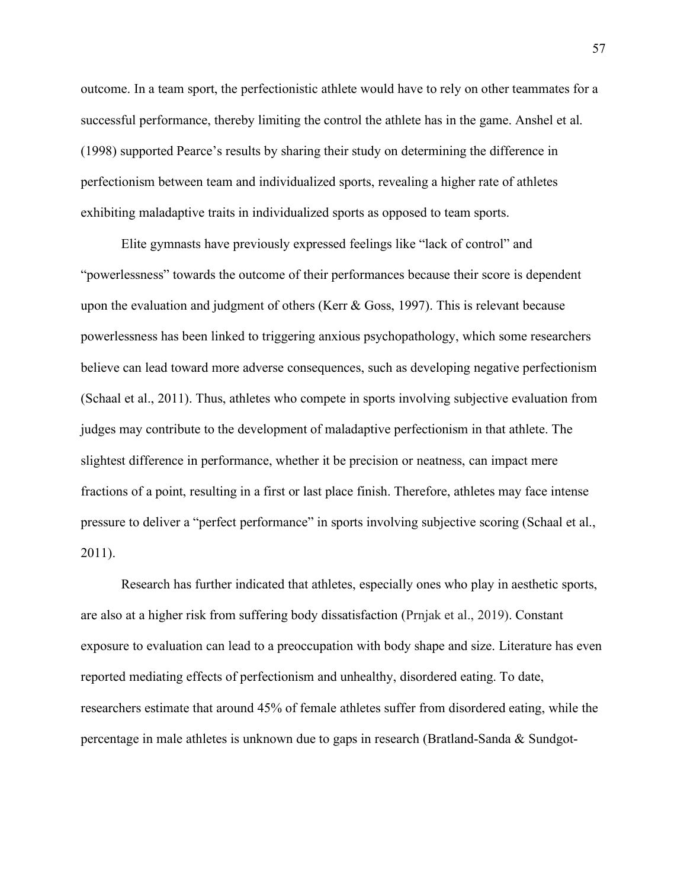outcome. In a team sport, the perfectionistic athlete would have to rely on other teammates for a successful performance, thereby limiting the control the athlete has in the game. Anshel et al. (1998) supported Pearce's results by sharing their study on determining the difference in perfectionism between team and individualized sports, revealing a higher rate of athletes exhibiting maladaptive traits in individualized sports as opposed to team sports.

Elite gymnasts have previously expressed feelings like "lack of control" and "powerlessness" towards the outcome of their performances because their score is dependent upon the evaluation and judgment of others (Kerr  $\&$  Goss, 1997). This is relevant because powerlessness has been linked to triggering anxious psychopathology, which some researchers believe can lead toward more adverse consequences, such as developing negative perfectionism (Schaal et al., 2011). Thus, athletes who compete in sports involving subjective evaluation from judges may contribute to the development of maladaptive perfectionism in that athlete. The slightest difference in performance, whether it be precision or neatness, can impact mere fractions of a point, resulting in a first or last place finish. Therefore, athletes may face intense pressure to deliver a "perfect performance" in sports involving subjective scoring (Schaal et al., 2011).

Research has further indicated that athletes, especially ones who play in aesthetic sports, are also at a higher risk from suffering body dissatisfaction (Prnjak et al., 2019). Constant exposure to evaluation can lead to a preoccupation with body shape and size. Literature has even reported mediating effects of perfectionism and unhealthy, disordered eating. To date, researchers estimate that around 45% of female athletes suffer from disordered eating, while the percentage in male athletes is unknown due to gaps in research (Bratland-Sanda & Sundgot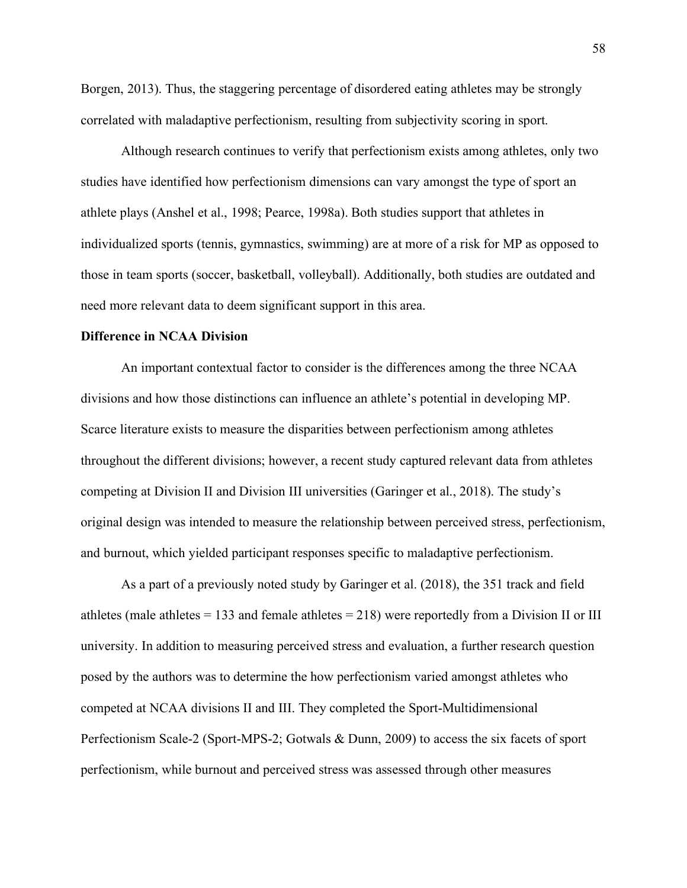Borgen, 2013). Thus, the staggering percentage of disordered eating athletes may be strongly correlated with maladaptive perfectionism, resulting from subjectivity scoring in sport.

Although research continues to verify that perfectionism exists among athletes, only two studies have identified how perfectionism dimensions can vary amongst the type of sport an athlete plays (Anshel et al., 1998; Pearce, 1998a). Both studies support that athletes in individualized sports (tennis, gymnastics, swimming) are at more of a risk for MP as opposed to those in team sports (soccer, basketball, volleyball). Additionally, both studies are outdated and need more relevant data to deem significant support in this area.

## **Difference in NCAA Division**

An important contextual factor to consider is the differences among the three NCAA divisions and how those distinctions can influence an athlete's potential in developing MP. Scarce literature exists to measure the disparities between perfectionism among athletes throughout the different divisions; however, a recent study captured relevant data from athletes competing at Division II and Division III universities (Garinger et al., 2018). The study's original design was intended to measure the relationship between perceived stress, perfectionism, and burnout, which yielded participant responses specific to maladaptive perfectionism.

As a part of a previously noted study by Garinger et al. (2018), the 351 track and field athletes (male athletes  $= 133$  and female athletes  $= 218$ ) were reportedly from a Division II or III university. In addition to measuring perceived stress and evaluation, a further research question posed by the authors was to determine the how perfectionism varied amongst athletes who competed at NCAA divisions II and III. They completed the Sport-Multidimensional Perfectionism Scale-2 (Sport-MPS-2; Gotwals & Dunn, 2009) to access the six facets of sport perfectionism, while burnout and perceived stress was assessed through other measures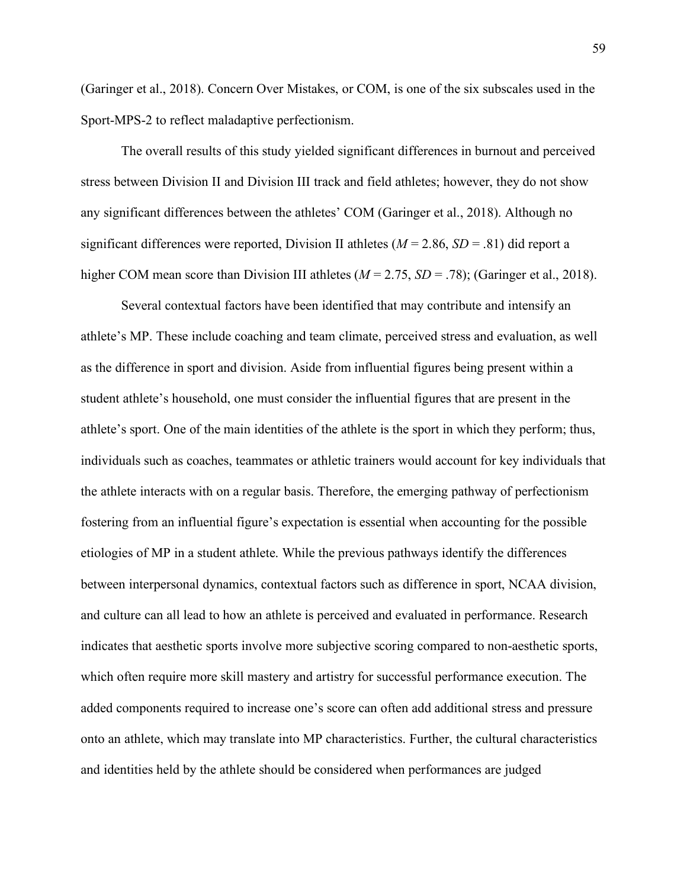(Garinger et al., 2018). Concern Over Mistakes, or COM, is one of the six subscales used in the Sport-MPS-2 to reflect maladaptive perfectionism.

The overall results of this study yielded significant differences in burnout and perceived stress between Division II and Division III track and field athletes; however, they do not show any significant differences between the athletes' COM (Garinger et al., 2018). Although no significant differences were reported, Division II athletes (*M* = 2.86, *SD* = .81) did report a higher COM mean score than Division III athletes ( $M = 2.75$ ,  $SD = .78$ ); (Garinger et al., 2018).

Several contextual factors have been identified that may contribute and intensify an athlete's MP. These include coaching and team climate, perceived stress and evaluation, as well as the difference in sport and division. Aside from influential figures being present within a student athlete's household, one must consider the influential figures that are present in the athlete's sport. One of the main identities of the athlete is the sport in which they perform; thus, individuals such as coaches, teammates or athletic trainers would account for key individuals that the athlete interacts with on a regular basis. Therefore, the emerging pathway of perfectionism fostering from an influential figure's expectation is essential when accounting for the possible etiologies of MP in a student athlete. While the previous pathways identify the differences between interpersonal dynamics, contextual factors such as difference in sport, NCAA division, and culture can all lead to how an athlete is perceived and evaluated in performance. Research indicates that aesthetic sports involve more subjective scoring compared to non-aesthetic sports, which often require more skill mastery and artistry for successful performance execution. The added components required to increase one's score can often add additional stress and pressure onto an athlete, which may translate into MP characteristics. Further, the cultural characteristics and identities held by the athlete should be considered when performances are judged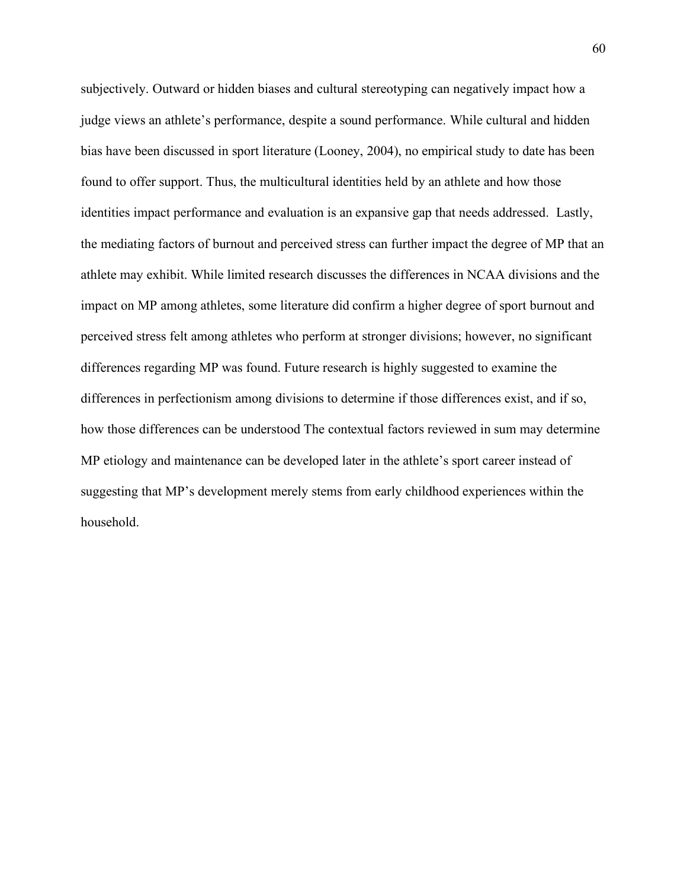subjectively. Outward or hidden biases and cultural stereotyping can negatively impact how a judge views an athlete's performance, despite a sound performance. While cultural and hidden bias have been discussed in sport literature (Looney, 2004), no empirical study to date has been found to offer support. Thus, the multicultural identities held by an athlete and how those identities impact performance and evaluation is an expansive gap that needs addressed. Lastly, the mediating factors of burnout and perceived stress can further impact the degree of MP that an athlete may exhibit. While limited research discusses the differences in NCAA divisions and the impact on MP among athletes, some literature did confirm a higher degree of sport burnout and perceived stress felt among athletes who perform at stronger divisions; however, no significant differences regarding MP was found. Future research is highly suggested to examine the differences in perfectionism among divisions to determine if those differences exist, and if so, how those differences can be understood The contextual factors reviewed in sum may determine MP etiology and maintenance can be developed later in the athlete's sport career instead of suggesting that MP's development merely stems from early childhood experiences within the household.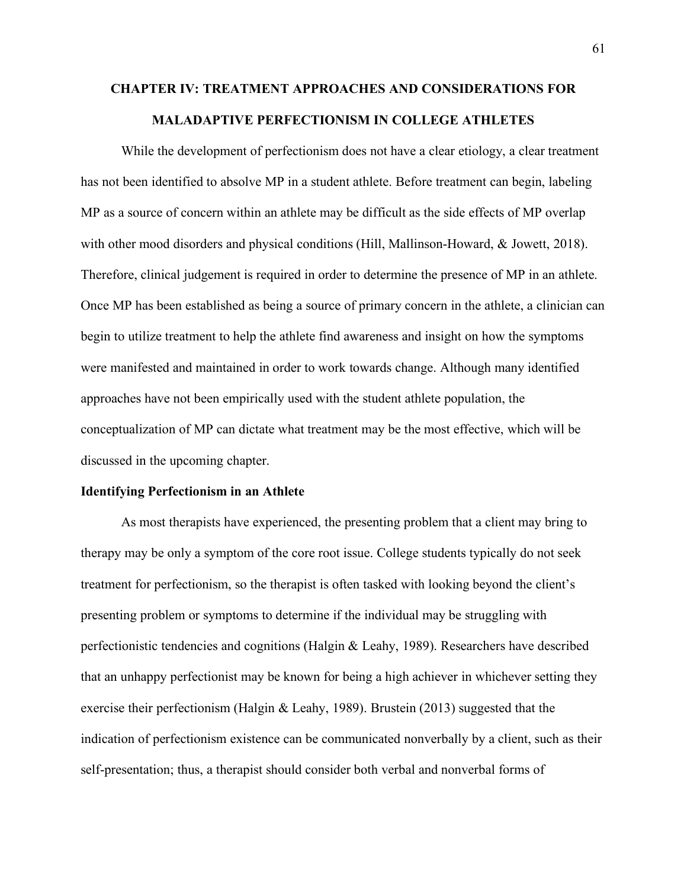# **CHAPTER IV: TREATMENT APPROACHES AND CONSIDERATIONS FOR MALADAPTIVE PERFECTIONISM IN COLLEGE ATHLETES**

While the development of perfectionism does not have a clear etiology, a clear treatment has not been identified to absolve MP in a student athlete. Before treatment can begin, labeling MP as a source of concern within an athlete may be difficult as the side effects of MP overlap with other mood disorders and physical conditions (Hill, Mallinson-Howard, & Jowett, 2018). Therefore, clinical judgement is required in order to determine the presence of MP in an athlete. Once MP has been established as being a source of primary concern in the athlete, a clinician can begin to utilize treatment to help the athlete find awareness and insight on how the symptoms were manifested and maintained in order to work towards change. Although many identified approaches have not been empirically used with the student athlete population, the conceptualization of MP can dictate what treatment may be the most effective, which will be discussed in the upcoming chapter.

#### **Identifying Perfectionism in an Athlete**

As most therapists have experienced, the presenting problem that a client may bring to therapy may be only a symptom of the core root issue. College students typically do not seek treatment for perfectionism, so the therapist is often tasked with looking beyond the client's presenting problem or symptoms to determine if the individual may be struggling with perfectionistic tendencies and cognitions (Halgin & Leahy, 1989). Researchers have described that an unhappy perfectionist may be known for being a high achiever in whichever setting they exercise their perfectionism (Halgin & Leahy, 1989). Brustein (2013) suggested that the indication of perfectionism existence can be communicated nonverbally by a client, such as their self-presentation; thus, a therapist should consider both verbal and nonverbal forms of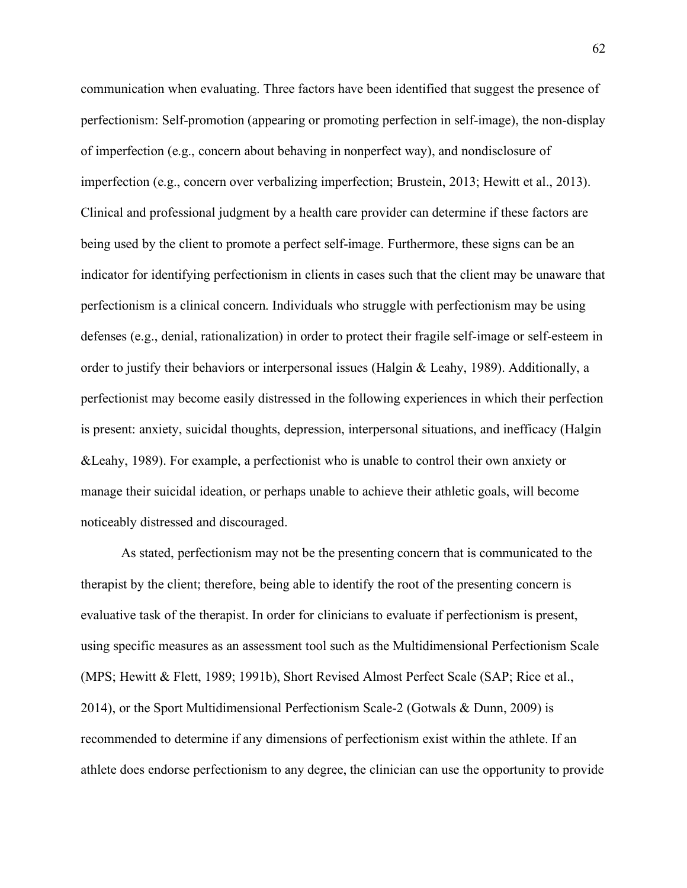communication when evaluating. Three factors have been identified that suggest the presence of perfectionism: Self-promotion (appearing or promoting perfection in self-image), the non-display of imperfection (e.g., concern about behaving in nonperfect way), and nondisclosure of imperfection (e.g., concern over verbalizing imperfection; Brustein, 2013; Hewitt et al., 2013). Clinical and professional judgment by a health care provider can determine if these factors are being used by the client to promote a perfect self-image. Furthermore, these signs can be an indicator for identifying perfectionism in clients in cases such that the client may be unaware that perfectionism is a clinical concern. Individuals who struggle with perfectionism may be using defenses (e.g., denial, rationalization) in order to protect their fragile self-image or self-esteem in order to justify their behaviors or interpersonal issues (Halgin & Leahy, 1989). Additionally, a perfectionist may become easily distressed in the following experiences in which their perfection is present: anxiety, suicidal thoughts, depression, interpersonal situations, and inefficacy (Halgin &Leahy, 1989). For example, a perfectionist who is unable to control their own anxiety or manage their suicidal ideation, or perhaps unable to achieve their athletic goals, will become noticeably distressed and discouraged.

As stated, perfectionism may not be the presenting concern that is communicated to the therapist by the client; therefore, being able to identify the root of the presenting concern is evaluative task of the therapist. In order for clinicians to evaluate if perfectionism is present, using specific measures as an assessment tool such as the Multidimensional Perfectionism Scale (MPS; Hewitt & Flett, 1989; 1991b), Short Revised Almost Perfect Scale (SAP; Rice et al., 2014), or the Sport Multidimensional Perfectionism Scale-2 (Gotwals & Dunn, 2009) is recommended to determine if any dimensions of perfectionism exist within the athlete. If an athlete does endorse perfectionism to any degree, the clinician can use the opportunity to provide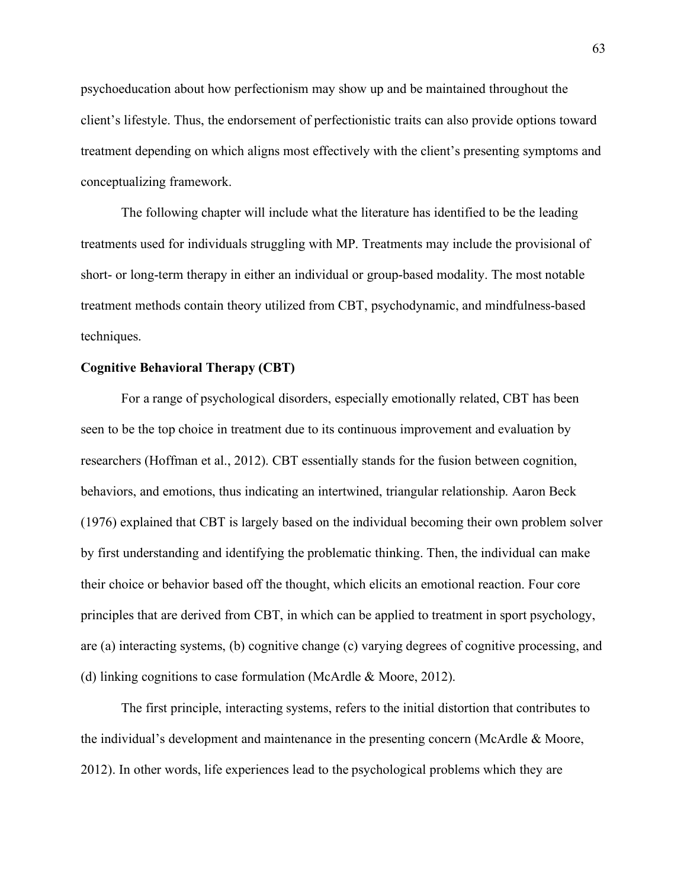psychoeducation about how perfectionism may show up and be maintained throughout the client's lifestyle. Thus, the endorsement of perfectionistic traits can also provide options toward treatment depending on which aligns most effectively with the client's presenting symptoms and conceptualizing framework.

The following chapter will include what the literature has identified to be the leading treatments used for individuals struggling with MP. Treatments may include the provisional of short- or long-term therapy in either an individual or group-based modality. The most notable treatment methods contain theory utilized from CBT, psychodynamic, and mindfulness-based techniques.

#### **Cognitive Behavioral Therapy (CBT)**

For a range of psychological disorders, especially emotionally related, CBT has been seen to be the top choice in treatment due to its continuous improvement and evaluation by researchers (Hoffman et al., 2012). CBT essentially stands for the fusion between cognition, behaviors, and emotions, thus indicating an intertwined, triangular relationship. Aaron Beck (1976) explained that CBT is largely based on the individual becoming their own problem solver by first understanding and identifying the problematic thinking. Then, the individual can make their choice or behavior based off the thought, which elicits an emotional reaction. Four core principles that are derived from CBT, in which can be applied to treatment in sport psychology, are (a) interacting systems, (b) cognitive change (c) varying degrees of cognitive processing, and (d) linking cognitions to case formulation (McArdle & Moore, 2012).

The first principle, interacting systems, refers to the initial distortion that contributes to the individual's development and maintenance in the presenting concern (McArdle & Moore, 2012). In other words, life experiences lead to the psychological problems which they are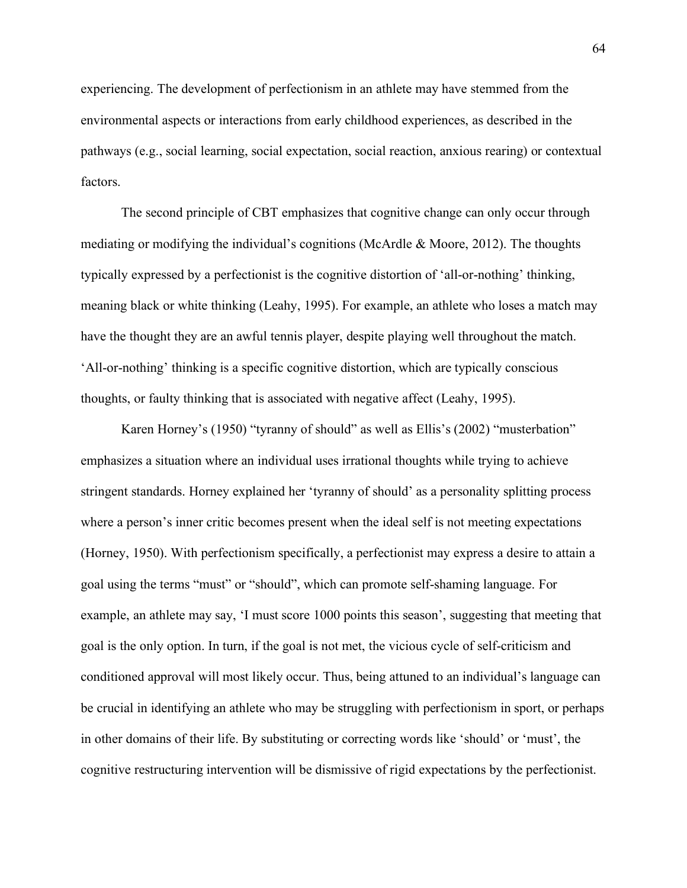experiencing. The development of perfectionism in an athlete may have stemmed from the environmental aspects or interactions from early childhood experiences, as described in the pathways (e.g., social learning, social expectation, social reaction, anxious rearing) or contextual factors.

The second principle of CBT emphasizes that cognitive change can only occur through mediating or modifying the individual's cognitions (McArdle & Moore, 2012). The thoughts typically expressed by a perfectionist is the cognitive distortion of 'all-or-nothing' thinking, meaning black or white thinking (Leahy, 1995). For example, an athlete who loses a match may have the thought they are an awful tennis player, despite playing well throughout the match. 'All-or-nothing' thinking is a specific cognitive distortion, which are typically conscious thoughts, or faulty thinking that is associated with negative affect (Leahy, 1995).

Karen Horney's (1950) "tyranny of should" as well as Ellis's (2002) "musterbation" emphasizes a situation where an individual uses irrational thoughts while trying to achieve stringent standards. Horney explained her 'tyranny of should' as a personality splitting process where a person's inner critic becomes present when the ideal self is not meeting expectations (Horney, 1950). With perfectionism specifically, a perfectionist may express a desire to attain a goal using the terms "must" or "should", which can promote self-shaming language. For example, an athlete may say, 'I must score 1000 points this season', suggesting that meeting that goal is the only option. In turn, if the goal is not met, the vicious cycle of self-criticism and conditioned approval will most likely occur. Thus, being attuned to an individual's language can be crucial in identifying an athlete who may be struggling with perfectionism in sport, or perhaps in other domains of their life. By substituting or correcting words like 'should' or 'must', the cognitive restructuring intervention will be dismissive of rigid expectations by the perfectionist.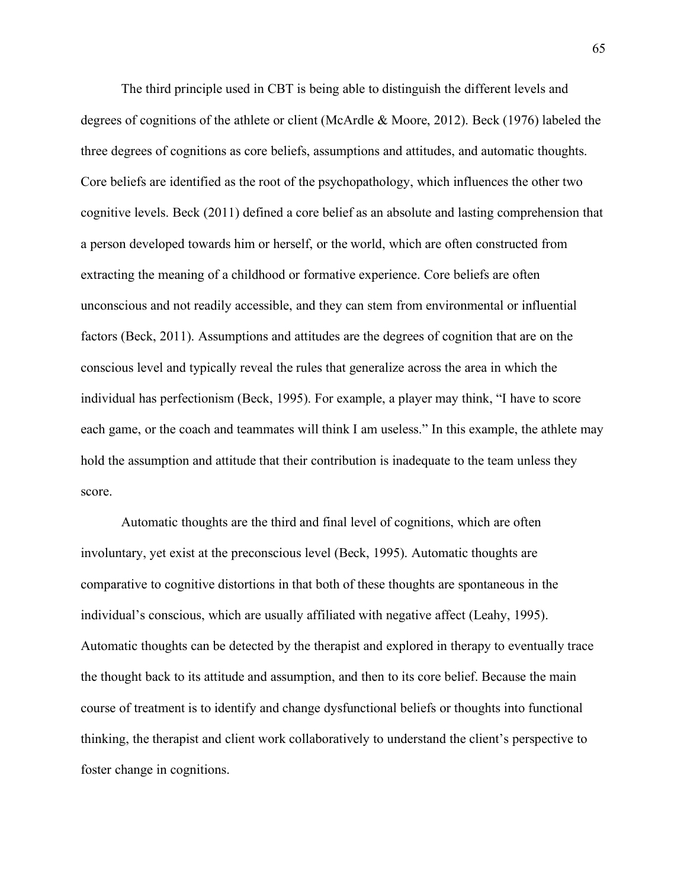The third principle used in CBT is being able to distinguish the different levels and degrees of cognitions of the athlete or client (McArdle & Moore, 2012). Beck (1976) labeled the three degrees of cognitions as core beliefs, assumptions and attitudes, and automatic thoughts. Core beliefs are identified as the root of the psychopathology, which influences the other two cognitive levels. Beck (2011) defined a core belief as an absolute and lasting comprehension that a person developed towards him or herself, or the world, which are often constructed from extracting the meaning of a childhood or formative experience. Core beliefs are often unconscious and not readily accessible, and they can stem from environmental or influential factors (Beck, 2011). Assumptions and attitudes are the degrees of cognition that are on the conscious level and typically reveal the rules that generalize across the area in which the individual has perfectionism (Beck, 1995). For example, a player may think, "I have to score each game, or the coach and teammates will think I am useless." In this example, the athlete may hold the assumption and attitude that their contribution is inadequate to the team unless they score.

Automatic thoughts are the third and final level of cognitions, which are often involuntary, yet exist at the preconscious level (Beck, 1995). Automatic thoughts are comparative to cognitive distortions in that both of these thoughts are spontaneous in the individual's conscious, which are usually affiliated with negative affect (Leahy, 1995). Automatic thoughts can be detected by the therapist and explored in therapy to eventually trace the thought back to its attitude and assumption, and then to its core belief. Because the main course of treatment is to identify and change dysfunctional beliefs or thoughts into functional thinking, the therapist and client work collaboratively to understand the client's perspective to foster change in cognitions.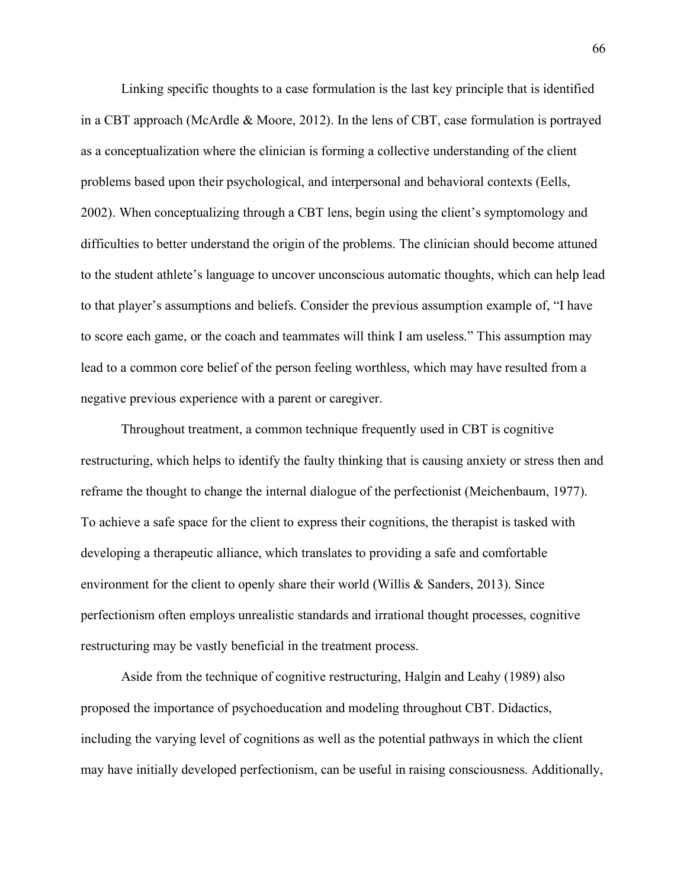Linking specific thoughts to a case formulation is the last key principle that is identified in a CBT approach (McArdle & Moore, 2012). In the lens of CBT, case formulation is portrayed as a conceptualization where the clinician is forming a collective understanding of the client problems based upon their psychological, and interpersonal and behavioral contexts (Eells, 2002). When conceptualizing through a CBT lens, begin using the client's symptomology and difficulties to better understand the origin of the problems. The clinician should become attuned to the student athlete's language to uncover unconscious automatic thoughts, which can help lead to that player's assumptions and beliefs. Consider the previous assumption example of, "I have to score each game, or the coach and teammates will think I am useless." This assumption may lead to a common core belief of the person feeling worthless, which may have resulted from a negative previous experience with a parent or caregiver.

Throughout treatment, a common technique frequently used in CBT is cognitive restructuring, which helps to identify the faulty thinking that is causing anxiety or stress then and reframe the thought to change the internal dialogue of the perfectionist (Meichenbaum, 1977). To achieve a safe space for the client to express their cognitions, the therapist is tasked with developing a therapeutic alliance, which translates to providing a safe and comfortable environment for the client to openly share their world (Willis & Sanders, 2013). Since perfectionism often employs unrealistic standards and irrational thought processes, cognitive restructuring may be vastly beneficial in the treatment process.

Aside from the technique of cognitive restructuring, Halgin and Leahy (1989) also proposed the importance of psychoeducation and modeling throughout CBT. Didactics, including the varying level of cognitions as well as the potential pathways in which the client may have initially developed perfectionism, can be useful in raising consciousness. Additionally,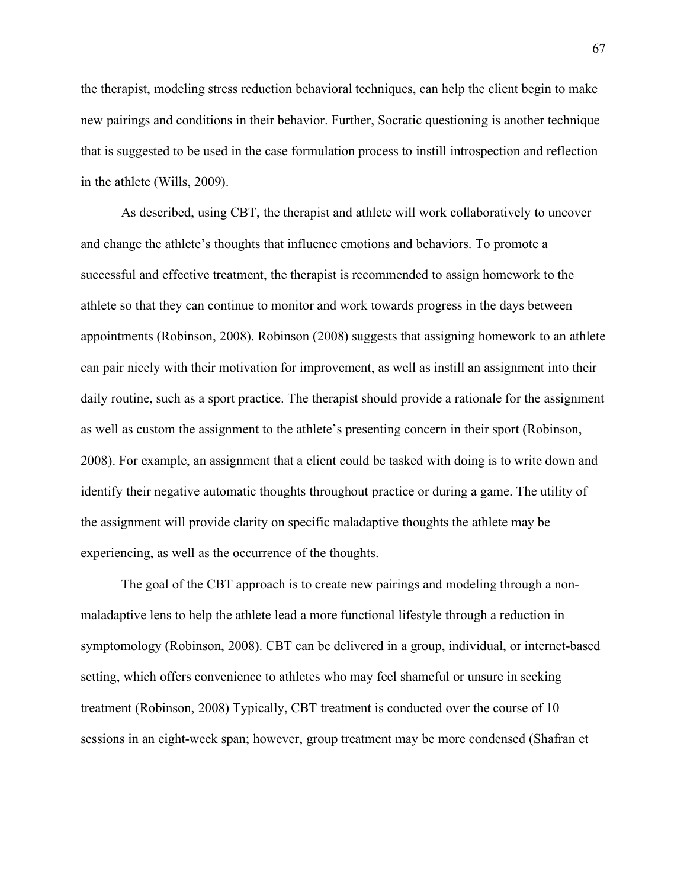the therapist, modeling stress reduction behavioral techniques, can help the client begin to make new pairings and conditions in their behavior. Further, Socratic questioning is another technique that is suggested to be used in the case formulation process to instill introspection and reflection in the athlete (Wills, 2009).

As described, using CBT, the therapist and athlete will work collaboratively to uncover and change the athlete's thoughts that influence emotions and behaviors. To promote a successful and effective treatment, the therapist is recommended to assign homework to the athlete so that they can continue to monitor and work towards progress in the days between appointments (Robinson, 2008). Robinson (2008) suggests that assigning homework to an athlete can pair nicely with their motivation for improvement, as well as instill an assignment into their daily routine, such as a sport practice. The therapist should provide a rationale for the assignment as well as custom the assignment to the athlete's presenting concern in their sport (Robinson, 2008). For example, an assignment that a client could be tasked with doing is to write down and identify their negative automatic thoughts throughout practice or during a game. The utility of the assignment will provide clarity on specific maladaptive thoughts the athlete may be experiencing, as well as the occurrence of the thoughts.

The goal of the CBT approach is to create new pairings and modeling through a nonmaladaptive lens to help the athlete lead a more functional lifestyle through a reduction in symptomology (Robinson, 2008). CBT can be delivered in a group, individual, or internet-based setting, which offers convenience to athletes who may feel shameful or unsure in seeking treatment (Robinson, 2008) Typically, CBT treatment is conducted over the course of 10 sessions in an eight-week span; however, group treatment may be more condensed (Shafran et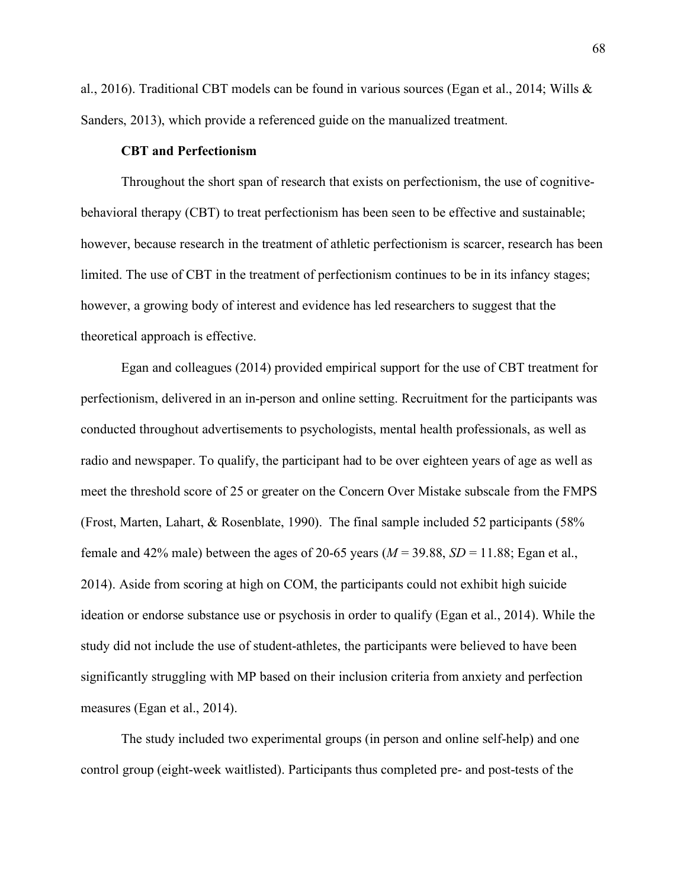al., 2016). Traditional CBT models can be found in various sources (Egan et al., 2014; Wills & Sanders, 2013), which provide a referenced guide on the manualized treatment.

# **CBT and Perfectionism**

Throughout the short span of research that exists on perfectionism, the use of cognitivebehavioral therapy (CBT) to treat perfectionism has been seen to be effective and sustainable; however, because research in the treatment of athletic perfectionism is scarcer, research has been limited. The use of CBT in the treatment of perfectionism continues to be in its infancy stages; however, a growing body of interest and evidence has led researchers to suggest that the theoretical approach is effective.

Egan and colleagues (2014) provided empirical support for the use of CBT treatment for perfectionism, delivered in an in-person and online setting. Recruitment for the participants was conducted throughout advertisements to psychologists, mental health professionals, as well as radio and newspaper. To qualify, the participant had to be over eighteen years of age as well as meet the threshold score of 25 or greater on the Concern Over Mistake subscale from the FMPS (Frost, Marten, Lahart, & Rosenblate, 1990). The final sample included 52 participants (58% female and 42% male) between the ages of 20-65 years ( $M = 39.88$ ,  $SD = 11.88$ ; Egan et al., 2014). Aside from scoring at high on COM, the participants could not exhibit high suicide ideation or endorse substance use or psychosis in order to qualify (Egan et al., 2014). While the study did not include the use of student-athletes, the participants were believed to have been significantly struggling with MP based on their inclusion criteria from anxiety and perfection measures (Egan et al., 2014).

The study included two experimental groups (in person and online self-help) and one control group (eight-week waitlisted). Participants thus completed pre- and post-tests of the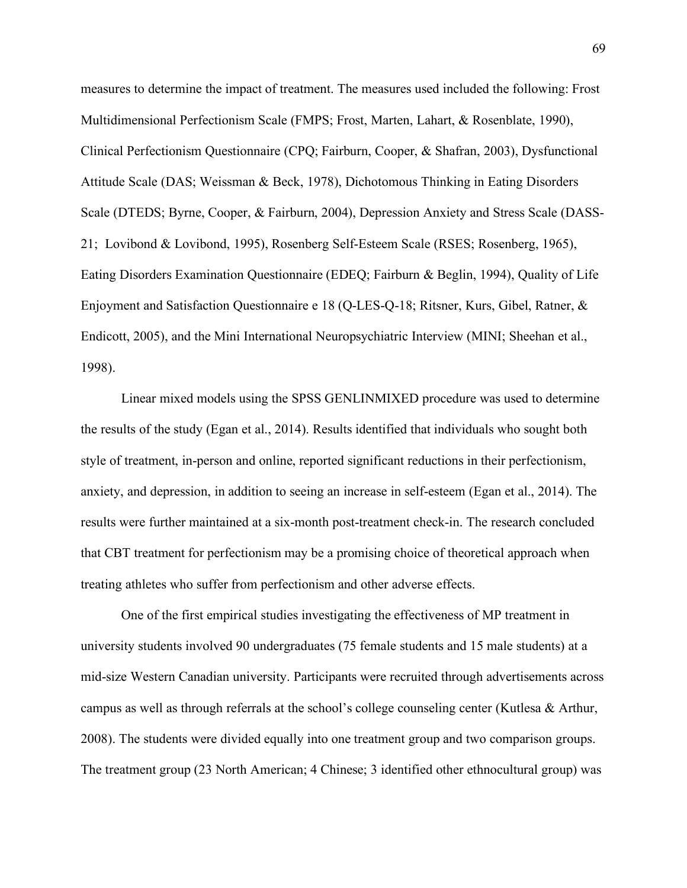measures to determine the impact of treatment. The measures used included the following: Frost Multidimensional Perfectionism Scale (FMPS; Frost, Marten, Lahart, & Rosenblate, 1990), Clinical Perfectionism Questionnaire (CPQ; Fairburn, Cooper, & Shafran, 2003), Dysfunctional Attitude Scale (DAS; Weissman & Beck, 1978), Dichotomous Thinking in Eating Disorders Scale (DTEDS; Byrne, Cooper, & Fairburn, 2004), Depression Anxiety and Stress Scale (DASS-21; Lovibond & Lovibond, 1995), Rosenberg Self-Esteem Scale (RSES; Rosenberg, 1965), Eating Disorders Examination Questionnaire (EDEQ; Fairburn & Beglin, 1994), Quality of Life Enjoyment and Satisfaction Questionnaire e 18 (Q-LES-Q-18; Ritsner, Kurs, Gibel, Ratner, & Endicott, 2005), and the Mini International Neuropsychiatric Interview (MINI; Sheehan et al., 1998).

Linear mixed models using the SPSS GENLINMIXED procedure was used to determine the results of the study (Egan et al., 2014). Results identified that individuals who sought both style of treatment, in-person and online, reported significant reductions in their perfectionism, anxiety, and depression, in addition to seeing an increase in self-esteem (Egan et al., 2014). The results were further maintained at a six-month post-treatment check-in. The research concluded that CBT treatment for perfectionism may be a promising choice of theoretical approach when treating athletes who suffer from perfectionism and other adverse effects.

One of the first empirical studies investigating the effectiveness of MP treatment in university students involved 90 undergraduates (75 female students and 15 male students) at a mid-size Western Canadian university. Participants were recruited through advertisements across campus as well as through referrals at the school's college counseling center (Kutlesa & Arthur, 2008). The students were divided equally into one treatment group and two comparison groups. The treatment group (23 North American; 4 Chinese; 3 identified other ethnocultural group) was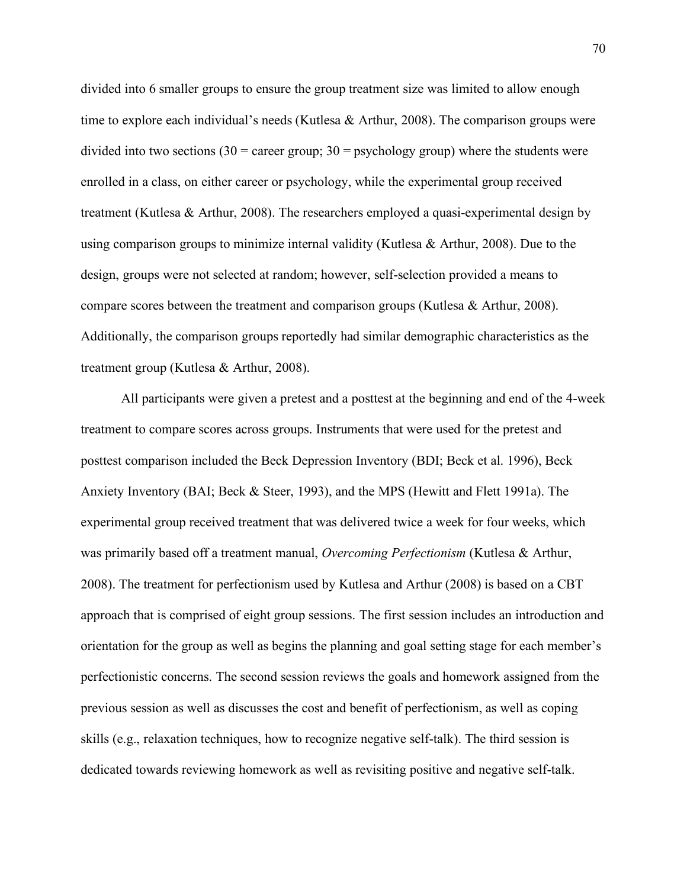divided into 6 smaller groups to ensure the group treatment size was limited to allow enough time to explore each individual's needs (Kutlesa & Arthur, 2008). The comparison groups were divided into two sections  $(30 = \text{career group}; 30 = \text{psychology group})$  where the students were enrolled in a class, on either career or psychology, while the experimental group received treatment (Kutlesa & Arthur, 2008). The researchers employed a quasi-experimental design by using comparison groups to minimize internal validity (Kutlesa & Arthur, 2008). Due to the design, groups were not selected at random; however, self-selection provided a means to compare scores between the treatment and comparison groups (Kutlesa & Arthur, 2008). Additionally, the comparison groups reportedly had similar demographic characteristics as the treatment group (Kutlesa & Arthur, 2008).

All participants were given a pretest and a posttest at the beginning and end of the 4-week treatment to compare scores across groups. Instruments that were used for the pretest and posttest comparison included the Beck Depression Inventory (BDI; Beck et al. 1996), Beck Anxiety Inventory (BAI; Beck & Steer, 1993), and the MPS (Hewitt and Flett 1991a). The experimental group received treatment that was delivered twice a week for four weeks, which was primarily based off a treatment manual, *Overcoming Perfectionism* (Kutlesa & Arthur, 2008). The treatment for perfectionism used by Kutlesa and Arthur (2008) is based on a CBT approach that is comprised of eight group sessions. The first session includes an introduction and orientation for the group as well as begins the planning and goal setting stage for each member's perfectionistic concerns. The second session reviews the goals and homework assigned from the previous session as well as discusses the cost and benefit of perfectionism, as well as coping skills (e.g., relaxation techniques, how to recognize negative self-talk). The third session is dedicated towards reviewing homework as well as revisiting positive and negative self-talk.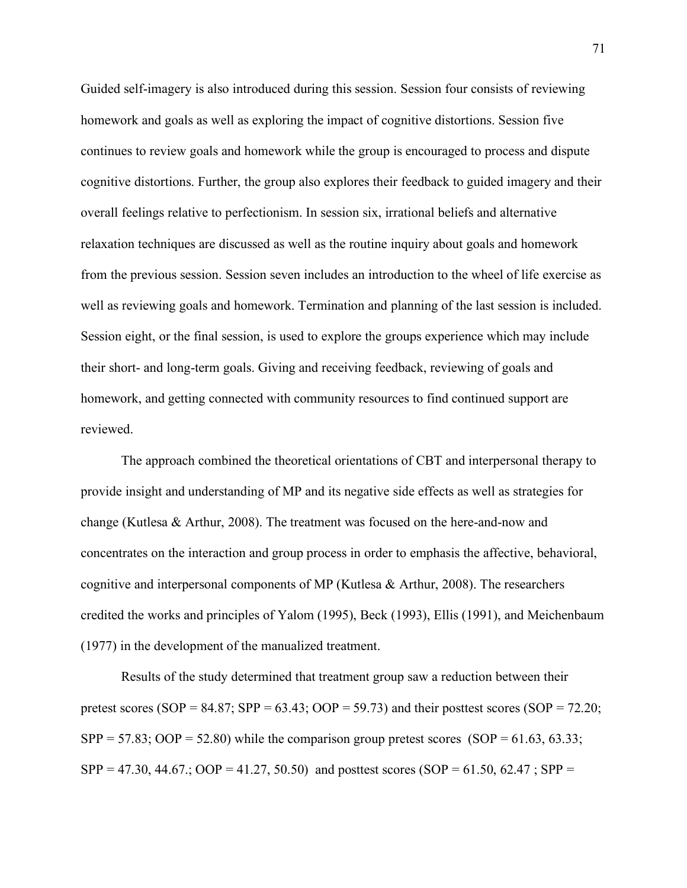Guided self-imagery is also introduced during this session. Session four consists of reviewing homework and goals as well as exploring the impact of cognitive distortions. Session five continues to review goals and homework while the group is encouraged to process and dispute cognitive distortions. Further, the group also explores their feedback to guided imagery and their overall feelings relative to perfectionism. In session six, irrational beliefs and alternative relaxation techniques are discussed as well as the routine inquiry about goals and homework from the previous session. Session seven includes an introduction to the wheel of life exercise as well as reviewing goals and homework. Termination and planning of the last session is included. Session eight, or the final session, is used to explore the groups experience which may include their short- and long-term goals. Giving and receiving feedback, reviewing of goals and homework, and getting connected with community resources to find continued support are reviewed.

The approach combined the theoretical orientations of CBT and interpersonal therapy to provide insight and understanding of MP and its negative side effects as well as strategies for change (Kutlesa & Arthur, 2008). The treatment was focused on the here-and-now and concentrates on the interaction and group process in order to emphasis the affective, behavioral, cognitive and interpersonal components of MP (Kutlesa & Arthur, 2008). The researchers credited the works and principles of Yalom (1995), Beck (1993), Ellis (1991), and Meichenbaum (1977) in the development of the manualized treatment.

Results of the study determined that treatment group saw a reduction between their pretest scores (SOP = 84.87; SPP = 63.43; OOP = 59.73) and their posttest scores (SOP = 72.20;  $SPP = 57.83$ ;  $OOP = 52.80$ ) while the comparison group pretest scores (SOP = 61.63, 63.33;  $SPP = 47.30, 44.67$ ;  $OOP = 41.27, 50.50$  and posttest scores  $(SOP = 61.50, 62.47; SPP =$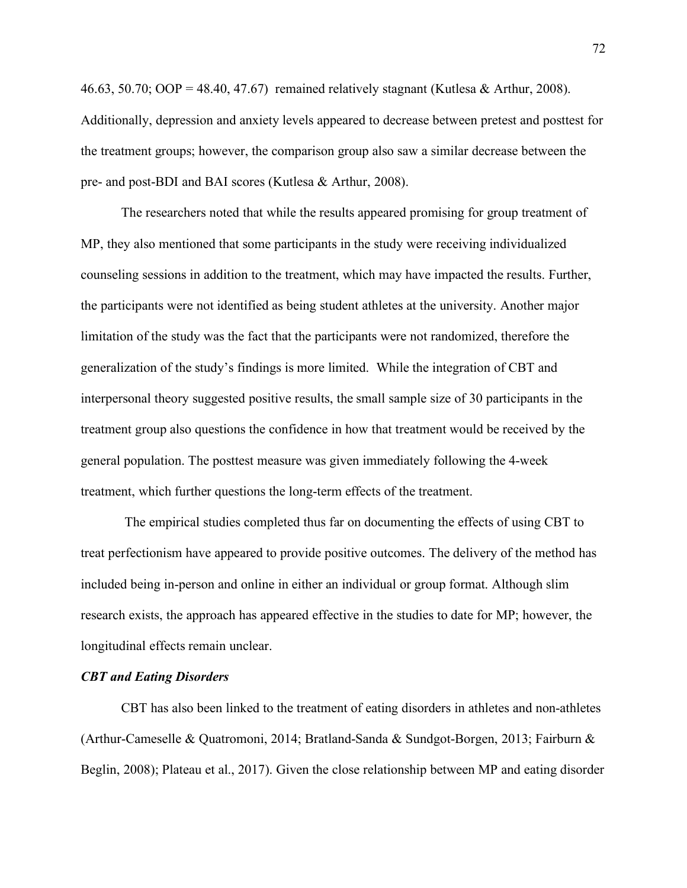46.63, 50.70; OOP = 48.40, 47.67) remained relatively stagnant (Kutlesa & Arthur, 2008). Additionally, depression and anxiety levels appeared to decrease between pretest and posttest for the treatment groups; however, the comparison group also saw a similar decrease between the pre- and post-BDI and BAI scores (Kutlesa & Arthur, 2008).

The researchers noted that while the results appeared promising for group treatment of MP, they also mentioned that some participants in the study were receiving individualized counseling sessions in addition to the treatment, which may have impacted the results. Further, the participants were not identified as being student athletes at the university. Another major limitation of the study was the fact that the participants were not randomized, therefore the generalization of the study's findings is more limited. While the integration of CBT and interpersonal theory suggested positive results, the small sample size of 30 participants in the treatment group also questions the confidence in how that treatment would be received by the general population. The posttest measure was given immediately following the 4-week treatment, which further questions the long-term effects of the treatment.

The empirical studies completed thus far on documenting the effects of using CBT to treat perfectionism have appeared to provide positive outcomes. The delivery of the method has included being in-person and online in either an individual or group format. Although slim research exists, the approach has appeared effective in the studies to date for MP; however, the longitudinal effects remain unclear.

## *CBT and Eating Disorders*

CBT has also been linked to the treatment of eating disorders in athletes and non-athletes (Arthur-Cameselle & Quatromoni, 2014; Bratland-Sanda & Sundgot-Borgen, 2013; Fairburn & Beglin, 2008); Plateau et al., 2017). Given the close relationship between MP and eating disorder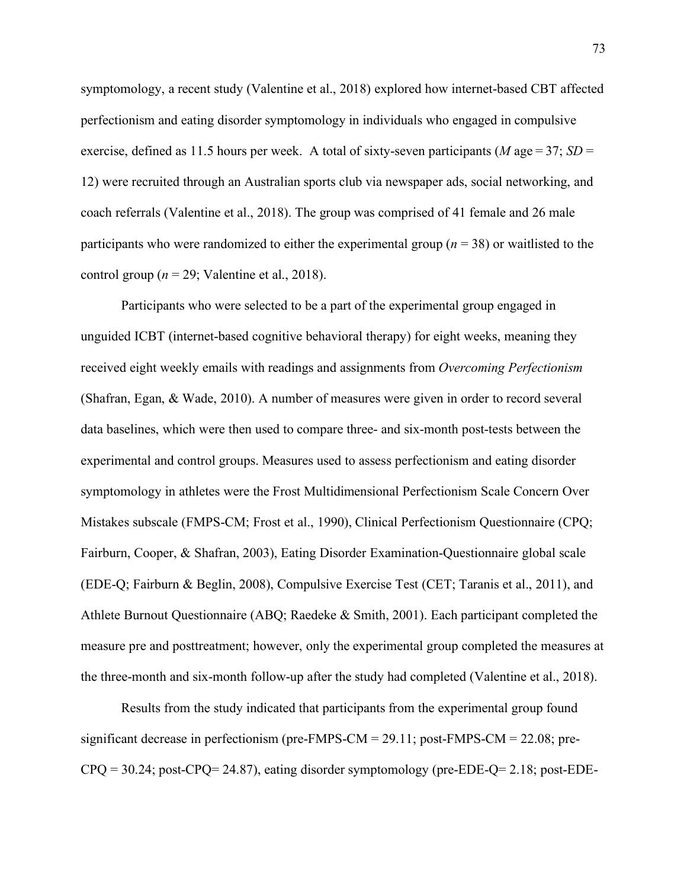symptomology, a recent study (Valentine et al., 2018) explored how internet-based CBT affected perfectionism and eating disorder symptomology in individuals who engaged in compulsive exercise, defined as 11.5 hours per week. A total of sixty-seven participants ( $M$  age = 37;  $SD$  = 12) were recruited through an Australian sports club via newspaper ads, social networking, and coach referrals (Valentine et al., 2018). The group was comprised of 41 female and 26 male participants who were randomized to either the experimental group (*n* = 38) or waitlisted to the control group ( $n = 29$ ; Valentine et al., 2018).

Participants who were selected to be a part of the experimental group engaged in unguided ICBT (internet-based cognitive behavioral therapy) for eight weeks, meaning they received eight weekly emails with readings and assignments from *Overcoming Perfectionism* (Shafran, Egan, & Wade, 2010). A number of measures were given in order to record several data baselines, which were then used to compare three- and six-month post-tests between the experimental and control groups. Measures used to assess perfectionism and eating disorder symptomology in athletes were the Frost Multidimensional Perfectionism Scale Concern Over Mistakes subscale (FMPS-CM; Frost et al., 1990), Clinical Perfectionism Questionnaire (CPQ; Fairburn, Cooper, & Shafran, 2003), Eating Disorder Examination-Questionnaire global scale (EDE-Q; Fairburn & Beglin, 2008), Compulsive Exercise Test (CET; Taranis et al., 2011), and Athlete Burnout Questionnaire (ABQ; Raedeke & Smith, 2001). Each participant completed the measure pre and posttreatment; however, only the experimental group completed the measures at the three-month and six-month follow-up after the study had completed (Valentine et al., 2018).

Results from the study indicated that participants from the experimental group found significant decrease in perfectionism (pre-FMPS-CM = 29.11; post-FMPS-CM = 22.08; pre-CPQ = 30.24; post-CPQ= 24.87), eating disorder symptomology (pre-EDE-Q= 2.18; post-EDE-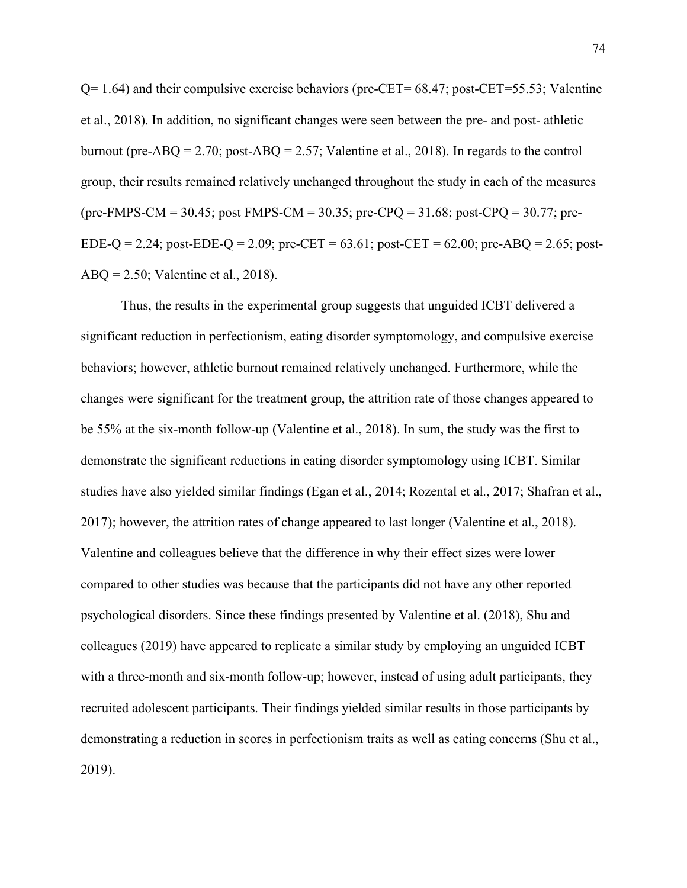$Q= 1.64$ ) and their compulsive exercise behaviors (pre-CET=  $68.47$ ; post-CET=55.53; Valentine et al., 2018). In addition, no significant changes were seen between the pre- and post- athletic burnout (pre-ABQ = 2.70; post-ABQ = 2.57; Valentine et al., 2018). In regards to the control group, their results remained relatively unchanged throughout the study in each of the measures (pre-FMPS-CM = 30.45; post FMPS-CM = 30.35; pre-CPQ = 31.68; post-CPQ = 30.77; pre-EDE-Q = 2.24; post-EDE-Q = 2.09; pre-CET =  $63.61$ ; post-CET =  $62.00$ ; pre-ABQ = 2.65; post-ABQ = 2.50; Valentine et al., 2018).

Thus, the results in the experimental group suggests that unguided ICBT delivered a significant reduction in perfectionism, eating disorder symptomology, and compulsive exercise behaviors; however, athletic burnout remained relatively unchanged. Furthermore, while the changes were significant for the treatment group, the attrition rate of those changes appeared to be 55% at the six-month follow-up (Valentine et al., 2018). In sum, the study was the first to demonstrate the significant reductions in eating disorder symptomology using ICBT. Similar studies have also yielded similar findings (Egan et al., 2014; Rozental et al., 2017; Shafran et al., 2017); however, the attrition rates of change appeared to last longer (Valentine et al., 2018). Valentine and colleagues believe that the difference in why their effect sizes were lower compared to other studies was because that the participants did not have any other reported psychological disorders. Since these findings presented by Valentine et al. (2018), Shu and colleagues (2019) have appeared to replicate a similar study by employing an unguided ICBT with a three-month and six-month follow-up; however, instead of using adult participants, they recruited adolescent participants. Their findings yielded similar results in those participants by demonstrating a reduction in scores in perfectionism traits as well as eating concerns (Shu et al., 2019).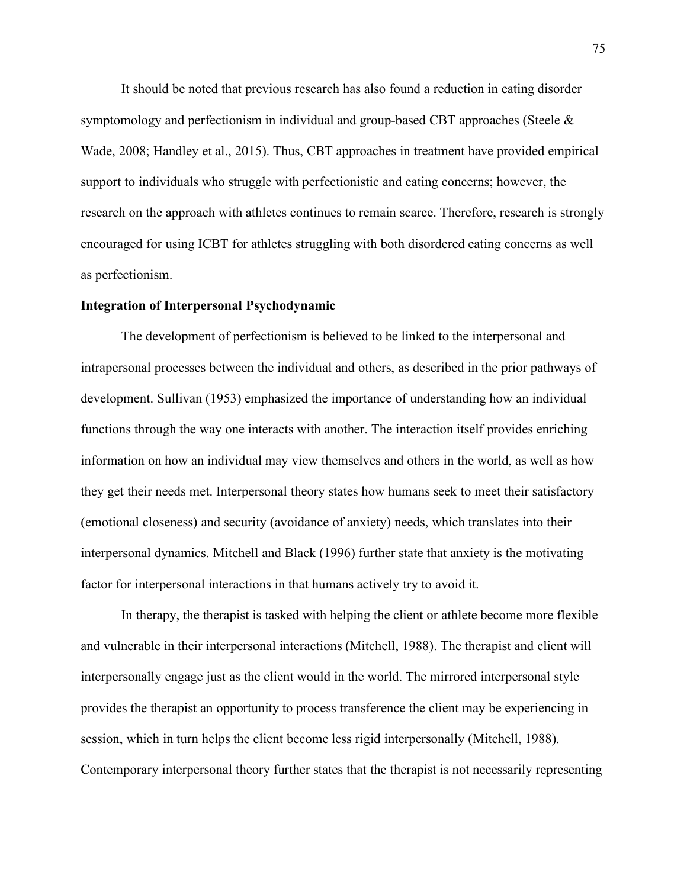It should be noted that previous research has also found a reduction in eating disorder symptomology and perfectionism in individual and group-based CBT approaches (Steele & Wade, 2008; Handley et al., 2015). Thus, CBT approaches in treatment have provided empirical support to individuals who struggle with perfectionistic and eating concerns; however, the research on the approach with athletes continues to remain scarce. Therefore, research is strongly encouraged for using ICBT for athletes struggling with both disordered eating concerns as well as perfectionism.

## **Integration of Interpersonal Psychodynamic**

The development of perfectionism is believed to be linked to the interpersonal and intrapersonal processes between the individual and others, as described in the prior pathways of development. Sullivan (1953) emphasized the importance of understanding how an individual functions through the way one interacts with another. The interaction itself provides enriching information on how an individual may view themselves and others in the world, as well as how they get their needs met. Interpersonal theory states how humans seek to meet their satisfactory (emotional closeness) and security (avoidance of anxiety) needs, which translates into their interpersonal dynamics. Mitchell and Black (1996) further state that anxiety is the motivating factor for interpersonal interactions in that humans actively try to avoid it.

In therapy, the therapist is tasked with helping the client or athlete become more flexible and vulnerable in their interpersonal interactions (Mitchell, 1988). The therapist and client will interpersonally engage just as the client would in the world. The mirrored interpersonal style provides the therapist an opportunity to process transference the client may be experiencing in session, which in turn helps the client become less rigid interpersonally (Mitchell, 1988). Contemporary interpersonal theory further states that the therapist is not necessarily representing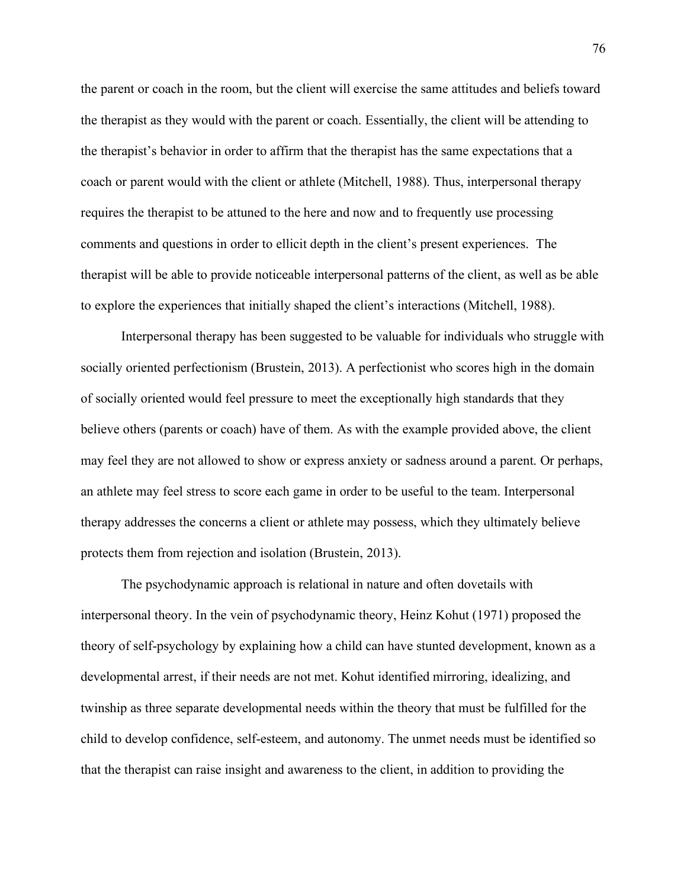the parent or coach in the room, but the client will exercise the same attitudes and beliefs toward the therapist as they would with the parent or coach. Essentially, the client will be attending to the therapist's behavior in order to affirm that the therapist has the same expectations that a coach or parent would with the client or athlete (Mitchell, 1988). Thus, interpersonal therapy requires the therapist to be attuned to the here and now and to frequently use processing comments and questions in order to ellicit depth in the client's present experiences. The therapist will be able to provide noticeable interpersonal patterns of the client, as well as be able to explore the experiences that initially shaped the client's interactions (Mitchell, 1988).

Interpersonal therapy has been suggested to be valuable for individuals who struggle with socially oriented perfectionism (Brustein, 2013). A perfectionist who scores high in the domain of socially oriented would feel pressure to meet the exceptionally high standards that they believe others (parents or coach) have of them. As with the example provided above, the client may feel they are not allowed to show or express anxiety or sadness around a parent. Or perhaps, an athlete may feel stress to score each game in order to be useful to the team. Interpersonal therapy addresses the concerns a client or athlete may possess, which they ultimately believe protects them from rejection and isolation (Brustein, 2013).

The psychodynamic approach is relational in nature and often dovetails with interpersonal theory. In the vein of psychodynamic theory, Heinz Kohut (1971) proposed the theory of self-psychology by explaining how a child can have stunted development, known as a developmental arrest, if their needs are not met. Kohut identified mirroring, idealizing, and twinship as three separate developmental needs within the theory that must be fulfilled for the child to develop confidence, self-esteem, and autonomy. The unmet needs must be identified so that the therapist can raise insight and awareness to the client, in addition to providing the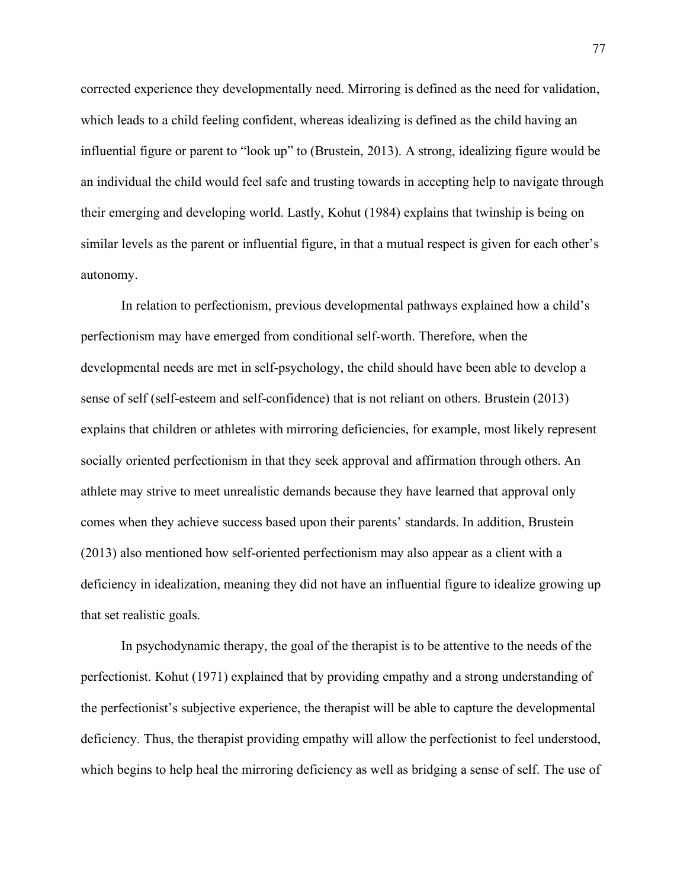corrected experience they developmentally need. Mirroring is defined as the need for validation, which leads to a child feeling confident, whereas idealizing is defined as the child having an influential figure or parent to "look up" to (Brustein, 2013). A strong, idealizing figure would be an individual the child would feel safe and trusting towards in accepting help to navigate through their emerging and developing world. Lastly, Kohut (1984) explains that twinship is being on similar levels as the parent or influential figure, in that a mutual respect is given for each other's autonomy.

In relation to perfectionism, previous developmental pathways explained how a child's perfectionism may have emerged from conditional self-worth. Therefore, when the developmental needs are met in self-psychology, the child should have been able to develop a sense of self (self-esteem and self-confidence) that is not reliant on others. Brustein (2013) explains that children or athletes with mirroring deficiencies, for example, most likely represent socially oriented perfectionism in that they seek approval and affirmation through others. An athlete may strive to meet unrealistic demands because they have learned that approval only comes when they achieve success based upon their parents' standards. In addition, Brustein (2013) also mentioned how self-oriented perfectionism may also appear as a client with a deficiency in idealization, meaning they did not have an influential figure to idealize growing up that set realistic goals.

In psychodynamic therapy, the goal of the therapist is to be attentive to the needs of the perfectionist. Kohut (1971) explained that by providing empathy and a strong understanding of the perfectionist's subjective experience, the therapist will be able to capture the developmental deficiency. Thus, the therapist providing empathy will allow the perfectionist to feel understood, which begins to help heal the mirroring deficiency as well as bridging a sense of self. The use of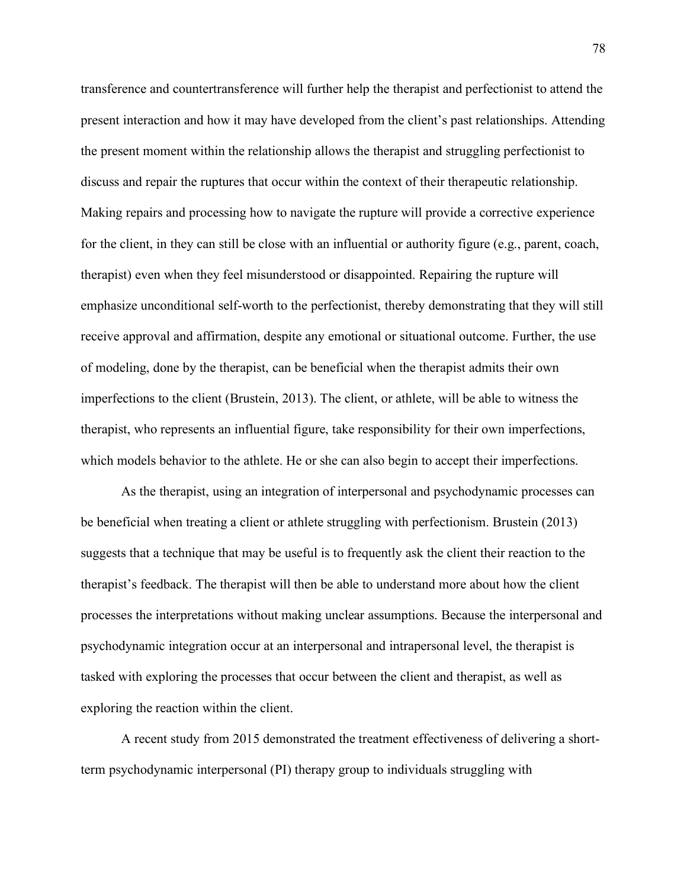transference and countertransference will further help the therapist and perfectionist to attend the present interaction and how it may have developed from the client's past relationships. Attending the present moment within the relationship allows the therapist and struggling perfectionist to discuss and repair the ruptures that occur within the context of their therapeutic relationship. Making repairs and processing how to navigate the rupture will provide a corrective experience for the client, in they can still be close with an influential or authority figure (e.g., parent, coach, therapist) even when they feel misunderstood or disappointed. Repairing the rupture will emphasize unconditional self-worth to the perfectionist, thereby demonstrating that they will still receive approval and affirmation, despite any emotional or situational outcome. Further, the use of modeling, done by the therapist, can be beneficial when the therapist admits their own imperfections to the client (Brustein, 2013). The client, or athlete, will be able to witness the therapist, who represents an influential figure, take responsibility for their own imperfections, which models behavior to the athlete. He or she can also begin to accept their imperfections.

As the therapist, using an integration of interpersonal and psychodynamic processes can be beneficial when treating a client or athlete struggling with perfectionism. Brustein (2013) suggests that a technique that may be useful is to frequently ask the client their reaction to the therapist's feedback. The therapist will then be able to understand more about how the client processes the interpretations without making unclear assumptions. Because the interpersonal and psychodynamic integration occur at an interpersonal and intrapersonal level, the therapist is tasked with exploring the processes that occur between the client and therapist, as well as exploring the reaction within the client.

A recent study from 2015 demonstrated the treatment effectiveness of delivering a shortterm psychodynamic interpersonal (PI) therapy group to individuals struggling with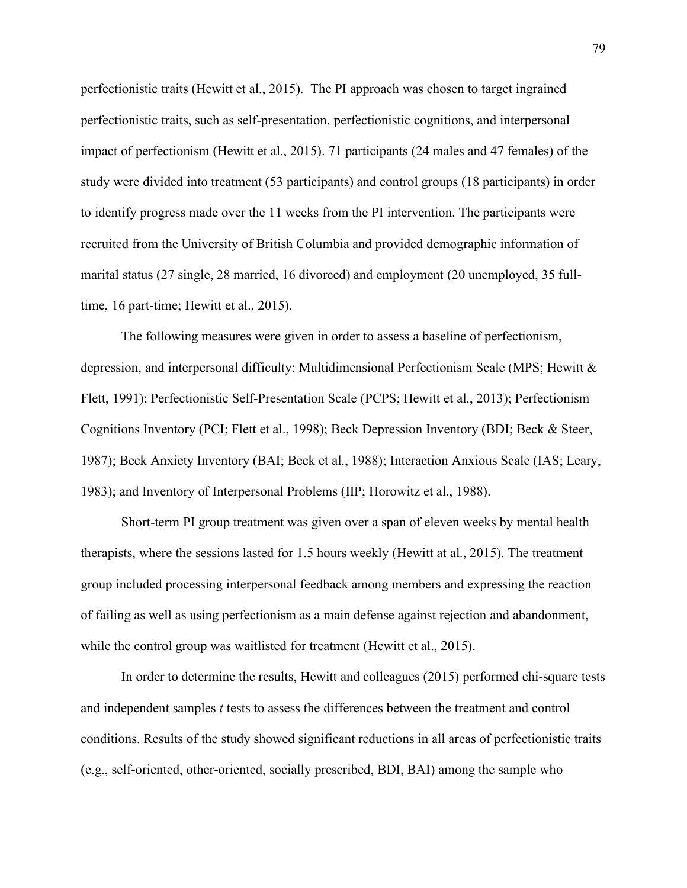perfectionistic traits (Hewitt et al., 2015). The PI approach was chosen to target ingrained perfectionistic traits, such as self-presentation, perfectionistic cognitions, and interpersonal impact of perfectionism (Hewitt et al., 2015). 71 participants (24 males and 47 females) of the study were divided into treatment (53 participants) and control groups (18 participants) in order to identify progress made over the 11 weeks from the PI intervention. The participants were recruited from the University of British Columbia and provided demographic information of marital status (27 single, 28 married, 16 divorced) and employment (20 unemployed, 35 fulltime, 16 part-time; Hewitt et al., 2015).

The following measures were given in order to assess a baseline of perfectionism, depression, and interpersonal difficulty: Multidimensional Perfectionism Scale (MPS; Hewitt & Flett, 1991); Perfectionistic Self-Presentation Scale (PCPS; Hewitt et al., 2013); Perfectionism Cognitions Inventory (PCI; Flett et al., 1998); Beck Depression Inventory (BDI; Beck & Steer, 1987); Beck Anxiety Inventory (BAI; Beck et al., 1988); Interaction Anxious Scale (IAS; Leary, 1983); and Inventory of Interpersonal Problems (IIP; Horowitz et al., 1988).

Short-term PI group treatment was given over a span of eleven weeks by mental health therapists, where the sessions lasted for 1.5 hours weekly (Hewitt at al., 2015). The treatment group included processing interpersonal feedback among members and expressing the reaction of failing as well as using perfectionism as a main defense against rejection and abandonment, while the control group was waitlisted for treatment (Hewitt et al., 2015).

In order to determine the results, Hewitt and colleagues (2015) performed chi-square tests and independent samples *t* tests to assess the differences between the treatment and control conditions. Results of the study showed significant reductions in all areas of perfectionistic traits (e.g., self-oriented, other-oriented, socially prescribed, BDI, BAI) among the sample who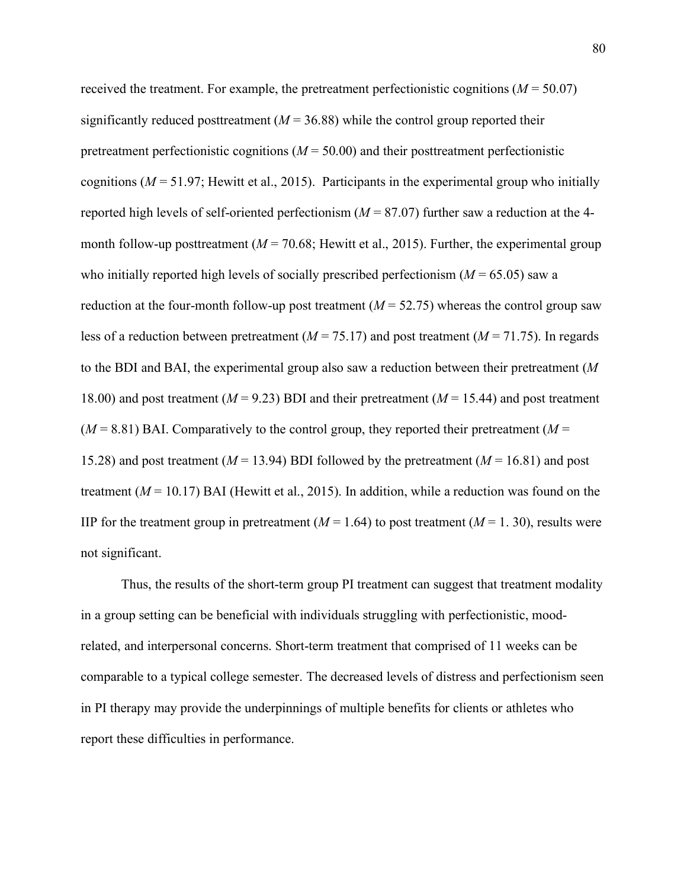received the treatment. For example, the pretreatment perfectionistic cognitions ( $M = 50.07$ ) significantly reduced posttreatment  $(M = 36.88)$  while the control group reported their pretreatment perfectionistic cognitions  $(M = 50.00)$  and their posttreatment perfectionistic cognitions (*M* = 51.97; Hewitt et al., 2015). Participants in the experimental group who initially reported high levels of self-oriented perfectionism  $(M = 87.07)$  further saw a reduction at the 4month follow-up posttreatment  $(M = 70.68;$  Hewitt et al., 2015). Further, the experimental group who initially reported high levels of socially prescribed perfectionism  $(M = 65.05)$  saw a reduction at the four-month follow-up post treatment  $(M = 52.75)$  whereas the control group saw less of a reduction between pretreatment ( $M = 75.17$ ) and post treatment ( $M = 71.75$ ). In regards to the BDI and BAI, the experimental group also saw a reduction between their pretreatment (*M* 18.00) and post treatment (*M* = 9.23) BDI and their pretreatment (*M* = 15.44) and post treatment  $(M = 8.81)$  BAI. Comparatively to the control group, they reported their pretreatment  $(M = 8.81)$ 15.28) and post treatment (*M* = 13.94) BDI followed by the pretreatment (*M* = 16.81) and post treatment (*M* = 10.17) BAI (Hewitt et al., 2015). In addition, while a reduction was found on the IIP for the treatment group in pretreatment  $(M = 1.64)$  to post treatment  $(M = 1.30)$ , results were not significant.

Thus, the results of the short-term group PI treatment can suggest that treatment modality in a group setting can be beneficial with individuals struggling with perfectionistic, moodrelated, and interpersonal concerns. Short-term treatment that comprised of 11 weeks can be comparable to a typical college semester. The decreased levels of distress and perfectionism seen in PI therapy may provide the underpinnings of multiple benefits for clients or athletes who report these difficulties in performance.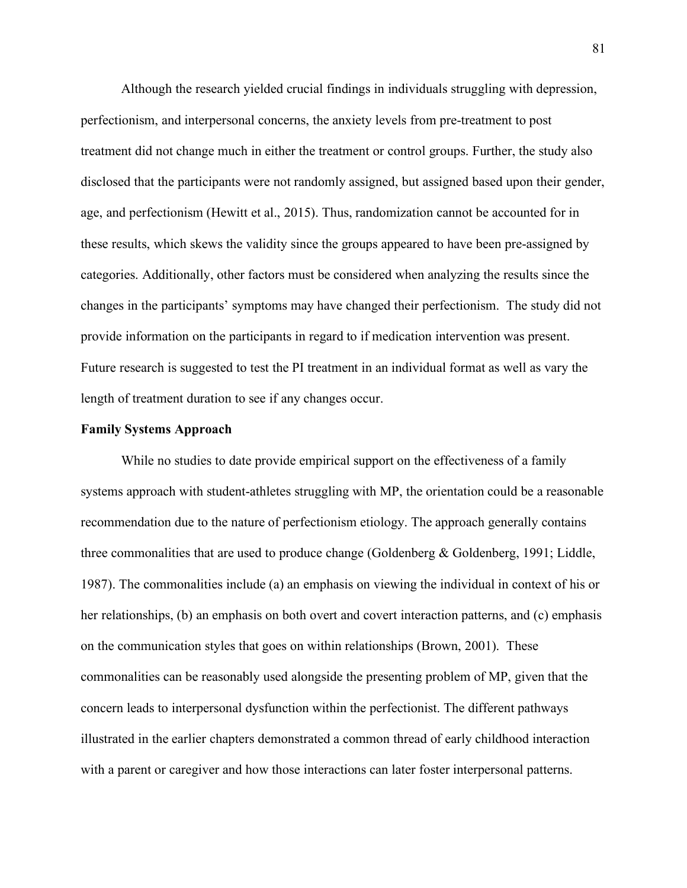Although the research yielded crucial findings in individuals struggling with depression, perfectionism, and interpersonal concerns, the anxiety levels from pre-treatment to post treatment did not change much in either the treatment or control groups. Further, the study also disclosed that the participants were not randomly assigned, but assigned based upon their gender, age, and perfectionism (Hewitt et al., 2015). Thus, randomization cannot be accounted for in these results, which skews the validity since the groups appeared to have been pre-assigned by categories. Additionally, other factors must be considered when analyzing the results since the changes in the participants' symptoms may have changed their perfectionism. The study did not provide information on the participants in regard to if medication intervention was present. Future research is suggested to test the PI treatment in an individual format as well as vary the length of treatment duration to see if any changes occur.

### **Family Systems Approach**

While no studies to date provide empirical support on the effectiveness of a family systems approach with student-athletes struggling with MP, the orientation could be a reasonable recommendation due to the nature of perfectionism etiology. The approach generally contains three commonalities that are used to produce change (Goldenberg & Goldenberg, 1991; Liddle, 1987). The commonalities include (a) an emphasis on viewing the individual in context of his or her relationships, (b) an emphasis on both overt and covert interaction patterns, and (c) emphasis on the communication styles that goes on within relationships (Brown, 2001). These commonalities can be reasonably used alongside the presenting problem of MP, given that the concern leads to interpersonal dysfunction within the perfectionist. The different pathways illustrated in the earlier chapters demonstrated a common thread of early childhood interaction with a parent or caregiver and how those interactions can later foster interpersonal patterns.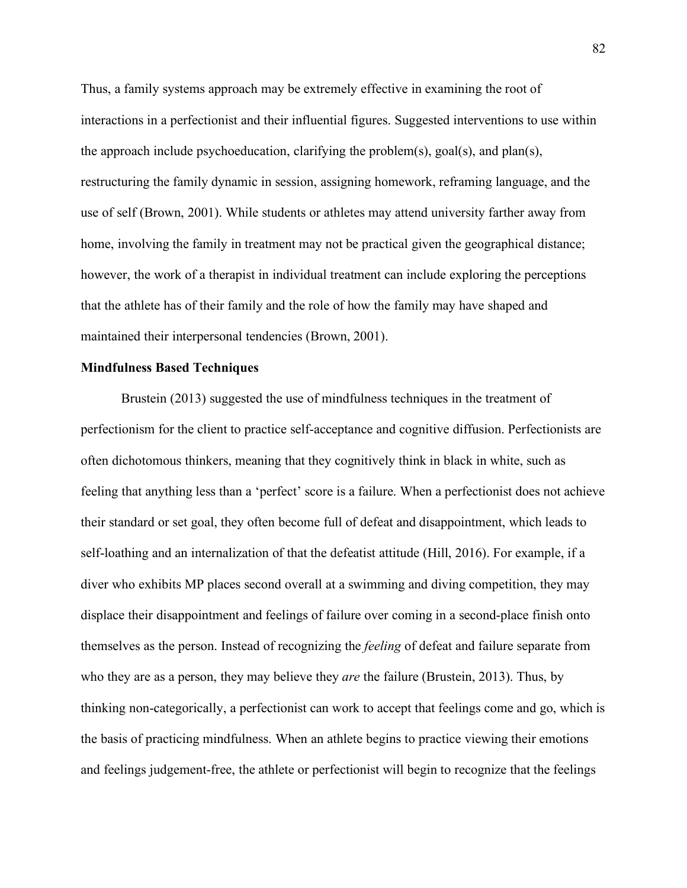Thus, a family systems approach may be extremely effective in examining the root of interactions in a perfectionist and their influential figures. Suggested interventions to use within the approach include psychoeducation, clarifying the problem(s), goal(s), and plan(s), restructuring the family dynamic in session, assigning homework, reframing language, and the use of self (Brown, 2001). While students or athletes may attend university farther away from home, involving the family in treatment may not be practical given the geographical distance; however, the work of a therapist in individual treatment can include exploring the perceptions that the athlete has of their family and the role of how the family may have shaped and maintained their interpersonal tendencies (Brown, 2001).

### **Mindfulness Based Techniques**

Brustein (2013) suggested the use of mindfulness techniques in the treatment of perfectionism for the client to practice self-acceptance and cognitive diffusion. Perfectionists are often dichotomous thinkers, meaning that they cognitively think in black in white, such as feeling that anything less than a 'perfect' score is a failure. When a perfectionist does not achieve their standard or set goal, they often become full of defeat and disappointment, which leads to self-loathing and an internalization of that the defeatist attitude (Hill, 2016). For example, if a diver who exhibits MP places second overall at a swimming and diving competition, they may displace their disappointment and feelings of failure over coming in a second-place finish onto themselves as the person. Instead of recognizing the *feeling* of defeat and failure separate from who they are as a person, they may believe they *are* the failure (Brustein, 2013). Thus, by thinking non-categorically, a perfectionist can work to accept that feelings come and go, which is the basis of practicing mindfulness. When an athlete begins to practice viewing their emotions and feelings judgement-free, the athlete or perfectionist will begin to recognize that the feelings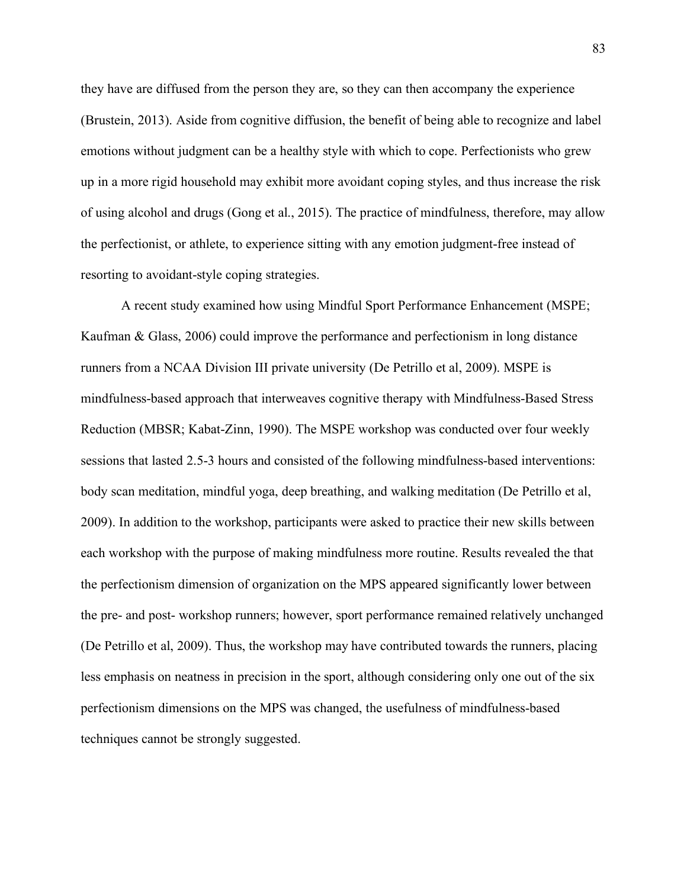they have are diffused from the person they are, so they can then accompany the experience (Brustein, 2013). Aside from cognitive diffusion, the benefit of being able to recognize and label emotions without judgment can be a healthy style with which to cope. Perfectionists who grew up in a more rigid household may exhibit more avoidant coping styles, and thus increase the risk of using alcohol and drugs (Gong et al., 2015). The practice of mindfulness, therefore, may allow the perfectionist, or athlete, to experience sitting with any emotion judgment-free instead of resorting to avoidant-style coping strategies.

A recent study examined how using Mindful Sport Performance Enhancement (MSPE; Kaufman & Glass, 2006) could improve the performance and perfectionism in long distance runners from a NCAA Division III private university (De Petrillo et al, 2009). MSPE is mindfulness-based approach that interweaves cognitive therapy with Mindfulness-Based Stress Reduction (MBSR; Kabat-Zinn, 1990). The MSPE workshop was conducted over four weekly sessions that lasted 2.5-3 hours and consisted of the following mindfulness-based interventions: body scan meditation, mindful yoga, deep breathing, and walking meditation (De Petrillo et al, 2009). In addition to the workshop, participants were asked to practice their new skills between each workshop with the purpose of making mindfulness more routine. Results revealed the that the perfectionism dimension of organization on the MPS appeared significantly lower between the pre- and post- workshop runners; however, sport performance remained relatively unchanged (De Petrillo et al, 2009). Thus, the workshop may have contributed towards the runners, placing less emphasis on neatness in precision in the sport, although considering only one out of the six perfectionism dimensions on the MPS was changed, the usefulness of mindfulness-based techniques cannot be strongly suggested.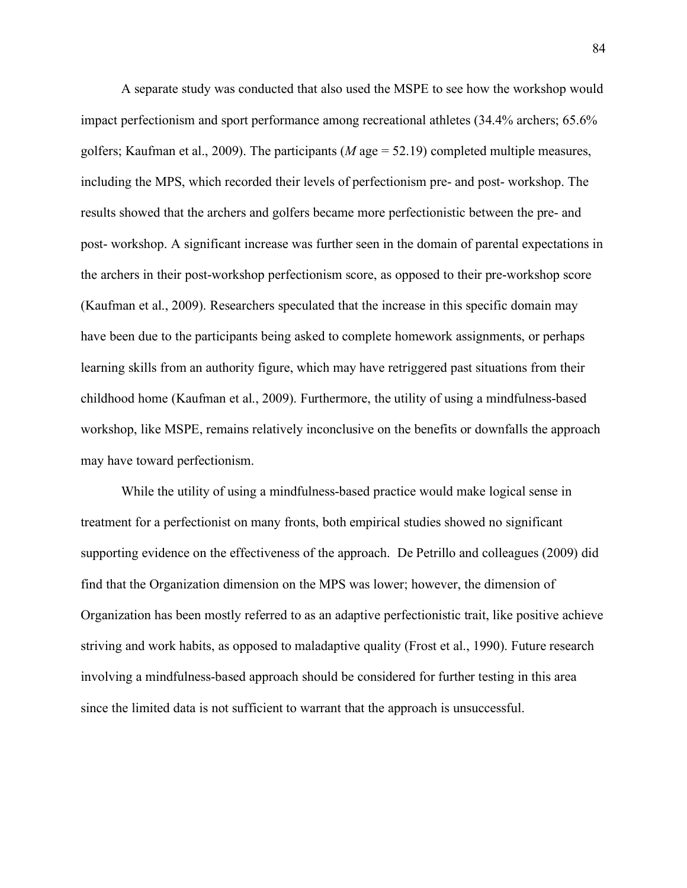A separate study was conducted that also used the MSPE to see how the workshop would impact perfectionism and sport performance among recreational athletes (34.4% archers; 65.6% golfers; Kaufman et al., 2009). The participants (*M* age = 52.19) completed multiple measures, including the MPS, which recorded their levels of perfectionism pre- and post- workshop. The results showed that the archers and golfers became more perfectionistic between the pre- and post- workshop. A significant increase was further seen in the domain of parental expectations in the archers in their post-workshop perfectionism score, as opposed to their pre-workshop score (Kaufman et al., 2009). Researchers speculated that the increase in this specific domain may have been due to the participants being asked to complete homework assignments, or perhaps learning skills from an authority figure, which may have retriggered past situations from their childhood home (Kaufman et al., 2009). Furthermore, the utility of using a mindfulness-based workshop, like MSPE, remains relatively inconclusive on the benefits or downfalls the approach may have toward perfectionism.

While the utility of using a mindfulness-based practice would make logical sense in treatment for a perfectionist on many fronts, both empirical studies showed no significant supporting evidence on the effectiveness of the approach. De Petrillo and colleagues (2009) did find that the Organization dimension on the MPS was lower; however, the dimension of Organization has been mostly referred to as an adaptive perfectionistic trait, like positive achieve striving and work habits, as opposed to maladaptive quality (Frost et al., 1990). Future research involving a mindfulness-based approach should be considered for further testing in this area since the limited data is not sufficient to warrant that the approach is unsuccessful.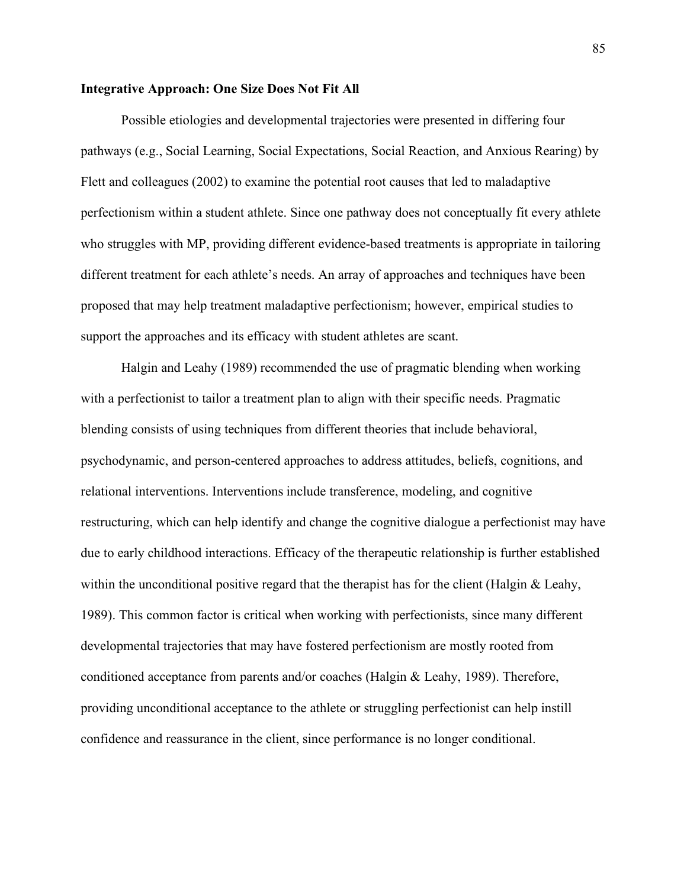## **Integrative Approach: One Size Does Not Fit All**

Possible etiologies and developmental trajectories were presented in differing four pathways (e.g., Social Learning, Social Expectations, Social Reaction, and Anxious Rearing) by Flett and colleagues (2002) to examine the potential root causes that led to maladaptive perfectionism within a student athlete. Since one pathway does not conceptually fit every athlete who struggles with MP, providing different evidence-based treatments is appropriate in tailoring different treatment for each athlete's needs. An array of approaches and techniques have been proposed that may help treatment maladaptive perfectionism; however, empirical studies to support the approaches and its efficacy with student athletes are scant.

Halgin and Leahy (1989) recommended the use of pragmatic blending when working with a perfectionist to tailor a treatment plan to align with their specific needs. Pragmatic blending consists of using techniques from different theories that include behavioral, psychodynamic, and person-centered approaches to address attitudes, beliefs, cognitions, and relational interventions. Interventions include transference, modeling, and cognitive restructuring, which can help identify and change the cognitive dialogue a perfectionist may have due to early childhood interactions. Efficacy of the therapeutic relationship is further established within the unconditional positive regard that the therapist has for the client (Halgin  $&$  Leahy, 1989). This common factor is critical when working with perfectionists, since many different developmental trajectories that may have fostered perfectionism are mostly rooted from conditioned acceptance from parents and/or coaches (Halgin & Leahy, 1989). Therefore, providing unconditional acceptance to the athlete or struggling perfectionist can help instill confidence and reassurance in the client, since performance is no longer conditional.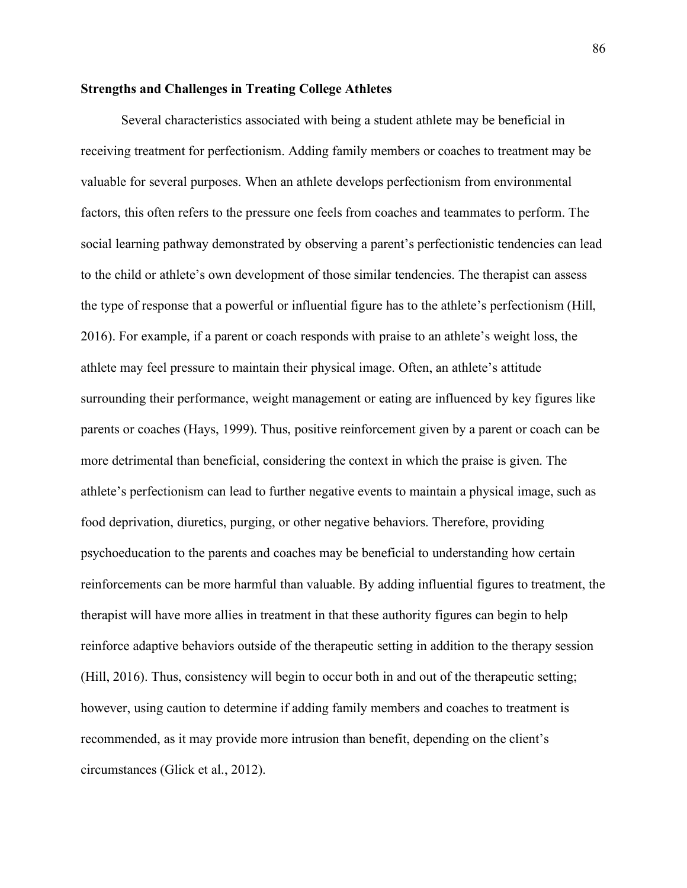# **Strengths and Challenges in Treating College Athletes**

Several characteristics associated with being a student athlete may be beneficial in receiving treatment for perfectionism. Adding family members or coaches to treatment may be valuable for several purposes. When an athlete develops perfectionism from environmental factors, this often refers to the pressure one feels from coaches and teammates to perform. The social learning pathway demonstrated by observing a parent's perfectionistic tendencies can lead to the child or athlete's own development of those similar tendencies. The therapist can assess the type of response that a powerful or influential figure has to the athlete's perfectionism (Hill, 2016). For example, if a parent or coach responds with praise to an athlete's weight loss, the athlete may feel pressure to maintain their physical image. Often, an athlete's attitude surrounding their performance, weight management or eating are influenced by key figures like parents or coaches (Hays, 1999). Thus, positive reinforcement given by a parent or coach can be more detrimental than beneficial, considering the context in which the praise is given. The athlete's perfectionism can lead to further negative events to maintain a physical image, such as food deprivation, diuretics, purging, or other negative behaviors. Therefore, providing psychoeducation to the parents and coaches may be beneficial to understanding how certain reinforcements can be more harmful than valuable. By adding influential figures to treatment, the therapist will have more allies in treatment in that these authority figures can begin to help reinforce adaptive behaviors outside of the therapeutic setting in addition to the therapy session (Hill, 2016). Thus, consistency will begin to occur both in and out of the therapeutic setting; however, using caution to determine if adding family members and coaches to treatment is recommended, as it may provide more intrusion than benefit, depending on the client's circumstances (Glick et al., 2012).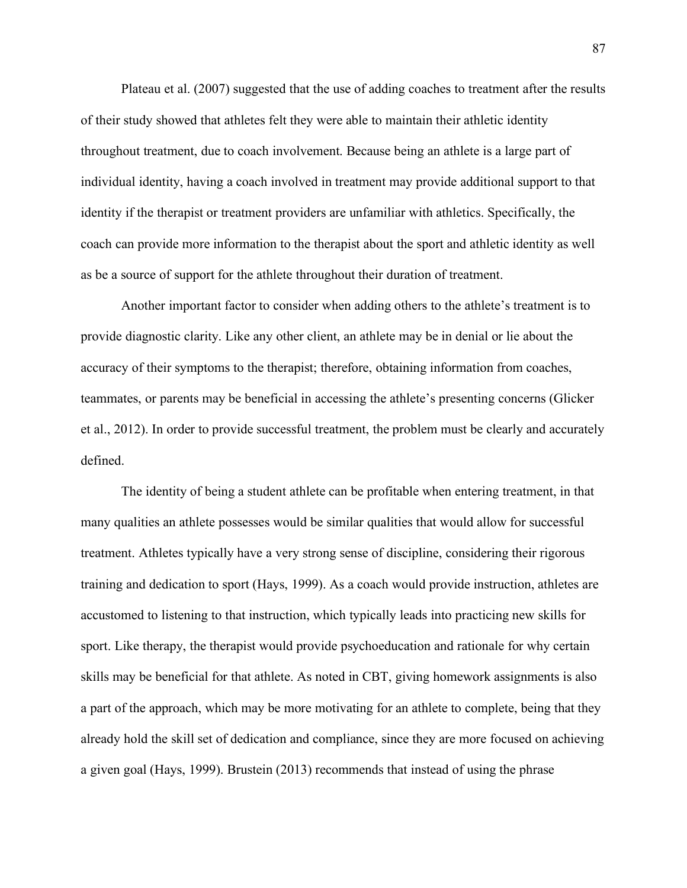Plateau et al. (2007) suggested that the use of adding coaches to treatment after the results of their study showed that athletes felt they were able to maintain their athletic identity throughout treatment, due to coach involvement. Because being an athlete is a large part of individual identity, having a coach involved in treatment may provide additional support to that identity if the therapist or treatment providers are unfamiliar with athletics. Specifically, the coach can provide more information to the therapist about the sport and athletic identity as well as be a source of support for the athlete throughout their duration of treatment.

Another important factor to consider when adding others to the athlete's treatment is to provide diagnostic clarity. Like any other client, an athlete may be in denial or lie about the accuracy of their symptoms to the therapist; therefore, obtaining information from coaches, teammates, or parents may be beneficial in accessing the athlete's presenting concerns (Glicker et al., 2012). In order to provide successful treatment, the problem must be clearly and accurately defined.

The identity of being a student athlete can be profitable when entering treatment, in that many qualities an athlete possesses would be similar qualities that would allow for successful treatment. Athletes typically have a very strong sense of discipline, considering their rigorous training and dedication to sport (Hays, 1999). As a coach would provide instruction, athletes are accustomed to listening to that instruction, which typically leads into practicing new skills for sport. Like therapy, the therapist would provide psychoeducation and rationale for why certain skills may be beneficial for that athlete. As noted in CBT, giving homework assignments is also a part of the approach, which may be more motivating for an athlete to complete, being that they already hold the skill set of dedication and compliance, since they are more focused on achieving a given goal (Hays, 1999). Brustein (2013) recommends that instead of using the phrase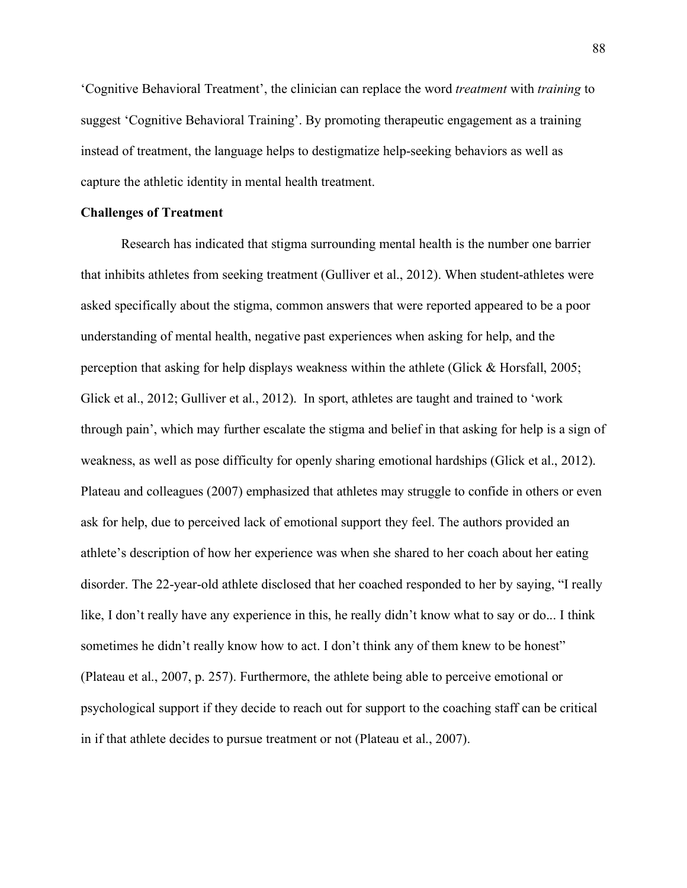'Cognitive Behavioral Treatment', the clinician can replace the word *treatment* with *training* to suggest 'Cognitive Behavioral Training'. By promoting therapeutic engagement as a training instead of treatment, the language helps to destigmatize help-seeking behaviors as well as capture the athletic identity in mental health treatment.

### **Challenges of Treatment**

Research has indicated that stigma surrounding mental health is the number one barrier that inhibits athletes from seeking treatment (Gulliver et al., 2012). When student-athletes were asked specifically about the stigma, common answers that were reported appeared to be a poor understanding of mental health, negative past experiences when asking for help, and the perception that asking for help displays weakness within the athlete (Glick & Horsfall, 2005; Glick et al., 2012; Gulliver et al., 2012). In sport, athletes are taught and trained to 'work through pain', which may further escalate the stigma and belief in that asking for help is a sign of weakness, as well as pose difficulty for openly sharing emotional hardships (Glick et al., 2012). Plateau and colleagues (2007) emphasized that athletes may struggle to confide in others or even ask for help, due to perceived lack of emotional support they feel. The authors provided an athlete's description of how her experience was when she shared to her coach about her eating disorder. The 22-year-old athlete disclosed that her coached responded to her by saying, "I really like, I don't really have any experience in this, he really didn't know what to say or do... I think sometimes he didn't really know how to act. I don't think any of them knew to be honest" (Plateau et al., 2007, p. 257). Furthermore, the athlete being able to perceive emotional or psychological support if they decide to reach out for support to the coaching staff can be critical in if that athlete decides to pursue treatment or not (Plateau et al., 2007).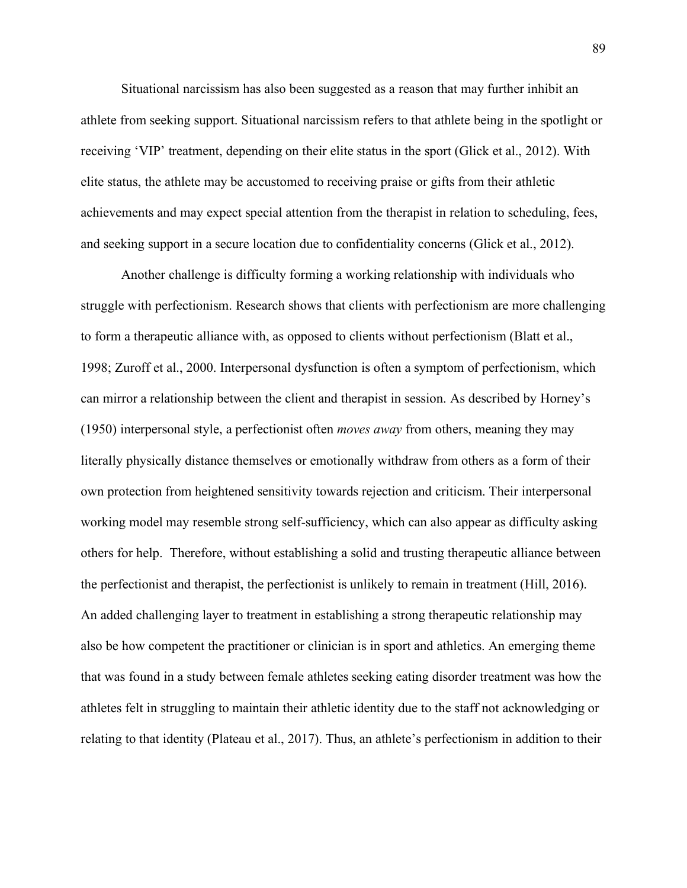Situational narcissism has also been suggested as a reason that may further inhibit an athlete from seeking support. Situational narcissism refers to that athlete being in the spotlight or receiving 'VIP' treatment, depending on their elite status in the sport (Glick et al., 2012). With elite status, the athlete may be accustomed to receiving praise or gifts from their athletic achievements and may expect special attention from the therapist in relation to scheduling, fees, and seeking support in a secure location due to confidentiality concerns (Glick et al., 2012).

Another challenge is difficulty forming a working relationship with individuals who struggle with perfectionism. Research shows that clients with perfectionism are more challenging to form a therapeutic alliance with, as opposed to clients without perfectionism (Blatt et al., 1998; Zuroff et al., 2000. Interpersonal dysfunction is often a symptom of perfectionism, which can mirror a relationship between the client and therapist in session. As described by Horney's (1950) interpersonal style, a perfectionist often *moves away* from others, meaning they may literally physically distance themselves or emotionally withdraw from others as a form of their own protection from heightened sensitivity towards rejection and criticism. Their interpersonal working model may resemble strong self-sufficiency, which can also appear as difficulty asking others for help. Therefore, without establishing a solid and trusting therapeutic alliance between the perfectionist and therapist, the perfectionist is unlikely to remain in treatment (Hill, 2016). An added challenging layer to treatment in establishing a strong therapeutic relationship may also be how competent the practitioner or clinician is in sport and athletics. An emerging theme that was found in a study between female athletes seeking eating disorder treatment was how the athletes felt in struggling to maintain their athletic identity due to the staff not acknowledging or relating to that identity (Plateau et al., 2017). Thus, an athlete's perfectionism in addition to their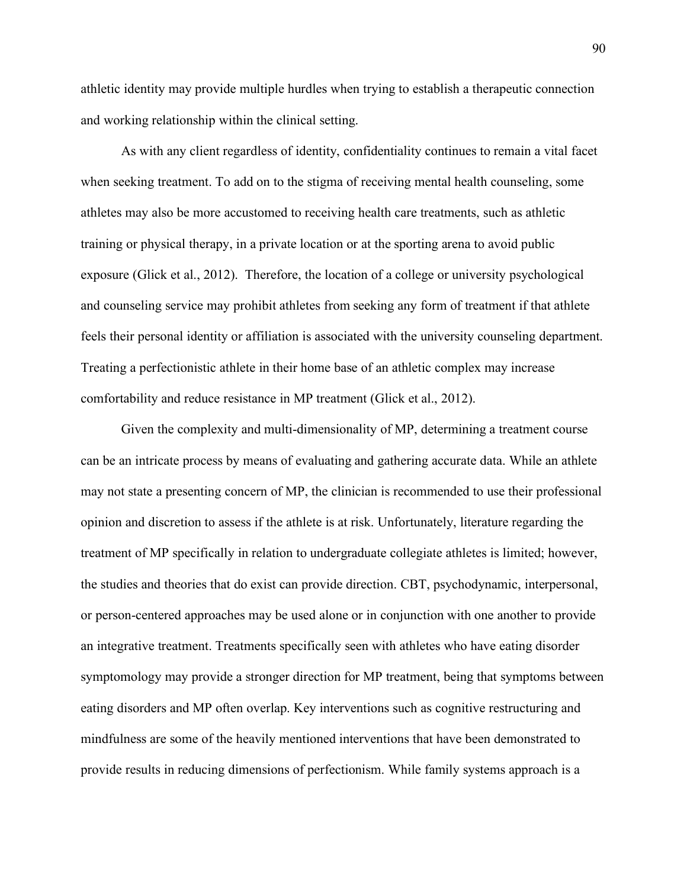athletic identity may provide multiple hurdles when trying to establish a therapeutic connection and working relationship within the clinical setting.

As with any client regardless of identity, confidentiality continues to remain a vital facet when seeking treatment. To add on to the stigma of receiving mental health counseling, some athletes may also be more accustomed to receiving health care treatments, such as athletic training or physical therapy, in a private location or at the sporting arena to avoid public exposure (Glick et al., 2012). Therefore, the location of a college or university psychological and counseling service may prohibit athletes from seeking any form of treatment if that athlete feels their personal identity or affiliation is associated with the university counseling department. Treating a perfectionistic athlete in their home base of an athletic complex may increase comfortability and reduce resistance in MP treatment (Glick et al., 2012).

Given the complexity and multi-dimensionality of MP, determining a treatment course can be an intricate process by means of evaluating and gathering accurate data. While an athlete may not state a presenting concern of MP, the clinician is recommended to use their professional opinion and discretion to assess if the athlete is at risk. Unfortunately, literature regarding the treatment of MP specifically in relation to undergraduate collegiate athletes is limited; however, the studies and theories that do exist can provide direction. CBT, psychodynamic, interpersonal, or person-centered approaches may be used alone or in conjunction with one another to provide an integrative treatment. Treatments specifically seen with athletes who have eating disorder symptomology may provide a stronger direction for MP treatment, being that symptoms between eating disorders and MP often overlap. Key interventions such as cognitive restructuring and mindfulness are some of the heavily mentioned interventions that have been demonstrated to provide results in reducing dimensions of perfectionism. While family systems approach is a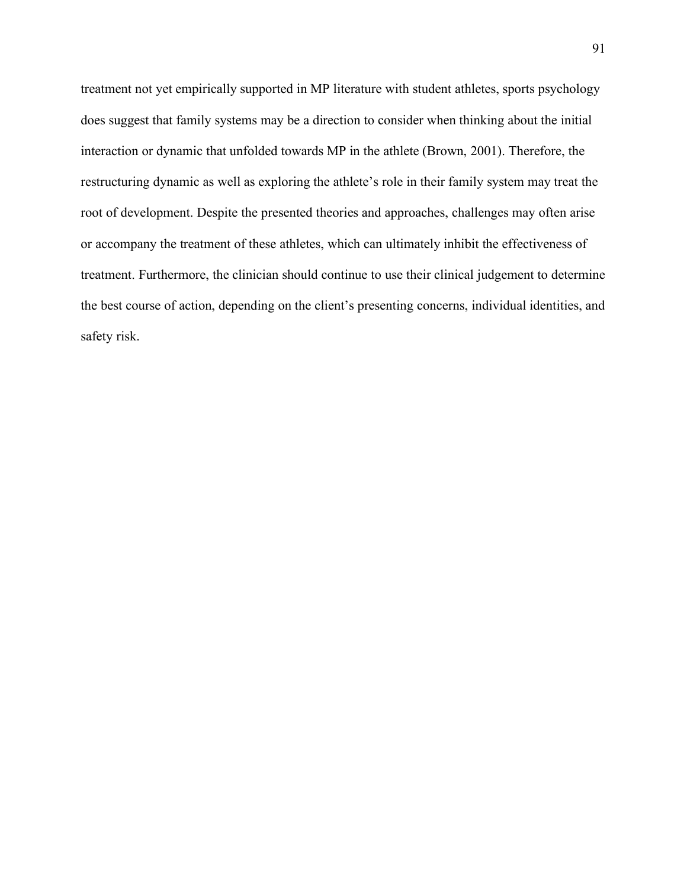treatment not yet empirically supported in MP literature with student athletes, sports psychology does suggest that family systems may be a direction to consider when thinking about the initial interaction or dynamic that unfolded towards MP in the athlete (Brown, 2001). Therefore, the restructuring dynamic as well as exploring the athlete's role in their family system may treat the root of development. Despite the presented theories and approaches, challenges may often arise or accompany the treatment of these athletes, which can ultimately inhibit the effectiveness of treatment. Furthermore, the clinician should continue to use their clinical judgement to determine the best course of action, depending on the client's presenting concerns, individual identities, and safety risk.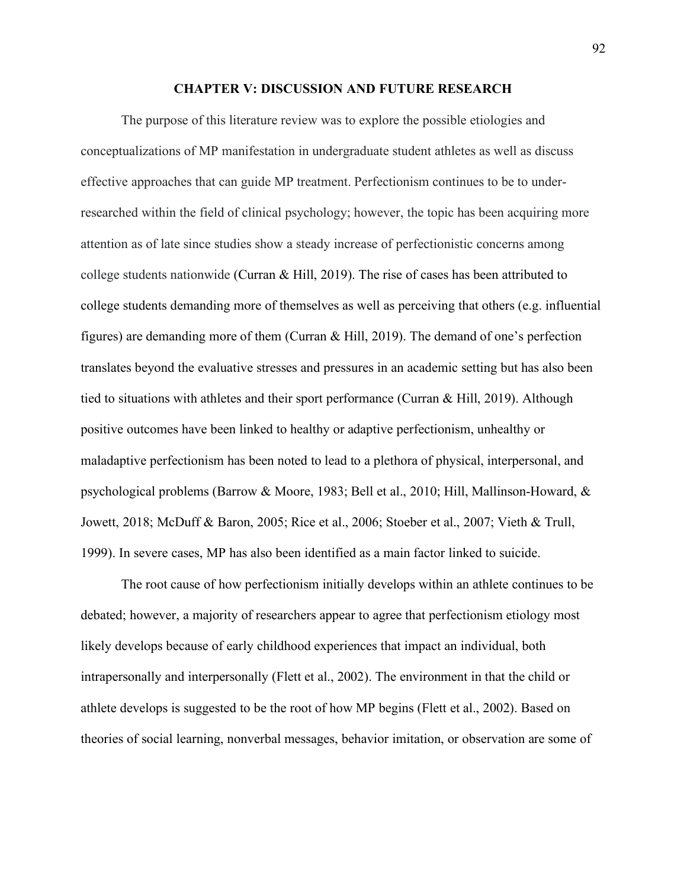### **CHAPTER V: DISCUSSION AND FUTURE RESEARCH**

The purpose of this literature review was to explore the possible etiologies and conceptualizations of MP manifestation in undergraduate student athletes as well as discuss effective approaches that can guide MP treatment. Perfectionism continues to be to underresearched within the field of clinical psychology; however, the topic has been acquiring more attention as of late since studies show a steady increase of perfectionistic concerns among college students nationwide (Curran & Hill, 2019). The rise of cases has been attributed to college students demanding more of themselves as well as perceiving that others (e.g. influential figures) are demanding more of them (Curran & Hill, 2019). The demand of one's perfection translates beyond the evaluative stresses and pressures in an academic setting but has also been tied to situations with athletes and their sport performance (Curran & Hill, 2019). Although positive outcomes have been linked to healthy or adaptive perfectionism, unhealthy or maladaptive perfectionism has been noted to lead to a plethora of physical, interpersonal, and psychological problems (Barrow & Moore, 1983; Bell et al., 2010; Hill, Mallinson-Howard, & Jowett, 2018; McDuff & Baron, 2005; Rice et al., 2006; Stoeber et al., 2007; Vieth & Trull, 1999). In severe cases, MP has also been identified as a main factor linked to suicide.

The root cause of how perfectionism initially develops within an athlete continues to be debated; however, a majority of researchers appear to agree that perfectionism etiology most likely develops because of early childhood experiences that impact an individual, both intrapersonally and interpersonally (Flett et al., 2002). The environment in that the child or athlete develops is suggested to be the root of how MP begins (Flett et al., 2002). Based on theories of social learning, nonverbal messages, behavior imitation, or observation are some of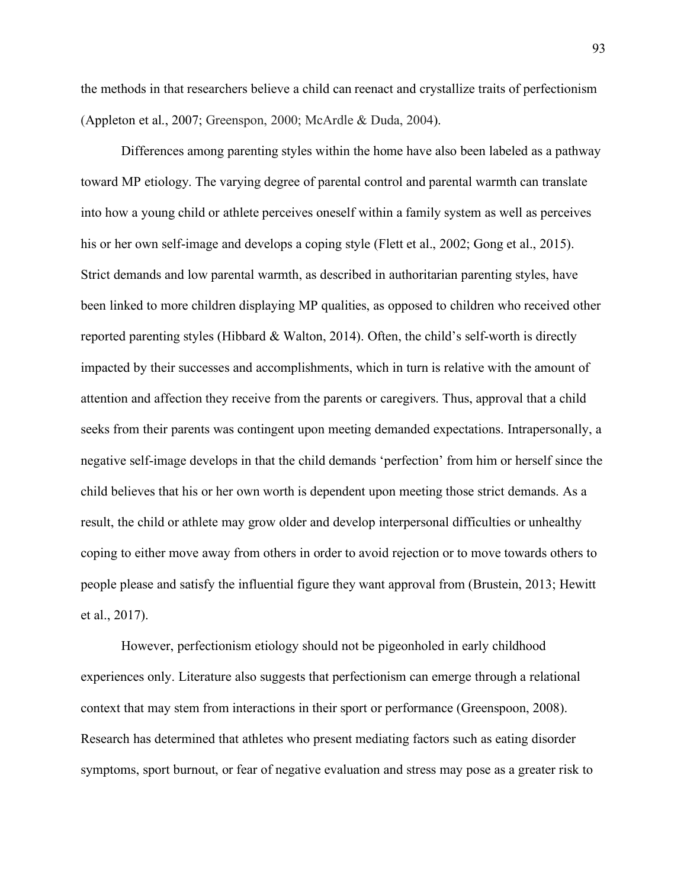the methods in that researchers believe a child can reenact and crystallize traits of perfectionism (Appleton et al., 2007; Greenspon, 2000; McArdle & Duda, 2004).

Differences among parenting styles within the home have also been labeled as a pathway toward MP etiology. The varying degree of parental control and parental warmth can translate into how a young child or athlete perceives oneself within a family system as well as perceives his or her own self-image and develops a coping style (Flett et al., 2002; Gong et al., 2015). Strict demands and low parental warmth, as described in authoritarian parenting styles, have been linked to more children displaying MP qualities, as opposed to children who received other reported parenting styles (Hibbard & Walton, 2014). Often, the child's self-worth is directly impacted by their successes and accomplishments, which in turn is relative with the amount of attention and affection they receive from the parents or caregivers. Thus, approval that a child seeks from their parents was contingent upon meeting demanded expectations. Intrapersonally, a negative self-image develops in that the child demands 'perfection' from him or herself since the child believes that his or her own worth is dependent upon meeting those strict demands. As a result, the child or athlete may grow older and develop interpersonal difficulties or unhealthy coping to either move away from others in order to avoid rejection or to move towards others to people please and satisfy the influential figure they want approval from (Brustein, 2013; Hewitt et al., 2017).

However, perfectionism etiology should not be pigeonholed in early childhood experiences only. Literature also suggests that perfectionism can emerge through a relational context that may stem from interactions in their sport or performance (Greenspoon, 2008). Research has determined that athletes who present mediating factors such as eating disorder symptoms, sport burnout, or fear of negative evaluation and stress may pose as a greater risk to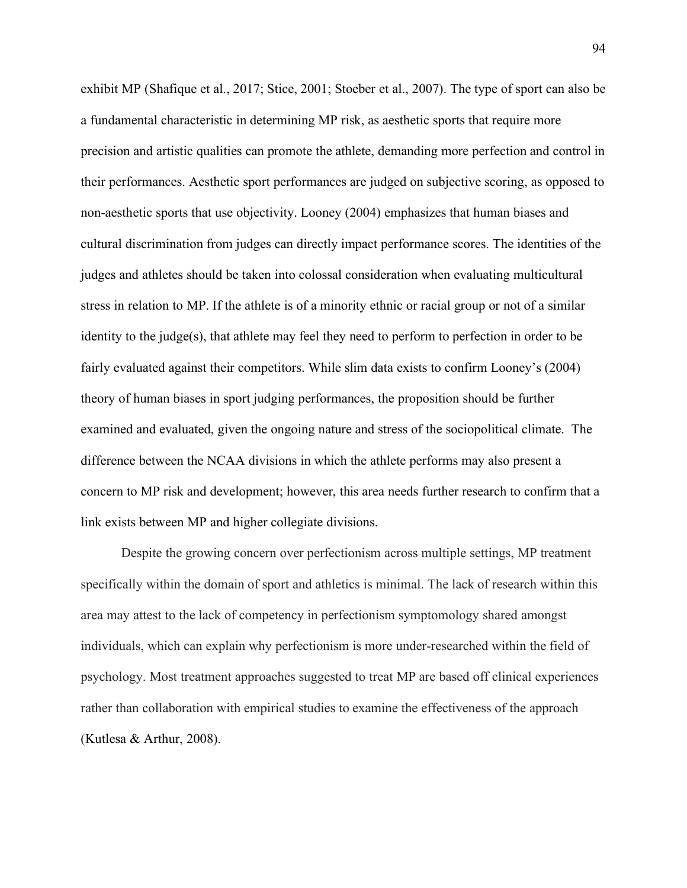exhibit MP (Shafique et al., 2017; Stice, 2001; Stoeber et al., 2007). The type of sport can also be a fundamental characteristic in determining MP risk, as aesthetic sports that require more precision and artistic qualities can promote the athlete, demanding more perfection and control in their performances. Aesthetic sport performances are judged on subjective scoring, as opposed to non-aesthetic sports that use objectivity. Looney (2004) emphasizes that human biases and cultural discrimination from judges can directly impact performance scores. The identities of the judges and athletes should be taken into colossal consideration when evaluating multicultural stress in relation to MP. If the athlete is of a minority ethnic or racial group or not of a similar identity to the judge(s), that athlete may feel they need to perform to perfection in order to be fairly evaluated against their competitors. While slim data exists to confirm Looney's (2004) theory of human biases in sport judging performances, the proposition should be further examined and evaluated, given the ongoing nature and stress of the sociopolitical climate. The difference between the NCAA divisions in which the athlete performs may also present a concern to MP risk and development; however, this area needs further research to confirm that a link exists between MP and higher collegiate divisions.

Despite the growing concern over perfectionism across multiple settings, MP treatment specifically within the domain of sport and athletics is minimal. The lack of research within this area may attest to the lack of competency in perfectionism symptomology shared amongst individuals, which can explain why perfectionism is more under-researched within the field of psychology. Most treatment approaches suggested to treat MP are based off clinical experiences rather than collaboration with empirical studies to examine the effectiveness of the approach (Kutlesa & Arthur, 2008).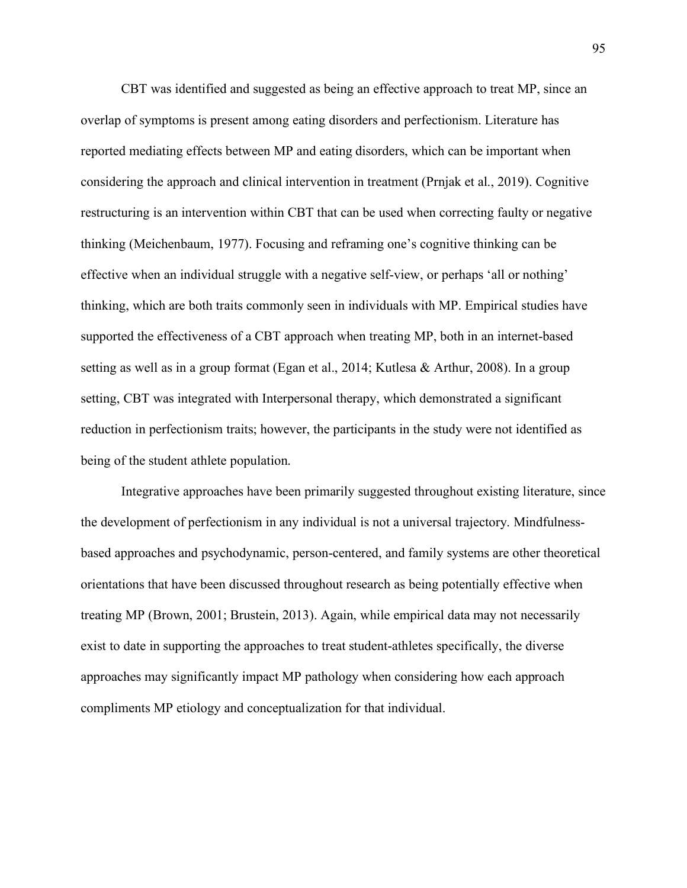CBT was identified and suggested as being an effective approach to treat MP, since an overlap of symptoms is present among eating disorders and perfectionism. Literature has reported mediating effects between MP and eating disorders, which can be important when considering the approach and clinical intervention in treatment (Prnjak et al., 2019). Cognitive restructuring is an intervention within CBT that can be used when correcting faulty or negative thinking (Meichenbaum, 1977). Focusing and reframing one's cognitive thinking can be effective when an individual struggle with a negative self-view, or perhaps 'all or nothing' thinking, which are both traits commonly seen in individuals with MP. Empirical studies have supported the effectiveness of a CBT approach when treating MP, both in an internet-based setting as well as in a group format (Egan et al., 2014; Kutlesa & Arthur, 2008). In a group setting, CBT was integrated with Interpersonal therapy, which demonstrated a significant reduction in perfectionism traits; however, the participants in the study were not identified as being of the student athlete population.

Integrative approaches have been primarily suggested throughout existing literature, since the development of perfectionism in any individual is not a universal trajectory. Mindfulnessbased approaches and psychodynamic, person-centered, and family systems are other theoretical orientations that have been discussed throughout research as being potentially effective when treating MP (Brown, 2001; Brustein, 2013). Again, while empirical data may not necessarily exist to date in supporting the approaches to treat student-athletes specifically, the diverse approaches may significantly impact MP pathology when considering how each approach compliments MP etiology and conceptualization for that individual.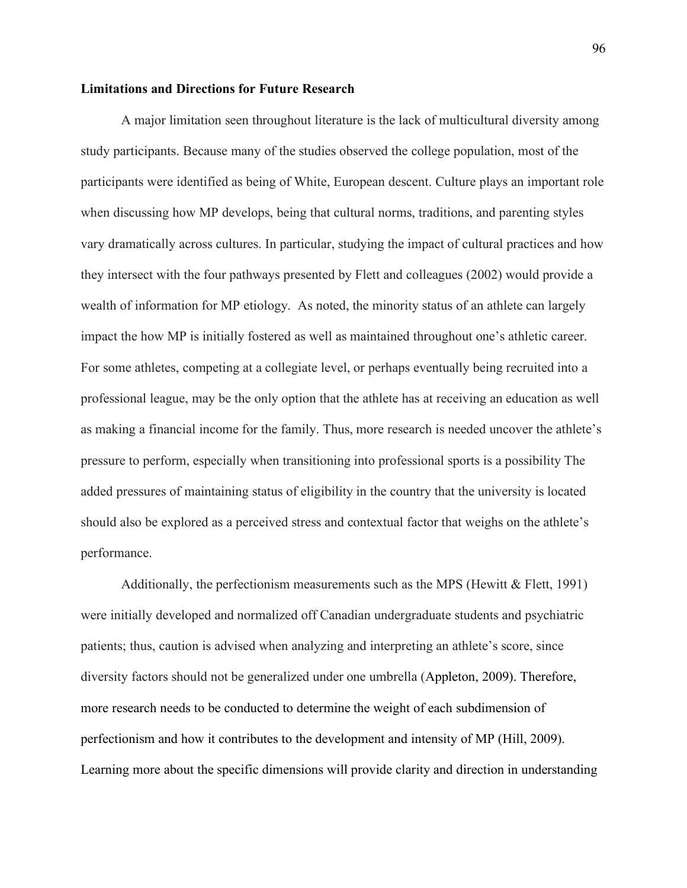# **Limitations and Directions for Future Research**

A major limitation seen throughout literature is the lack of multicultural diversity among study participants. Because many of the studies observed the college population, most of the participants were identified as being of White, European descent. Culture plays an important role when discussing how MP develops, being that cultural norms, traditions, and parenting styles vary dramatically across cultures. In particular, studying the impact of cultural practices and how they intersect with the four pathways presented by Flett and colleagues (2002) would provide a wealth of information for MP etiology. As noted, the minority status of an athlete can largely impact the how MP is initially fostered as well as maintained throughout one's athletic career. For some athletes, competing at a collegiate level, or perhaps eventually being recruited into a professional league, may be the only option that the athlete has at receiving an education as well as making a financial income for the family. Thus, more research is needed uncover the athlete's pressure to perform, especially when transitioning into professional sports is a possibility The added pressures of maintaining status of eligibility in the country that the university is located should also be explored as a perceived stress and contextual factor that weighs on the athlete's performance.

Additionally, the perfectionism measurements such as the MPS (Hewitt & Flett, 1991) were initially developed and normalized off Canadian undergraduate students and psychiatric patients; thus, caution is advised when analyzing and interpreting an athlete's score, since diversity factors should not be generalized under one umbrella (Appleton, 2009). Therefore, more research needs to be conducted to determine the weight of each subdimension of perfectionism and how it contributes to the development and intensity of MP (Hill, 2009). Learning more about the specific dimensions will provide clarity and direction in understanding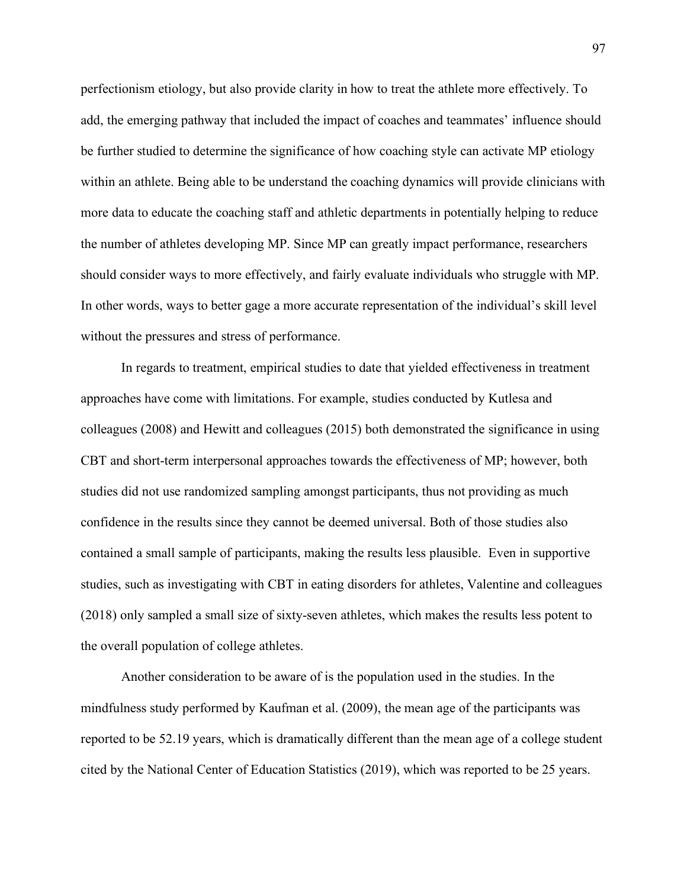perfectionism etiology, but also provide clarity in how to treat the athlete more effectively. To add, the emerging pathway that included the impact of coaches and teammates' influence should be further studied to determine the significance of how coaching style can activate MP etiology within an athlete. Being able to be understand the coaching dynamics will provide clinicians with more data to educate the coaching staff and athletic departments in potentially helping to reduce the number of athletes developing MP. Since MP can greatly impact performance, researchers should consider ways to more effectively, and fairly evaluate individuals who struggle with MP. In other words, ways to better gage a more accurate representation of the individual's skill level without the pressures and stress of performance.

In regards to treatment, empirical studies to date that yielded effectiveness in treatment approaches have come with limitations. For example, studies conducted by Kutlesa and colleagues (2008) and Hewitt and colleagues (2015) both demonstrated the significance in using CBT and short-term interpersonal approaches towards the effectiveness of MP; however, both studies did not use randomized sampling amongst participants, thus not providing as much confidence in the results since they cannot be deemed universal. Both of those studies also contained a small sample of participants, making the results less plausible. Even in supportive studies, such as investigating with CBT in eating disorders for athletes, Valentine and colleagues (2018) only sampled a small size of sixty-seven athletes, which makes the results less potent to the overall population of college athletes.

Another consideration to be aware of is the population used in the studies. In the mindfulness study performed by Kaufman et al. (2009), the mean age of the participants was reported to be 52.19 years, which is dramatically different than the mean age of a college student cited by the National Center of Education Statistics (2019), which was reported to be 25 years.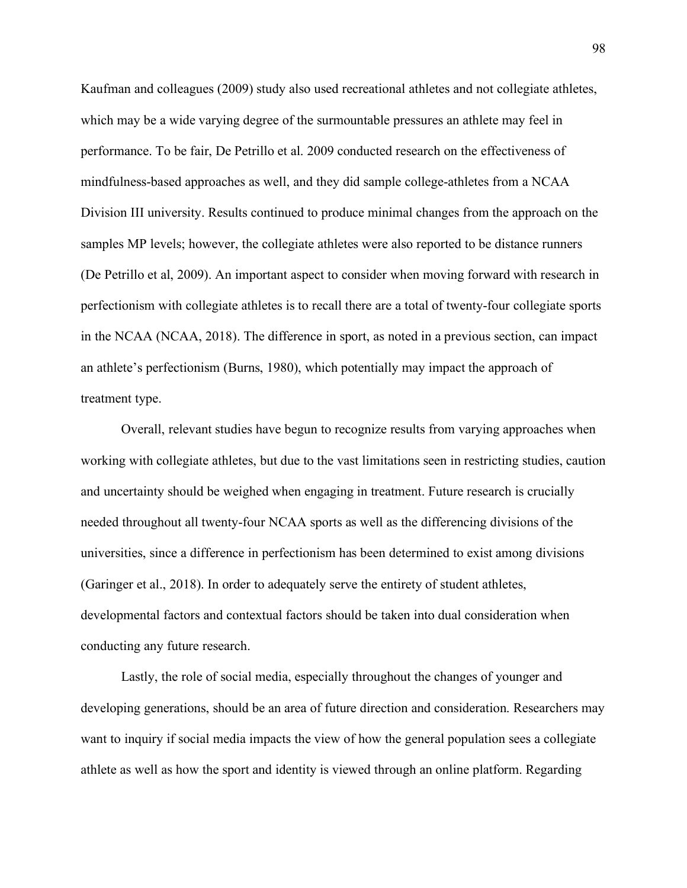Kaufman and colleagues (2009) study also used recreational athletes and not collegiate athletes, which may be a wide varying degree of the surmountable pressures an athlete may feel in performance. To be fair, De Petrillo et al. 2009 conducted research on the effectiveness of mindfulness-based approaches as well, and they did sample college-athletes from a NCAA Division III university. Results continued to produce minimal changes from the approach on the samples MP levels; however, the collegiate athletes were also reported to be distance runners (De Petrillo et al, 2009). An important aspect to consider when moving forward with research in perfectionism with collegiate athletes is to recall there are a total of twenty-four collegiate sports in the NCAA (NCAA, 2018). The difference in sport, as noted in a previous section, can impact an athlete's perfectionism (Burns, 1980), which potentially may impact the approach of treatment type.

Overall, relevant studies have begun to recognize results from varying approaches when working with collegiate athletes, but due to the vast limitations seen in restricting studies, caution and uncertainty should be weighed when engaging in treatment. Future research is crucially needed throughout all twenty-four NCAA sports as well as the differencing divisions of the universities, since a difference in perfectionism has been determined to exist among divisions (Garinger et al., 2018). In order to adequately serve the entirety of student athletes, developmental factors and contextual factors should be taken into dual consideration when conducting any future research.

Lastly, the role of social media, especially throughout the changes of younger and developing generations, should be an area of future direction and consideration. Researchers may want to inquiry if social media impacts the view of how the general population sees a collegiate athlete as well as how the sport and identity is viewed through an online platform. Regarding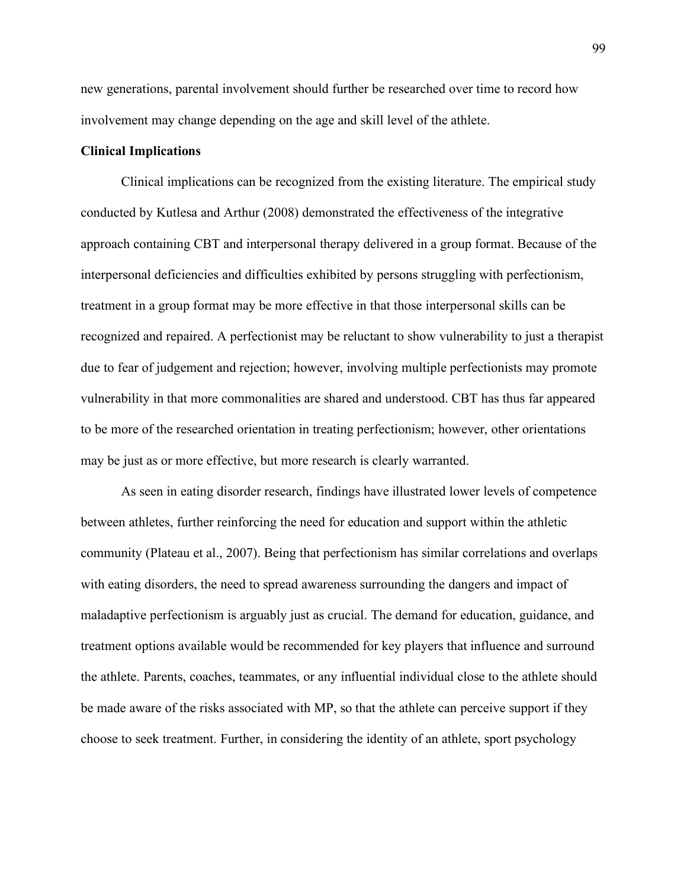new generations, parental involvement should further be researched over time to record how involvement may change depending on the age and skill level of the athlete.

# **Clinical Implications**

Clinical implications can be recognized from the existing literature. The empirical study conducted by Kutlesa and Arthur (2008) demonstrated the effectiveness of the integrative approach containing CBT and interpersonal therapy delivered in a group format. Because of the interpersonal deficiencies and difficulties exhibited by persons struggling with perfectionism, treatment in a group format may be more effective in that those interpersonal skills can be recognized and repaired. A perfectionist may be reluctant to show vulnerability to just a therapist due to fear of judgement and rejection; however, involving multiple perfectionists may promote vulnerability in that more commonalities are shared and understood. CBT has thus far appeared to be more of the researched orientation in treating perfectionism; however, other orientations may be just as or more effective, but more research is clearly warranted.

As seen in eating disorder research, findings have illustrated lower levels of competence between athletes, further reinforcing the need for education and support within the athletic community (Plateau et al., 2007). Being that perfectionism has similar correlations and overlaps with eating disorders, the need to spread awareness surrounding the dangers and impact of maladaptive perfectionism is arguably just as crucial. The demand for education, guidance, and treatment options available would be recommended for key players that influence and surround the athlete. Parents, coaches, teammates, or any influential individual close to the athlete should be made aware of the risks associated with MP, so that the athlete can perceive support if they choose to seek treatment. Further, in considering the identity of an athlete, sport psychology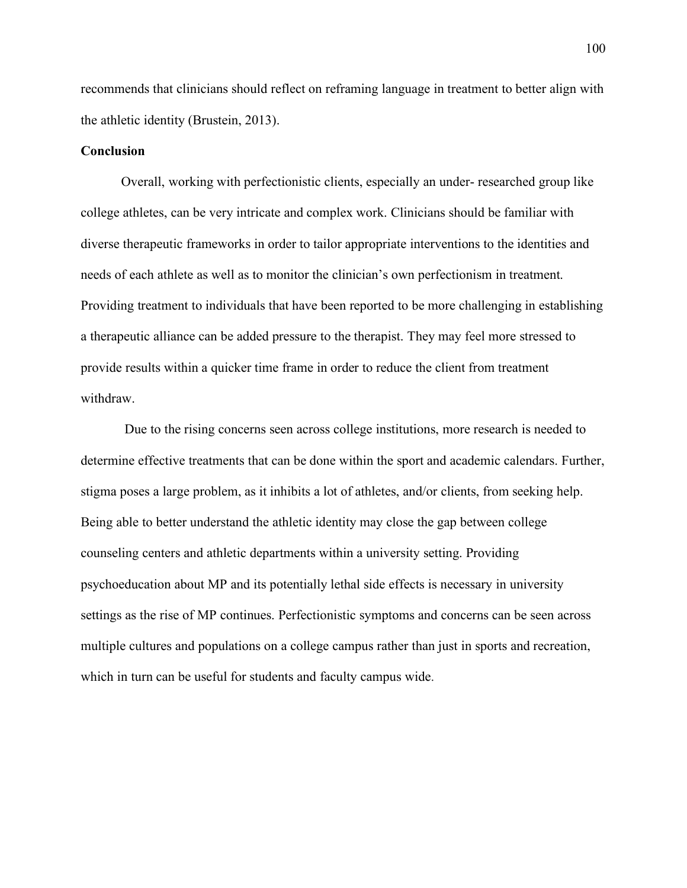recommends that clinicians should reflect on reframing language in treatment to better align with the athletic identity (Brustein, 2013).

## **Conclusion**

Overall, working with perfectionistic clients, especially an under- researched group like college athletes, can be very intricate and complex work. Clinicians should be familiar with diverse therapeutic frameworks in order to tailor appropriate interventions to the identities and needs of each athlete as well as to monitor the clinician's own perfectionism in treatment. Providing treatment to individuals that have been reported to be more challenging in establishing a therapeutic alliance can be added pressure to the therapist. They may feel more stressed to provide results within a quicker time frame in order to reduce the client from treatment withdraw.

Due to the rising concerns seen across college institutions, more research is needed to determine effective treatments that can be done within the sport and academic calendars. Further, stigma poses a large problem, as it inhibits a lot of athletes, and/or clients, from seeking help. Being able to better understand the athletic identity may close the gap between college counseling centers and athletic departments within a university setting. Providing psychoeducation about MP and its potentially lethal side effects is necessary in university settings as the rise of MP continues. Perfectionistic symptoms and concerns can be seen across multiple cultures and populations on a college campus rather than just in sports and recreation, which in turn can be useful for students and faculty campus wide.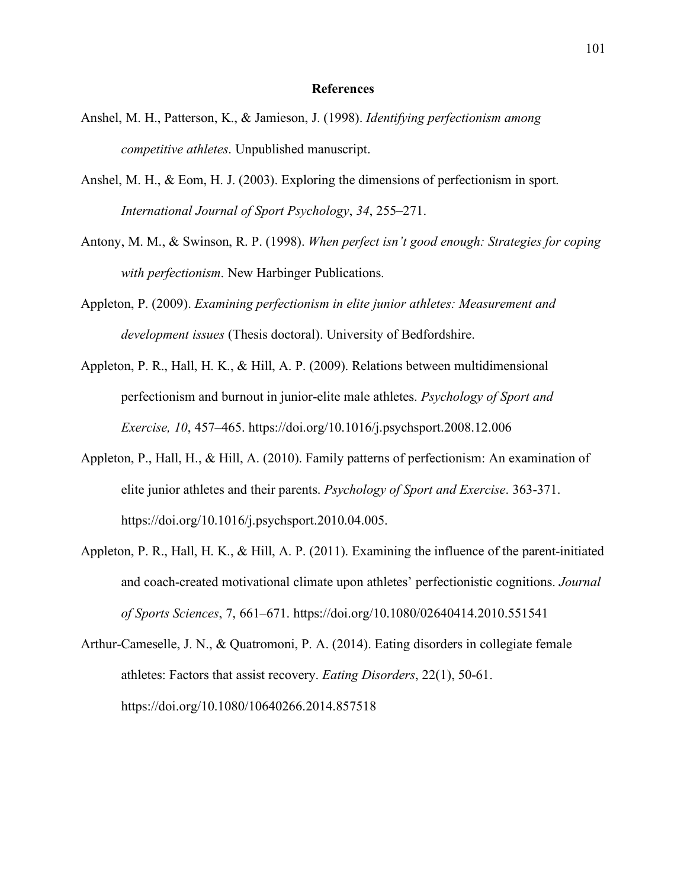## **References**

- Anshel, M. H., Patterson, K., & Jamieson, J. (1998). *Identifying perfectionism among competitive athletes*. Unpublished manuscript.
- Anshel, M. H., & Eom, H. J. (2003). Exploring the dimensions of perfectionism in sport. *International Journal of Sport Psychology*, *34*, 255–271.
- Antony, M. M., & Swinson, R. P. (1998). *When perfect isn't good enough: Strategies for coping with perfectionism*. New Harbinger Publications.
- Appleton, P. (2009). *Examining perfectionism in elite junior athletes: Measurement and development issues* (Thesis doctoral). University of Bedfordshire.
- Appleton, P. R., Hall, H. K., & Hill, A. P. (2009). Relations between multidimensional perfectionism and burnout in junior-elite male athletes. *Psychology of Sport and Exercise, 10*, 457–465. https://doi.org/10.1016/j.psychsport.2008.12.006
- Appleton, P., Hall, H., & Hill, A. (2010). Family patterns of perfectionism: An examination of elite junior athletes and their parents. *Psychology of Sport and Exercise*. 363-371. https://doi.org/10.1016/j.psychsport.2010.04.005.
- Appleton, P. R., Hall, H. K., & Hill, A. P. (2011). Examining the influence of the parent-initiated and coach-created motivational climate upon athletes' perfectionistic cognitions. *Journal of Sports Sciences*, 7, 661–671. https://doi.org[/10.1080/02640414.2010.551541](http://dx.doi.org/10.1080/02640414.2010.551541)
- Arthur-Cameselle, J. N., & Quatromoni, P. A. (2014). Eating disorders in collegiate female athletes: Factors that assist recovery. *Eating Disorders*, 22(1), 50-61. https://doi.org/10.1080/10640266.2014.857518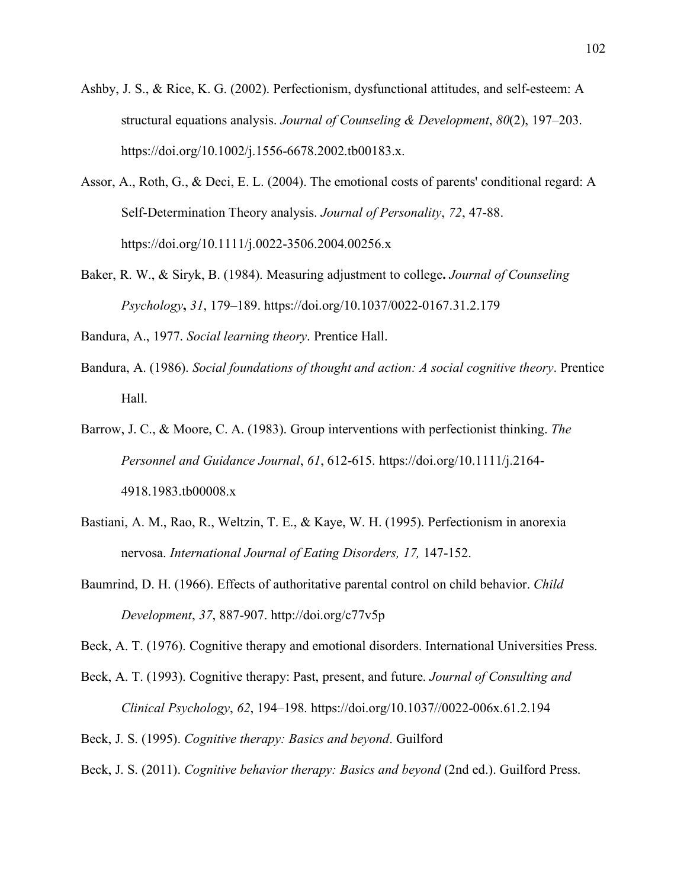- Ashby, J. S., & Rice, K. G. (2002). Perfectionism, dysfunctional attitudes, and self-esteem: A structural equations analysis. *Journal of Counseling & Development*, *80*(2), 197–203. https://doi.org/10.1002/j.1556-6678.2002.tb00183.x.
- Assor, A., Roth, G., & Deci, E. L. (2004). The emotional costs of parents' conditional regard: A Self‐Determination Theory analysis. *Journal of Personality*, *72*, 47-88. https://doi.org/10.1111/j.0022-3506.2004.00256.x
- Baker, R. W., & Siryk, B. (1984). Measuring adjustment to college**.** *Journal of Counseling Psychology***,** *31*, 179–189. [https://doi.org/10.1037/0022-0167.31.2.179](https://psycnet.apa.org/doi/10.1037/0022-0167.31.2.179)

Bandura, A., 1977. *Social learning theory*. Prentice Hall.

- Bandura, A. (1986). *Social foundations of thought and action: A social cognitive theory*. Prentice Hall.
- Barrow, J. C., & Moore, C. A. (1983). Group interventions with perfectionist thinking. *The Personnel and Guidance Journal*, *61*, 612-615. https://doi.org/10.1111/j.2164- 4918.1983.tb00008.x
- Bastiani, A. M., Rao, R., Weltzin, T. E., & Kaye, W. H. (1995). Perfectionism in anorexia nervosa. *International Journal of Eating Disorders, 17,* 147-152.
- Baumrind, D. H. (1966). Effects of authoritative parental control on child behavior. *Child Development*, *37*, 887-907.<http://doi.org/c77v5p>

Beck, A. T. (1976). Cognitive therapy and emotional disorders. International Universities Press.

Beck, A. T. (1993). Cognitive therapy: Past, present, and future. *Journal of Consulting and Clinical Psychology*, *62*, 194–198. https://doi.org/10.1037//0022-006x.61.2.194

Beck, J. S. (1995). *Cognitive therapy: Basics and beyond*. Guilford

Beck, J. S. (2011). *Cognitive behavior therapy: Basics and beyond* (2nd ed.). Guilford Press.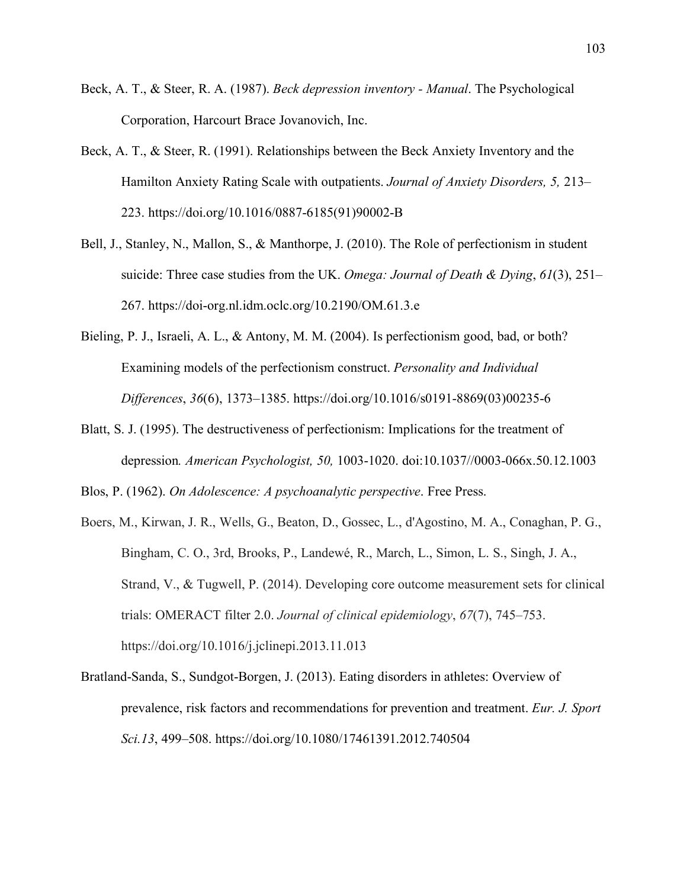- Beck, A. T., & Steer, R. A. (1987). *Beck depression inventory Manual*. The Psychological Corporation, Harcourt Brace Jovanovich, Inc.
- Beck, A. T., & Steer, R. (1991). Relationships between the Beck Anxiety Inventory and the Hamilton Anxiety Rating Scale with outpatients. *Journal of Anxiety Disorders, 5,* 213– 223. [https://doi.org/10.1016/0887-6185\(91\)90002-B](https://doi.org/10.1016/0887-6185(91)90002-B)
- Bell, J., Stanley, N., Mallon, S., & Manthorpe, J. (2010). The Role of perfectionism in student suicide: Three case studies from the UK. *Omega: Journal of Death & Dying*, *61*(3), 251– 267.<https://doi-org.nl.idm.oclc.org/10.2190/OM.61.3.e>
- Bieling, P. J., Israeli, A. L., & Antony, M. M. (2004). Is perfectionism good, bad, or both? Examining models of the perfectionism construct. *Personality and Individual Differences*, *36*(6), 1373–1385. https://doi.org/10.1016/s0191-8869(03)00235-6
- Blatt, S. J. (1995). The destructiveness of perfectionism: Implications for the treatment of depression*. American Psychologist, 50,* 1003-1020. doi[:10.1037//0003-066x.50.12.1003](https://doi.org/10.1037/0003-066x.50.12.1003)

Blos, P. (1962). *On Adolescence: A psychoanalytic perspective*. Free Press.

- Boers, M., Kirwan, J. R., Wells, G., Beaton, D., Gossec, L., d'Agostino, M. A., Conaghan, P. G., Bingham, C. O., 3rd, Brooks, P., Landewé, R., March, L., Simon, L. S., Singh, J. A., Strand, V., & Tugwell, P. (2014). Developing core outcome measurement sets for clinical trials: OMERACT filter 2.0. *Journal of clinical epidemiology*, *67*(7), 745–753. https://doi.org/10.1016/j.jclinepi.2013.11.013
- Bratland-Sanda, S., Sundgot-Borgen, J. (2013). Eating disorders in athletes: Overview of prevalence, risk factors and recommendations for prevention and treatment. *Eur. J. Sport Sci.13*, 499–508. https://doi.org[/10.1080/17461391.2012.740504](https://doi.org/10.1080/17461391.2012.740504)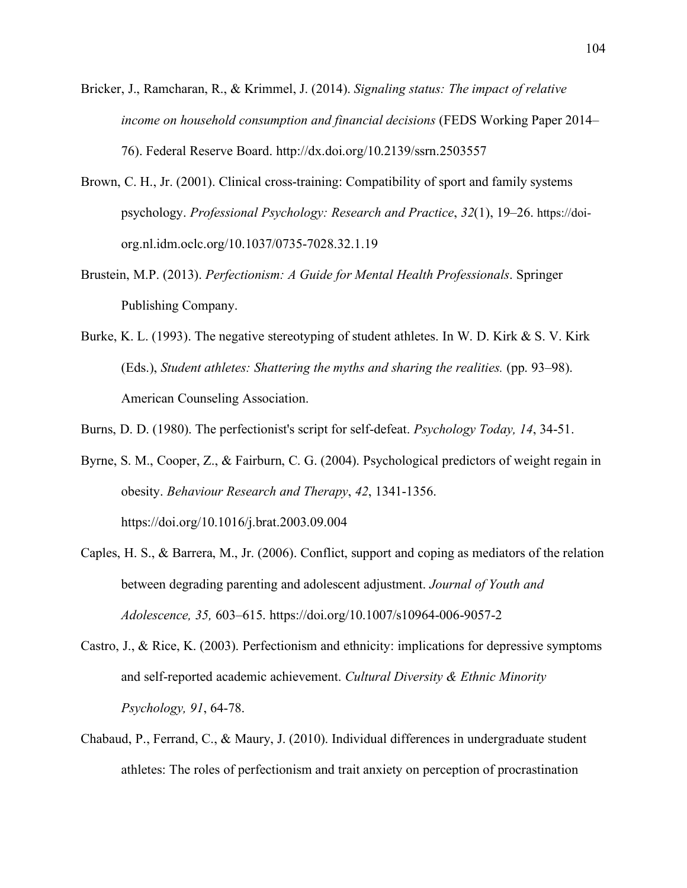- Bricker, J., Ramcharan, R., & Krimmel, J. (2014). *Signaling status: The impact of relative income on household consumption and financial decisions* (FEDS Working Paper 2014– 76). Federal Reserve Board.<http://dx.doi.org/10.2139/ssrn.2503557>
- Brown, C. H., Jr. (2001). Clinical cross-training: Compatibility of sport and family systems psychology. *Professional Psychology: Research and Practice*, *32*(1), 19–26. https://doiorg.nl.idm.oclc.org/10.1037/0735-7028.32.1.19
- Brustein, M.P. (2013). *Perfectionism: A Guide for Mental Health Professionals*. Springer Publishing Company.
- Burke, K. L. (1993). The negative stereotyping of student athletes. In W. D. Kirk & S. V. Kirk (Eds.), *Student athletes: Shattering the myths and sharing the realities.* (pp. 93–98). American Counseling Association.

Burns, D. D. (1980). The perfectionist's script for self-defeat. *Psychology Today, 14*, 34-51.

- Byrne, S. M., Cooper, Z., & Fairburn, C. G. (2004). Psychological predictors of weight regain in obesity. *Behaviour Research and Therapy*, *42*, 1341-1356. <https://doi.org/10.1016/j.brat.2003.09.004>
- Caples, H. S., & Barrera, M., Jr. (2006). Conflict, support and coping as mediators of the relation between degrading parenting and adolescent adjustment. *Journal of Youth and Adolescence, 35,* 603–615. https://doi.org/10.1007/s10964-006-9057-2
- Castro, J., & Rice, K. (2003). Perfectionism and ethnicity: implications for depressive symptoms and self-reported academic achievement. *Cultural Diversity & Ethnic Minority Psychology, 91*, 64-78.
- Chabaud, P., Ferrand, C., & Maury, J. (2010). Individual differences in undergraduate student athletes: The roles of perfectionism and trait anxiety on perception of procrastination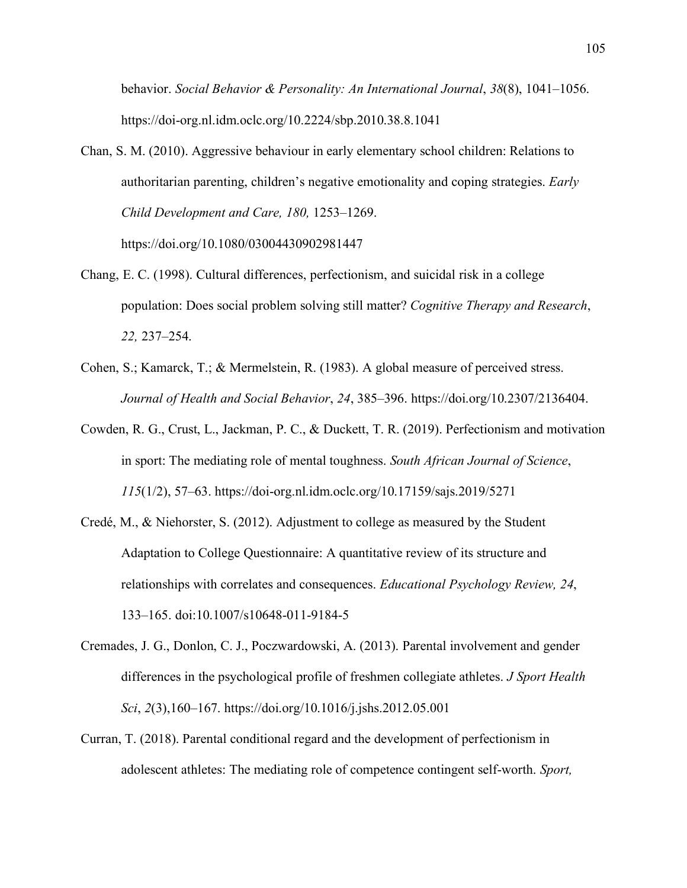behavior. *Social Behavior & Personality: An International Journal*, *38*(8), 1041–1056. <https://doi-org.nl.idm.oclc.org/10.2224/sbp.2010.38.8.1041>

Chan, S. M. (2010). Aggressive behaviour in early elementary school children: Relations to authoritarian parenting, children's negative emotionality and coping strategies. *Early Child Development and Care, 180,* 1253–1269.

https://doi.org/10.1080/03004430902981447

- Chang, E. C. (1998). Cultural differences, perfectionism, and suicidal risk in a college population: Does social problem solving still matter? *Cognitive Therapy and Research*, *22,* 237–254.
- Cohen, S.; Kamarck, T.; & Mermelstein, R. (1983). A global measure of perceived stress. *Journal of Health and Social Behavior*, *24*, 385–396. https://doi.org/10.2307/2136404.
- Cowden, R. G., Crust, L., Jackman, P. C., & Duckett, T. R. (2019). Perfectionism and motivation in sport: The mediating role of mental toughness. *South African Journal of Science*, *115*(1/2), 57–63. https://doi-org.nl.idm.oclc.org/10.17159/sajs.2019/5271
- Credé, M., & Niehorster, S. (2012). Adjustment to college as measured by the Student Adaptation to College Questionnaire: A quantitative review of its structure and relationships with correlates and consequences. *Educational Psychology Review, 24*, 133–165. doi:10.1007/s10648-011-9184-5
- Cremades, J. G., Donlon, C. J., Poczwardowski, A. (2013). Parental involvement and gender differences in the psychological profile of freshmen collegiate athletes. *J Sport Health Sci*, *2*(3),160–167.<https://doi.org/10.1016/j.jshs.2012.05.001>
- Curran, T. (2018). Parental conditional regard and the development of perfectionism in adolescent athletes: The mediating role of competence contingent self-worth. *Sport,*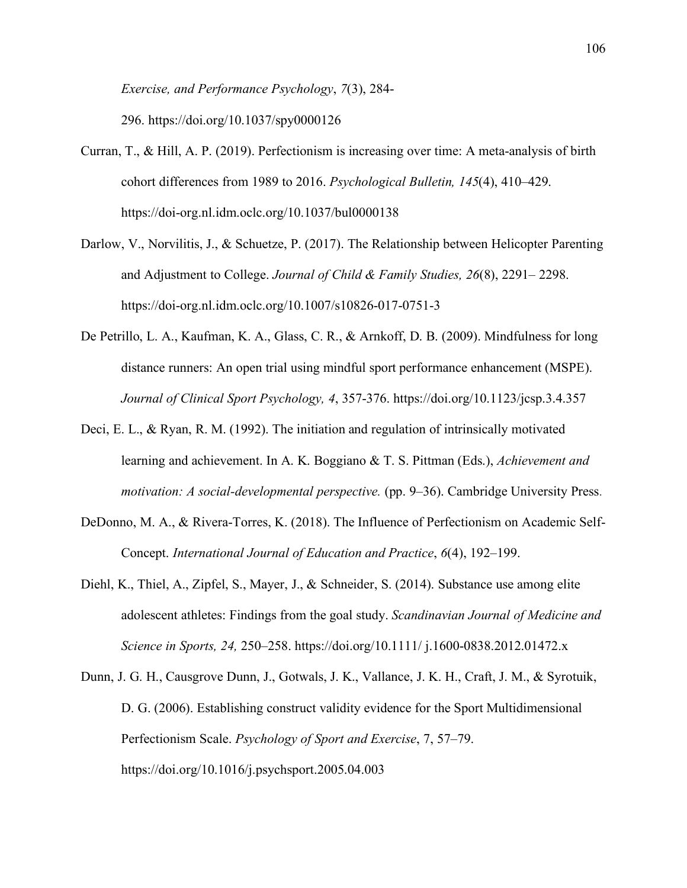*Exercise, and Performance Psychology*, *7*(3), 284-

296. https://doi.org/10.1037/spy0000126

- Curran, T., & Hill, A. P. (2019). Perfectionism is increasing over time: A meta-analysis of birth cohort differences from 1989 to 2016. *Psychological Bulletin, 145*(4), 410–429. <https://doi-org.nl.idm.oclc.org/10.1037/bul0000138>
- Darlow, V., Norvilitis, J., & Schuetze, P. (2017). The Relationship between Helicopter Parenting and Adjustment to College. *Journal of Child & Family Studies, 26*(8), 2291– 2298. <https://doi-org.nl.idm.oclc.org/10.1007/s10826-017-0751-3>
- De Petrillo, L. A., Kaufman, K. A., Glass, C. R., & Arnkoff, D. B. (2009). Mindfulness for long distance runners: An open trial using mindful sport performance enhancement (MSPE). *Journal of Clinical Sport Psychology, 4*, 357-376. <https://doi.org/10.1123/jcsp.3.4.357>
- Deci, E. L., & Ryan, R. M. (1992). The initiation and regulation of intrinsically motivated learning and achievement. In A. K. Boggiano & T. S. Pittman (Eds.), *Achievement and motivation: A social-developmental perspective.* (pp. 9–36). Cambridge University Press.
- DeDonno, M. A., & Rivera-Torres, K. (2018). The Influence of Perfectionism on Academic Self-Concept. *International Journal of Education and Practice*, *6*(4), 192–199.
- Diehl, K., Thiel, A., Zipfel, S., Mayer, J., & Schneider, S. (2014). Substance use among elite adolescent athletes: Findings from the goal study. *Scandinavian Journal of Medicine and Science in Sports, 24,* 250–258. https://doi.org/10.1111/ j.1600-0838.2012.01472.x
- Dunn, J. G. H., Causgrove Dunn, J., Gotwals, J. K., Vallance, J. K. H., Craft, J. M., & Syrotuik, D. G. (2006). Establishing construct validity evidence for the Sport Multidimensional Perfectionism Scale. *Psychology of Sport and Exercise*, 7, 57–79. <https://doi.org/10.1016/j.psychsport.2005.04.003>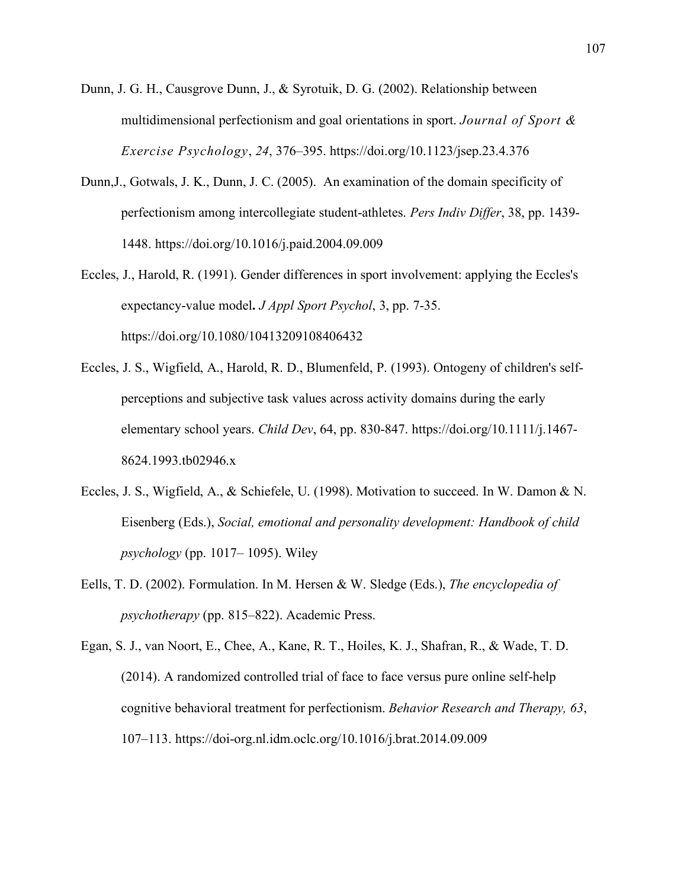- Dunn, J. G. H., Causgrove Dunn, J., & Syrotuik, D. G. (2002). Relationship between multidimensional perfectionism and goal orientations in sport. *Journal of Sport & Exercise Psychology*, *24*, 376–395. https://doi.org[/10.1123/jsep.23.4.376](http://dx.doi.org/10.1123/jsep.23.4.376)
- Dunn,J., Gotwals, J. K., Dunn, J. C. (2005). An examination of the domain specificity of perfectionism among intercollegiate student-athletes. *Pers Indiv Differ*, 38, pp. 1439- 1448. <https://doi.org/10.1016/j.paid.2004.09.009>
- Eccles, J., Harold, R. (1991). Gender differences in sport involvement: applying the Eccles's expectancy-value model**.** *J Appl Sport Psychol*, 3, pp. 7-35. <https://doi.org/10.1080/10413209108406432>
- Eccles, J. S., Wigfield, A., Harold, R. D., Blumenfeld, P. (1993). Ontogeny of children's selfperceptions and subjective task values across activity domains during the early elementary school years. *Child Dev*, 64, pp. 830-847. <https://doi.org/10.1111/j.1467-> 8624.1993.tb02946.x
- Eccles, J. S., Wigfield, A., & Schiefele, U. (1998). Motivation to succeed. In W. Damon & N. Eisenberg (Eds.), *Social, emotional and personality development: Handbook of child psychology* (pp. 1017– 1095). Wiley
- Eells, T. D. (2002). Formulation. In M. Hersen & W. Sledge (Eds.), *The encyclopedia of psychotherapy* (pp. 815–822). Academic Press.
- Egan, S. J., van Noort, E., Chee, A., Kane, R. T., Hoiles, K. J., Shafran, R., & Wade, T. D. (2014). A randomized controlled trial of face to face versus pure online self-help cognitive behavioral treatment for perfectionism. *Behavior Research and Therapy, 63*, 107–113. https://doi-org.nl.idm.oclc.org/10.1016/j.brat.2014.09.009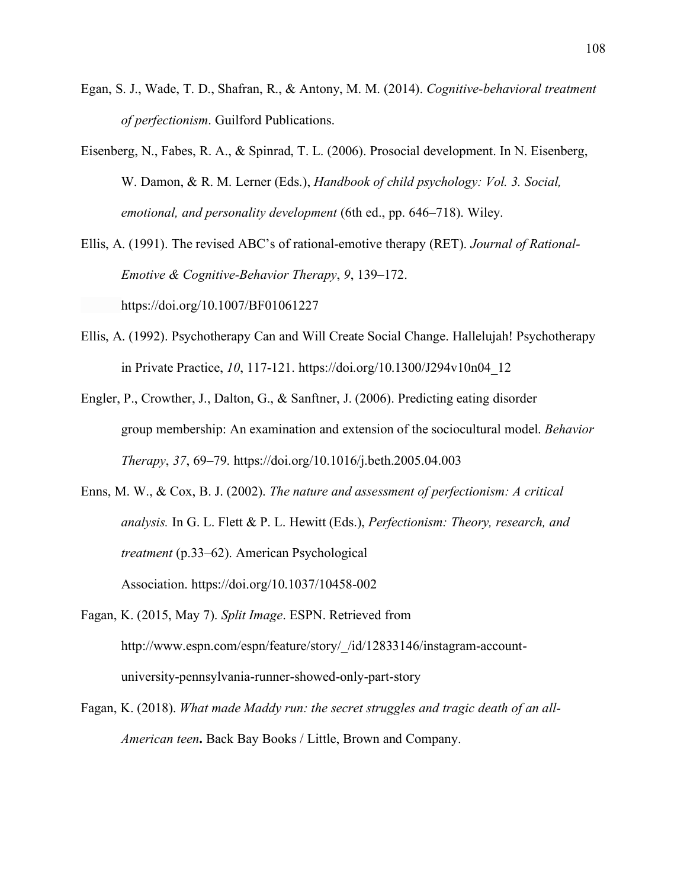- Egan, S. J., Wade, T. D., Shafran, R., & Antony, M. M. (2014). *Cognitive-behavioral treatment of perfectionism*. Guilford Publications.
- Eisenberg, N., Fabes, R. A., & Spinrad, T. L. (2006). Prosocial development. In N. Eisenberg, W. Damon, & R. M. Lerner (Eds.), *Handbook of child psychology: Vol. 3. Social, emotional, and personality development* (6th ed., pp. 646–718). Wiley.

Ellis, A. (1991). The revised ABC's of rational-emotive therapy (RET). *Journal of Rational-Emotive & Cognitive-Behavior Therapy*, *9*, 139–172.

https://doi.org/10.1007/BF01061227

- Ellis, A. (1992). Psychotherapy Can and Will Create Social Change. Hallelujah! Psychotherapy in Private Practice, *10*, 117-121. [https://doi.org/10.1300/J294v10n04\\_12](https://doi.org/10.1300/J294v10n04_12)
- Engler, P., Crowther, J., Dalton, G., & Sanftner, J. (2006). Predicting eating disorder group membership: An examination and extension of the sociocultural model. *Behavior Therapy*, *37*, 69–79. https://doi.org/10.1016/j.beth.2005.04.003
- Enns, M. W., & Cox, B. J. (2002). *The nature and assessment of perfectionism: A critical analysis.* In G. L. Flett & P. L. Hewitt (Eds.), *Perfectionism: Theory, research, and treatment* (p.33–62). American Psychological Association. [https://doi.org/10.1037/10458-002](https://psycnet.apa.org/doi/10.1037/10458-002)
- Fagan, K. (2015, May 7). *Split Image*. ESPN. Retrieved from [http://www.espn.com/espn/feature/story/\\_/id/12833146/instagram-account](http://www.espn.com/espn/feature/story/_/id/12833146/instagram-account-%09university-)  [university-p](http://www.espn.com/espn/feature/story/_/id/12833146/instagram-account-%09university-)ennsylvania-runner-showed-only-part-story
- Fagan, K. (2018). *What made Maddy run: the secret struggles and tragic death of an all-American teen***.** Back Bay Books / Little, Brown and Company.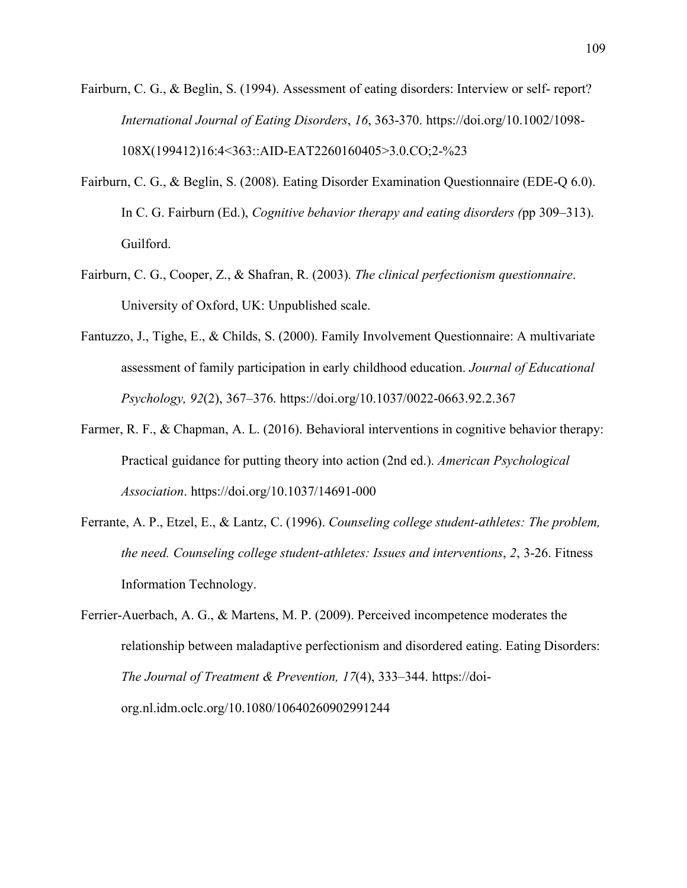- Fairburn, C. G., & Beglin, S. (1994). Assessment of eating disorders: Interview or self- report? *International Journal of Eating Disorders*, *16*, 363-370. https://doi.org/10.1002/1098- 108X(199412)16:4<363::AID-EAT2260160405>3.0.CO;2-%23
- Fairburn, C. G., & Beglin, S. (2008). Eating Disorder Examination Questionnaire (EDE-Q 6.0). In C. G. Fairburn (Ed.), *Cognitive behavior therapy and eating disorders (*pp 309–313). Guilford.
- Fairburn, C. G., Cooper, Z., & Shafran, R. (2003). *The clinical perfectionism questionnaire*. University of Oxford, UK: Unpublished scale.
- Fantuzzo, J., Tighe, E., & Childs, S. (2000). Family Involvement Questionnaire: A multivariate assessment of family participation in early childhood education. *Journal of Educational Psychology, 92*(2), 367–376. [https://doi.org/10.1037/0022-0663.92.2.367](https://psycnet.apa.org/doi/10.1037/0022-0663.92.2.367)
- Farmer, R. F., & Chapman, A. L. (2016). Behavioral interventions in cognitive behavior therapy: Practical guidance for putting theory into action (2nd ed.). *American Psychological Association*. https://doi.org/10.1037/14691-000
- Ferrante, A. P., Etzel, E., & Lantz, C. (1996). *Counseling college student-athletes: The problem, the need. Counseling college student-athletes: Issues and interventions*, *2*, 3-26. Fitness Information Technology.
- Ferrier-Auerbach, A. G., & Martens, M. P. (2009). Perceived incompetence moderates the relationship between maladaptive perfectionism and disordered eating. Eating Disorders: *The Journal of Treatment & Prevention, 17*(4), 333–344. [https://doi](https://doi-/)org.nl.idm.oclc.org/10.1080/10640260902991244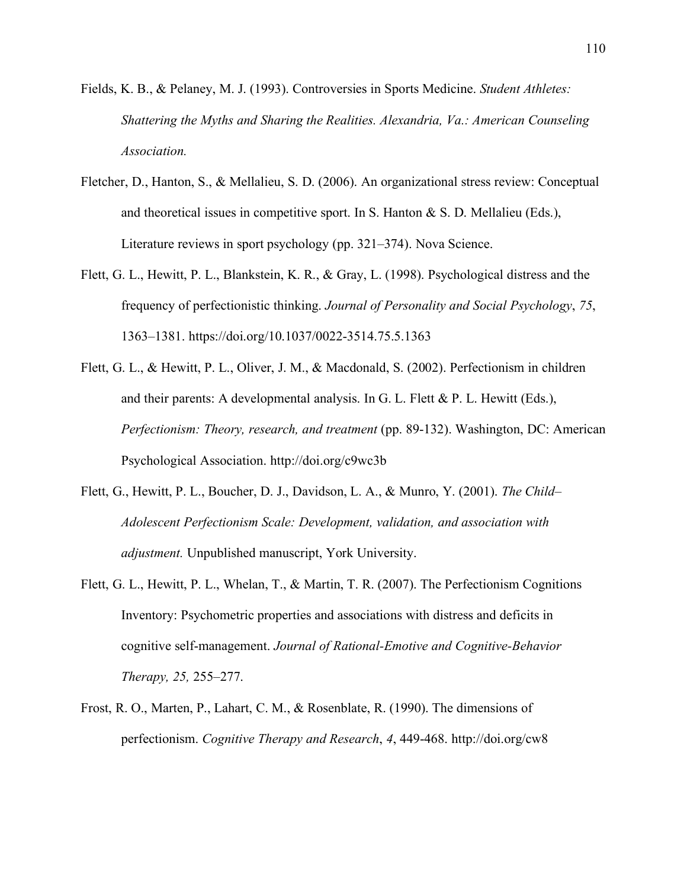- Fields, K. B., & Pelaney, M. J. (1993). Controversies in Sports Medicine. *Student Athletes: Shattering the Myths and Sharing the Realities. Alexandria, Va.: American Counseling Association.*
- Fletcher, D., Hanton, S., & Mellalieu, S. D. (2006). An organizational stress review: Conceptual and theoretical issues in competitive sport. In S. Hanton & S. D. Mellalieu (Eds.), Literature reviews in sport psychology (pp. 321–374). Nova Science.
- Flett, G. L., Hewitt, P. L., Blankstein, K. R., & Gray, L. (1998). Psychological distress and the frequency of perfectionistic thinking. *Journal of Personality and Social Psychology*, *75*, 1363–1381. [https://doi.org/10.1037/0022-3514.75.5.1363](https://psycnet.apa.org/doi/10.1037/0022-3514.75.5.1363)
- Flett, G. L., & Hewitt, P. L., Oliver, J. M., & Macdonald, S. (2002). Perfectionism in children and their parents: A developmental analysis. In G. L. Flett  $\&$  P. L. Hewitt (Eds.), *Perfectionism: Theory, research, and treatment* (pp. 89-132). Washington, DC: American Psychological Association.<http://doi.org/c9wc3b>
- Flett, G., Hewitt, P. L., Boucher, D. J., Davidson, L. A., & Munro, Y. (2001). *The Child– Adolescent Perfectionism Scale: Development, validation, and association with adjustment.* Unpublished manuscript, York University.
- Flett, G. L., Hewitt, P. L., Whelan, T., & Martin, T. R. (2007). The Perfectionism Cognitions Inventory: Psychometric properties and associations with distress and deficits in cognitive self-management. *Journal of Rational-Emotive and Cognitive-Behavior Therapy, 25,* 255–277.
- Frost, R. O., Marten, P., Lahart, C. M., & Rosenblate, R. (1990). The dimensions of perfectionism. *Cognitive Therapy and Research*, *4*, 449-468.<http://doi.org/cw8>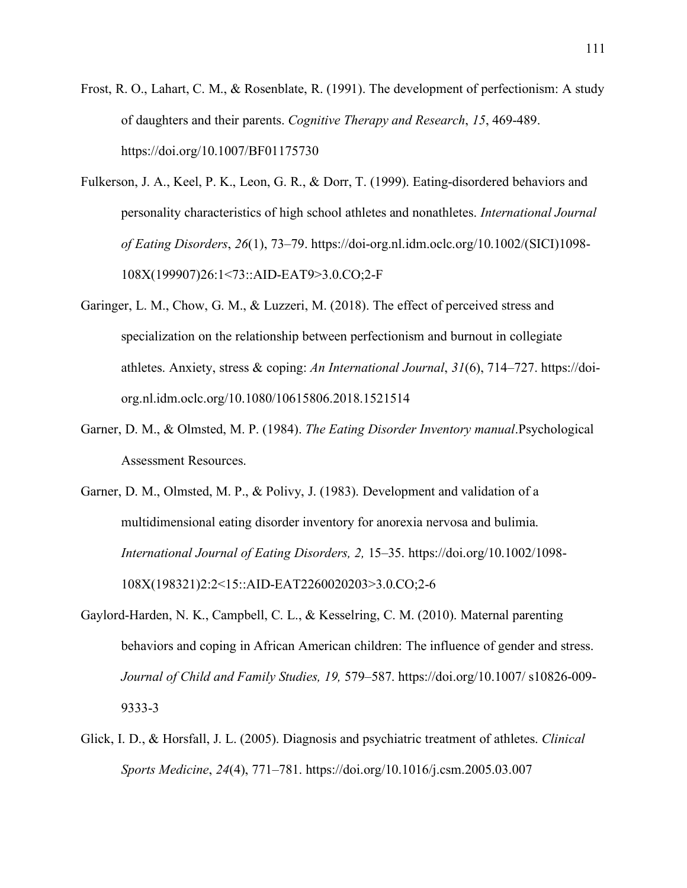- Frost, R. O., Lahart, C. M., & Rosenblate, R. (1991). The development of perfectionism: A study of daughters and their parents. *Cognitive Therapy and Research*, *15*, 469-489. https://doi.org/10.1007/BF01175730
- Fulkerson, J. A., Keel, P. K., Leon, G. R., & Dorr, T. (1999). Eating-disordered behaviors and personality characteristics of high school athletes and nonathletes. *International Journal of Eating Disorders*, *26*(1), 73–79. [https://doi-org.nl.idm.oclc.org/10.1002/\(SICI\)1098-](https://doi-org.nl.idm.oclc.org/10.1002/(SICI)1098-) 108X(199907)26:1<73::AID-EAT9>3.0.CO;2-F
- Garinger, L. M., Chow, G. M., & Luzzeri, M. (2018). The effect of perceived stress and specialization on the relationship between perfectionism and burnout in collegiate athletes. Anxiety, stress & coping: *An International Journal*, *31*(6), 714–727. [https://doi](https://doi-/)org.nl.idm.oclc.org/10.1080/10615806.2018.1521514
- Garner, D. M., & Olmsted, M. P. (1984). *The Eating Disorder Inventory manual*.Psychological Assessment Resources.
- Garner, D. M., Olmsted, M. P., & Polivy, J. (1983). Development and validation of a multidimensional eating disorder inventory for anorexia nervosa and bulimia. *International Journal of Eating Disorders, 2,* 15–35. https://doi.org/10.1002/1098- 108X(198321)2:2<15::AID-EAT2260020203>3.0.CO;2-6
- Gaylord-Harden, N. K., Campbell, C. L., & Kesselring, C. M. (2010). Maternal parenting behaviors and coping in African American children: The influence of gender and stress. *Journal of Child and Family Studies, 19,* 579–587. https://doi.org/10.1007/ s10826-009- 9333-3
- Glick, I. D., & Horsfall, J. L. (2005). Diagnosis and psychiatric treatment of athletes. *Clinical Sports Medicine*, *24*(4), 771–781. https://doi.org/10.1016/j.csm.2005.03.007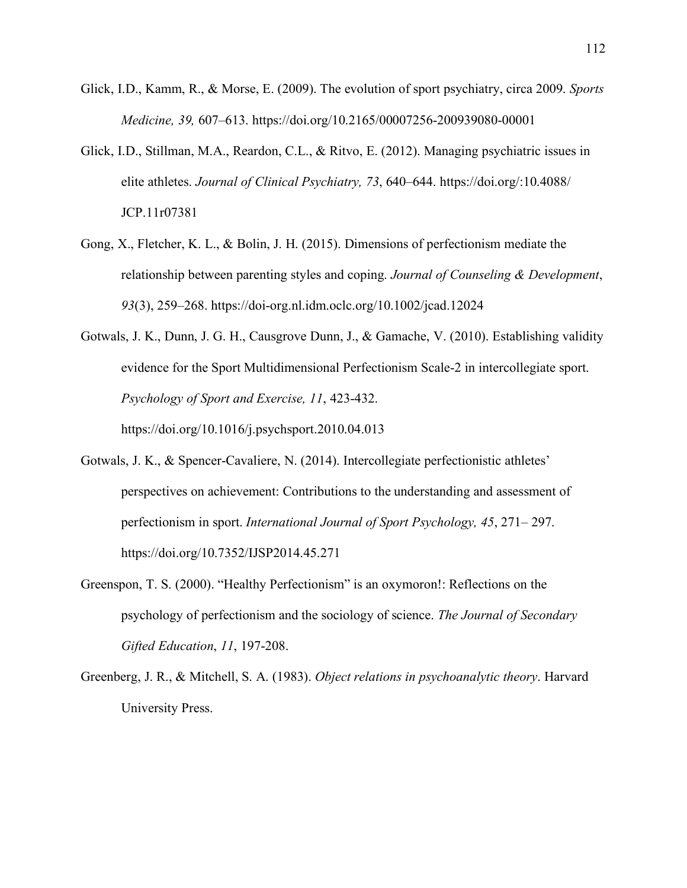- Glick, I.D., Kamm, R., & Morse, E. (2009). The evolution of sport psychiatry, circa 2009. *Sports Medicine, 39,* 607–613. https://doi.org/10.2165/00007256-200939080-00001
- Glick, I.D., Stillman, M.A., Reardon, C.L., & Ritvo, E. (2012). Managing psychiatric issues in elite athletes. *Journal of Clinical Psychiatry, 73*, 640–644. https://doi.org/:10.4088/ JCP.11r07381
- Gong, X., Fletcher, K. L., & Bolin, J. H. (2015). Dimensions of perfectionism mediate the relationship between parenting styles and coping. *Journal of Counseling & Development*, *93*(3), 259–268.<https://doi-org.nl.idm.oclc.org/10.1002/jcad.12024>
- Gotwals, J. K., Dunn, J. G. H., Causgrove Dunn, J., & Gamache, V. (2010). Establishing validity evidence for the Sport Multidimensional Perfectionism Scale-2 in intercollegiate sport. *Psychology of Sport and Exercise, 11*, 423-432. https://doi.org/10.1016/j.psychsport.2010.04.013
- Gotwals, J. K., & Spencer-Cavaliere, N. (2014). Intercollegiate perfectionistic athletes' perspectives on achievement: Contributions to the understanding and assessment of perfectionism in sport. *International Journal of Sport Psychology, 45*, 271– 297. https://doi.org/10.7352/IJSP2014.45.271
- Greenspon, T. S. (2000). "Healthy Perfectionism" is an oxymoron!: Reflections on the psychology of perfectionism and the sociology of science. *The Journal of Secondary Gifted Education*, *11*, 197-208.
- Greenberg, J. R., & Mitchell, S. A. (1983). *Object relations in psychoanalytic theory*. Harvard University Press.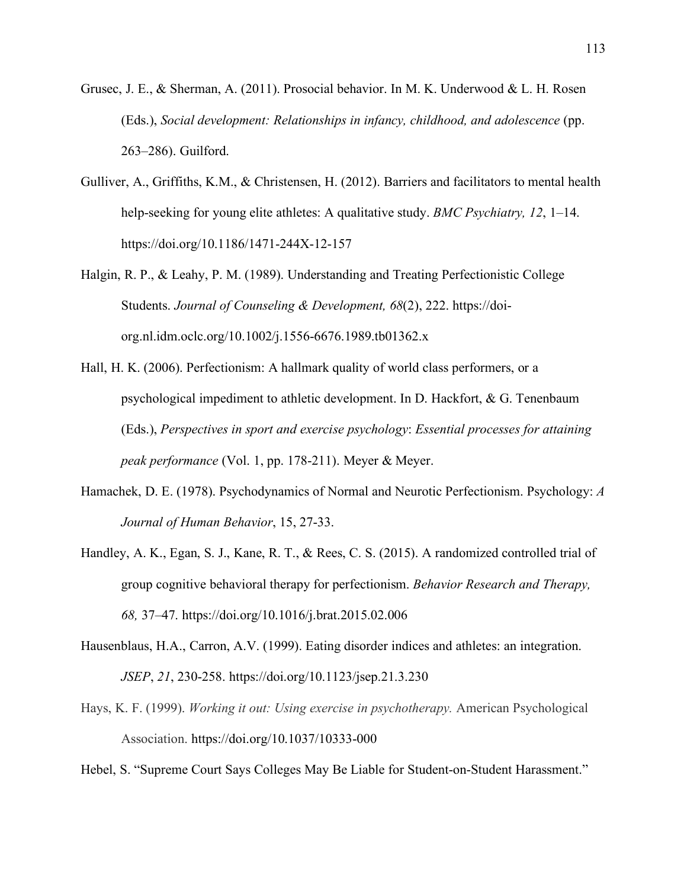- Grusec, J. E., & Sherman, A. (2011). Prosocial behavior. In M. K. Underwood & L. H. Rosen (Eds.), *Social development: Relationships in infancy, childhood, and adolescence* (pp. 263–286). Guilford.
- Gulliver, A., Griffiths, K.M., & Christensen, H. (2012). Barriers and facilitators to mental health help-seeking for young elite athletes: A qualitative study. *BMC Psychiatry, 12*, 1–14. https://doi.org/10.1186/1471-244X-12-157
- Halgin, R. P., & Leahy, P. M. (1989). Understanding and Treating Perfectionistic College Students. *Journal of Counseling & Development, 68*(2), 222. [https://doi](https://doi-org.nl.idm.oclc.org/10.1002/j.1556-)[org.nl.idm.oclc.org/10.1002/j.1556-6](https://doi-org.nl.idm.oclc.org/10.1002/j.1556-)676.1989.tb01362.x
- Hall, H. K. (2006). Perfectionism: A hallmark quality of world class performers, or a psychological impediment to athletic development. In D. Hackfort, & G. Tenenbaum (Eds.), *Perspectives in sport and exercise psychology*: *Essential processes for attaining peak performance* (Vol. 1, pp. 178-211). Meyer & Meyer.
- Hamachek, D. E. (1978). Psychodynamics of Normal and Neurotic Perfectionism. Psychology: *A Journal of Human Behavior*, 15, 27-33.
- Handley, A. K., Egan, S. J., Kane, R. T., & Rees, C. S. (2015). A randomized controlled trial of group cognitive behavioral therapy for perfectionism. *Behavior Research and Therapy, 68,* 37–47. https://doi.org/10.1016/j.brat.2015.02.006
- Hausenblaus, H.A., Carron, A.V. (1999). Eating disorder indices and athletes: an integration. *JSEP*, *21*, 230-258.<https://doi.org/10.1123/jsep.21.3.230>
- Hays, K. F. (1999). *Working it out: Using exercise in psychotherapy.* American Psychological Association. [https://doi.org/10.1037/10333-000](https://psycnet.apa.org/doi/10.1037/10333-000)

Hebel, S. "Supreme Court Says Colleges May Be Liable for Student-on-Student Harassment."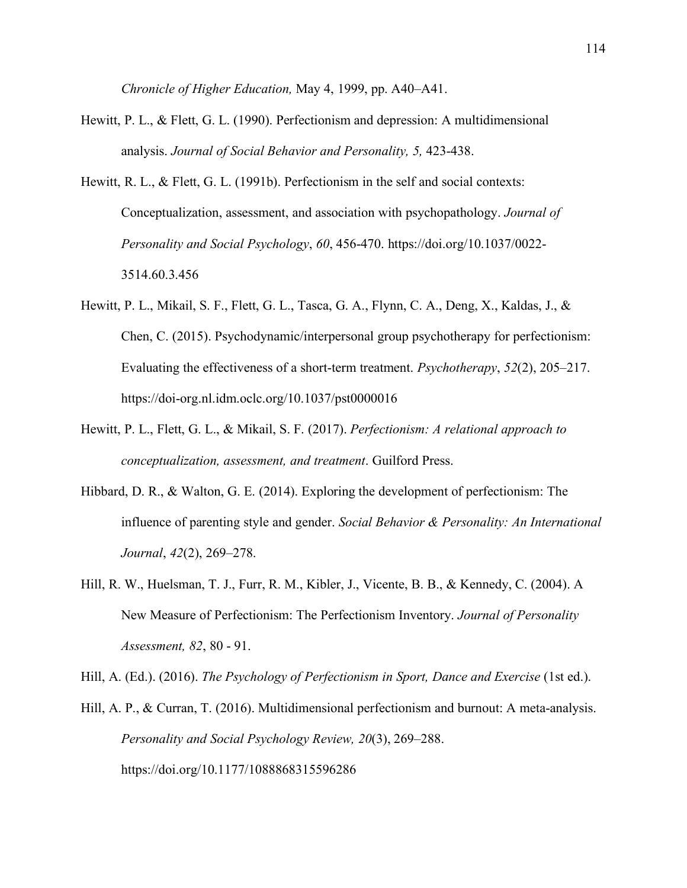*Chronicle of Higher Education,* May 4, 1999, pp. A40–A41.

- Hewitt, P. L., & Flett, G. L. (1990). Perfectionism and depression: A multidimensional analysis. *Journal of Social Behavior and Personality, 5,* 423-438.
- Hewitt, R. L., & Flett, G. L. (1991b). Perfectionism in the self and social contexts: Conceptualization, assessment, and association with psychopathology. *Journal of Personality and Social Psychology*, *60*, 456-470. https://doi.org/10.1037/0022- 3514.60.3.456
- Hewitt, P. L., Mikail, S. F., Flett, G. L., Tasca, G. A., Flynn, C. A., Deng, X., Kaldas, J., & Chen, C. (2015). Psychodynamic/interpersonal group psychotherapy for perfectionism: Evaluating the effectiveness of a short-term treatment. *Psychotherapy*, *52*(2), 205–217. <https://doi-org.nl.idm.oclc.org/10.1037/pst0000016>
- Hewitt, P. L., Flett, G. L., & Mikail, S. F. (2017). *Perfectionism: A relational approach to conceptualization, assessment, and treatment*. Guilford Press.
- Hibbard, D. R., & Walton, G. E. (2014). Exploring the development of perfectionism: The influence of parenting style and gender. *Social Behavior & Personality: An International Journal*, *42*(2), 269–278.
- Hill, R. W., Huelsman, T. J., Furr, R. M., Kibler, J., Vicente, B. B., & Kennedy, C. (2004). A New Measure of Perfectionism: The Perfectionism Inventory. *Journal of Personality Assessment, 82*, 80 - 91.

Hill, A. (Ed.). (2016). *The Psychology of Perfectionism in Sport, Dance and Exercise* (1st ed.).

Hill, A. P., & Curran, T. (2016). Multidimensional perfectionism and burnout: A meta-analysis. *Personality and Social Psychology Review, 20*(3), 269–288. https://doi.org[/10.1177/1088868315596286](http://dx.doi.org/10.1177/1088868315596286)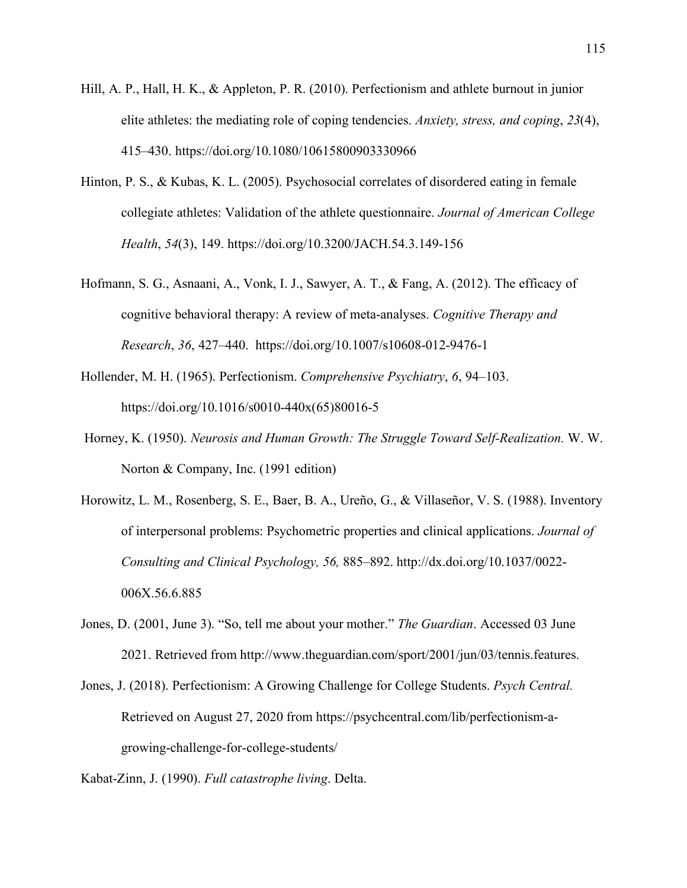- Hill, A. P., Hall, H. K., & Appleton, P. R. (2010). Perfectionism and athlete burnout in junior elite athletes: the mediating role of coping tendencies. *Anxiety, stress, and coping*, *23*(4), 415–430.<https://doi.org/10.1080/10615800903330966>
- Hinton, P. S., & Kubas, K. L. (2005). Psychosocial correlates of disordered eating in female collegiate athletes: Validation of the athlete questionnaire. *Journal of American College Health*, *54*(3), 149. https://doi.org[/10.3200/JACH.54.3.149-156](http://dx.doi.org/10.3200/JACH.54.3.149-156)
- Hofmann, S. G., Asnaani, A., Vonk, I. J., Sawyer, A. T., & Fang, A. (2012). The efficacy of cognitive behavioral therapy: A review of meta-analyses. *Cognitive Therapy and Research*, *36*, 427–440. https://doi.org[/10.1007/s10608-012-9476-1](https://dx.doi.org/10.1007%2Fs10608-012-9476-1)
- Hollender, M. H. (1965). Perfectionism. *Comprehensive Psychiatry*, *6*, 94–103. https://doi.org[/10.1016/s0010-440x\(65\)80016-5](https://doi.org/10.1016/s0010-440x(65)80016-5)
- Horney, K. (1950). *Neurosis and Human Growth: The Struggle Toward Self-Realization.* W. W. Norton & Company, Inc. (1991 edition)
- Horowitz, L. M., Rosenberg, S. E., Baer, B. A., Ureño, G., & Villaseñor, V. S. (1988). Inventory of interpersonal problems: Psychometric properties and clinical applications. *Journal of Consulting and Clinical Psychology, 56,* 885–892. http://dx.doi.org/10.1037/0022- 006X.56.6.885
- Jones, D. (2001, June 3). "So, tell me about your mother." *The Guardian*. Accessed 03 June 2021. Retrieved from [http://www.theguardian.com/sport/2001/jun/03/tennis.features.](http://www.theguardian.com/sport/2001/jun/03/tennis.features)
- Jones, J. (2018). Perfectionism: A Growing Challenge for College Students. *Psych Central.* Retrieved on August 27, 2020 from [https://psychcentral.com/lib/perfectionism-a](https://psychcentral.com/lib/perfectionism-a-)growing-challenge-for-college-students/

Kabat-Zinn, J. (1990). *Full catastrophe living*. Delta.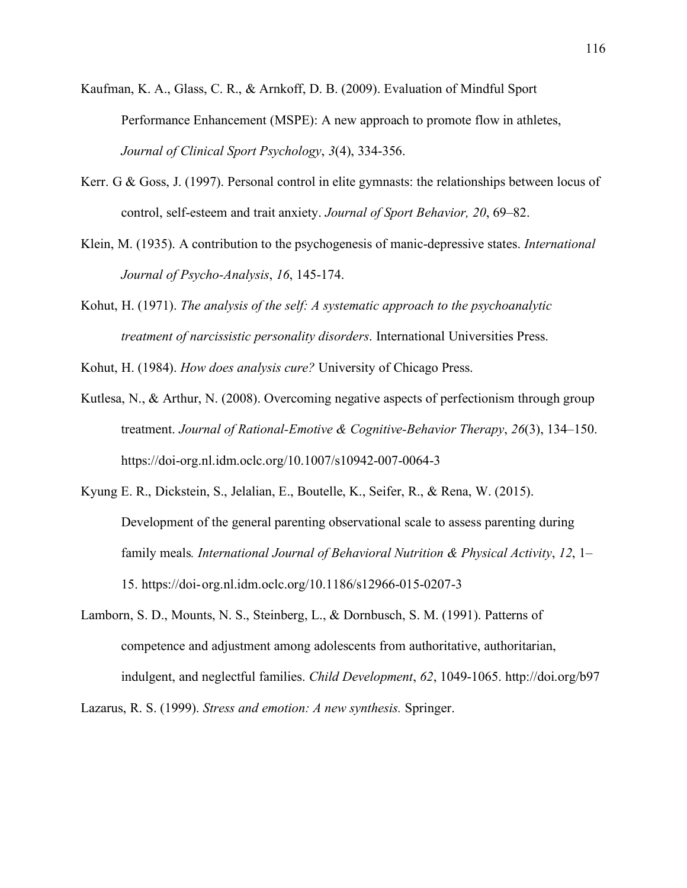- Kaufman, K. A., Glass, C. R., & Arnkoff, D. B. (2009). Evaluation of Mindful Sport Performance Enhancement (MSPE): A new approach to promote flow in athletes, *Journal of Clinical Sport Psychology*, *3*(4), 334-356.
- Kerr. G & Goss, J. (1997). Personal control in elite gymnasts: the relationships between locus of control, self-esteem and trait anxiety. *Journal of Sport Behavior, 20*, 69–82.
- Klein, M. (1935). A contribution to the psychogenesis of manic-depressive states. *International Journal of Psycho-Analysis*, *16*, 145-174.
- Kohut, H. (1971). *The analysis of the self: A systematic approach to the psychoanalytic treatment of narcissistic personality disorders*. International Universities Press.
- Kohut, H. (1984). *How does analysis cure?* University of Chicago Press.
- Kutlesa, N., & Arthur, N. (2008). Overcoming negative aspects of perfectionism through group treatment. *Journal of Rational-Emotive & Cognitive-Behavior Therapy*, *26*(3), 134–150. https://doi-org.nl.idm.oclc.org/10.1007/s10942-007-0064-3
- Kyung E. R., Dickstein, S., Jelalian, E., Boutelle, K., Seifer, R., & Rena, W. (2015). Development of the general parenting observational scale to assess parenting during family meals*. International Journal of Behavioral Nutrition & Physical Activity*, *12*, 1– 15. https://doi- org.nl.idm.oclc.org/10.1186/s12966-015-0207-3
- Lamborn, S. D., Mounts, N. S., Steinberg, L., & Dornbusch, S. M. (1991). Patterns of competence and adjustment among adolescents from authoritative, authoritarian, indulgent, and neglectful families. *Child Development*, *62*, 1049-1065.<http://doi.org/b97>

Lazarus, R. S. (1999). *Stress and emotion: A new synthesis.* Springer.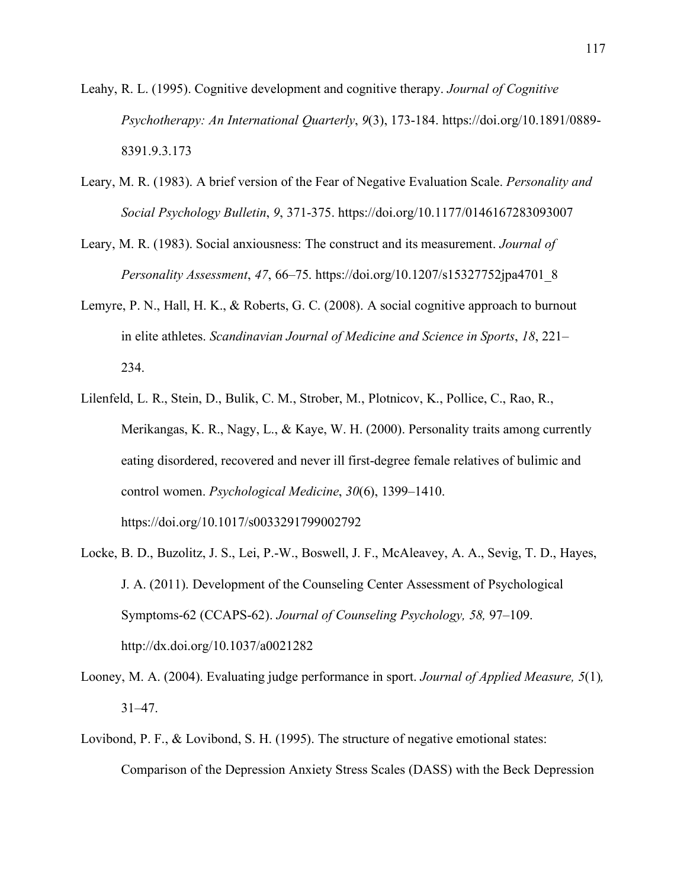- Leahy, R. L. (1995). Cognitive development and cognitive therapy. *Journal of Cognitive Psychotherapy: An International Quarterly*, *9*(3), 173-184. https://doi.org[/10.1891/0889-](http://dx.doi.org/10.1891/0889-8391.9.3.173)  [8391.9.3.173](http://dx.doi.org/10.1891/0889-8391.9.3.173)
- Leary, M. [R. \(1983\).](https://github.com/jjcurtin/arc_measures/raw/main/BFNE/LearyM1983a.pdf) A brief version of the Fear of Negative Evaluation Scale. *Personality and Social Psychology Bulletin*, *9*, 371-375. https://doi.org/10.1177/0146167283093007
- Leary, M. R. (1983). Social anxiousness: The construct and its measurement. *Journal of Personality Assessment*, *47*, 66–75. https://doi.org/10.1207/s15327752jpa4701\_8
- Lemyre, P. N., Hall, H. K., & Roberts, G. C. (2008). A social cognitive approach to burnout in elite athletes. *Scandinavian Journal of Medicine and Science in Sports*, *18*, 221– 234.
- Lilenfeld, L. R., Stein, D., Bulik, C. M., Strober, M., Plotnicov, K., Pollice, C., Rao, R., Merikangas, K. R., Nagy, L., & Kaye, W. H. (2000). Personality traits among currently eating disordered, recovered and never ill first-degree female relatives of bulimic and control women. *Psychological Medicine*, *30*(6), 1399–1410. https://doi.org/10.1017/s0033291799002792
- Locke, B. D., Buzolitz, J. S., Lei, P.-W., Boswell, J. F., McAleavey, A. A., Sevig, T. D., Hayes, J. A. (2011). Development of the Counseling Center Assessment of Psychological Symptoms-62 (CCAPS-62). *Journal of Counseling Psychology, 58,* 97–109. <http://dx.doi.org/10.1037/a0021282>
- Looney, M. A. (2004). Evaluating judge performance in sport. *Journal of Applied Measure, 5*(1)*,*  31–47.
- Lovibond, P. F., & Lovibond, S. H. (1995). The structure of negative emotional states: Comparison of the Depression Anxiety Stress Scales (DASS) with the Beck Depression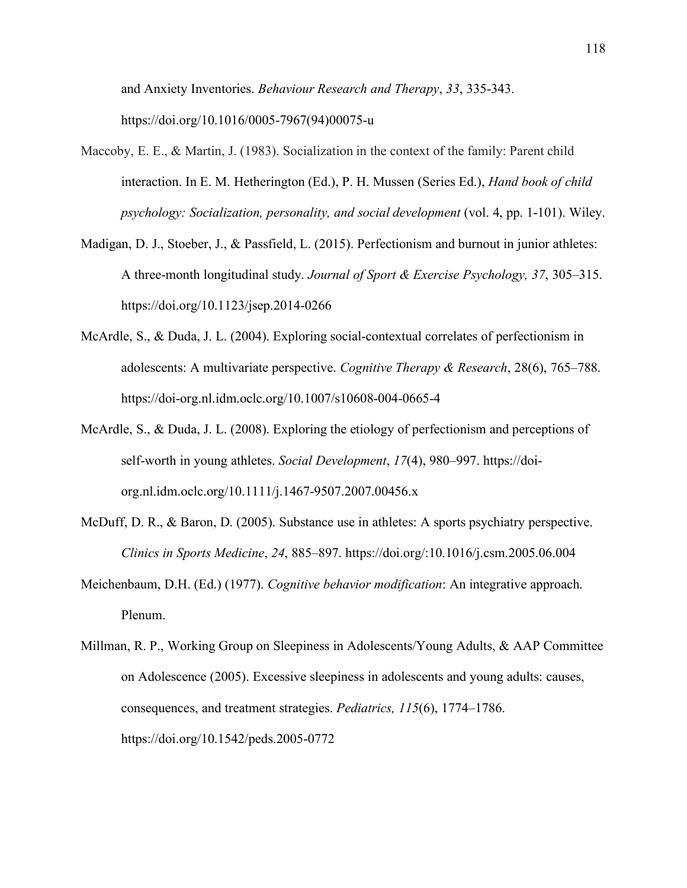and Anxiety Inventories. *Behaviour Research and Therapy*, *33*, 335-343. https://doi.org/10.1016/0005-7967(94)00075-u

- Maccoby, E. E., & Martin, J. (1983). Socialization in the context of the family: Parent child interaction. In E. M. Hetherington (Ed.), P. H. Mussen (Series Ed.), *Hand book of child psychology: Socialization, personality, and social development* (vol. 4, pp. 1-101). Wiley.
- Madigan, D. J., Stoeber, J., & Passfield, L. (2015). Perfectionism and burnout in junior athletes: A three-month longitudinal study. *Journal of Sport & Exercise Psychology, 37*, 305–315. https://doi.org/10.1123/jsep.2014-0266
- McArdle, S., & Duda, J. L. (2004). Exploring social-contextual correlates of perfectionism in adolescents: A multivariate perspective. *Cognitive Therapy & Research*, 28(6), 765–788. https://doi-org.nl.idm.oclc.org/10.1007/s10608-004-0665-4
- McArdle, S., & Duda, J. L. (2008). Exploring the etiology of perfectionism and perceptions of self-worth in young athletes. *Social Development*, *17*(4), 980–997. [https://doi](https://doi-/)org.nl.idm.oclc.org/10.1111/j.1467-9507.2007.00456.x
- McDuff, D. R., & Baron, D. (2005). Substance use in athletes: A sports psychiatry perspective. *Clinics in Sports Medicine*, *24*, 885–897. https://doi.org/:10.1016/j.csm.2005.06.004
- Meichenbaum, D.H. (Ed.) (1977). *Cognitive behavior modification*: An integrative approach. Plenum.

Millman, R. P., Working Group on Sleepiness in Adolescents/Young Adults, & AAP Committee on Adolescence (2005). Excessive sleepiness in adolescents and young adults: causes, consequences, and treatment strategies. *Pediatrics, 115*(6), 1774–1786. https://doi.org/10.1542/peds.2005-0772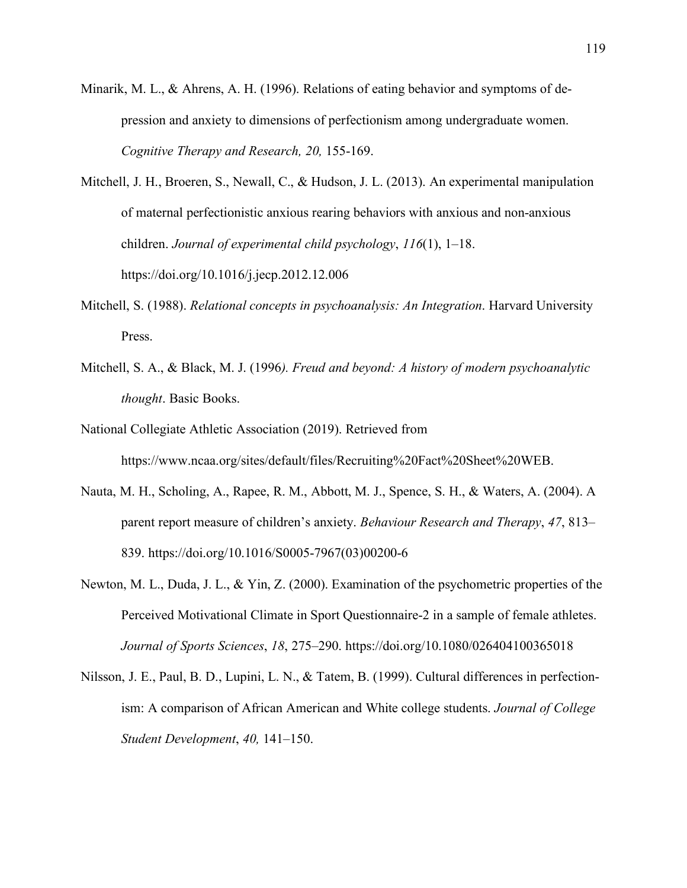- Minarik, M. L., & Ahrens, A. H. (1996). Relations of eating behavior and symptoms of depression and anxiety to dimensions of perfectionism among undergraduate women. *Cognitive Therapy and Research, 20,* 155-169.
- Mitchell, J. H., Broeren, S., Newall, C., & Hudson, J. L. (2013). An experimental manipulation of maternal perfectionistic anxious rearing behaviors with anxious and non-anxious children. *Journal of experimental child psychology*, *116*(1), 1–18. <https://doi.org/10.1016/j.jecp.2012.12.006>
- Mitchell, S. (1988). *Relational concepts in psychoanalysis: An Integration*. Harvard University Press.
- Mitchell, S. A., & Black, M. J. (1996*). Freud and beyond: A history of modern psychoanalytic thought*. Basic Books.
- National Collegiate Athletic Association (2019). Retrieved from [https://www.ncaa.org/sites/default/files/Recruiting%20Fact%20Sheet%20WEB.](https://www.ncaa.org/sites/default/files/Recruiting%20Fact%20Sheet%20WEB)
- Nauta, M. H., Scholing, A., Rapee, R. M., Abbott, M. J., Spence, S. H., & Waters, A. (2004). A parent report measure of children's anxiety. *Behaviour Research and Therapy*, *47*, 813– 839. https://doi.org/10.1016/S0005-7967(03)00200-6
- Newton, M. L., Duda, J. L., & Yin, Z. (2000). Examination of the psychometric properties of the Perceived Motivational Climate in Sport Questionnaire-2 in a sample of female athletes. *Journal of Sports Sciences*, *18*, 275–290. https://doi.org/10.1080/026404100365018
- Nilsson, J. E., Paul, B. D., Lupini, L. N., & Tatem, B. (1999). Cultural differences in perfectionism: A comparison of African American and White college students. *Journal of College Student Development*, *40,* 141–150.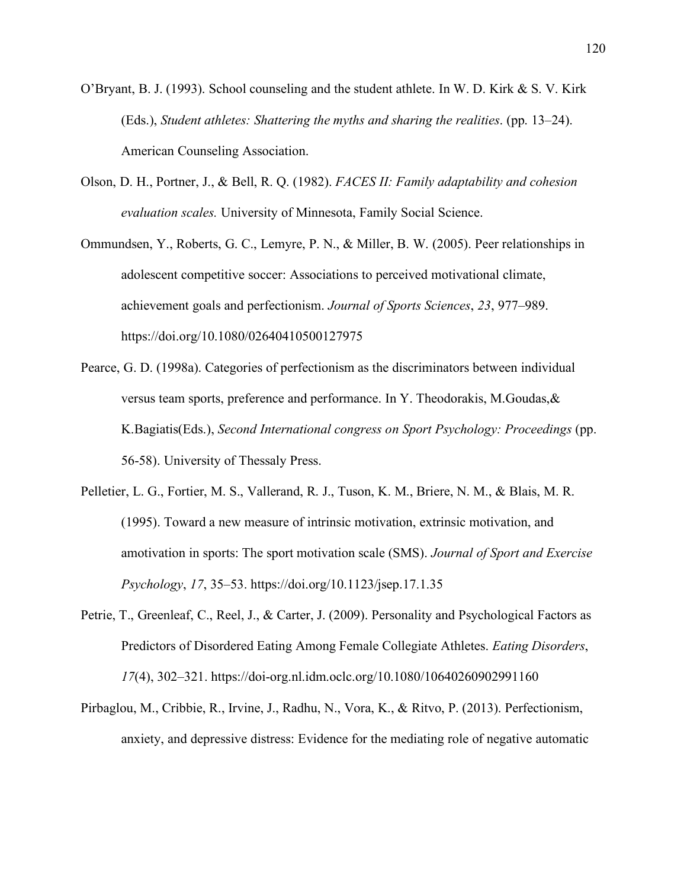- O'Bryant, B. J. (1993). School counseling and the student athlete. In W. D. Kirk & S. V. Kirk (Eds.), *Student athletes: Shattering the myths and sharing the realities*. (pp. 13–24). American Counseling Association.
- Olson, D. H., Portner, J., & Bell, R. Q. (1982). *FACES II: Family adaptability and cohesion evaluation scales.* University of Minnesota, Family Social Science.
- Ommundsen, Y., Roberts, G. C., Lemyre, P. N., & Miller, B. W. (2005). Peer relationships in adolescent competitive soccer: Associations to perceived motivational climate, achievement goals and perfectionism. *Journal of Sports Sciences*, *23*, 977–989. https://doi.org/10.1080/02640410500127975
- Pearce, G. D. (1998a). Categories of perfectionism as the discriminators between individual versus team sports, preference and performance. In Y. Theodorakis, M.Goudas,& K.Bagiatis(Eds.), *Second International congress on Sport Psychology: Proceedings* (pp. 56-58). University of Thessaly Press.
- Pelletier, L. G., Fortier, M. S., Vallerand, R. J., Tuson, K. M., Briere, N. M., & Blais, M. R. (1995). Toward a new measure of intrinsic motivation, extrinsic motivation, and amotivation in sports: The sport motivation scale (SMS). *Journal of Sport and Exercise Psychology*, *17*, 35–53. https://doi.org/10.1123/jsep.17.1.35
- Petrie, T., Greenleaf, C., Reel, J., & Carter, J. (2009). Personality and Psychological Factors as Predictors of Disordered Eating Among Female Collegiate Athletes. *Eating Disorders*, *17*(4), 302–321. https://doi-org.nl.idm.oclc.org/10.1080/10640260902991160
- Pirbaglou, M., Cribbie, R., Irvine, J., Radhu, N., Vora, K., & Ritvo, P. (2013). Perfectionism, anxiety, and depressive distress: Evidence for the mediating role of negative automatic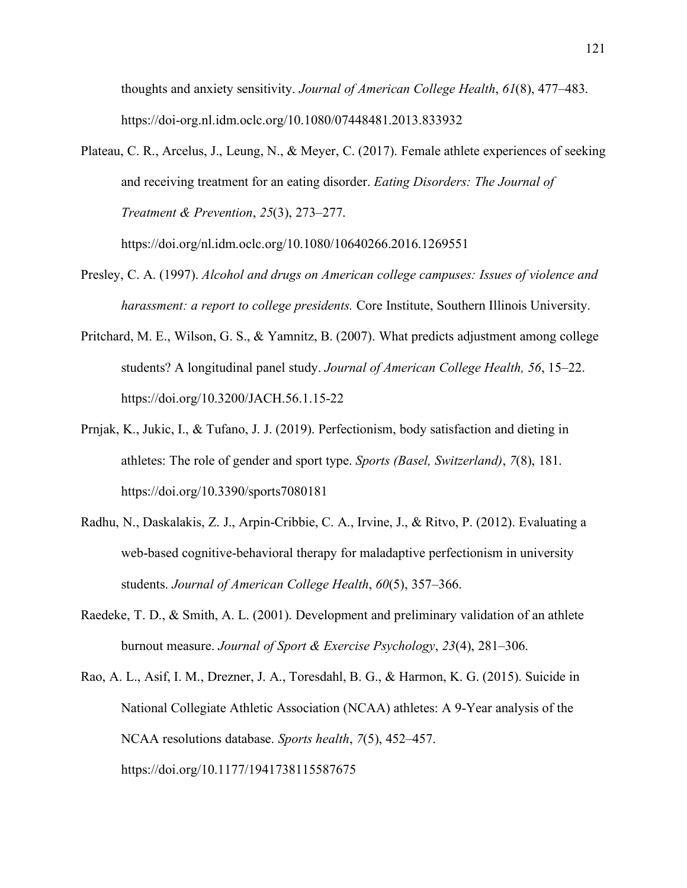thoughts and anxiety sensitivity. *Journal of American College Health*, *61*(8), 477–483. <https://doi-org.nl.idm.oclc.org/10.1080/07448481.2013.833932>

Plateau, C. R., Arcelus, J., Leung, N., & Meyer, C. (2017). Female athlete experiences of seeking and receiving treatment for an eating disorder. *Eating Disorders: The Journal of Treatment & Prevention*, *25*(3), 273–277.

[https://doi.o](https://doi-/)rg/nl.idm.oclc.org/10.1080/10640266.2016.1269551

- Presley, C. A. (1997). *Alcohol and drugs on American college campuses: Issues of violence and harassment: a report to college presidents.* Core Institute, Southern Illinois University.
- Pritchard, M. E., Wilson, G. S., & Yamnitz, B. (2007). What predicts adjustment among college students? A longitudinal panel study. *Journal of American College Health, 56*, 15–22. https://doi.org/10.3200/JACH.56.1.15-22
- Prnjak, K., Jukic, I., & Tufano, J. J. (2019). Perfectionism, body satisfaction and dieting in athletes: The role of gender and sport type. *Sports (Basel, Switzerland)*, *7*(8), 181. https://doi.org/10.3390/sports7080181
- Radhu, N., Daskalakis, Z. J., Arpin-Cribbie, C. A., Irvine, J., & Ritvo, P. (2012). Evaluating a web-based cognitive-behavioral therapy for maladaptive perfectionism in university students. *Journal of American College Health*, *60*(5), 357–366.
- Raedeke, T. D., & Smith, A. L. (2001). Development and preliminary validation of an athlete burnout measure. *Journal of Sport & Exercise Psychology*, *23*(4), 281–306.
- Rao, A. L., Asif, I. M., Drezner, J. A., Toresdahl, B. G., & Harmon, K. G. (2015). Suicide in National Collegiate Athletic Association (NCAA) athletes: A 9-Year analysis of the NCAA resolutions database. *Sports health*, *7*(5), 452–457. https://doi.org/10.1177/1941738115587675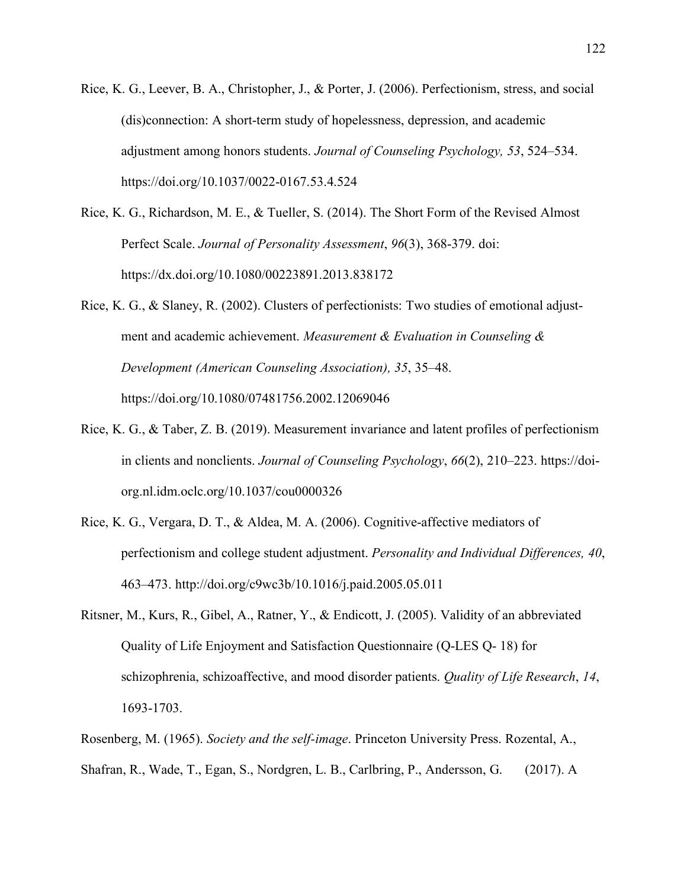- Rice, K. G., Leever, B. A., Christopher, J., & Porter, J. (2006). Perfectionism, stress, and social (dis)connection: A short-term study of hopelessness, depression, and academic adjustment among honors students. *Journal of Counseling Psychology, 53*, 524–534. https://doi.org/10.1037/0022-0167.53.4.524
- Rice, K. G., Richardson, M. E., & Tueller, S. (2014). The Short Form of the Revised Almost Perfect Scale. *Journal of Personality Assessment*, *96*(3), 368-379. doi: https://dx.doi.org/10.1080/00223891.2013.838172
- Rice, K. G., & Slaney, R. (2002). Clusters of perfectionists: Two studies of emotional adjustment and academic achievement. *Measurement & Evaluation in Counseling & Development (American Counseling Association), 35*, 35–48. https://doi.org/10.1080/07481756.2002.12069046
- Rice, K. G., & Taber, Z. B. (2019). Measurement invariance and latent profiles of perfectionism in clients and nonclients. *Journal of Counseling Psychology*, *66*(2), 210–223. [https://doi](https://doi-/)org.nl.idm.oclc.org/10.1037/cou0000326
- Rice, K. G., Vergara, D. T., & Aldea, M. A. (2006). Cognitive-affective mediators of perfectionism and college student adjustment. *Personality and Individual Differences, 40*, 463–473. [http://doi.org/c9wc3b/](http://doi.org/c9wc3b)10.1016/j.paid.2005.05.011
- Ritsner, M., Kurs, R., Gibel, A., Ratner, Y., & Endicott, J. (2005). Validity of an abbreviated Quality of Life Enjoyment and Satisfaction Questionnaire (Q-LES Q- 18) for schizophrenia, schizoaffective, and mood disorder patients. *Quality of Life Research*, *14*, 1693-1703.
- Rosenberg, M. (1965). *Society and the self-image*. Princeton University Press. Rozental, A., Shafran, R., Wade, T., Egan, S., Nordgren, L. B., Carlbring, P., Andersson, G. (2017). A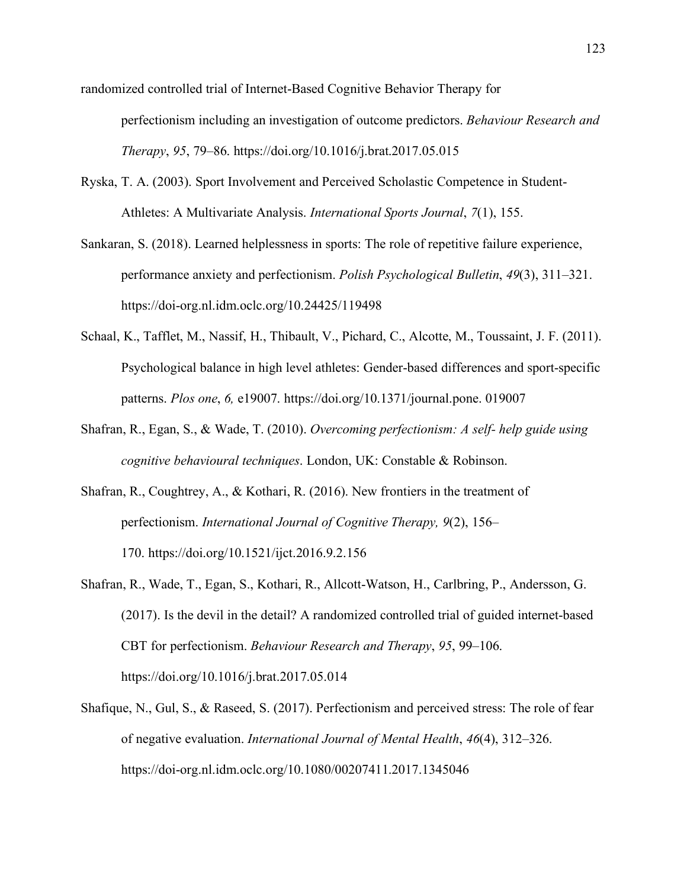randomized controlled trial of Internet-Based Cognitive Behavior Therapy for perfectionism including an investigation of outcome predictors. *Behaviour Research and Therapy*, *95*, 79–86. https://doi.org/10.1016/j.brat.2017.05.015

- Ryska, T. A. (2003). Sport Involvement and Perceived Scholastic Competence in Student-Athletes: A Multivariate Analysis. *International Sports Journal*, *7*(1), 155.
- Sankaran, S. (2018). Learned helplessness in sports: The role of repetitive failure experience, performance anxiety and perfectionism. *Polish Psychological Bulletin*, *49*(3), 311–321. <https://doi-org.nl.idm.oclc.org/10.24425/119498>
- Schaal, K., Tafflet, M., Nassif, H., Thibault, V., Pichard, C., Alcotte, M., Toussaint, J. F. (2011). Psychological balance in high level athletes: Gender-based differences and sport-specific patterns. *Plos one*, *6,* e19007. https://doi.org/10.1371/journal.pone. 019007
- Shafran, R., Egan, S., & Wade, T. (2010). *Overcoming perfectionism: A self- help guide using cognitive behavioural techniques*. London, UK: Constable & Robinson.
- Shafran, R., Coughtrey, A., & Kothari, R. (2016). New frontiers in the treatment of perfectionism. *International Journal of Cognitive Therapy, 9*(2), 156– 170. https://doi.org/10.1521/ijct.2016.9.2.156
- Shafran, R., Wade, T., Egan, S., Kothari, R., Allcott-Watson, H., Carlbring, P., Andersson, G. (2017). Is the devil in the detail? A randomized controlled trial of guided internet-based CBT for perfectionism. *Behaviour Research and Therapy*, *95*, 99–106. <https://doi.org/10.1016/j.brat.2017.05.014>
- Shafique, N., Gul, S., & Raseed, S. (2017). Perfectionism and perceived stress: The role of fear of negative evaluation. *International Journal of Mental Health*, *46*(4), 312–326. <https://doi-org.nl.idm.oclc.org/10.1080/00207411.2017.1345046>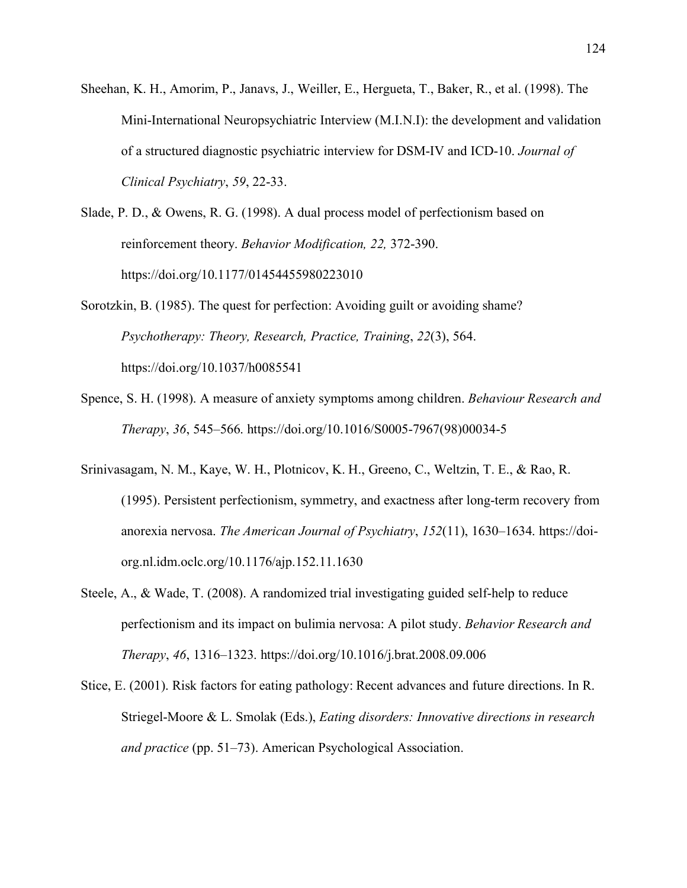- Sheehan, K. H., Amorim, P., Janavs, J., Weiller, E., Hergueta, T., Baker, R., et al. (1998). The Mini-International Neuropsychiatric Interview (M.I.N.I): the development and validation of a structured diagnostic psychiatric interview for DSM-IV and ICD-10. *Journal of Clinical Psychiatry*, *59*, 22-33.
- Slade, P. D., & Owens, R. G. (1998). A dual process model of perfectionism based on reinforcement theory. *Behavior Modification, 22,* 372-390. https://doi.org/10.1177/01454455980223010
- Sorotzkin, B. (1985). The quest for perfection: Avoiding guilt or avoiding shame? *Psychotherapy: Theory, Research, Practice, Training*, *22*(3), 564. https://doi.org/10.1037/h0085541
- Spence, S. H. (1998). A measure of anxiety symptoms among children. *Behaviour Research and Therapy*, *36*, 545–566. https://doi.org/10.1016/S0005-7967(98)00034-5
- Srinivasagam, N. M., Kaye, W. H., Plotnicov, K. H., Greeno, C., Weltzin, T. E., & Rao, R. (1995). Persistent perfectionism, symmetry, and exactness after long-term recovery from anorexia nervosa. *The American Journal of Psychiatry*, *152*(11), 1630–1634. [https://doi](https://doi-org.nl.idm.oclc.org/10.1176/ajp.152.11.1630)[org.nl.idm.oclc.org/10.1176/ajp.152.11.1630](https://doi-org.nl.idm.oclc.org/10.1176/ajp.152.11.1630)
- Steele, A., & Wade, T. (2008). A randomized trial investigating guided self-help to reduce perfectionism and its impact on bulimia nervosa: A pilot study. *Behavior Research and Therapy*, *46*, 1316–1323. <https://doi.org/10.1016/j.brat.2008.09.006>
- Stice, E. (2001). Risk factors for eating pathology: Recent advances and future directions. In R. Striegel-Moore & L. Smolak (Eds.), *Eating disorders: Innovative directions in research and practice* (pp. 51–73). American Psychological Association.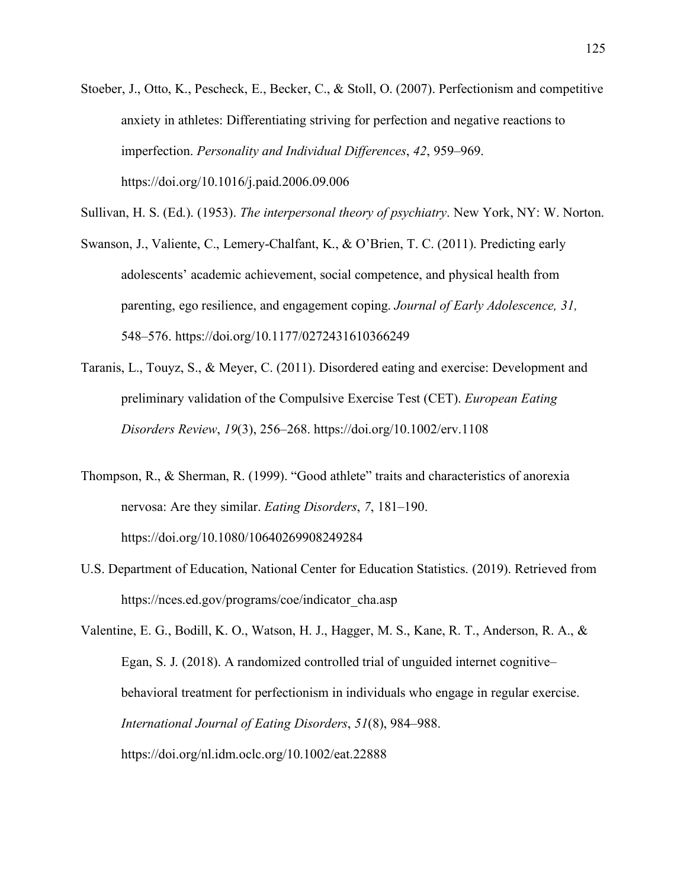Stoeber, J., Otto, K., Pescheck, E., Becker, C., & Stoll, O. (2007). Perfectionism and competitive anxiety in athletes: Differentiating striving for perfection and negative reactions to imperfection. *Personality and Individual Differences*, *42*, 959–969. https://doi.org/10.1016/j.paid.2006.09.006

Sullivan, H. S. (Ed.). (1953). *The interpersonal theory of psychiatry*. New York, NY: W. Norton.

- Swanson, J., Valiente, C., Lemery-Chalfant, K., & O'Brien, T. C. (2011). Predicting early adolescents' academic achievement, social competence, and physical health from parenting, ego resilience, and engagement coping. *Journal of Early Adolescence, 31,*  548–576. https://doi.org/10.1177/0272431610366249
- Taranis, L., Touyz, S., & Meyer, C. (2011). Disordered eating and exercise: Development and preliminary validation of the Compulsive Exercise Test (CET). *European Eating Disorders Review*, *19*(3), 256–268. https://doi.org/10.1002/erv.1108
- Thompson, R., & Sherman, R. (1999). "Good athlete" traits and characteristics of anorexia nervosa: Are they similar. *Eating Disorders*, *7*, 181–190. https://doi.org/10.1080/10640269908249284
- U.S. Department of Education, National Center for Education Statistics. (2019). Retrieved from [https://nces.ed.gov/programs/coe/indicator\\_cha.asp](https://nces.ed.gov/programs/coe/indicator_cha.asp)

Valentine, E. G., Bodill, K. O., Watson, H. J., Hagger, M. S., Kane, R. T., Anderson, R. A., & Egan, S. J. (2018). A randomized controlled trial of unguided internet cognitive– behavioral treatment for perfectionism in individuals who engage in regular exercise. *International Journal of Eating Disorders*, *51*(8), 984–988. [https://doi.](https://doi-/)org/nl.idm.oclc.org/10.1002/eat.22888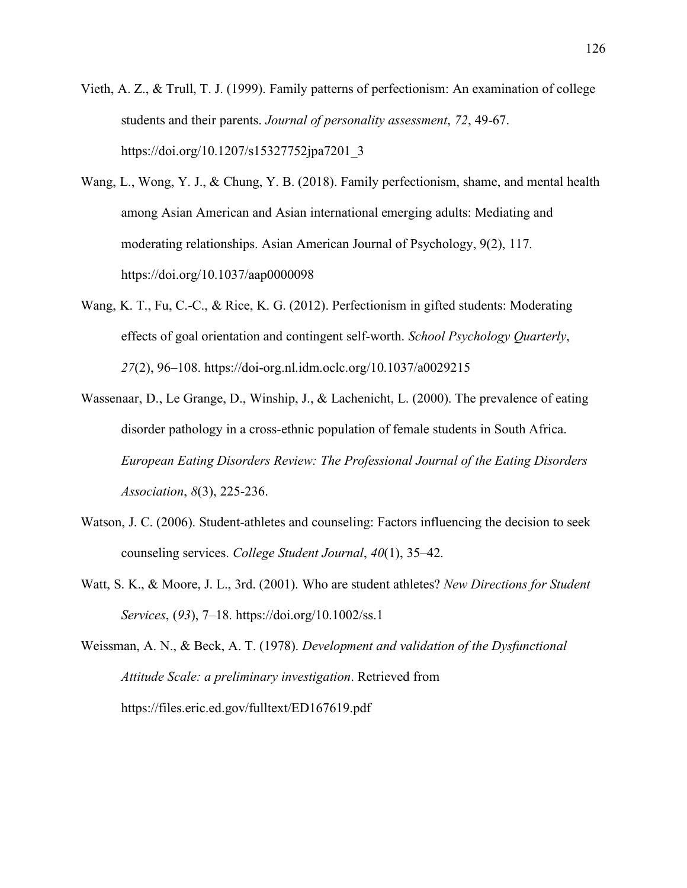- Vieth, A. Z., & Trull, T. J. (1999). Family patterns of perfectionism: An examination of college students and their parents. *Journal of personality assessment*, *72*, 49-67. https://doi.org/10.1207/s15327752jpa7201\_3
- Wang, L., Wong, Y. J., & Chung, Y. B. (2018). Family perfectionism, shame, and mental health among Asian American and Asian international emerging adults: Mediating and moderating relationships. Asian American Journal of Psychology, 9(2), 117. https://doi.org/10.1037/aap0000098
- Wang, K. T., Fu, C.-C., & Rice, K. G. (2012). Perfectionism in gifted students: Moderating effects of goal orientation and contingent self-worth. *School Psychology Quarterly*, *27*(2), 96–108. https://doi-org.nl.idm.oclc.org/10.1037/a0029215
- Wassenaar, D., Le Grange, D., Winship, J., & Lachenicht, L. (2000). The prevalence of eating disorder pathology in a cross‐ethnic population of female students in South Africa. *European Eating Disorders Review: The Professional Journal of the Eating Disorders Association*, *8*(3), 225-236.
- Watson, J. C. (2006). Student-athletes and counseling: Factors influencing the decision to seek counseling services. *College Student Journal*, *40*(1), 35–42.
- Watt, S. K., & Moore, J. L., 3rd. (2001). Who are student athletes? *New Directions for Student Services*, (*93*), 7–18. https://doi.org/10.1002/ss.1

Weissman, A. N., & Beck, A. T. (1978). *Development and validation of the Dysfunctional Attitude Scale: a preliminary investigation*. Retrieved from https://files.eric.ed.gov/fulltext/ED167619.pdf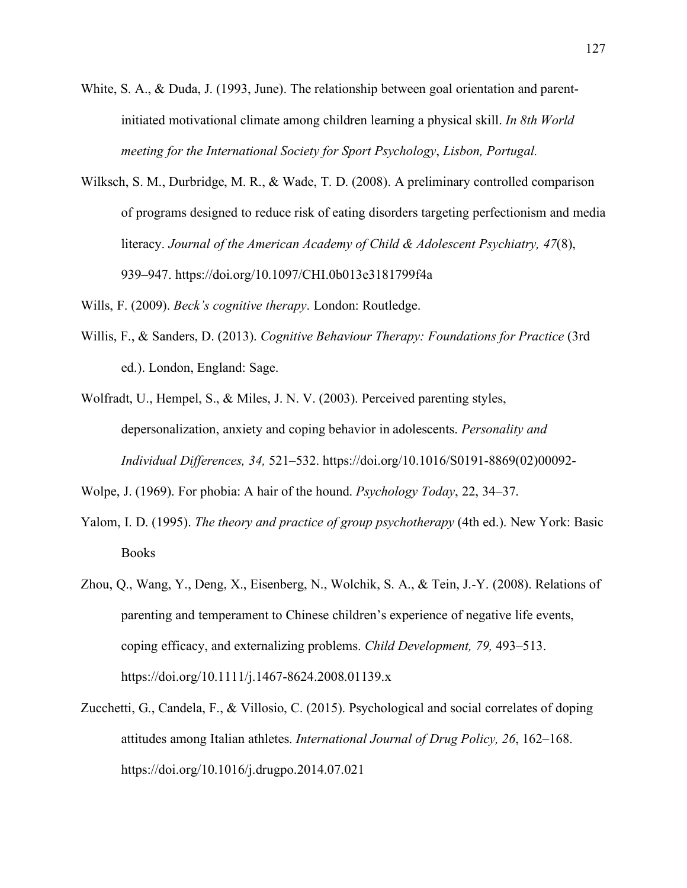- White, S. A., & Duda, J. (1993, June). The relationship between goal orientation and parentinitiated motivational climate among children learning a physical skill. *In 8th World meeting for the International Society for Sport Psychology*, *Lisbon, Portugal.*
- Wilksch, S. M., Durbridge, M. R., & Wade, T. D. (2008). A preliminary controlled comparison of programs designed to reduce risk of eating disorders targeting perfectionism and media literacy. *Journal of the American Academy of Child & Adolescent Psychiatry, 47*(8), 939–947. https://doi.org/10.1097/CHI.0b013e3181799f4a

Wills, F. (2009). *Beck's cognitive therapy*. London: Routledge.

- Willis, F., & Sanders, D. (2013). *Cognitive Behaviour Therapy: Foundations for Practice* (3rd ed.). London, England: Sage.
- Wolfradt, U., Hempel, S., & Miles, J. N. V. (2003). Perceived parenting styles, depersonalization, anxiety and coping behavior in adolescents. *Personality and Individual Differences, 34,* 521–532. https://doi.org/10.1016/S0191-8869(02)00092-

Wolpe, J. (1969). For phobia: A hair of the hound. *Psychology Today*, 22, 34–37.

- Yalom, I. D. (1995). *The theory and practice of group psychotherapy* (4th ed.). New York: Basic Books
- Zhou, Q., Wang, Y., Deng, X., Eisenberg, N., Wolchik, S. A., & Tein, J.-Y. (2008). Relations of parenting and temperament to Chinese children's experience of negative life events, coping efficacy, and externalizing problems. *Child Development, 79,* 493–513. https://doi.org/10.1111/j.1467-8624.2008.01139.x
- Zucchetti, G., Candela, F., & Villosio, C. (2015). Psychological and social correlates of doping attitudes among Italian athletes. *International Journal of Drug Policy, 26*, 162–168. https://doi.org/10.1016/j.drugpo.2014.07.021